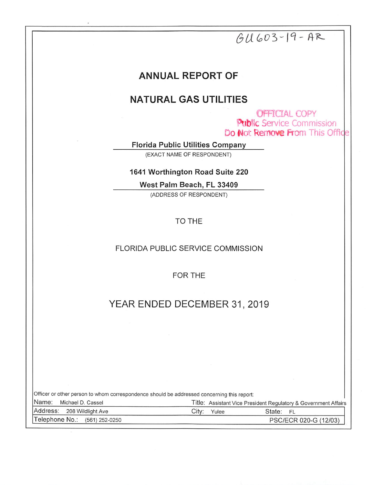| $GUCO3-19-AR$<br><b>ANNUAL REPORT OF</b><br><b>NATURAL GAS UTILITIES</b><br><b>OFFICIAL COPY</b><br><b>Public Service Commission</b><br>Do Not Remove From This Office<br><b>Florida Public Utilities Company</b><br>(EXACT NAME OF RESPONDENT)<br>1641 Worthington Road Suite 220<br>West Palm Beach, FL 33409<br>(ADDRESS OF RESPONDENT)<br>TO THE<br>FLORIDA PUBLIC SERVICE COMMISSION<br>FOR THE<br>YEAR ENDED DECEMBER 31, 2019<br>Officer or other person to whom correspondence should be addressed concerning this report:<br>Name:<br>Michael D. Cassel<br>Title: Assistant Vice President Regulatory & Government Affairs<br>Address:<br>208 Wildlight Ave<br>City:<br>State:<br>Yulee<br>FL<br>Telephone No.:<br>(561) 252-0250<br>PSC/ECR 020-G (12/03) |  |
|---------------------------------------------------------------------------------------------------------------------------------------------------------------------------------------------------------------------------------------------------------------------------------------------------------------------------------------------------------------------------------------------------------------------------------------------------------------------------------------------------------------------------------------------------------------------------------------------------------------------------------------------------------------------------------------------------------------------------------------------------------------------|--|
|                                                                                                                                                                                                                                                                                                                                                                                                                                                                                                                                                                                                                                                                                                                                                                     |  |
|                                                                                                                                                                                                                                                                                                                                                                                                                                                                                                                                                                                                                                                                                                                                                                     |  |
|                                                                                                                                                                                                                                                                                                                                                                                                                                                                                                                                                                                                                                                                                                                                                                     |  |
|                                                                                                                                                                                                                                                                                                                                                                                                                                                                                                                                                                                                                                                                                                                                                                     |  |
|                                                                                                                                                                                                                                                                                                                                                                                                                                                                                                                                                                                                                                                                                                                                                                     |  |
|                                                                                                                                                                                                                                                                                                                                                                                                                                                                                                                                                                                                                                                                                                                                                                     |  |
|                                                                                                                                                                                                                                                                                                                                                                                                                                                                                                                                                                                                                                                                                                                                                                     |  |
|                                                                                                                                                                                                                                                                                                                                                                                                                                                                                                                                                                                                                                                                                                                                                                     |  |
|                                                                                                                                                                                                                                                                                                                                                                                                                                                                                                                                                                                                                                                                                                                                                                     |  |
|                                                                                                                                                                                                                                                                                                                                                                                                                                                                                                                                                                                                                                                                                                                                                                     |  |
|                                                                                                                                                                                                                                                                                                                                                                                                                                                                                                                                                                                                                                                                                                                                                                     |  |
|                                                                                                                                                                                                                                                                                                                                                                                                                                                                                                                                                                                                                                                                                                                                                                     |  |
|                                                                                                                                                                                                                                                                                                                                                                                                                                                                                                                                                                                                                                                                                                                                                                     |  |
|                                                                                                                                                                                                                                                                                                                                                                                                                                                                                                                                                                                                                                                                                                                                                                     |  |
|                                                                                                                                                                                                                                                                                                                                                                                                                                                                                                                                                                                                                                                                                                                                                                     |  |
|                                                                                                                                                                                                                                                                                                                                                                                                                                                                                                                                                                                                                                                                                                                                                                     |  |
|                                                                                                                                                                                                                                                                                                                                                                                                                                                                                                                                                                                                                                                                                                                                                                     |  |
|                                                                                                                                                                                                                                                                                                                                                                                                                                                                                                                                                                                                                                                                                                                                                                     |  |
|                                                                                                                                                                                                                                                                                                                                                                                                                                                                                                                                                                                                                                                                                                                                                                     |  |
|                                                                                                                                                                                                                                                                                                                                                                                                                                                                                                                                                                                                                                                                                                                                                                     |  |
|                                                                                                                                                                                                                                                                                                                                                                                                                                                                                                                                                                                                                                                                                                                                                                     |  |
|                                                                                                                                                                                                                                                                                                                                                                                                                                                                                                                                                                                                                                                                                                                                                                     |  |
|                                                                                                                                                                                                                                                                                                                                                                                                                                                                                                                                                                                                                                                                                                                                                                     |  |
|                                                                                                                                                                                                                                                                                                                                                                                                                                                                                                                                                                                                                                                                                                                                                                     |  |
|                                                                                                                                                                                                                                                                                                                                                                                                                                                                                                                                                                                                                                                                                                                                                                     |  |
|                                                                                                                                                                                                                                                                                                                                                                                                                                                                                                                                                                                                                                                                                                                                                                     |  |
|                                                                                                                                                                                                                                                                                                                                                                                                                                                                                                                                                                                                                                                                                                                                                                     |  |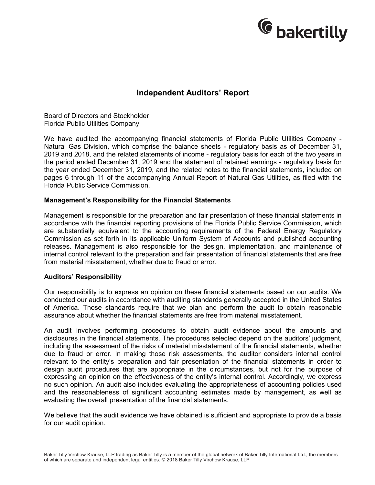

### **Independent Auditors' Report**

Board of Directors and Stockholder Florida Public Utilities Company

We have audited the accompanying financial statements of Florida Public Utilities Company - Natural Gas Division, which comprise the balance sheets - regulatory basis as of December 31, 2019 and 2018, and the related statements of income - regulatory basis for each of the two years in the period ended December 31, 2019 and the statement of retained earnings - regulatory basis for the year ended December 31, 2019, and the related notes to the financial statements, included on pages 6 through 11 of the accompanying Annual Report of Natural Gas Utilities, as filed with the Florida Public Service Commission.

#### **Management's Responsibility for the Financial Statements**

Management is responsible for the preparation and fair presentation of these financial statements in accordance with the financial reporting provisions of the Florida Public Service Commission, which are substantially equivalent to the accounting requirements of the Federal Energy Regulatory Commission as set forth in its applicable Uniform System of Accounts and published accounting releases. Management is also responsible for the design, implementation, and maintenance of internal control relevant to the preparation and fair presentation of financial statements that are free from material misstatement, whether due to fraud or error.

#### **Auditors' Responsibility**

Our responsibility is to express an opinion on these financial statements based on our audits. We conducted our audits in accordance with auditing standards generally accepted in the United States of America. Those standards require that we plan and perform the audit to obtain reasonable assurance about whether the financial statements are free from material misstatement.

An audit involves performing procedures to obtain audit evidence about the amounts and disclosures in the financial statements. The procedures selected depend on the auditors' judgment, including the assessment of the risks of material misstatement of the financial statements, whether due to fraud or error. In making those risk assessments, the auditor considers internal control relevant to the entity's preparation and fair presentation of the financial statements in order to design audit procedures that are appropriate in the circumstances, but not for the purpose of expressing an opinion on the effectiveness of the entity's internal control. Accordingly, we express no such opinion. An audit also includes evaluating the appropriateness of accounting policies used and the reasonableness of significant accounting estimates made by management, as well as evaluating the overall presentation of the financial statements.

We believe that the audit evidence we have obtained is sufficient and appropriate to provide a basis for our audit opinion.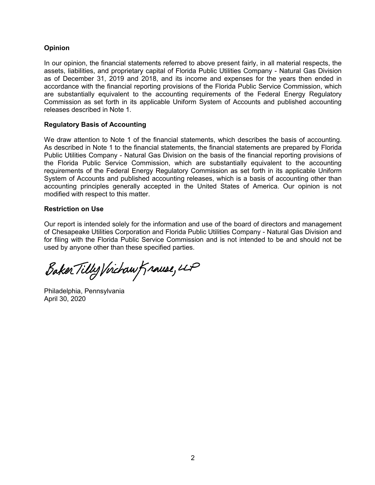#### **Opinion**

In our opinion, the financial statements referred to above present fairly, in all material respects, the assets, liabilities, and proprietary capital of Florida Public Utilities Company - Natural Gas Division as of December 31, 2019 and 2018, and its income and expenses for the years then ended in accordance with the financial reporting provisions of the Florida Public Service Commission, which are substantially equivalent to the accounting requirements of the Federal Energy Regulatory Commission as set forth in its applicable Uniform System of Accounts and published accounting releases described in Note 1.

#### **Regulatory Basis of Accounting**

We draw attention to Note 1 of the financial statements, which describes the basis of accounting. As described in Note 1 to the financial statements, the financial statements are prepared by Florida Public Utilities Company - Natural Gas Division on the basis of the financial reporting provisions of the Florida Public Service Commission, which are substantially equivalent to the accounting requirements of the Federal Energy Regulatory Commission as set forth in its applicable Uniform System of Accounts and published accounting releases, which is a basis of accounting other than accounting principles generally accepted in the United States of America. Our opinion is not modified with respect to this matter.

#### **Restriction on Use**

Our report is intended solely for the information and use of the board of directors and management of Chesapeake Utilities Corporation and Florida Public Utilities Company - Natural Gas Division and for filing with the Florida Public Service Commission and is not intended to be and should not be used by anyone other than these specified parties.

Baker Tilly Virchaw Krause, LP

Philadelphia, Pennsylvania April 30, 2020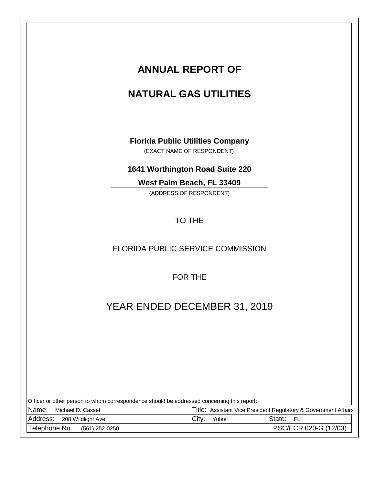|                                                                                            | <b>ANNUAL REPORT OF</b>                                         |
|--------------------------------------------------------------------------------------------|-----------------------------------------------------------------|
|                                                                                            | <b>NATURAL GAS UTILITIES</b>                                    |
|                                                                                            |                                                                 |
|                                                                                            | <b>Florida Public Utilities Company</b>                         |
|                                                                                            | (EXACT NAME OF RESPONDENT)                                      |
|                                                                                            | 1641 Worthington Road Suite 220                                 |
|                                                                                            | West Palm Beach, FL 33409                                       |
|                                                                                            | (ADDRESS OF RESPONDENT)                                         |
|                                                                                            |                                                                 |
|                                                                                            | <b>TO THE</b>                                                   |
|                                                                                            | FLORIDA PUBLIC SERVICE COMMISSION                               |
|                                                                                            | <b>FOR THE</b>                                                  |
|                                                                                            | YEAR ENDED DECEMBER 31, 2019                                    |
|                                                                                            |                                                                 |
|                                                                                            |                                                                 |
|                                                                                            |                                                                 |
|                                                                                            |                                                                 |
|                                                                                            |                                                                 |
| Officer or other person to whom correspondence should be addressed concerning this report: |                                                                 |
| Name:<br>Michael D. Cassel                                                                 | Title: Assistant Vice President Regulatory & Government Affairs |
| Address:<br>208 Wildlight Ave<br>Telephone No.:<br>(561) 252-0250                          | State: FL<br>City:<br>Yulee                                     |
|                                                                                            | PSC/ECR 020-G (12/03)                                           |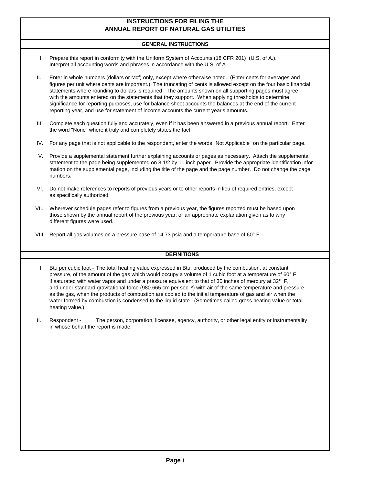### **INSTRUCTIONS FOR FILING THE ANNUAL REPORT OF NATURAL GAS UTILITIES**

### **GENERAL INSTRUCTIONS**

- I. Prepare this report in conformity with the Uniform System of Accounts (18 CFR 201) (U.S. of A.). Interpret all accounting words and phrases in accordance with the U.S. of A.
- II. Enter in whole numbers (dollars or Mcf) only, except where otherwise noted. (Enter cents for averages and figures per unit where cents are important.) The truncating of cents is allowed except on the four basic financial statements where rounding to dollars is required. The amounts shown on all supporting pages must agree with the amounts entered on the statements that they support. When applying thresholds to determine significance for reporting purposes, use for balance sheet accounts the balances at the end of the current reporting year, and use for statement of income accounts the current year's amounts.
- III. Complete each question fully and accurately, even if it has been answered in a previous annual report. Enter the word "None" where it truly and completely states the fact.
- IV. For any page that is not applicable to the respondent, enter the words "Not Applicable" on the particular page.
- V. Provide a supplemental statement further explaining accounts or pages as necessary. Attach the supplemental statement to the page being supplemented on 8 1/2 by 11 inch paper. Provide the appropriate identification information on the supplemental page, including the title of the page and the page number. Do not change the page numbers.
- VI. Do not make references to reports of previous years or to other reports in lieu of required entries, except as specifically authorized.
- VII. Wherever schedule pages refer to figures from a previous year, the figures reported must be based upon those shown by the annual report of the previous year, or an appropriate explanation given as to why different figures were used.
- VIII. Report all gas volumes on a pressure base of 14.73 psia and a temperature base of 60° F.

### **DEFINITIONS**

- I. Btu per cubic foot The total heating value expressed in Btu, produced by the combustion, at constant pressure, of the amount of the gas which would occupy a volume of 1 cubic foot at a temperature of 60° F if saturated with water vapor and under a pressure equivalent to that of 30 inches of mercury at  $32^{\circ}$  F, and under standard gravitational force (980.665 cm per sec. <sup>2</sup>) with air of the same temperature and pressure as the gas, when the products of combustion are cooled to the initial temperature of gas and air when the water formed by combustion is condensed to the liquid state. (Sometimes called gross heating value or total heating value.)
- II. Respondent The person, corporation, licensee, agency, authority, or other legal entity or instrumentality in whose behalf the report is made.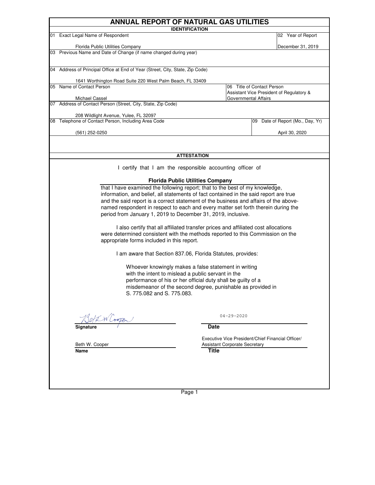|              | <b>IDENTIFICATION</b>                                                                                                                             |                             |                                                   |
|--------------|---------------------------------------------------------------------------------------------------------------------------------------------------|-----------------------------|---------------------------------------------------|
|              | 01 Exact Legal Name of Respondent                                                                                                                 |                             | 02 Year of Report                                 |
|              | <b>Florida Public Utilities Company</b>                                                                                                           |                             | December 31, 2019                                 |
| $ 03\rangle$ | Previous Name and Date of Change (if name changed during year)                                                                                    |                             |                                                   |
|              |                                                                                                                                                   |                             |                                                   |
|              | 04 Address of Principal Office at End of Year (Street, City, State, Zip Code)                                                                     |                             |                                                   |
|              | 1641 Worthington Road Suite 220 West Palm Beach, FL 33409                                                                                         |                             |                                                   |
| 05           | Name of Contact Person                                                                                                                            | 06.                         | <b>Title of Contact Person</b>                    |
|              | <b>Michael Cassel</b>                                                                                                                             | <b>Governmental Affairs</b> | Assistant Vice President of Regulatory &          |
| 107          | Address of Contact Person (Street, City, State, Zip Code)                                                                                         |                             |                                                   |
|              | 208 Wildlight Avenue, Yulee, FL 32097                                                                                                             |                             |                                                   |
|              | 08 Telephone of Contact Person, Including Area Code                                                                                               |                             | Date of Report (Mo., Day, Yr)<br>09               |
|              | (561) 252-0250                                                                                                                                    |                             | April 30, 2020                                    |
|              |                                                                                                                                                   |                             |                                                   |
|              |                                                                                                                                                   |                             |                                                   |
|              | <b>ATTESTATION</b>                                                                                                                                |                             |                                                   |
|              | I certify that I am the responsible accounting officer of                                                                                         |                             |                                                   |
|              | <b>Florida Public Utilities Company</b>                                                                                                           |                             |                                                   |
|              | that I have examined the following report; that to the best of my knowledge,                                                                      |                             |                                                   |
|              | information, and belief, all statements of fact contained in the said report are true                                                             |                             |                                                   |
|              | and the said report is a correct statement of the business and affairs of the above-                                                              |                             |                                                   |
|              | named respondent in respect to each and every matter set forth therein during the<br>period from January 1, 2019 to December 31, 2019, inclusive. |                             |                                                   |
|              |                                                                                                                                                   |                             |                                                   |
|              | I also certify that all affiliated transfer prices and affiliated cost allocations                                                                |                             |                                                   |
|              | were determined consistent with the methods reported to this Commission on the                                                                    |                             |                                                   |
|              | appropriate forms included in this report.                                                                                                        |                             |                                                   |
|              | I am aware that Section 837.06, Florida Statutes, provides:                                                                                       |                             |                                                   |
|              | Whoever knowingly makes a false statement in writing                                                                                              |                             |                                                   |
|              | with the intent to mislead a public servant in the                                                                                                |                             |                                                   |
|              | performance of his or her official duty shall be guilty of a                                                                                      |                             |                                                   |
|              | misdemeanor of the second degree, punishable as provided in                                                                                       |                             |                                                   |
|              | S. 775.082 and S. 775.083.                                                                                                                        |                             |                                                   |
|              |                                                                                                                                                   |                             |                                                   |
|              | Reta W Coopen                                                                                                                                     | $04 - 29 - 2020$            |                                                   |
|              | <b>Date</b>                                                                                                                                       |                             |                                                   |
|              |                                                                                                                                                   |                             | Executive Vice President/Chief Financial Officer/ |
|              |                                                                                                                                                   |                             |                                                   |



Page 1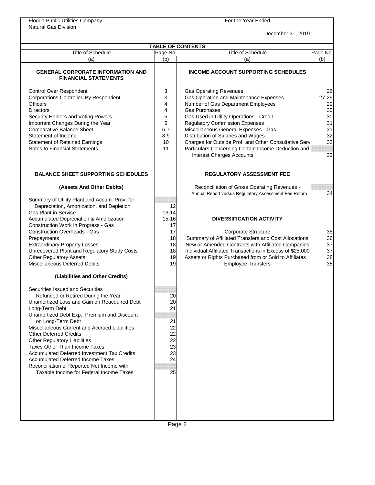Florida Public Utilities Company Florida Public Utilities Company Natural Gas Division

December 31, 2019

|                                                                                                                                                                                                                                                                                                                                                                |                                                                  | <b>TABLE OF CONTENTS</b>                                                                                                                                                                                                                                                                                                                                                                                                                                                  |                                                             |
|----------------------------------------------------------------------------------------------------------------------------------------------------------------------------------------------------------------------------------------------------------------------------------------------------------------------------------------------------------------|------------------------------------------------------------------|---------------------------------------------------------------------------------------------------------------------------------------------------------------------------------------------------------------------------------------------------------------------------------------------------------------------------------------------------------------------------------------------------------------------------------------------------------------------------|-------------------------------------------------------------|
| <b>Title of Schedule</b>                                                                                                                                                                                                                                                                                                                                       | Page No.                                                         | <b>Title of Schedule</b>                                                                                                                                                                                                                                                                                                                                                                                                                                                  | Page No.                                                    |
| (a)                                                                                                                                                                                                                                                                                                                                                            | (b)                                                              | (a)                                                                                                                                                                                                                                                                                                                                                                                                                                                                       | (b)                                                         |
| <b>GENERAL CORPORATE INFORMATION AND</b><br><b>FINANCIAL STATEMENTS</b>                                                                                                                                                                                                                                                                                        |                                                                  | <b>INCOME ACCOUNT SUPPORTING SCHEDULES</b>                                                                                                                                                                                                                                                                                                                                                                                                                                |                                                             |
| <b>Control Over Respondent</b><br><b>Corporations Controlled By Respondent</b><br><b>Officers</b><br><b>Directors</b><br><b>Security Holders and Voting Powers</b><br>Important Changes During the Year<br><b>Comparative Balance Sheet</b><br><b>Statement of Income</b><br><b>Statement of Retained Earnings</b><br><b>Notes to Financial Statements</b>     | 3<br>3<br>4<br>4<br>5<br>5<br>$6 - 7$<br>$8 - 9$<br>10<br>11     | <b>Gas Operating Revenues</b><br><b>Gas Operation and Maintenance Expenses</b><br>Number of Gas Department Employees<br><b>Gas Purchases</b><br><b>Gas Used in Utility Operations - Credit</b><br><b>Regulatory Commission Expenses</b><br>Miscellaneous General Expenses - Gas<br>Distribution of Salaries and Wages<br>Charges for Outside Prof. and Other Consultative Serv<br>Particulars Concerning Certain Income Deduction and<br><b>Interest Charges Accounts</b> | 26<br>27-29<br>29<br>30<br>30<br>31<br>31<br>32<br>33<br>33 |
| <b>BALANCE SHEET SUPPORTING SCHEDULES</b>                                                                                                                                                                                                                                                                                                                      |                                                                  | <b>REGULATORY ASSESSMENT FEE</b>                                                                                                                                                                                                                                                                                                                                                                                                                                          |                                                             |
| (Assets And Other Debits)<br>Summary of Utility Plant and Accum. Prov. for<br>Depreciation, Amortization, and Depletion                                                                                                                                                                                                                                        | 12                                                               | <b>Reconciliation of Gross Operating Revenues -</b><br>Annual Report versus Regulatory Assessment Fee Return                                                                                                                                                                                                                                                                                                                                                              | 34                                                          |
| <b>Gas Plant in Service</b><br><b>Accumulated Depreciation &amp; Amortization</b><br><b>Construction Work in Progress - Gas</b><br><b>Construction Overheads - Gas</b><br>Prepayments<br><b>Extraordinary Property Losses</b><br><b>Unrecovered Plant and Regulatory Study Costs</b><br><b>Other Regulatory Assets</b><br><b>Miscellaneous Deferred Debits</b> | $13 - 14$<br>$15 - 16$<br>17<br>17<br>18<br>18<br>18<br>19<br>19 | <b>DIVERSIFICATION ACTIVITY</b><br><b>Corporate Structure</b><br>Summary of Affiliated Transfers and Cost Allocations<br>New or Amended Contracts with Affiliated Companies<br>Individual Affiliated Transactions in Excess of \$25,000<br>Assets or Rights Purchased from or Sold to Affiliates<br><b>Employee Transfers</b>                                                                                                                                             | 35<br>36<br>37<br>37<br>38<br>38                            |
| (Liabilities and Other Credits)                                                                                                                                                                                                                                                                                                                                |                                                                  |                                                                                                                                                                                                                                                                                                                                                                                                                                                                           |                                                             |
| <b>Securities Issued and Securities</b><br>Refunded or Retired During the Year<br>Unamortized Loss and Gain on Reacquired Debt<br>Long-Term Debt<br>Unamortized Debt Exp., Premium and Discount<br>on Long-Term Debt<br><b>Miscellaneous Current and Accrued Liabilities</b><br><b>Other Deferred Credits</b>                                                  | 20<br>20<br>21<br>21<br>22<br>22                                 |                                                                                                                                                                                                                                                                                                                                                                                                                                                                           |                                                             |



Page 2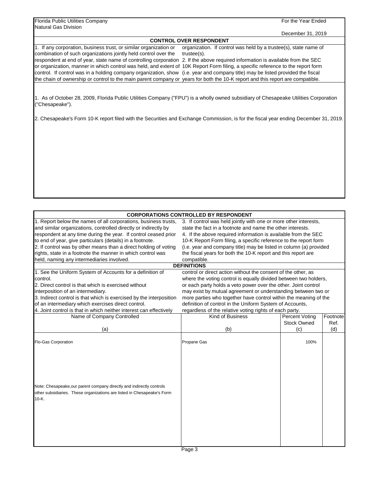Florida Public Utilities Company **For the Year Ended** Natural Gas Division

December 31, 2019

### **CONTROL OVER RESPONDENT**

1. If any corporation, business trust, or similar organization or organization. If control was held by a trustee(s), state name of combination of such organizations jointly held control over the trustee(s). respondent at end of year, state name of controlling corporation 2. If the above required information is available from the SEC or organization, manner in which control was held, and extent of 10K Report Form filing, a specific reference to the report form control. If control was in a holding company organization, show (i.e. year and company title) may be listed provided the fiscal the chain of ownership or control to the main parent company or years for both the 10-K report and this report are compatible.

## **CORPORATIONS CONTROLLED BY RESPONDENT** 1. Report below the names of all corporations, business trusts, 3. If control was held jointly with one or more other interests, and similar organizations, controlled directly or indirectly by state the fact in a footnote and name the other interests. respondent at any time during the year. If control ceased prior 4. If the above required information is available from the SEC to end of year, give particulars (details) in a footnote. 10-K Report Form filing, a specific reference to the report form 2. If control was by other means than a direct holding of voting (i.e. year and company title) may be listed in column (a) provided rights, state in a footnote the manner in which control was the fiscal years for both the 10-K report and this report are held, naming any intermediaries involved. The compatible compatible. **DEFINITIONS** 1. See the Uniform System of Accounts for a definition of control or direct action without the consent of the other, as control. where the voting control is equally divided between two holders, 2. Direct control is that which is exercised without or each party holds a veto power over the other. Joint control interposition of an intermediary. The may exist by mutual agreement or understanding between two or 3. Indirect control is that which is exercised by the interposition more parties who together have control within the meaning of the of an intermediary which exercises direct control. definition of control in the Uniform System of Accounts, 4. Joint control is that in which neither interest can effectively regardless of the relative voting rights of each party. Name of Company Controlled The Controlled Company Controlled Reserve Lating Art Air Manne Voting Footnote Stock Owned | Ref. (a) (b) (c) (d) Flo-Gas Corporation **Propane Gas 2009** Propane Gas 2009 Propane Gas 2009 Propane Gas 2009 Propane Case 2009 Propane Gas 2009 Propane Case 2009 Propane Case 2009 Propane Case 2009 Propane Case 2009 Propane Case 2009 Propane

2. Chesapeake's Form 10-K report filed with the Securities and Exchange Commission, is for the fiscal year ending December 31, 2019.



Page 3

1. As of October 28, 2009, Florida Public Utilities Company ("FPU") is a wholly owned subsidiary of Chesapeake Utilities Corporation ("Chesapeake").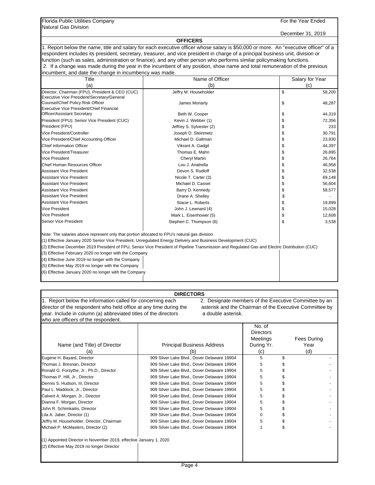Florida Public Utilities Company **For the Year Ended** For the Year Ended Natural Gas Division

December 31, 2019

#### **OFFICERS** 1. Report below the name, title and salary for each executive officer whose salary is \$50,000 or more. An "executive officer" of a respondent includes its president, secretary, treasurer, and vice president in charge of a principal business unit, division or function (such as sales, administration or finance), and any other person who performs similar policymaking functions. 2. If a change was made during the year in the incumbent of any position, show name and total remuneration of the previous Incumbent, and date the change in incumbency was made.

| Title                                                                                        | Name of Officer                                                                                                                                | Salary for Year |
|----------------------------------------------------------------------------------------------|------------------------------------------------------------------------------------------------------------------------------------------------|-----------------|
| (a)                                                                                          | (b)                                                                                                                                            | (c)             |
| Director, Chairman (FPU), President & CEO (CUC)                                              | Jeffry M. Householder                                                                                                                          | \$<br>58,200    |
| Executive Vice President/Secretary/General                                                   |                                                                                                                                                |                 |
| Counsel/Chief Policy Risk Officer                                                            | James Moriarty                                                                                                                                 | \$<br>48,287    |
| <b>Executive Vice President/Chief Financial</b>                                              |                                                                                                                                                |                 |
| Officer/Assistant Secretary                                                                  | Beth W. Cooper                                                                                                                                 | \$<br>44,319    |
| President (FPU); Senior Vice President (CUC)                                                 | Kevin J. Webber (1)                                                                                                                            | \$<br>72,356    |
| President (FPU)                                                                              | Jeffrey S. Sylvester (2)                                                                                                                       | \$<br>233       |
| Vice President/Controller                                                                    | Joseph D. Steinmetz                                                                                                                            | \$<br>30,791    |
| Vice President/Chief Accounting Officer                                                      | Michael D. Galtman                                                                                                                             | \$<br>23,930    |
| <b>Chief Information Officer</b>                                                             | Vikrant A. Gadgil                                                                                                                              | \$<br>44,397    |
| Vice President/Treasurer                                                                     | Thomas E. Mahn                                                                                                                                 | \$<br>26,895    |
| <b>Vice President</b>                                                                        | Cheryl Martin                                                                                                                                  | \$<br>26,764    |
| Chief Human Resources Officer                                                                | Lou J. Anatrella                                                                                                                               | \$<br>46,958    |
| <b>Assistant Vice President</b>                                                              | Devon S. Rudloff                                                                                                                               | \$<br>32,538    |
| <b>Assistant Vice President</b>                                                              | Nicole T. Carter (3)                                                                                                                           | \$<br>69,148    |
| <b>Assistant Vice President</b>                                                              | Michael D. Cassel                                                                                                                              | \$<br>56,604    |
| <b>Assistant Vice President</b>                                                              | Barry D. Kennedy                                                                                                                               | \$<br>58,577    |
| <b>Assistant Vice President</b>                                                              | Drane A. Shelley                                                                                                                               | \$              |
| <b>Assistant Vice President</b>                                                              | Stacie L. Roberts                                                                                                                              | \$<br>19,899    |
| <b>Vice President</b>                                                                        | John J. Lewnard (4)                                                                                                                            | \$<br>15,028    |
| <b>Vice President</b>                                                                        | Mark L. Eisenhower (5)                                                                                                                         | \$<br>12,608    |
| Senior Vice President                                                                        | Stephen C. Thompson (6)                                                                                                                        | \$<br>3,538     |
| Note: The salaries above represent only that portion allocated to FPU's natural gas division |                                                                                                                                                |                 |
|                                                                                              | (1) Effective January 2020 Senior Vice President, Unregulated Energy Delivery and Business Development (CUC)                                   |                 |
|                                                                                              | (2) Effective December 2019 President of FPU, Senior Vice President of Pipeline Transmission and Regulated Gas and Electric Distribution (CUC) |                 |
| (3) Effective February 2020 no longer with the Company                                       |                                                                                                                                                |                 |
| (4) Effective June 2019 no longer with the Company                                           |                                                                                                                                                |                 |
| (5) Effective May 2019 no longer with the Company                                            |                                                                                                                                                |                 |
| (6) Effective January 2020 no longer with the Company                                        |                                                                                                                                                |                 |
|                                                                                              |                                                                                                                                                |                 |

#### **DIRECTORS**

1. Report below the information called for concerning each 2. Designate members of the Executive Committee by an director of the respondent who held office at any time during the asterisk and the Chairman of the Executive Committee by year. Include in column (a) abbreviated titles of the directors a double asterisk. year. Include in column (a) abbreviated titles of the directors who are officers of the respondent.

|                                                                    |                                             | No. of            |     |             |
|--------------------------------------------------------------------|---------------------------------------------|-------------------|-----|-------------|
|                                                                    |                                             | <b>Directors</b>  |     |             |
|                                                                    |                                             | Meetings          |     | Fees During |
| Name (and Title) of Director                                       | <b>Principal Business Address</b>           | During Yr.        |     | Year        |
| (a)                                                                | (b)                                         | $\left( c\right)$ |     | (d)         |
| Eugene H. Bayard, Director                                         | 909 Silver Lake Blvd., Dover Delaware 19904 | 5                 | \$. |             |
| Thomas J. Bresnan, Director                                        | 909 Silver Lake Blvd., Dover Delaware 19904 | 5                 |     |             |
| Ronald G. Forsythe, Jr., Ph.D., Director                           | 909 Silver Lake Blvd., Dover Delaware 19904 |                   |     |             |
| Thomas P. Hill, Jr., Director                                      | 909 Silver Lake Blvd., Dover Delaware 19904 | 5                 |     |             |
| Dennis S. Hudson, III, Director                                    | 909 Silver Lake Blvd., Dover Delaware 19904 | 5                 |     |             |
| Paul L. Maddock, Jr., Director                                     | 909 Silver Lake Blvd., Dover Delaware 19904 | 5                 |     |             |
| Calvert A. Morgan, Jr., Director                                   | 909 Silver Lake Blvd., Dover Delaware 19904 | 5                 |     |             |
| Dianna F. Morgan, Director                                         | 909 Silver Lake Blvd., Dover Delaware 19904 | 5                 |     |             |
| John R. Schimkaitis, Director                                      | 909 Silver Lake Blvd., Dover Delaware 19904 | 5                 |     |             |
| Lila A. Jaber, Director (1)                                        | 909 Silver Lake Blvd., Dover Delaware 19904 | 0                 |     |             |
| Jeffry M. Householder, Director, Chairman                          | 909 Silver Lake Blvd., Dover Delaware 19904 |                   |     |             |
| Michael P. McMasters, Director (2)                                 | 909 Silver Lake Blvd., Dover Delaware 19904 |                   |     |             |
| (1) Appointed Director in November 2019, effective January 1, 2020 |                                             |                   |     |             |
| (2) Effective May 2019 no longer Director                          |                                             |                   |     |             |
|                                                                    |                                             |                   |     |             |
|                                                                    |                                             |                   |     |             |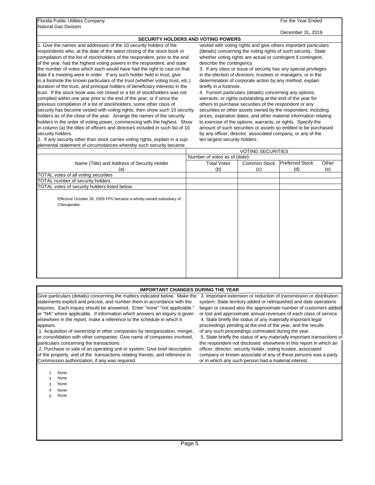1. Give the names and addresses of the 10 security holders of the vested with voting rights and give others important particulars respondents who, at the date of the latest closing of the stock book or (details) concerning the voting rights of such security. State compilation of the list of stockholders of the respondent, prior to the end whether voting rights are actual or contingent if contingent, of the year, had the highest voting powers in the respondent, and state describe the contingency. the number of votes which each would have had the right to cast on that 3. If any class or issue of security has any special privileges date if a meeting were in order. If any such holder held in trust, give in the election of directors, trustees or managers, or in the in a footnote the known particulars of the trust (whether voting trust, etc.) determination of corporate action by any method, explain duration of the trust, and principal holders of beneficiary interests in the briefly in a footnote. trust. If the stock book was not closed or a list of stockholders was not 4. Furnish particulars (details) concerning any options, complied within one year prior to the end of the year, or if since the warrants, or rights outstanding at the end of the year for previous compilation of a list of stockholders, some other class of others to purchase securities of the respondent or any security has become vested with voting rights, then show such 10 security securities or other assets owned by the respondent, including holders as of the close of the year. Arrange the names of the security prices, expiration dates, and other material information relating holders in the order of voting power, commencing with the highest. Show to exercise of the options, warrants, or rights. Specify the in column (a) the titles of officers and directors included in such list of 10 amount of such securities or assets so entitled to be purchased security holders. **by any officer**, director, associated company, or any of the

### **SECURITY HOLDERS AND VOTING POWERS**

 1. Acquisition of ownership in other companies by reorganization, merger, of any such proceedings culminated during the year. or consolidation with other companies: Give name of companies involved, 5. State briefly the status of any materially important transactions of particulars concerning the transactions. The respondent not disclosed elsewhere in this report in which an

2. If any security other than stock carries voting rights, explain in a sup- ten largest security holders. plemental statement of circumstances whereby such security became

| <u>Ipicilicinal Statellicin of Circuitistances Wilelepy Such Security Decarlie</u> |                               |                          |                        |       |  |  |  |
|------------------------------------------------------------------------------------|-------------------------------|--------------------------|------------------------|-------|--|--|--|
|                                                                                    |                               | <b>VOTING SECURITIES</b> |                        |       |  |  |  |
|                                                                                    | Number of votes as of (date): |                          |                        |       |  |  |  |
| Name (Title) and Address of Security Holder                                        | <b>Total Votes</b>            | <b>Common Stock</b>      | <b>Preferred Stock</b> | Other |  |  |  |
| (a)                                                                                | (b)                           | (c)                      | (d)                    | (e)   |  |  |  |
| TOTAL votes of all voting securities                                               |                               |                          |                        |       |  |  |  |
| TOTAL number of security holders                                                   |                               |                          |                        |       |  |  |  |
| TOTAL votes of security holders listed below                                       |                               |                          |                        |       |  |  |  |
| Effective October 28, 2009 FPU became a wholly-owned subsidiary of<br>Chesapeake.  |                               |                          |                        |       |  |  |  |

### **IMPORTANT CHANGES DURING THE YEAR**

Give particulars (details) concerning the matters indicated below. Make the 3. Important extension or reduction of transmission or distribution statements explicit and precise, and number them in accordance with the system: State territory added or relinquished and date operations inquires. Each inquiry should be answered. Enter "none" "not applicable," began or ceased also the approximate number of customers added or "NA" where applicable. If information which answers an inquiry is given or lost and approximate annual revenues of each class of service. elsewhere in the report, make a reference to the schedule in which it 4. State briefly the status of any materially important legal appears. proceedings pending at the end of the year, and the results

 2. Purchase or sale of an operating unit or system: Give brief description officer, director, security holder, voting trustee, associated of the property, and of the transactions relating thereto, and reference to company or known associate of any of these persons was a party

|   | Commission authorization, if any was required. | or in which any such person had a material interest. |
|---|------------------------------------------------|------------------------------------------------------|
|   |                                                |                                                      |
| 1 | None                                           |                                                      |
| 2 | None                                           |                                                      |
| 3 | None                                           |                                                      |
| 4 | None                                           |                                                      |
| 5 | None                                           |                                                      |
|   |                                                |                                                      |
|   |                                                |                                                      |
|   |                                                |                                                      |
|   |                                                |                                                      |
|   |                                                |                                                      |
|   |                                                |                                                      |
|   |                                                |                                                      |

Page 5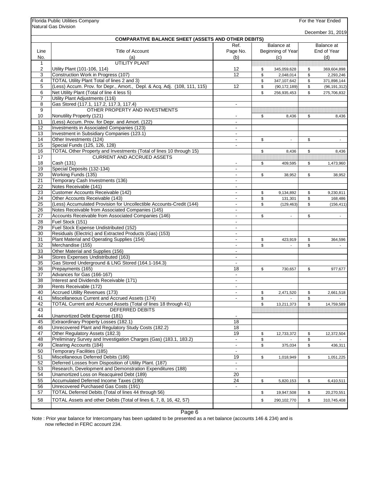|                         | <b>Florida Public Utilities Company</b>                                  |                          |                     |                          |                     | For the Year Ended |
|-------------------------|--------------------------------------------------------------------------|--------------------------|---------------------|--------------------------|---------------------|--------------------|
|                         | <b>Natural Gas Division</b>                                              |                          |                     |                          |                     |                    |
|                         |                                                                          |                          |                     |                          |                     | December 31, 2019  |
|                         | <b>COMPARATIVE BALANCE SHEET (ASSETS AND OTHER DEBITS)</b>               |                          |                     |                          |                     |                    |
|                         |                                                                          | Ref.                     |                     | <b>Balance</b> at        |                     | <b>Balance</b> at  |
| Line                    | <b>Title of Account</b>                                                  | Page No.                 |                     | <b>Beginning of Year</b> |                     | End of Year        |
| No.                     | (a)                                                                      | (b)                      |                     | (c)                      |                     | (d)                |
|                         | <b>UTILITY PLANT</b>                                                     |                          |                     |                          |                     |                    |
| $\overline{2}$          | Utility Plant (101-106, 114)                                             | 12                       | \$                  | 345,059,628              | \$                  | 369,604,898        |
| 3                       | Construction Work in Progress (107)                                      | 12                       | \$                  | 2,048,014                | \$                  | 2,293,246          |
| $\overline{\mathbf{4}}$ | TOTAL Utility Plant Total of lines 2 and 3)                              |                          | \$                  | 347,107,642              | \$                  | 371,898,144        |
| 5                       | (Less) Accum. Prov. for Depr., Amort., Depl. & Acq. Adj. (108, 111, 115) | 12                       | \$                  | (90, 172, 189)           | \$                  | (96, 191, 312)     |
| 6                       | Net Utility Plant (Total of line 4 less 5)                               |                          | $\mathfrak{L}$      | 256,935,453              | $\frac{1}{2}$       | 275,706,832        |
| $\overline{7}$          | Utility Plant Adjustments (116)                                          |                          |                     |                          |                     |                    |
| 8                       | Gas Stored (117.1, 117.2, 117.3, 117.4)                                  | $\blacksquare$           |                     |                          |                     |                    |
| 9                       | OTHER PROPERTY AND INVESTMENTS                                           |                          |                     |                          |                     |                    |
| 10                      | <b>Nonutility Property (121)</b>                                         |                          | \$                  | 8,436                    | \$                  | 8,436              |
| 11                      | (Less) Accum. Prov. for Depr. and Amort. (122)                           |                          |                     |                          |                     |                    |
| 12                      | Investments in Associated Companies (123)                                | $\blacksquare$           |                     |                          |                     |                    |
| 13                      | Investment in Subsidiary Companies (123.1)                               | $\blacksquare$           |                     |                          |                     |                    |
| 14                      | Other Investments (124)                                                  | $\overline{\phantom{a}}$ | \$                  | $\mathbf{r}$             | \$                  |                    |
| 15                      | Special Funds (125, 126, 128)                                            | $\overline{\phantom{a}}$ |                     |                          |                     |                    |
| 16                      | TOTAL Other Property and Investments (Total of lines 10 through 15)      |                          | \$                  | 8,436                    | $\frac{1}{2}$       | 8,436              |
| 17                      | <b>CURRENT AND ACCRUED ASSETS</b>                                        |                          |                     |                          |                     |                    |
| 18                      | Cash (131)                                                               |                          | \$                  | 409,595                  | $\frac{1}{2}$       | 1,473,960          |
| 19                      | Special Deposits (132-134)                                               |                          |                     |                          |                     |                    |
| 20                      | Working Funds (135)                                                      |                          | $\frac{1}{2}$       | 38,952                   | $\frac{1}{2}$       | 38,952             |
| 21                      | Temporary Cash Investments (136)                                         | $\overline{\phantom{a}}$ |                     |                          |                     |                    |
| 22                      | Notes Receivable (141)                                                   |                          |                     |                          |                     |                    |
| 23                      | <b>Customer Accounts Receivable (142)</b>                                |                          | \$                  | 9,134,892                | \$                  | 9,230,811          |
| 24                      | Other Accounts Receivable (143)                                          |                          | \$                  | 131,301                  | \$                  | 168,486            |
| 25                      | (Less) Accumulated Provision for Uncollectible Accounts-Credit (144)     |                          | \$                  | (129, 463)               | \$                  | (156, 411)         |
| 26                      | Notes Receivable from Associated Companies (145)                         |                          |                     |                          |                     |                    |
| 27                      | Accounts Receivable from Associated Companies (146)                      | $\blacksquare$           | \$                  | $\blacksquare$           | \$                  |                    |
| 28                      | Fuel Stock (151)                                                         | $\overline{\phantom{a}}$ |                     |                          |                     |                    |
| 29                      | Fuel Stock Expense Undistributed (152)                                   | $\overline{\phantom{a}}$ |                     |                          |                     |                    |
| 30                      | Residuals (Electric) and Extracted Products (Gas) (153)                  |                          |                     |                          |                     |                    |
| 31                      | Plant Material and Operating Supplies (154)                              |                          | \$                  | 423,919                  | \$                  | 364,596            |
| 32<br>33                | Merchandise (155)<br>Other Material and Supplies (156)                   |                          | \$                  |                          | \$                  |                    |
|                         |                                                                          |                          |                     |                          |                     |                    |
| 34                      | Stores Expenses Undistributed (163)                                      |                          |                     |                          |                     |                    |
| 35                      | Gas Stored Underground & LNG Stored (164.1-164.3)                        |                          |                     |                          |                     |                    |
| 36<br>37                | Prepayments (165)                                                        | 18                       | \$                  | 730,657                  | \$                  | 977,677            |
| 38                      | Advances for Gas (166-167)<br>Interest and Dividends Receivable (171)    | $\blacksquare$           |                     |                          |                     |                    |
| 39                      | Rents Receivable (172)                                                   | $\blacksquare$           |                     |                          |                     |                    |
| 40                      | <b>Accrued Utility Revenues (173)</b>                                    | $\overline{\phantom{a}}$ |                     |                          |                     |                    |
| 41                      | Miscellaneous Current and Accrued Assets (174)                           | $\overline{\phantom{a}}$ | \$<br>$\mathbf{\$}$ | 2,471,520                | \$                  | 2,661,518          |
| 42                      | TOTAL Current and Accrued Assets (Total of lines 18 through 41)          |                          | \$                  |                          | \$<br>$\frac{2}{3}$ |                    |
| 43                      | <b>DEFERRED DEBITS</b>                                                   |                          |                     | 13,211,373               |                     | 14,759,589         |
| 44                      | Unamortized Debt Expense (181)                                           |                          |                     |                          |                     |                    |
| 45                      | Extraordinary Property Losses (182.1)                                    | 18                       |                     |                          |                     |                    |
| 46                      | Unrecovered Plant and Regulatory Study Costs (182.2)                     | 18                       |                     |                          |                     |                    |
| 47                      | Other Regulatory Assets (182.3)                                          | 19                       | \$                  | 12,733,372               | \$                  |                    |
| 48                      | Preliminary Survey and Investigation Charges (Gas) (183.1, 183.2)        | $\blacksquare$           | \$                  |                          | \$                  | 12,372,504         |
| 49                      | <b>Clearing Accounts (184)</b>                                           | $\blacksquare$           | \$                  | 375,034                  | $\frac{2}{3}$       | 436,311            |
| 50                      | Temporary Facilities (185)                                               |                          |                     |                          |                     |                    |
|                         |                                                                          |                          |                     |                          |                     |                    |

| 51 | Miscellaneous Deferred Debits (186)                                 | 19 | 1,018,949   | 1,051,225   |
|----|---------------------------------------------------------------------|----|-------------|-------------|
| 52 | Deferred Losses from Disposition of Utility Plant. (187)            |    |             |             |
| 53 | Research, Development and Demonstration Expenditures (188)          |    |             |             |
| 54 | Unamortized Loss on Reacquired Debt (189)                           | 20 |             |             |
| 55 | Accumulated Deferred Income Taxes (190)                             | 24 | 5,820,153   | 6,410,511   |
| 56 | Unrecovered Purchased Gas Costs (191)                               |    |             |             |
| 57 | <b>TOTAL Deferred Debits (Total of lines 44 through 56)</b>         |    | 19,947,508  | 20,270,551  |
| 58 | [TOTAL Assets and other Debits (Total of lines 6, 7, 8, 16, 42, 57) |    | 290,102,770 | 310,745,408 |
|    |                                                                     |    |             |             |

### Page 6

Note : Prior year balance for Intercompany has been updated to be presented as a net balance (accounts 146 & 234) and is now reflected in FERC account 234.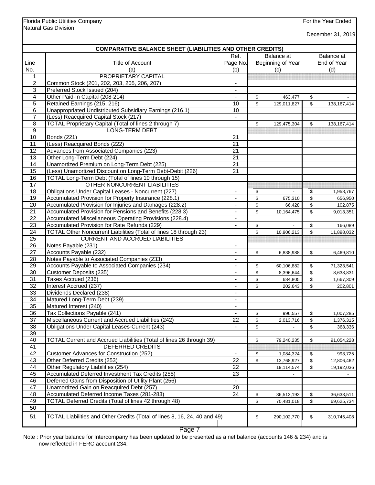### Florida Public Utilities Company **For the Year Ended** Natural Gas Division

December 31, 2019

|                 | <b>COMPARATIVE BALANCE SHEET (LIABILITIES AND OTHER CREDITS)</b>          |                          |    |                   |                   |               |  |
|-----------------|---------------------------------------------------------------------------|--------------------------|----|-------------------|-------------------|---------------|--|
|                 | Ref.<br><b>Balance</b> at                                                 |                          |    |                   | <b>Balance</b> at |               |  |
| Line            | <b>Title of Account</b>                                                   | Page No.                 |    | Beginning of Year |                   | End of Year   |  |
| No.             | (a)                                                                       | (b)                      |    | (c)               |                   | (d)           |  |
| 1               | <b>PROPRIETARY CAPITAL</b>                                                |                          |    |                   |                   |               |  |
| $\overline{2}$  | Common Stock (201, 202, 203, 205, 206, 207)                               |                          |    |                   |                   |               |  |
| $\overline{3}$  | Preferred Stock Issued (204)                                              | $\blacksquare$           |    |                   |                   |               |  |
| $\overline{4}$  | Other Paid-In Capital (208-214)                                           |                          | \$ | 463,477           | \$                |               |  |
| 5               | Retained Earnings (215, 216)                                              | 10                       | \$ | 129,011,827       | \$                | 138, 167, 414 |  |
| 6               | Unappropriated Undistributed Subsidiary Earnings (216.1)                  | 10                       |    |                   |                   |               |  |
| $\overline{7}$  | (Less) Reacquired Capital Stock (217)                                     | $\overline{\phantom{a}}$ |    |                   |                   |               |  |
| 8               | TOTAL Proprietary Capital (Total of lines 2 through 7)                    |                          | \$ | 129,475,304       | \$                | 138, 167, 414 |  |
| 9               | <b>LONG-TERM DEBT</b>                                                     |                          |    |                   |                   |               |  |
| 10 <sup>°</sup> | <b>Bonds (221)</b>                                                        | 21                       |    |                   |                   |               |  |
| 11              | (Less) Reacquired Bonds (222)                                             | $\overline{21}$          |    |                   |                   |               |  |
| 12              | Advances from Associated Companies (223)                                  | 21                       |    |                   |                   |               |  |
| 13              | Other Long-Term Debt (224)                                                | 21                       |    |                   |                   |               |  |
| 14              | Unamortized Premium on Long-Term Debt (225)                               | $\overline{21}$          |    |                   |                   |               |  |
| 15              | (Less) Unamortized Discount on Long-Term Debt-Debit (226)                 | 21                       |    |                   |                   |               |  |
| 16              | TOTAL Long-Term Debt (Total of lines 10 through 15)                       |                          |    |                   |                   |               |  |
| 17              | OTHER NONCURRENT LIABILITIES                                              |                          |    |                   |                   |               |  |
| 18              | <b>Obligations Under Capital Leases - Noncurrent (227)</b>                |                          | \$ |                   | \$                | 1,958,767     |  |
| 19              | Accumulated Provision for Property Insurance (228.1)                      | $\overline{\phantom{0}}$ | \$ | 675,310           | \$                | 656,950       |  |
| 20              | Accumulated Provision for Injuries and Damages (228.2)                    |                          | \$ | 66,428            | \$                | 102,875       |  |
| 21              | Accumulated Provision for Pensions and Benefits (228.3)                   |                          | \$ | 10,164,475        | \$                | 9,013,351     |  |
| 22              | Accumulated Miscellaneous Operating Provisions (228.4)                    | $\overline{\phantom{0}}$ |    |                   |                   |               |  |
| 23              | Accumulated Provision for Rate Refunds (229)                              |                          | \$ |                   | \$                | 166,089       |  |
| 24              | <b>TOTAL Other Noncurrent Liabilities (Total of lines 18 through 23)</b>  |                          | \$ | 10,906,213        | \$                | 11,898,032    |  |
| 25              | <b>CURRENT AND ACCRUED LIABILITIES</b>                                    |                          |    |                   |                   |               |  |
| 26              | Notes Payable (231)                                                       |                          |    |                   |                   |               |  |
| 27              | Accounts Payable (232)                                                    |                          | \$ | 6,838,988         | \$                | 6,469,810     |  |
| 28              | Notes Payable to Associated Companies (233)                               |                          |    |                   |                   |               |  |
| 29              | Accounts Payable to Associated Companies (234)                            | $\overline{\phantom{0}}$ | \$ | 60,106,882        | \$                | 71,323,541    |  |
| 30              | <b>Customer Deposits (235)</b>                                            |                          | \$ | 8,396,644         | \$                | 8,638,831     |  |
| 31              | Taxes Accrued (236)                                                       | $\blacksquare$           | \$ | 684,805           | \$                | 1,667,309     |  |
| 32              | Interest Accrued (237)                                                    |                          | \$ | 202,643           | \$                | 202,801       |  |
| 33              | Dividends Declared (238)                                                  | ۰.                       |    |                   |                   |               |  |
| 34              | Matured Long-Term Debt (239)                                              | ۰.                       |    |                   |                   |               |  |
| 35              | Matured Interest (240)                                                    | $\overline{\phantom{0}}$ |    |                   |                   |               |  |
| 36              | Tax Collections Payable (241)                                             | $\blacksquare$           | \$ | 996,557           | \$                | 1,007,285     |  |
| 37              | Miscellaneous Current and Accrued Liabilities (242)                       | 22                       | \$ | 2,013,716         | \$                | 1,376,315     |  |
| 38              | <b>Obligations Under Capital Leases-Current (243)</b>                     |                          | \$ |                   | \$                | 368,336       |  |
| 39              |                                                                           |                          |    |                   |                   |               |  |
| 40              | TOTAL Current and Accrued Liabilities (Total of lines 26 through 39)      |                          | \$ | 79,240,235        | \$                | 91,054,228    |  |
| 41              | <b>DEFERRED CREDITS</b>                                                   |                          |    |                   |                   |               |  |
| 42              | <b>Customer Advances for Construction (252)</b>                           |                          | \$ | 1,084,324         | \$                | 993,725       |  |
| 43              | Other Deferred Credits (253)                                              | 22                       | \$ | 13,768,927        | \$                | 12,806,462    |  |
| 44              | Other Regulatory Liabilities (254)                                        | 22                       |    | 19,114,574        | \$                | 19,192,036    |  |
| 45              | <b>Accumulated Deferred Investment Tax Credits (255)</b>                  | 23                       |    |                   |                   |               |  |
| 46              | Deferred Gains from Disposition of Utility Plant (256)                    |                          |    |                   |                   |               |  |
| 47              | Unamortized Gain on Reacquired Debt (257)                                 | 20                       |    |                   |                   |               |  |
| 48              | Accumulated Deferred Income Taxes (281-283)                               | 24                       | \$ | 36,513,193        | \$                | 36,633,511    |  |
| 49              | TOTAL Deferred Credits (Total of lines 42 through 48)                     |                          | \$ | 70,481,018        | \$                | 69,625,734    |  |
| 50              |                                                                           |                          |    |                   |                   |               |  |
| 51              | TOTAL Liabilities and Other Credits (Total of lines 8, 16, 24, 40 and 49) |                          | \$ | 290,102,770       | \$                | 310,745,408   |  |
|                 |                                                                           |                          |    |                   |                   |               |  |

Page 7

Note : Prior year balance for Intercompany has been updated to be presented as a net balance (accounts 146 & 234) and is now reflected in FERC account 234.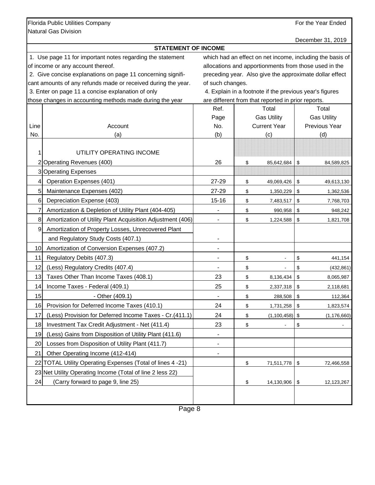Florida Public Utilities Company **For the Year Ended** Natural Gas Division

|                 | December 31, 2019                                             |                                                           |    |                                                         |                                           |                                     |  |
|-----------------|---------------------------------------------------------------|-----------------------------------------------------------|----|---------------------------------------------------------|-------------------------------------------|-------------------------------------|--|
|                 | <b>STATEMENT OF INCOME</b>                                    |                                                           |    |                                                         |                                           |                                     |  |
|                 | 1. Use page 11 for important notes regarding the statement    | which had an effect on net income, including the basis of |    |                                                         |                                           |                                     |  |
|                 | of income or any account thereof.                             | allocations and apportionments from those used in the     |    |                                                         |                                           |                                     |  |
|                 | 2. Give concise explanations on page 11 concerning signifi-   |                                                           |    | preceding year. Also give the approximate dollar effect |                                           |                                     |  |
|                 | cant amounts of any refunds made or received during the year. | of such changes.                                          |    |                                                         |                                           |                                     |  |
|                 | 3. Enter on page 11 a concise explanation of only             |                                                           |    | 4. Explain in a footnote if the previous year's figures |                                           |                                     |  |
|                 | those changes in accounting methods made during the year      |                                                           |    | are different from that reported in prior reports.      |                                           |                                     |  |
|                 |                                                               | Ref.                                                      |    | Total                                                   |                                           | Total                               |  |
| Line            | Account                                                       | Page<br>No.                                               |    | <b>Gas Utility</b><br><b>Current Year</b>               |                                           | <b>Gas Utility</b><br>Previous Year |  |
| No.             | (a)                                                           | (b)                                                       |    | (c)                                                     |                                           | (d)                                 |  |
|                 |                                                               |                                                           |    |                                                         |                                           |                                     |  |
|                 | UTILITY OPERATING INCOME                                      |                                                           |    |                                                         |                                           |                                     |  |
|                 | 2 Operating Revenues (400)                                    | 26                                                        | \$ | 85,642,684                                              | \$                                        | 84,589,825                          |  |
|                 | 3 Operating Expenses                                          |                                                           |    |                                                         |                                           |                                     |  |
| 4 <sup>1</sup>  | <b>Operation Expenses (401)</b>                               | 27-29                                                     | \$ | 49,069,426                                              | \$                                        | 49,613,130                          |  |
| 5 <sub>l</sub>  | Maintenance Expenses (402)                                    | 27-29                                                     | \$ | 1,350,229                                               | \$                                        | 1,362,536                           |  |
| 6 <sup>1</sup>  | Depreciation Expense (403)                                    | $15 - 16$                                                 | \$ | 7,483,517                                               | \$                                        | 7,768,703                           |  |
|                 | Amortization & Depletion of Utility Plant (404-405)           |                                                           | \$ | 990,958                                                 | \$                                        | 948,242                             |  |
| 8 <sup>1</sup>  | Amortization of Utility Plant Acquisition Adjustment (406)    |                                                           | \$ | 1,224,588                                               | \$                                        | 1,821,708                           |  |
| 9               | Amortization of Property Losses, Unrecovered Plant            |                                                           |    |                                                         |                                           |                                     |  |
|                 | and Regulatory Study Costs (407.1)                            |                                                           |    |                                                         |                                           |                                     |  |
| 10 <sub>l</sub> | Amortization of Conversion Expenses (407.2)                   |                                                           |    |                                                         |                                           |                                     |  |
| 11              | Regulatory Debits (407.3)                                     |                                                           | \$ |                                                         | $\, \, \raisebox{12pt}{$\scriptstyle \$}$ | 441,154                             |  |
| 12              | (Less) Regulatory Credits (407.4)                             |                                                           | \$ |                                                         | \$                                        | (432, 861)                          |  |
| 13              | Taxes Other Than Income Taxes (408.1)                         | 23                                                        | \$ | 8,136,434                                               | \$                                        | 8,065,987                           |  |
| 14              | Income Taxes - Federal (409.1)                                | 25                                                        | \$ | 2,337,318                                               | \$                                        | 2,118,681                           |  |
| 15              | - Other $(409.1)$                                             |                                                           | \$ | 288,508                                                 | \$                                        | 112,364                             |  |
| 16              | Provision for Deferred Income Taxes (410.1)                   | 24                                                        | \$ | 1,731,258                                               | \$                                        | 1,823,574                           |  |
| 17              | (Less) Provision for Deferred Income Taxes - Cr.(411.1)       | 24                                                        | \$ | $(1,100,458)$ \$                                        |                                           | (1, 176, 660)                       |  |
| 18              | Investment Tax Credit Adjustment - Net (411.4)                | 23                                                        | \$ |                                                         | \$                                        |                                     |  |
| 19              | (Less) Gains from Disposition of Utility Plant (411.6)        |                                                           |    |                                                         |                                           |                                     |  |
| 20              | Losses from Disposition of Utility Plant (411.7)              |                                                           |    |                                                         |                                           |                                     |  |
| 21              | Other Operating Income (412-414)                              |                                                           |    |                                                         |                                           |                                     |  |
|                 | 22 TOTAL Utility Operating Expenses (Total of lines 4 -21)    |                                                           | \$ | 71,511,778                                              | \$                                        | 72,466,558                          |  |
|                 | 23 Net Utility Operating Income (Total of line 2 less 22)     |                                                           |    |                                                         |                                           |                                     |  |
| 24              | (Carry forward to page 9, line 25)                            |                                                           | \$ | 14,130,906 \$                                           |                                           | 12,123,267                          |  |
|                 |                                                               |                                                           |    |                                                         |                                           |                                     |  |
|                 |                                                               |                                                           |    |                                                         |                                           |                                     |  |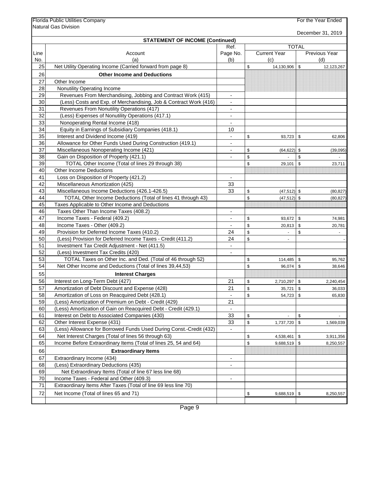Florida Public Utilities Company **For the Year Ended** For the Year Ended Natural Gas Division

December 31, 2019

|      | <b>STATEMENT OF INCOME (Continued)</b>                              |                              |                            |                     |                            |               |
|------|---------------------------------------------------------------------|------------------------------|----------------------------|---------------------|----------------------------|---------------|
|      |                                                                     | Ref.                         | <b>TOTAL</b>               |                     |                            |               |
| Line | Account                                                             | Page No.                     |                            | <b>Current Year</b> |                            | Previous Year |
| No.  | (a)                                                                 | (b)                          |                            | (c)                 |                            | (d)           |
| 25   | Net Utility Operating Income (Carried forward from page 8)          |                              | $\frac{1}{2}$              | 14,130,906          | $\sqrt[6]{\frac{1}{2}}$    | 12,123,267    |
| 26   | <b>Other Income and Deductions</b>                                  |                              |                            |                     |                            |               |
| 27   | Other Income                                                        |                              |                            |                     |                            |               |
| 28   | <b>Nonutility Operating Income</b>                                  |                              |                            |                     |                            |               |
| 29   | Revenues From Merchandising, Jobbing and Contract Work (415)        | $\qquad \qquad \blacksquare$ |                            |                     |                            |               |
| 30   | (Less) Costs and Exp. of Merchandising, Job & Contract Work (416)   | $\overline{\phantom{a}}$     |                            |                     |                            |               |
| 31   | Revenues From Nonutility Operations (417)                           | $\overline{\phantom{0}}$     |                            |                     |                            |               |
| 32   | (Less) Expenses of Nonutility Operations (417.1)                    | $\overline{\phantom{a}}$     |                            |                     |                            |               |
| 33   | Nonoperating Rental Income (418)                                    |                              |                            |                     |                            |               |
| 34   | Equity in Earnings of Subsidiary Companies (418.1)                  | 10                           |                            |                     |                            |               |
| 35   | Interest and Dividend Income (419)                                  |                              | \$                         | 93,723              | $\sqrt[6]{\frac{1}{2}}$    | 62,806        |
| 36   | Allowance for Other Funds Used During Construction (419.1)          | $\blacksquare$               |                            |                     |                            |               |
| 37   | Miscellaneous Nonoperating Income (421)                             | $\overline{\phantom{a}}$     | $\frac{1}{2}$              | (64, 622)           | $\sqrt{3}$                 | (39,095)      |
| 38   | Gain on Disposition of Property (421.1)                             |                              | \$                         |                     | \$                         |               |
| 39   | TOTAL Other Income (Total of lines 29 through 38)                   |                              | \$                         | 29,101              | $\boldsymbol{\mathsf{S}}$  | 23,711        |
| 40   | <b>Other Income Deductions</b>                                      |                              |                            |                     |                            |               |
| 41   | Loss on Disposition of Property (421.2)                             |                              |                            |                     |                            |               |
| 42   | Miscellaneous Amortization (425)                                    | 33                           |                            |                     |                            |               |
| 43   | Miscellaneous Income Deductions (426.1-426.5)                       | 33                           | $\frac{1}{2}$              | $(47,512)$ \$       |                            | (80, 827)     |
| 44   | TOTAL Other Income Deductions (Total of lines 41 through 43)        |                              | \$                         | $(47, 512)$ \$      |                            | (80, 827)     |
| 45   | Taxes Applicable to Other Income and Deductions                     |                              |                            |                     |                            |               |
| 46   | Taxes Other Than Income Taxes (408.2)                               | $\overline{\phantom{a}}$     |                            |                     |                            |               |
| 47   | Income Taxes - Federal (409.2)                                      |                              | \$                         | 93,672              | $\boldsymbol{\mathsf{S}}$  | 74,981        |
| 48   | Income Taxes - Other (409.2)                                        |                              | $\boldsymbol{\mathsf{S}}$  | $20,813$ \$         |                            | 20,781        |
| 49   | Provision for Deferred Income Taxes (410.2)                         | 24                           | $\boldsymbol{\mathsf{S}}$  | $\blacksquare$      | $\boldsymbol{\mathsf{S}}$  |               |
| 50   | (Less) Provision for Deferred Income Taxes - Credit (411.2)         | 24                           | $\boldsymbol{\mathsf{S}}$  |                     |                            |               |
| 51   | Investment Tax Credit Adjustment - Net (411.5)                      | $\overline{\phantom{a}}$     |                            |                     |                            |               |
| 52   | (Less) Investment Tax Credits (420)                                 | $\overline{\phantom{a}}$     |                            |                     |                            |               |
| 53   | TOTAL Taxes on Other Inc. and Ded. (Total of 46 through 52)         |                              | \$                         | 114,485             | $\sqrt[6]{3}$              | 95,762        |
| 54   | Net Other Income and Deductions (Total of lines 39,44,53)           |                              | \$                         | 96,074              | $\boldsymbol{\mathsf{S}}$  | 38,646        |
|      |                                                                     |                              |                            |                     |                            |               |
| 55   | <b>Interest Charges</b>                                             |                              |                            |                     |                            |               |
| 56   | Interest on Long-Term Debt (427)                                    | 21                           | $\boldsymbol{\mathsf{S}}$  | 2,710,297           | $\boldsymbol{\mathsf{S}}$  | 2,240,454     |
| 57   | Amortization of Debt Discount and Expense (428)                     | 21                           | $\boldsymbol{\mathsf{S}}$  | 35,721              | $\boldsymbol{\mathsf{\$}}$ | 36,033        |
| 58   | Amortization of Loss on Reacquired Debt (428.1)                     |                              | $\boldsymbol{\mathsf{S}}$  | 54,723              | \$                         | 65,830        |
| 59   | (Less) Amortization of Premium on Debt - Credit (429)               | 21                           |                            |                     |                            |               |
| 60   | (Less) Amortization of Gain on Reacquired Debt - Credit (429.1)     |                              |                            |                     |                            |               |
| 61   | Interest on Debt to Associated Companies (430)                      | 33                           | $\boldsymbol{\$}$          |                     | $\boldsymbol{\mathsf{S}}$  |               |
| 62   | Other Interest Expense (431)                                        | 33                           | $\boldsymbol{\mathsf{S}}$  | 1,737,720           | $\boldsymbol{\mathsf{S}}$  | 1,569,039     |
| 63   | (Less) Allowance for Borrowed Funds Used During Const.-Credit (432) |                              |                            |                     |                            |               |
| 64   | Net Interest Charges (Total of lines 56 through 63)                 |                              | $\boldsymbol{\mathsf{\$}}$ | 4,538,461           | $\boldsymbol{\theta}$      | 3,911,356     |
| 65   | Income Before Extraordinary Items (Total of lines 25, 54 and 64)    |                              | $\boldsymbol{\mathsf{S}}$  | 9,688,519           | $\boldsymbol{\mathsf{S}}$  | 8,250,557     |
| 66   | <b>Extraordinary Items</b>                                          |                              |                            |                     |                            |               |
| 67   | Extraordinary Income (434)                                          | $\overline{\phantom{a}}$     |                            |                     |                            |               |
| 68   | (Less) Extraordinary Deductions (435)                               |                              |                            |                     |                            |               |
| 69   | Net Extraordinary Items (Total of line 67 less line 68)             |                              |                            |                     |                            |               |
| 70   | Income Taxes - Federal and Other (409.3)                            | $\overline{\phantom{0}}$     |                            |                     |                            |               |
| 71   | Extraordinary Items After Taxes (Total of line 69 less line 70)     |                              |                            |                     |                            |               |
| 72   | Net Income (Total of lines 65 and 71)                               |                              | \$                         | $9,688,519$ \$      |                            | 8,250,557     |
|      |                                                                     |                              |                            |                     |                            |               |

Page 9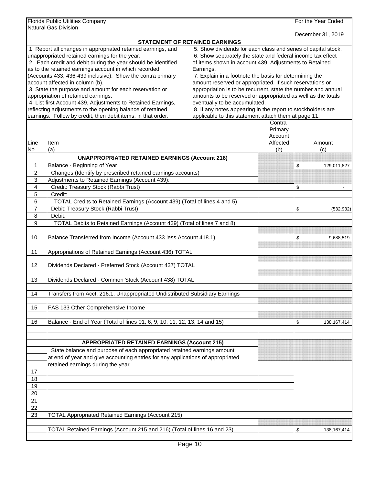December 31, 2019

| <b>STATEMENT OF RETAINED EARNINGS</b> |
|---------------------------------------|
|---------------------------------------|

unappropriated retained earnings for the year. 6. Show separately the state and federal income tax effect

as to the retained earnings account in which recorded Earnings. (Accounts 433, 436-439 inclusive). Show the contra primary 7. Explain in a footnote the basis for determining the

account affected in column (b). and a mount reserved or appropriated. If such reservations or

 4. List first Account 439, Adjustments to Retained Earnings, eventually to be accumulated. reflecting adjustments to the opening balance of retained 8. If any notes appearing in the report to stockholders are earnings. Follow by credit, then debit items, in that order. applicable to this statement attach them at page 11.

1. Report all changes in appropriated retained earnings, and  $\qquad 5$ . Show dividends for each class and series of capital stock. 2. Each credit and debit during the year should be identified of items shown in account 439, Adjustments to Retained

 3. State the purpose and amount for each reservation or appropriation is to be recurrent, state the number and annual appropriation of retained earnings. And the state of a mounts to be reserved or appropriated as well as the totals

|                |                                                                                 | Contra             |                     |
|----------------|---------------------------------------------------------------------------------|--------------------|---------------------|
|                |                                                                                 | Primary<br>Account |                     |
| Line           | Item                                                                            | Affected           | Amount              |
| No.            | (a)                                                                             | (b)                | (c)                 |
|                | <b>UNAPPROPRIATED RETAINED EARNINGS (Account 216)</b>                           |                    |                     |
| 1              | Balance - Beginning of Year                                                     |                    | \$<br>129,011,827   |
| $\overline{2}$ | Changes (Identify by prescribed retained earnings accounts)                     |                    |                     |
| 3              | Adjustments to Retained Earnings (Account 439):                                 |                    |                     |
| $\overline{4}$ | Credit: Treasury Stock (Rabbi Trust)                                            |                    | \$                  |
| 5              | Credit:                                                                         |                    |                     |
| 6              | TOTAL Credits to Retained Earnings (Account 439) (Total of lines 4 and 5)       |                    |                     |
| $\overline{7}$ | Debit: Treasury Stock (Rabbi Trust)                                             |                    | \$<br>(532, 932)    |
| 8              | Debit:                                                                          |                    |                     |
| 9              | TOTAL Debits to Retained Earnings (Account 439) (Total of lines 7 and 8)        |                    |                     |
|                |                                                                                 |                    |                     |
| 10             | Balance Transferred from Income (Account 433 less Account 418.1)                |                    | \$<br>9,688,519     |
|                |                                                                                 |                    |                     |
| 11             | Appropriations of Retained Earnings (Account 436) TOTAL                         |                    |                     |
|                |                                                                                 |                    |                     |
| 12             | Dividends Declared - Preferred Stock (Account 437) TOTAL                        |                    |                     |
|                |                                                                                 |                    |                     |
| 13             | Dividends Declared - Common Stock (Account 438) TOTAL                           |                    |                     |
|                |                                                                                 |                    |                     |
| 14             | Transfers from Acct. 216.1, Unappropriated Undistributed Subsidiary Earnings    |                    |                     |
|                |                                                                                 |                    |                     |
| 15             | FAS 133 Other Comprehensive Income                                              |                    |                     |
|                |                                                                                 |                    |                     |
| 16             | Balance - End of Year (Total of lines 01, 6, 9, 10, 11, 12, 13, 14 and 15)      |                    | \$<br>138, 167, 414 |
|                |                                                                                 |                    |                     |
|                |                                                                                 |                    |                     |
|                | <b>APPROPRIATED RETAINED EARNINGS (Account 215)</b>                             |                    |                     |
|                | State balance and purpose of each appropriated retained earnings amount         |                    |                     |
|                | at end of year and give accounting entries for any applications of appropriated |                    |                     |
|                | retained earnings during the year.                                              |                    |                     |
| 17             |                                                                                 |                    |                     |
| 18             |                                                                                 |                    |                     |
| 19             |                                                                                 |                    |                     |
| 20             |                                                                                 |                    |                     |
| 21             |                                                                                 |                    |                     |
| 22             |                                                                                 |                    |                     |
| 23             | <b>TOTAL Appropriated Retained Earnings (Account 215)</b>                       |                    |                     |
|                |                                                                                 |                    |                     |
|                | TOTAL Retained Earnings (Account 215 and 216) (Total of lines 16 and 23)        |                    | \$<br>138,167,414   |
|                |                                                                                 |                    |                     |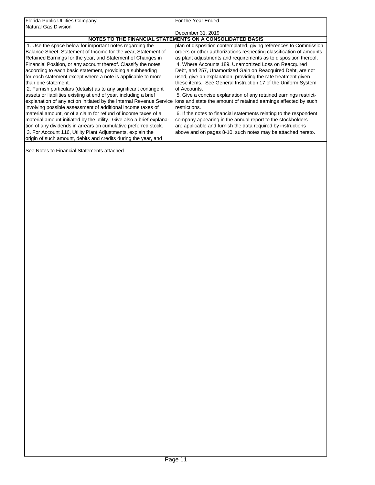Florida Public Utilities Company Florida Public Utilities Company Natural Gas Division

 1. Use the space below for important notes regarding the plan of disposition contemplated, giving references to Commission Balance Sheet, Statement of Income for the year, Statement of orders or other authorizations respecting classification of amounts Retained Earnings for the year, and Statement of Changes in as plant adjustments and requirements as to disposition thereof. Financial Position, or any account thereof. Classify the notes 4. Where Accounts 189, Unamortized Loss on Reacquired according to each basic statement, providing a subheading Debt, and 257, Unamortized Gain on Reacquired Debt, are not for each statement except where a note is applicable to more used, give an explanation, providing the rate treatment given than one statement. these items. See General Instruction 17 of the Uniform System 2. Furnish particulars (details) as to any significant contingent of Accounts. assets or liabilities existing at end of year, including a brief 5. Give a concise explanation of any retained earnings restrictexplanation of any action initiated by the Internal Revenue Service ions and state the amount of retained earnings affected by such involving possible assessment of additional income taxes of restrictions.

material amount, or of a claim for refund of income taxes of a 6. If the notes to financial statements relating to the respondent material amount initiated by the utility. Give also a brief explana- company appearing in the annual report to the stockholders tion of any dividends in arrears on cumulative preferred stock. are applicable and furnish the data required by instructions 3. For Account 116, Utility Plant Adjustments, explain the above and on pages 8-10, such notes may be attached hereto.

#### December 31, 2019 **NOTES TO THE FINANCIAL STATEMENTS ON A CONSOLIDATED BASIS**

origin of such amount, debits and credits during the year, and

See Notes to Financial Statements attached

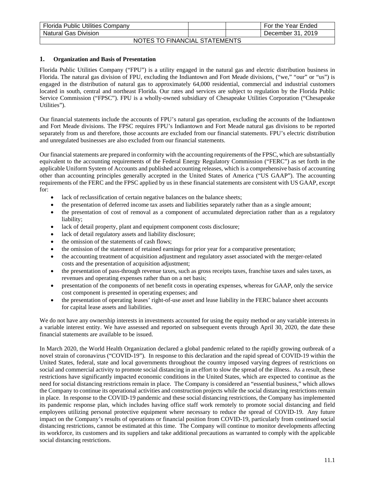| <b>Florida Public Utilities Company</b> |  |  | For the Year Ended |  |  |  |
|-----------------------------------------|--|--|--------------------|--|--|--|
| Natural Gas Division                    |  |  | December 31, 2019  |  |  |  |
| NOTES TO FINANCIAL STATEMENTS           |  |  |                    |  |  |  |

#### **1. Organization and Basis of Presentation**

Florida Public Utilities Company ("FPU") is a utility engaged in the natural gas and electric distribution business in Florida. The natural gas division of FPU, excluding the Indiantown and Fort Meade divisions, ("we," "our" or "us") is engaged in the distribution of natural gas to approximately 64,000 residential, commercial and industrial customers located in south, central and northeast Florida. Our rates and services are subject to regulation by the Florida Public Service Commission ("FPSC"). FPU is a wholly-owned subsidiary of Chesapeake Utilities Corporation ("Chesapeake Utilities").

Our financial statements include the accounts of FPU's natural gas operation, excluding the accounts of the Indiantown and Fort Meade divisions. The FPSC requires FPU's Indiantown and Fort Meade natural gas divisions to be reported separately from us and therefore, those accounts are excluded from our financial statements. FPU's electric distribution and unregulated businesses are also excluded from our financial statements.

Our financial statements are prepared in conformity with the accounting requirements of the FPSC, which are substantially equivalent to the accounting requirements of the Federal Energy Regulatory Commission ("FERC") as set forth in the applicable Uniform System of Accounts and published accounting releases, which is a comprehensive basis of accounting other than accounting principles generally accepted in the United States of America ("US GAAP"). The accounting requirements of the FERC and the FPSC applied by us in these financial statements are consistent with US GAAP, except for:

- lack of reclassification of certain negative balances on the balance sheets;
- the presentation of deferred income tax assets and liabilities separately rather than as a single amount;
- the presentation of cost of removal as a component of accumulated depreciation rather than as a regulatory liability;
- lack of detail property, plant and equipment component costs disclosure;
- lack of detail regulatory assets and liability disclosure;
- the omission of the statements of cash flows;
- the omission of the statement of retained earnings for prior year for a comparative presentation;
- the accounting treatment of acquisition adjustment and regulatory asset associated with the merger-related costs and the presentation of acquisition adjustment;
- the presentation of pass-through revenue taxes, such as gross receipts taxes, franchise taxes and sales taxes, as revenues and operating expenses rather than on a net basis;
- presentation of the components of net benefit costs in operating expenses, whereas for GAAP, only the service cost component is presented in operating expenses; and
- the presentation of operating leases' right-of-use asset and lease liability in the FERC balance sheet accounts for capital lease assets and liabilities.

We do not have any ownership interests in investments accounted for using the equity method or any variable interests in a variable interest entity. We have assessed and reported on subsequent events through April 30, 2020, the date these financial statements are available to be issued.

In March 2020, the World Health Organization declared a global pandemic related to the rapidly growing outbreak of a novel strain of coronavirus ("COVID-19"). In response to this declaration and the rapid spread of COVID-19 within the United States, federal, state and local governments throughout the country imposed varying degrees of restrictions on social and commercial activity to promote social distancing in an effort to slow the spread of the illness. As a result, these restrictions have significantly impacted economic conditions in the United States, which are expected to continue as the need for social distancing restrictions remain in place. The Company is considered an "essential business," which allows the Company to continue its operational activities and construction projects while the social distancing restrictions remain in place. In response to the COVID-19 pandemic and these social distancing restrictions, the Company has implemented its pandemic response plan, which includes having office staff work remotely to promote social distancing and field employees utilizing personal protective equipment where necessary to reduce the spread of COVID-19. Any future impact on the Company's results of operations or financial position from COVID-19, particularly from continued social distancing restrictions, cannot be estimated at this time. The Company will continue to monitor developments affecting its workforce, its customers and its suppliers and take additional precautions as warranted to comply with the applicable social distancing restrictions.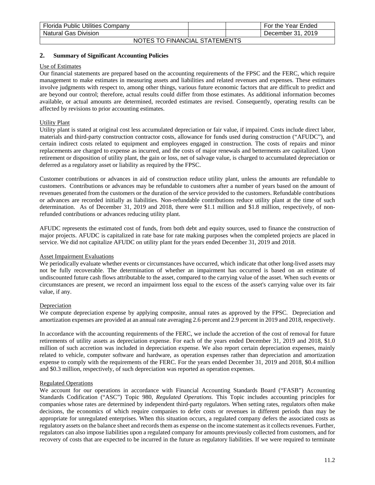| <b>Florida Public Utilities Company</b> |  |  | For the Year Ended |  |  |  |
|-----------------------------------------|--|--|--------------------|--|--|--|
| Natural Gas Division                    |  |  | December 31, 2019  |  |  |  |
| NOTES TO FINANCIAL STATEMENTS           |  |  |                    |  |  |  |

#### **2. Summary of Significant Accounting Policies**

#### Use of Estimates

Our financial statements are prepared based on the accounting requirements of the FPSC and the FERC, which require management to make estimates in measuring assets and liabilities and related revenues and expenses. These estimates involve judgments with respect to, among other things, various future economic factors that are difficult to predict and are beyond our control; therefore, actual results could differ from those estimates. As additional information becomes available, or actual amounts are determined, recorded estimates are revised. Consequently, operating results can be affected by revisions to prior accounting estimates.

#### Utility Plant

Utility plant is stated at original cost less accumulated depreciation or fair value, if impaired. Costs include direct labor, materials and third-party construction contractor costs, allowance for funds used during construction ("AFUDC"), and certain indirect costs related to equipment and employees engaged in construction. The costs of repairs and minor replacements are charged to expense as incurred, and the costs of major renewals and betterments are capitalized. Upon retirement or disposition of utility plant, the gain or loss, net of salvage value, is charged to accumulated depreciation or deferred as a regulatory asset or liability as required by the FPSC.

Customer contributions or advances in aid of construction reduce utility plant, unless the amounts are refundable to customers. Contributions or advances may be refundable to customers after a number of years based on the amount of revenues generated from the customers or the duration of the service provided to the customers. Refundable contributions or advances are recorded initially as liabilities. Non-refundable contributions reduce utility plant at the time of such determination. As of December 31, 2019 and 2018, there were \$1.1 million and \$1.8 million, respectively, of nonrefunded contributions or advances reducing utility plant.

AFUDC represents the estimated cost of funds, from both debt and equity sources, used to finance the construction of major projects. AFUDC is capitalized in rate base for rate making purposes when the completed projects are placed in service. We did not capitalize AFUDC on utility plant for the years ended December 31, 2019 and 2018.

#### Asset Impairment Evaluations

We periodically evaluate whether events or circumstances have occurred, which indicate that other long-lived assets may not be fully recoverable. The determination of whether an impairment has occurred is based on an estimate of undiscounted future cash flows attributable to the asset, compared to the carrying value of the asset. When such events or circumstances are present, we record an impairment loss equal to the excess of the asset's carrying value over its fair value, if any.

#### Depreciation

We compute depreciation expense by applying composite, annual rates as approved by the FPSC. Depreciation and amortization expenses are provided at an annual rate averaging 2.6 percent and 2.9 percent in 2019 and 2018, respectively.

In accordance with the accounting requirements of the FERC, we include the accretion of the cost of removal for future retirements of utility assets as depreciation expense. For each of the years ended December 31, 2019 and 2018, \$1.0 million of such accretion was included in depreciation expense. We also report certain depreciation expenses, mainly related to vehicle, computer software and hardware, as operation expenses rather than depreciation and amortization expense to comply with the requirements of the FERC. For the years ended December 31, 2019 and 2018, \$0.4 million and \$0.3 million, respectively, of such depreciation was reported as operation expenses.

#### Regulated Operations

We account for our operations in accordance with Financial Accounting Standards Board ("FASB") Accounting Standards Codification ("ASC") Topic 980, *Regulated Operations.* This Topic includes accounting principles for companies whose rates are determined by independent third-party regulators. When setting rates, regulators often make decisions, the economics of which require companies to defer costs or revenues in different periods than may be appropriate for unregulated enterprises. When this situation occurs, a regulated company defers the associated costs as regulatory assets on the balance sheet and records them as expense on the income statement as it collects revenues. Further, regulators can also impose liabilities upon a regulated company for amounts previously collected from customers, and for recovery of costs that are expected to be incurred in the future as regulatory liabilities. If we were required to terminate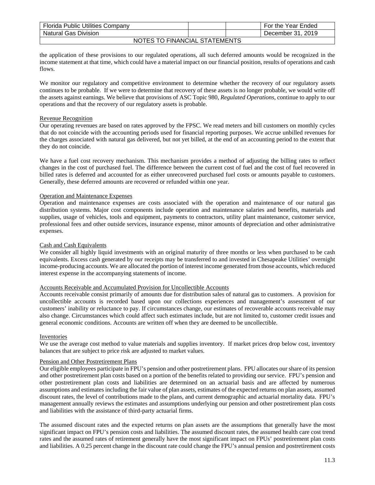| <b>Florida Public Utilities Company</b> |  |  | For the Year Ended |  |  |
|-----------------------------------------|--|--|--------------------|--|--|
| <b>Natural Gas Division</b>             |  |  | December 31, 2019  |  |  |
| NOTES TO FINANCIAL STATEMENTS           |  |  |                    |  |  |

the application of these provisions to our regulated operations, all such deferred amounts would be recognized in the income statement at that time, which could have a material impact on our financial position, results of operations and cash flows.

We monitor our regulatory and competitive environment to determine whether the recovery of our regulatory assets continues to be probable. If we were to determine that recovery of these assets is no longer probable, we would write off the assets against earnings. We believe that provisions of ASC Topic 980, *Regulated Operations*, continue to apply to our operations and that the recovery of our regulatory assets is probable.

#### Revenue Recognition

Our operating revenues are based on rates approved by the FPSC. We read meters and bill customers on monthly cycles that do not coincide with the accounting periods used for financial reporting purposes. We accrue unbilled revenues for the charges associated with natural gas delivered, but not yet billed, at the end of an accounting period to the extent that they do not coincide.

We have a fuel cost recovery mechanism. This mechanism provides a method of adjusting the billing rates to reflect changes in the cost of purchased fuel. The difference between the current cost of fuel and the cost of fuel recovered in billed rates is deferred and accounted for as either unrecovered purchased fuel costs or amounts payable to customers. Generally, these deferred amounts are recovered or refunded within one year.

#### Operation and Maintenance Expenses

Operation and maintenance expenses are costs associated with the operation and maintenance of our natural gas distribution systems. Major cost components include operation and maintenance salaries and benefits, materials and supplies, usage of vehicles, tools and equipment, payments to contractors, utility plant maintenance, customer service, professional fees and other outside services, insurance expense, minor amounts of depreciation and other administrative expenses.

#### Cash and Cash Equivalents

We consider all highly liquid investments with an original maturity of three months or less when purchased to be cash equivalents. Excess cash generated by our receipts may be transferred to and invested in Chesapeake Utilities' overnight income-producing accounts. We are allocated the portion of interest income generated from those accounts, which reduced interest expense in the accompanying statements of income.

#### Accounts Receivable and Accumulated Provision for Uncollectible Accounts

Accounts receivable consist primarily of amounts due for distribution sales of natural gas to customers. A provision for uncollectible accounts is recorded based upon our collections experiences and management's assessment of our customers' inability or reluctance to pay. If circumstances change, our estimates of recoverable accounts receivable may also change. Circumstances which could affect such estimates include, but are not limited to, customer credit issues and general economic conditions. Accounts are written off when they are deemed to be uncollectible.

#### Inventories

We use the average cost method to value materials and supplies inventory. If market prices drop below cost, inventory balances that are subject to price risk are adjusted to market values.

#### Pension and Other Postretirement Plans

Our eligible employees participate in FPU's pension and other postretirement plans. FPU allocates our share of its pension and other postretirement plan costs based on a portion of the benefits related to providing our service. FPU's pension and other postretirement plan costs and liabilities are determined on an actuarial basis and are affected by numerous assumptions and estimates including the fair value of plan assets, estimates of the expected returns on plan assets, assumed discount rates, the level of contributions made to the plans, and current demographic and actuarial mortality data. FPU's management annually reviews the estimates and assumptions underlying our pension and other postretirement plan costs and liabilities with the assistance of third-party actuarial firms.

The assumed discount rates and the expected returns on plan assets are the assumptions that generally have the most significant impact on FPU's pension costs and liabilities. The assumed discount rates, the assumed health care cost trend rates and the assumed rates of retirement generally have the most significant impact on FPUs' postretirement plan costs and liabilities. A 0.25 percent change in the discount rate could change the FPU's annual pension and postretirement costs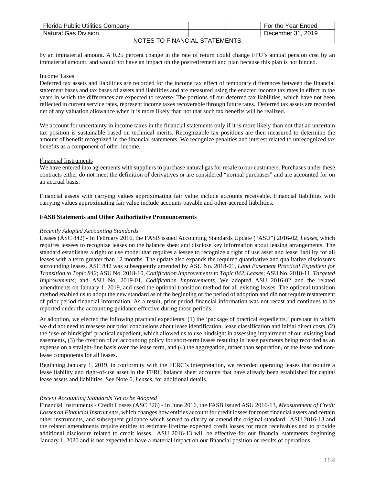| <b>Florida Public Utilities Company</b> |  |  | For the Year Ended |  |  |
|-----------------------------------------|--|--|--------------------|--|--|
| <b>Natural Gas Division</b>             |  |  | December 31, 2019  |  |  |
| NOTES TO FINANCIAL STATEMENTS           |  |  |                    |  |  |

by an immaterial amount. A 0.25 percent change in the rate of return could change FPU's annual pension cost by an immaterial amount, and would not have an impact on the postretirement and plan because this plan is not funded.

#### Income Taxes

Deferred tax assets and liabilities are recorded for the income tax effect of temporary differences between the financial statement bases and tax bases of assets and liabilities and are measured using the enacted income tax rates in effect in the years in which the differences are expected to reverse. The portions of our deferred tax liabilities, which have not been reflected in current service rates, represent income taxes recoverable through future rates. Deferred tax assets are recorded net of any valuation allowance when it is more likely than not that such tax benefits will be realized.

We account for uncertainty in income taxes in the financial statements only if it is more likely than not that an uncertain tax position is sustainable based on technical merits. Recognizable tax positions are then measured to determine the amount of benefit recognized in the financial statements. We recognize penalties and interest related to unrecognized tax benefits as a component of other income.

#### Financial Instruments

We have entered into agreements with suppliers to purchase natural gas for resale to our customers. Purchases under these contracts either do not meet the definition of derivatives or are considered "normal purchases" and are accounted for on an accrual basis.

Financial assets with carrying values approximating fair value include accounts receivable. Financial liabilities with carrying values approximating fair value include accounts payable and other accrued liabilities.

#### **FASB Statements and Other Authoritative Pronouncements**

#### *Recently Adopted Accounting Standards*

Leases (ASC 842) - In February 2016, the FASB issued Accounting Standards Update ("ASU") 2016-02, *Leases,* which requires lessees to recognize leases on the balance sheet and disclose key information about leasing arrangements. The standard establishes a right of use model that requires a lessee to recognize a right of use asset and lease liability for all leases with a term greater than 12 months. The update also expands the required quantitative and qualitative disclosures surrounding leases. ASC 842 was subsequently amended by ASU No. 2018-01, *Land Easement Practical Expedient for Transition to Topic 842*; ASU No. 2018-10, *Codification Improvements to Topic 842, Lease*s; ASU No. 2018-11, *Targeted Improvements*; and ASU No. 2019-01, *Codification Improvements*. We adopted ASU 2016-02 and the related amendments on January 1, 2019, and used the optional transition method for all existing leases. The optional transition method enabled us to adopt the new standard as of the beginning of the period of adoption and did not require restatement of prior period financial information. As a result, prior period financial information was not recast and continues to be reported under the accounting guidance effective during those periods.

At adoption, we elected the following practical expedients: (1) the 'package of practical expedients,' pursuant to which we did not need to reassess our prior conclusions about lease identification, lease classification and initial direct costs, (2) the 'use-of-hindsight' practical expedient, which allowed us to use hindsight in assessing impairment of our existing land easements, (3) the creation of an accounting policy for short-term leases resulting in lease payments being recorded as an expense on a straight-line basis over the lease term, and (4) the aggregation, rather than separation, of the lease and nonlease components for all leases.

Beginning January 1, 2019, in conformity with the FERC's interpretation, we recorded operating leases that require a lease liability and right-of-use asset in the FERC balance sheet accounts that have already been established for capital lease assets and liabilities. See Note 6, *Leases*, for additional details.

#### *Recent Accounting Standards Yet to be Adopted*

Financial Instruments - Credit Losses (ASC 326) - In June 2016, the FASB issued ASU 2016-13, *Measurement of Credit Losses on Financial Instruments*, which changes how entities account for credit losses for most financial assets and certain other instruments, and subsequent guidance which served to clarify or amend the original standard. ASU 2016-13 and the related amendments require entities to estimate lifetime expected credit losses for trade receivables and to provide additional disclosure related to credit losses. ASU 2016-13 will be effective for our financial statements beginning January 1, 2020 and is not expected to have a material impact on our financial position or results of operations.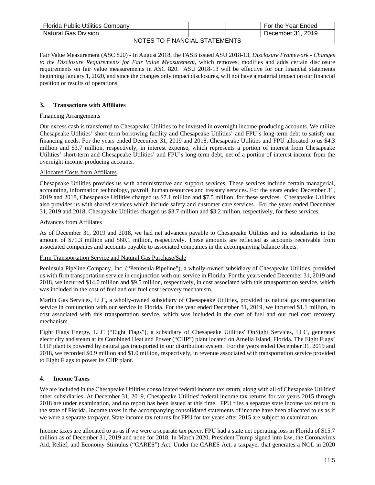| <b>Florida Public Utilities Company</b> |  |  | For the Year Ended |  |  |
|-----------------------------------------|--|--|--------------------|--|--|
| Natural Gas Division                    |  |  | December 31, 2019  |  |  |
| NOTES TO FINANCIAL STATEMENTS           |  |  |                    |  |  |

Fair Value Measurement (ASC 820) - In August 2018, the FASB issued ASU 2018-13, *Disclosure Framework - Changes to the Disclosure Requirements for Fair Value Measurement*, which removes, modifies and adds certain disclosure requirements on fair value measurements in ASC 820. ASU 2018-13 will be effective for our financial statements beginning January 1, 2020, and since the changes only impact disclosures, will not have a material impact on our financial position or results of operations.

#### **3. Transactions with Affiliates**

#### Financing Arrangements

Our excess cash is transferred to Chesapeake Utilities to be invested in overnight income-producing accounts. We utilize Chesapeake Utilities' short-term borrowing facility and Chesapeake Utilities' and FPU's long-term debt to satisfy our financing needs. For the years ended December 31, 2019 and 2018, Chesapeake Utilities and FPU allocated to us \$4.3 million and \$3.7 million, respectively, in interest expense, which represents a portion of interest from Chesapeake Utilities' short-term and Chesapeake Utilities' and FPU's long-term debt, net of a portion of interest income from the overnight income-producing accounts.

#### Allocated Costs from Affiliates

Chesapeake Utilities provides us with administrative and support services. These services include certain managerial, accounting, information technology, payroll, human resources and treasury services. For the years ended December 31, 2019 and 2018, Chesapeake Utilities charged us \$7.1 million and \$7.5 million, for these services. Chesapeake Utilities also provides us with shared services which include safety and customer care services. For the years ended December 31, 2019 and 2018, Chesapeake Utilities charged us \$3.7 million and \$3.2 million, respectively, for these services.

#### Advances from Affiliates

As of December 31, 2019 and 2018, we had net advances payable to Chesapeake Utilities and its subsidiaries in the amount of \$71.3 million and \$60.1 million, respectively. These amounts are reflected as accounts receivable from associated companies and accounts payable to associated companies in the accompanying balance sheets.

#### Firm Transportation Service and Natural Gas Purchase/Sale

Peninsula Pipeline Company, Inc. ("Peninsula Pipeline"), a wholly-owned subsidiary of Chesapeake Utilities, provided us with firm transportation service in conjunction with our service in Florida. For the years ended December 31, 2019 and 2018, we incurred \$14.0 million and \$9.5 million, respectively, in cost associated with this transportation service, which was included in the cost of fuel and our fuel cost recovery mechanism.

Marlin Gas Services, LLC, a wholly-owned subsidiary of Chesapeake Utilities, provided us natural gas transportation service in conjunction with our service in Florida. For the year ended December 31, 2019, we incurred \$1.1 million, in cost associated with this transportation service, which was included in the cost of fuel and our fuel cost recovery mechanism.

Eight Flags Energy, LLC ("Eight Flags"), a subsidiary of Chesapeake Utilities' OnSight Services, LLC, generates electricity and steam at its Combined Heat and Power ("CHP") plant located on Amelia Island, Florida. The Eight Flags' CHP plant is powered by natural gas transported in our distribution system. For the years ended December 31, 2019 and 2018, we recorded \$0.9 million and \$1.0 million, respectively, in revenue associated with transportation service provided to Eight Flags to power its CHP plant.

#### **4. Income Taxes**

We are included in the Chesapeake Utilities consolidated federal income tax return, along with all of Chesapeake Utilities' other subsidiaries. At December 31, 2019, Chesapeake Utilities' federal income tax returns for tax years 2015 through 2018 are under examination, and no report has been issued at this time. FPU files a separate state income tax return in the state of Florida. Income taxes in the accompanying consolidated statements of income have been allocated to us as if we were a separate taxpayer. State income tax returns for FPU for tax years after 2015 are subject to examination.

Income taxes are allocated to us as if we were a separate tax payer. FPU had a state net operating loss in Florida of \$15.7 million as of December 31, 2019 and none for 2018. In March 2020, President Trump signed into law, the Coronavirus Aid, Relief, and Economy Stimulus ("CARES") Act. Under the CARES Act, a taxpayer that generates a NOL in 2020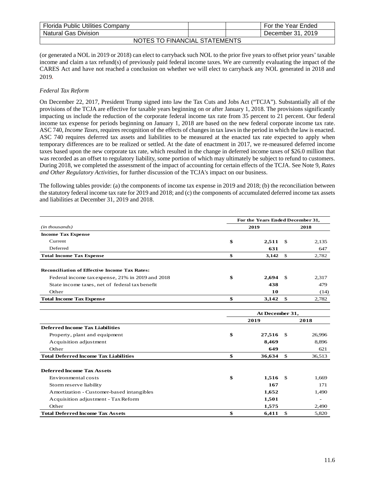| <b>Florida Public Utilities Company</b> |  |  | For the Year Ended |  |  |  |
|-----------------------------------------|--|--|--------------------|--|--|--|
| <b>Natural Gas Division</b>             |  |  | December 31, 2019  |  |  |  |
| NOTES TO FINANCIAL STATEMENTS           |  |  |                    |  |  |  |

(or generated a NOL in 2019 or 2018) can elect to carryback such NOL to the prior five years to offset prior years' taxable income and claim a tax refund(s) of previously paid federal income taxes. We are currently evaluating the impact of the CARES Act and have not reached a conclusion on whether we will elect to carryback any NOL generated in 2018 and 2019*.*

#### *Federal Tax Reform*

On December 22, 2017, President Trump signed into law the Tax Cuts and Jobs Act ("TCJA"). Substantially all of the provisions of the TCJA are effective for taxable years beginning on or after January 1, 2018. The provisions significantly impacting us include the reduction of the corporate federal income tax rate from 35 percent to 21 percent. Our federal income tax expense for periods beginning on January 1, 2018 are based on the new federal corporate income tax rate. ASC 740, *Income Taxes*, requires recognition of the effects of changes in tax laws in the period in which the law is enacted. ASC 740 requires deferred tax assets and liabilities to be measured at the enacted tax rate expected to apply when temporary differences are to be realized or settled. At the date of enactment in 2017, we re-measured deferred income taxes based upon the new corporate tax rate, which resulted in the change in deferred income taxes of \$26.0 million that was recorded as an offset to regulatory liability, some portion of which may ultimately be subject to refund to customers. During 2018, we completed the assessment of the impact of accounting for certain effects of the TCJA. See Note 9, *Rates and Other Regulatory Activities*, for further discussion of the TCJA's impact on our business.

The following tables provide: (a) the components of income tax expense in 2019 and 2018; (b) the reconciliation between the statutory federal income tax rate for 2019 and 2018; and (c) the components of accumulated deferred income tax assets and liabilities at December 31, 2019 and 2018.

|                                                      |      | For the Years Ended December 31, |                |                          |  |
|------------------------------------------------------|------|----------------------------------|----------------|--------------------------|--|
| (in thousands)                                       | 2019 |                                  |                | 2018                     |  |
| <b>Income Tax Expense</b>                            |      |                                  |                |                          |  |
| Current                                              | \$   | 2,511                            | \$             | 2,135                    |  |
| Deferred                                             |      | 631                              |                | 647                      |  |
| <b>Total Income Tax Expense</b>                      | \$   | 3,142                            | $\mathfrak{S}$ | 2,782                    |  |
| <b>Reconciliation of Effective Income Tax Rates:</b> |      |                                  |                |                          |  |
| Federal income tax expense, 21% in 2019 and 2018     | \$   | 2,694                            | \$             | 2,317                    |  |
| State income taxes, net of federal tax benefit       |      | 438                              |                | 479                      |  |
| Other                                                |      | 10                               |                | (14)                     |  |
| <b>Total Income Tax Expense</b>                      | \$   | 3,142                            | $\mathcal{S}$  | 2,782                    |  |
|                                                      |      | At December 31,                  |                |                          |  |
|                                                      |      | 2019                             |                | 2018                     |  |
| <b>Deferred Income Tax Liabilities</b>               |      |                                  |                |                          |  |
| Property, plant and equipment                        | \$   | 27,516                           | $\mathbf{\$}$  | 26.996                   |  |
| Acquisition adjustment                               |      | 8,469                            |                | 8,896                    |  |
| Other                                                |      | 649                              |                | 621                      |  |
| <b>Total Deferred Income Tax Liabilities</b>         | \$   | 36,634                           | $\mathfrak{S}$ | 36,513                   |  |
| <b>Deferred Income Tax Assets</b>                    |      |                                  |                |                          |  |
| Environmental costs                                  | \$   | 1,516                            | -\$            | 1.669                    |  |
| Storm reserve liability                              |      | 167                              |                | 171                      |  |
| Amortization - Customer-based intangibles            |      | 1,652                            |                | 1,490                    |  |
| Acquisition adjustment - Tax Reform                  |      | 1,501                            |                | $\overline{\phantom{a}}$ |  |
| Other                                                |      | 1,575                            |                | 2,490                    |  |
| <b>Total Deferred Income Tax Assets</b>              | \$   | 6,411                            | $\mathcal{S}$  | 5,820                    |  |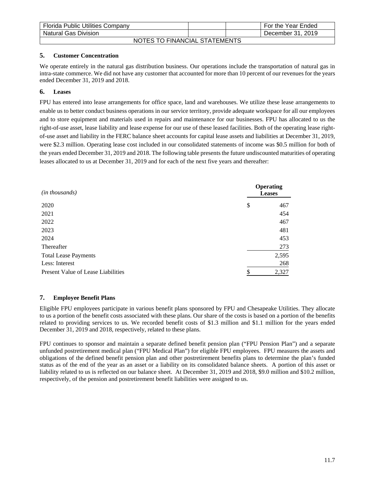| <b>Florida Public Utilities Company</b> |  |  | For the Year Ended |  |  |
|-----------------------------------------|--|--|--------------------|--|--|
| <b>Natural Gas Division</b>             |  |  | December 31, 2019  |  |  |
| NOTES TO FINANCIAL STATEMENTS           |  |  |                    |  |  |

#### **5. Customer Concentration**

We operate entirely in the natural gas distribution business. Our operations include the transportation of natural gas in intra-state commerce. We did not have any customer that accounted for more than 10 percent of our revenues for the years ended December 31, 2019 and 2018.

#### **6. Leases**

FPU has entered into lease arrangements for office space, land and warehouses. We utilize these lease arrangements to enable us to better conduct business operations in our service territory, provide adequate workspace for all our employees and to store equipment and materials used in repairs and maintenance for our businesses. FPU has allocated to us the right-of-use asset, lease liability and lease expense for our use of these leased facilities. Both of the operating lease rightof-use asset and liability in the FERC balance sheet accounts for capital lease assets and liabilities at December 31, 2019, were \$2.3 million. Operating lease cost included in our consolidated statements of income was \$0.5 million for both of the years ended December 31, 2019 and 2018. The following table presents the future undiscounted maturities of operating leases allocated to us at December 31, 2019 and for each of the next five years and thereafter:

| ( <i>in thousands</i> )                   | <b>Operating</b><br><b>Leases</b> |       |  |  |
|-------------------------------------------|-----------------------------------|-------|--|--|
| 2020                                      | \$                                | 467   |  |  |
| 2021                                      |                                   | 454   |  |  |
| 2022                                      |                                   | 467   |  |  |
| 2023                                      |                                   | 481   |  |  |
| 2024                                      |                                   | 453   |  |  |
| Thereafter                                |                                   | 273   |  |  |
| <b>Total Lease Payments</b>               |                                   | 2,595 |  |  |
| Less: Interest                            |                                   | 268   |  |  |
| <b>Present Value of Lease Liabilities</b> |                                   | 2,327 |  |  |

#### **7. Employee Benefit Plans**

Eligible FPU employees participate in various benefit plans sponsored by FPU and Chesapeake Utilities. They allocate to us a portion of the benefit costs associated with these plans. Our share of the costs is based on a portion of the benefits related to providing services to us. We recorded benefit costs of \$1.3 million and \$1.1 million for the years ended December 31, 2019 and 2018, respectively, related to these plans.

FPU continues to sponsor and maintain a separate defined benefit pension plan ("FPU Pension Plan") and a separate unfunded postretirement medical plan ("FPU Medical Plan") for eligible FPU employees. FPU measures the assets and obligations of the defined benefit pension plan and other postretirement benefits plans to determine the plan's funded status as of the end of the year as an asset or a liability on its consolidated balance sheets. A portion of this asset or liability related to us is reflected on our balance sheet. At December 31, 2019 and 2018, \$9.0 million and \$10.2 million, respectively, of the pension and postretirement benefit liabilities were assigned to us.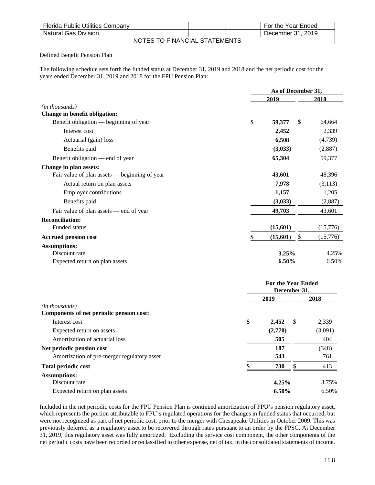| <b>Florida Public Utilities Company</b> |  |  | For the Year Ended |  |  |  |
|-----------------------------------------|--|--|--------------------|--|--|--|
| <b>Natural Gas Division</b>             |  |  | December 31, 2019  |  |  |  |
| NOTES TO FINANCIAL STATEMENTS           |  |  |                    |  |  |  |

#### Defined Benefit Pension Plan

The following schedule sets forth the funded status at December 31, 2019 and 2018 and the net periodic cost for the years ended December 31, 2019 and 2018 for the FPU Pension Plan:

|                                               | As of December 31, |                                           |    |          |  |
|-----------------------------------------------|--------------------|-------------------------------------------|----|----------|--|
|                                               |                    | 2019                                      |    | 2018     |  |
| $(in$ thousands)                              |                    |                                           |    |          |  |
| Change in benefit obligation:                 |                    |                                           |    |          |  |
| Benefit obligation — beginning of year        | \$                 | 59,377                                    | \$ | 64,664   |  |
| Interest cost                                 |                    | 2,452                                     |    | 2,339    |  |
| Actuarial (gain) loss                         |                    | 6,508                                     |    | (4,739)  |  |
| Benefits paid                                 |                    | (3,033)                                   |    | (2,887)  |  |
| Benefit obligation — end of year              |                    | 65,304                                    |    | 59,377   |  |
| Change in plan assets:                        |                    |                                           |    |          |  |
| Fair value of plan assets — beginning of year |                    | 43,601                                    |    | 48,396   |  |
| Actual return on plan assets                  |                    | 7,978                                     |    | (3,113)  |  |
| <b>Employer contributions</b>                 |                    | 1,157                                     |    | 1,205    |  |
| Benefits paid                                 |                    | (3,033)                                   |    | (2,887)  |  |
| Fair value of plan assets — end of year       |                    | 49,703                                    |    | 43,601   |  |
| <b>Reconciliation:</b>                        |                    |                                           |    |          |  |
| <b>Funded status</b>                          |                    | (15,601)                                  |    | (15,776) |  |
| <b>Accrued pension cost</b>                   | \$                 | (15,601)                                  | \$ | (15,776) |  |
| <b>Assumptions:</b>                           |                    |                                           |    |          |  |
| Discount rate                                 |                    | 3.25%                                     |    | 4.25%    |  |
| Expected return on plan assets                |                    | 6.50%                                     |    | 6.50%    |  |
|                                               |                    | <b>For the Year Ended</b><br>December 31, |    |          |  |
|                                               |                    | 2019                                      |    | 2018     |  |

| $(in$ thousands)<br>Components of net periodic pension cost: |             |     |         |
|--------------------------------------------------------------|-------------|-----|---------|
| Interest cost                                                | \$<br>2,452 | -S  | 2,339   |
| Expected return on assets                                    | (2,770)     |     | (3,091) |
| Amortization of actuarial loss                               | 505         |     | 404     |
| Net periodic pension cost                                    | 187         |     | (348)   |
| Amortization of pre-merger regulatory asset                  | 543         |     | 761     |
| Total periodic cost                                          | 730         | \$. | 413     |
| <b>Assumptions:</b>                                          |             |     |         |
| Discount rate                                                | 4.25%       |     | 3.75%   |
| Expected return on plan assets                               | $6.50\%$    |     | 6.50%   |

Included in the net periodic costs for the FPU Pension Plan is continued amortization of FPU's pension regulatory asset, which represents the portion attributable to FPU's regulated operations for the changes in funded status that occurred, but were not recognized as part of net periodic cost, prior to the merger with Chesapeake Utilities in October 2009. This was previously deferred as a regulatory asset to be recovered through rates pursuant to an order by the FPSC. At December 31, 2019, this regulatory asset was fully amortized. Excluding the service cost component, the other components of the net periodic costs have been recorded or reclassified to other expense, net of tax, in the consolidated statements of income.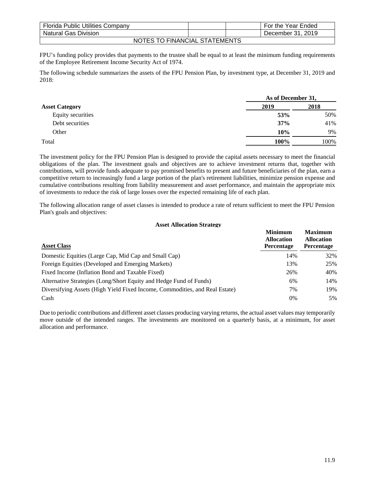| <b>Florida Public Utilities Company</b> |  |  | For the Year Ended |  |  |  |
|-----------------------------------------|--|--|--------------------|--|--|--|
| <b>Natural Gas Division</b>             |  |  | December 31, 2019  |  |  |  |
| NOTES TO FINANCIAL STATEMENTS           |  |  |                    |  |  |  |

FPU's funding policy provides that payments to the trustee shall be equal to at least the minimum funding requirements of the Employee Retirement Income Security Act of 1974.

The following schedule summarizes the assets of the FPU Pension Plan, by investment type, at December 31, 2019 and 2018:

| <b>Asset Category</b> | As of December 31, |      |
|-----------------------|--------------------|------|
|                       | 2019               | 2018 |
| Equity securities     | 53%                | 50%  |
| Debt securities       | 37%                | 41%  |
| Other                 | 10%                | 9%   |
| Total                 | 100%               | 100% |

The investment policy for the FPU Pension Plan is designed to provide the capital assets necessary to meet the financial obligations of the plan. The investment goals and objectives are to achieve investment returns that, together with contributions, will provide funds adequate to pay promised benefits to present and future beneficiaries of the plan, earn a competitive return to increasingly fund a large portion of the plan's retirement liabilities, minimize pension expense and cumulative contributions resulting from liability measurement and asset performance, and maintain the appropriate mix of investments to reduce the risk of large losses over the expected remaining life of each plan.

The following allocation range of asset classes is intended to produce a rate of return sufficient to meet the FPU Pension Plan's goals and objectives:

| <b>Asset Allocation Strategy</b> |  |
|----------------------------------|--|
|                                  |  |

| <b>Asset Class</b>                                                          | <b>Minimum</b><br><b>Allocation</b><br><b>Percentage</b> | <b>Maximum</b><br><b>Allocation</b><br><b>Percentage</b> |
|-----------------------------------------------------------------------------|----------------------------------------------------------|----------------------------------------------------------|
| Domestic Equities (Large Cap, Mid Cap and Small Cap)                        | 14%                                                      | 32%                                                      |
| Foreign Equities (Developed and Emerging Markets)                           | 13%                                                      | 25%                                                      |
| Fixed Income (Inflation Bond and Taxable Fixed)                             | 26%                                                      | 40%                                                      |
| Alternative Strategies (Long/Short Equity and Hedge Fund of Funds)          | 6%                                                       | 14%                                                      |
| Diversifying Assets (High Yield Fixed Income, Commodities, and Real Estate) | 7%                                                       | 19%                                                      |
| Cash                                                                        | $0\%$                                                    | 5%                                                       |

Due to periodic contributions and different asset classes producing varying returns, the actual asset values may temporarily move outside of the intended ranges. The investments are monitored on a quarterly basis, at a minimum, for asset allocation and performance.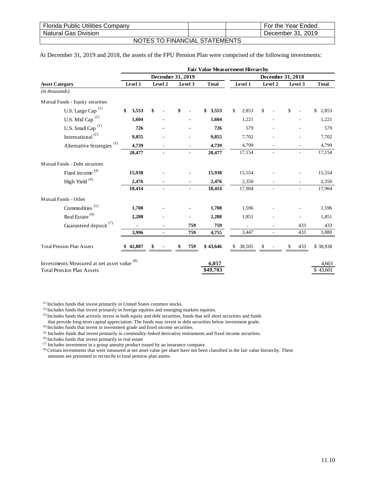| <b>Florida Public Utilities Company</b> |  |  | For the Year Ended |  |  |  |
|-----------------------------------------|--|--|--------------------|--|--|--|
| Natural Gas Division                    |  |  | December 31, 2019  |  |  |  |
| NOTES TO FINANCIAL STATEMENTS           |  |  |                    |  |  |  |

|                                                        |    |                   |    |                          |    |                | <b>Fair Value Measurement Hierarchy</b> |     |                   |                              |    |         |              |  |  |  |
|--------------------------------------------------------|----|-------------------|----|--------------------------|----|----------------|-----------------------------------------|-----|-------------------|------------------------------|----|---------|--------------|--|--|--|
|                                                        |    | December 31, 2019 |    |                          |    |                |                                         |     | December 31, 2018 |                              |    |         |              |  |  |  |
| <b>Asset Category</b>                                  |    | Level 1           |    | Level 2                  |    | Level 3        | <b>Total</b>                            |     | Level 1           | Level 2                      |    | Level 3 | <b>Total</b> |  |  |  |
| (in thousands)                                         |    |                   |    |                          |    |                |                                         |     |                   |                              |    |         |              |  |  |  |
| Mutual Funds - Equity securities                       |    |                   |    |                          |    |                |                                         |     |                   |                              |    |         |              |  |  |  |
| U.S. Large Cap <sup>(1)</sup>                          | \$ | 3,553             | \$ |                          | \$ |                | 3,553<br>\$                             | \$  | 2,853             | \$                           | \$ |         | \$2,853      |  |  |  |
| U.S. Mid Cap $^{(1)}$                                  |    | 1,604             |    |                          |    |                | 1,604                                   |     | 1,221             |                              |    |         | 1,221        |  |  |  |
| U.S. Small Cap <sup>(1)</sup>                          |    | 726               |    |                          |    |                | 726                                     |     | 579               |                              |    |         | 579          |  |  |  |
| International <sup>(2)</sup>                           |    | 9,855             |    |                          |    |                | 9,855                                   |     | 7,702             |                              |    |         | 7,702        |  |  |  |
| Alternative Strategies <sup>(3)</sup>                  |    | 4,739             |    |                          |    |                | 4,739                                   |     | 4,799             |                              |    |         | 4,799        |  |  |  |
|                                                        |    | 20,477            |    | $\blacksquare$           |    | $\blacksquare$ | 20,477                                  |     | 17,154            |                              |    |         | 17,154       |  |  |  |
| Mutual Funds - Debt securities                         |    |                   |    |                          |    |                |                                         |     |                   |                              |    |         |              |  |  |  |
| Fixed income <sup>(4)</sup>                            |    | 15,938            |    |                          |    |                | 15,938                                  |     | 15,554            |                              |    |         | 15,554       |  |  |  |
| High Yield $(4)$                                       |    | 2,476             |    |                          |    |                | 2,476                                   |     | 2,350             |                              |    |         | 2,350        |  |  |  |
|                                                        |    | 18,414            |    | $\blacksquare$           |    | $\blacksquare$ | 18,414                                  |     | 17,904            |                              |    |         | 17,904       |  |  |  |
| Mutual Funds - Other                                   |    |                   |    |                          |    |                |                                         |     |                   |                              |    |         |              |  |  |  |
| Commodities <sup>(5)</sup>                             |    | 1,708             |    |                          |    |                | 1,708                                   |     | 1,596             |                              |    |         | 1,596        |  |  |  |
| Real Estate <sup>(6)</sup>                             |    | 2,288             |    |                          |    |                | 2,288                                   |     | 1,851             |                              |    |         | 1,851        |  |  |  |
| Guaranteed deposit <sup>(7)</sup>                      |    |                   |    |                          |    | 759            | 759                                     |     |                   |                              |    | 433     | 433          |  |  |  |
|                                                        |    | 3,996             |    | $\overline{\phantom{0}}$ |    | 759            | 4,755                                   |     | 3,447             | $\qquad \qquad \blacksquare$ |    | 433     | 3,880        |  |  |  |
| <b>Total Pension Plan Assets</b>                       |    | 42,887            | \$ |                          | \$ | 759            | \$43,646                                | \$. | 38,505            | \$                           |    | 433     | \$38,938     |  |  |  |
| Investments Measured at net asset value <sup>(8)</sup> |    |                   |    |                          |    |                | 6,057                                   |     |                   |                              |    |         | 4,663        |  |  |  |
| <b>Total Pension Plan Assets</b>                       |    |                   |    |                          |    |                | \$49,703                                |     |                   |                              |    |         | \$43,601     |  |  |  |

At December 31, 2019 and 2018, the assets of the FPU Pension Plan were comprised of the following investments:

(1) Includes funds that invest primarily in United States common stocks.<br>
(2) Includes funds that invest primarily in foreign equities and emerging markets equities.<br>
(3) Includes funds that actively invest in both equity

that provide long-term capital appreciation. The funds may invest in debt securities below investment grade.<br>
(4) Includes funds that invest in investment grade and fixed income securities.<br>
(5) Includes funds that invest

<sup>(8)</sup> Certain investments that were measured at net asset value per share have not been classified in the fair value hierarchy. These amounts are presented to reconcile to total pension plan assets.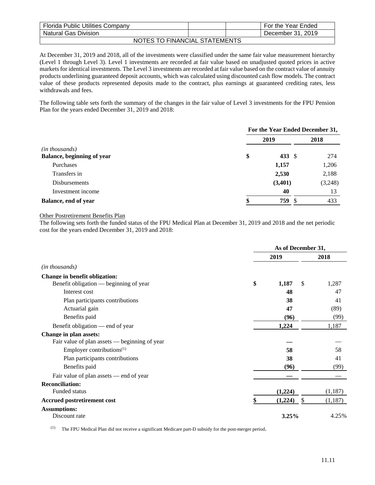| <b>Florida Public Utilities Company</b> |  |  | For the Year Ended |  |  |  |
|-----------------------------------------|--|--|--------------------|--|--|--|
| Natural Gas Division                    |  |  | December 31, 2019  |  |  |  |
| NOTES TO FINANCIAL STATEMENTS           |  |  |                    |  |  |  |

At December 31, 2019 and 2018, all of the investments were classified under the same fair value measurement hierarchy (Level 1 through Level 3). Level 1 investments are recorded at fair value based on unadjusted quoted prices in active markets for identical investments. The Level 3 investments are recorded at fair value based on the contract value of annuity products underlining guaranteed deposit accounts, which was calculated using discounted cash flow models. The contract value of these products represented deposits made to the contract, plus earnings at guaranteed crediting rates, less withdrawals and fees.

The following table sets forth the summary of the changes in the fair value of Level 3 investments for the FPU Pension Plan for the years ended December 31, 2019 and 2018:

|                                                       | For the Year Ended December 31, |         |         |  |  |  |
|-------------------------------------------------------|---------------------------------|---------|---------|--|--|--|
|                                                       |                                 | 2019    | 2018    |  |  |  |
| ( <i>in thousands</i> )<br>Balance, beginning of year | \$                              | 433 $$$ | 274     |  |  |  |
| Purchases                                             |                                 | 1,157   | 1,206   |  |  |  |
| Transfers in                                          |                                 | 2,530   | 2,188   |  |  |  |
| <b>Disbursements</b>                                  |                                 | (3,401) | (3,248) |  |  |  |
| Investment income                                     |                                 | 40      | 13      |  |  |  |
| Balance, end of year                                  |                                 | 759     | 433     |  |  |  |

#### Other Postretirement Benefits Plan

The following sets forth the funded status of the FPU Medical Plan at December 31, 2019 and 2018 and the net periodic cost for the years ended December 31, 2019 and 2018:

|                                               | As of December 31, |         |      |         |
|-----------------------------------------------|--------------------|---------|------|---------|
|                                               |                    | 2019    | 2018 |         |
| ( <i>in thousands</i> )                       |                    |         |      |         |
| Change in benefit obligation:                 |                    |         |      |         |
| Benefit obligation — beginning of year        | \$                 | 1,187   | \$   | 1,287   |
| Interest cost                                 |                    | 48      |      | 47      |
| Plan participants contributions               |                    | 38      |      | 41      |
| Actuarial gain                                |                    | 47      |      | (89)    |
| Benefits paid                                 |                    | (96)    |      | (99)    |
| Benefit obligation — end of year              |                    | 1,224   |      | 1,187   |
| Change in plan assets:                        |                    |         |      |         |
| Fair value of plan assets — beginning of year |                    |         |      |         |
| Employer contributions $(1)$                  |                    | 58      |      | 58      |
| Plan participants contributions               |                    | 38      |      | 41      |
| Benefits paid                                 |                    | (96)    |      | (99)    |
| Fair value of plan assets — end of year       |                    |         |      |         |
| <b>Reconciliation:</b>                        |                    |         |      |         |
| Funded status                                 |                    | (1,224) |      | (1,187) |
| <b>Accrued postretirement cost</b>            |                    | (1,224) | \$   | (1,187) |
| <b>Assumptions:</b>                           |                    |         |      |         |
| Discount rate                                 |                    | 3.25%   |      | 4.25%   |

(1) The FPU Medical Plan did not receive a significant Medicare part-D subsidy for the post-merger period.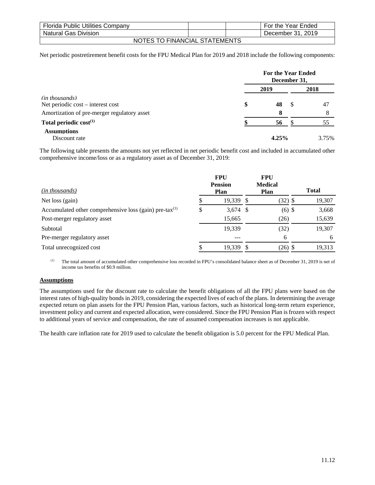| <b>Florida Public Utilities Company</b> |  |  | For the Year Ended |  |
|-----------------------------------------|--|--|--------------------|--|
| Natural Gas Division                    |  |  | December 31, 2019  |  |
| NOTES TO FINANCIAL STATEMENTS           |  |  |                    |  |

Net periodic postretirement benefit costs for the FPU Medical Plan for 2019 and 2018 include the following components:

|                                                       | For the Year Ended | December 31, |       |
|-------------------------------------------------------|--------------------|--------------|-------|
|                                                       | 2019               |              | 2018  |
| $(in$ thousands)<br>Net periodic cost – interest cost | \$<br>48           | -S           | 47    |
| Amortization of pre-merger regulatory asset           | 8                  |              | 8     |
| Total periodic cost $^{(1)}$                          | 56                 |              | 55    |
| <b>Assumptions</b><br>Discount rate                   | 4.25%              |              | 3.75% |

The following table presents the amounts not yet reflected in net periodic benefit cost and included in accumulated other comprehensive income/loss or as a regulatory asset as of December 31, 2019:

|                                                              | <b>FPU</b>             |      | <b>FPU</b>             |              |
|--------------------------------------------------------------|------------------------|------|------------------------|--------------|
| <i>(in thousands)</i>                                        | <b>Pension</b><br>Plan |      | <b>Medical</b><br>Plan | <b>Total</b> |
| Net loss (gain)                                              | 19,339                 | - \$ | $(32)$ \$              | 19,307       |
| Accumulated other comprehensive loss (gain) pre-tax $^{(1)}$ | 3,674 $\frac{1}{2}$    |      | $(6)$ \$               | 3,668        |
| Post-merger regulatory asset                                 | 15,665                 |      | (26)                   | 15,639       |
| Subtotal                                                     | 19,339                 |      | (32)                   | 19,307       |
| Pre-merger regulatory asset                                  | ---                    |      | 6                      | 6            |
| Total unrecognized cost                                      | 19,339                 | -S   | $(26)$ \$              | 19,313       |

(1) The total amount of accumulated other comprehensive loss recorded in FPU's consolidated balance sheet as of December 31, 2019 is net of income tax benefits of \$0.9 million.

#### **Assumptions**

The assumptions used for the discount rate to calculate the benefit obligations of all the FPU plans were based on the interest rates of high-quality bonds in 2019, considering the expected lives of each of the plans. In determining the average expected return on plan assets for the FPU Pension Plan, various factors, such as historical long-term return experience, investment policy and current and expected allocation, were considered. Since the FPU Pension Plan is frozen with respect to additional years of service and compensation, the rate of assumed compensation increases is not applicable.

The health care inflation rate for 2019 used to calculate the benefit obligation is 5.0 percent for the FPU Medical Plan.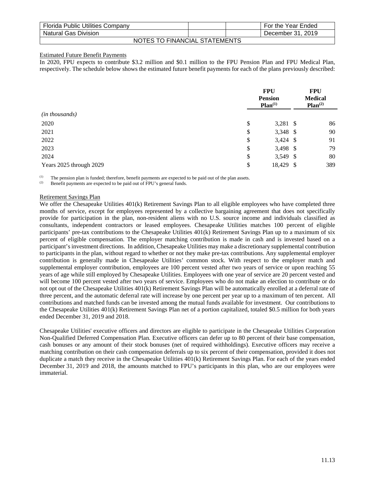| <b>Florida Public Utilities Company</b> |  |  | For the Year Ended |  |
|-----------------------------------------|--|--|--------------------|--|
| <b>Natural Gas Division</b>             |  |  | December 31, 2019  |  |
| NOTES TO FINANCIAL STATEMENTS           |  |  |                    |  |

#### Estimated Future Benefit Payments

In 2020, FPU expects to contribute \$3.2 million and \$0.1 million to the FPU Pension Plan and FPU Medical Plan, respectively. The schedule below shows the estimated future benefit payments for each of the plans previously described:

|                         | <b>FPU</b><br><b>Pension</b><br>$Plan^{(1)}$ | <b>FPU</b><br><b>Medical</b><br>Plan <sup>(2)</sup> |
|-------------------------|----------------------------------------------|-----------------------------------------------------|
| ( <i>in thousands</i> ) |                                              |                                                     |
| 2020                    | \$<br>$3,281$ \$                             | 86                                                  |
| 2021                    | \$<br>3,348 \$                               | 90                                                  |
| 2022                    | \$<br>$3,424$ \$                             | 91                                                  |
| 2023                    | \$<br>3,498 \$                               | 79                                                  |
| 2024                    | \$<br>3,549 \$                               | 80                                                  |
| Years 2025 through 2029 | \$<br>18,429 \$                              | 389                                                 |

(1) The pension plan is funded; therefore, benefit payments are expected to be paid out of the plan assets.<br>  $\frac{1}{2}$  Bangfit payments are expected to be paid out of EPU's general funds

Benefit payments are expected to be paid out of FPU's general funds.

#### Retirement Savings Plan

We offer the Chesapeake Utilities 401(k) Retirement Savings Plan to all eligible employees who have completed three months of service, except for employees represented by a collective bargaining agreement that does not specifically provide for participation in the plan, non-resident aliens with no U.S. source income and individuals classified as consultants, independent contractors or leased employees. Chesapeake Utilities matches 100 percent of eligible participants' pre-tax contributions to the Chesapeake Utilities 401(k) Retirement Savings Plan up to a maximum of six percent of eligible compensation. The employer matching contribution is made in cash and is invested based on a participant's investment directions. In addition, Chesapeake Utilities may make a discretionary supplemental contribution to participants in the plan, without regard to whether or not they make pre-tax contributions. Any supplemental employer contribution is generally made in Chesapeake Utilities' common stock. With respect to the employer match and supplemental employer contribution, employees are 100 percent vested after two years of service or upon reaching 55 years of age while still employed by Chesapeake Utilities. Employees with one year of service are 20 percent vested and will become 100 percent vested after two years of service. Employees who do not make an election to contribute or do not opt out of the Chesapeake Utilities 401(k) Retirement Savings Plan will be automatically enrolled at a deferral rate of three percent, and the automatic deferral rate will increase by one percent per year up to a maximum of ten percent. All contributions and matched funds can be invested among the mutual funds available for investment. Our contributions to the Chesapeake Utilities 401(k) Retirement Savings Plan net of a portion capitalized, totaled \$0.5 million for both years ended December 31, 2019 and 2018.

Chesapeake Utilities' executive officers and directors are eligible to participate in the Chesapeake Utilities Corporation Non-Qualified Deferred Compensation Plan. Executive officers can defer up to 80 percent of their base compensation, cash bonuses or any amount of their stock bonuses (net of required withholdings). Executive officers may receive a matching contribution on their cash compensation deferrals up to six percent of their compensation, provided it does not duplicate a match they receive in the Chesapeake Utilities 401(k) Retirement Savings Plan. For each of the years ended December 31, 2019 and 2018, the amounts matched to FPU's participants in this plan, who are our employees were immaterial.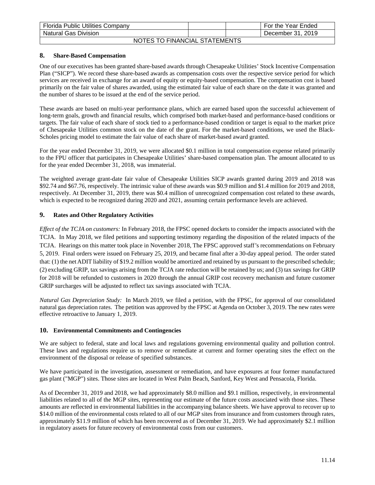| <b>Florida Public Utilities Company</b> |  |  | For the Year Ended |  |
|-----------------------------------------|--|--|--------------------|--|
| Natural Gas Division                    |  |  | December 31, 2019  |  |
| NOTES TO FINANCIAL STATEMENTS           |  |  |                    |  |

#### **8. Share-Based Compensation**

One of our executives has been granted share-based awards through Chesapeake Utilities' Stock Incentive Compensation Plan ("SICP"). We record these share-based awards as compensation costs over the respective service period for which services are received in exchange for an award of equity or equity-based compensation. The compensation cost is based primarily on the fair value of shares awarded, using the estimated fair value of each share on the date it was granted and the number of shares to be issued at the end of the service period.

These awards are based on multi-year performance plans, which are earned based upon the successful achievement of long-term goals, growth and financial results, which comprised both market-based and performance-based conditions or targets. The fair value of each share of stock tied to a performance-based condition or target is equal to the market price of Chesapeake Utilities common stock on the date of the grant. For the market-based conditions, we used the Black-Scholes pricing model to estimate the fair value of each share of market-based award granted.

For the year ended December 31, 2019, we were allocated \$0.1 million in total compensation expense related primarily to the FPU officer that participates in Chesapeake Utilities' share-based compensation plan. The amount allocated to us for the year ended December 31, 2018, was immaterial.

The weighted average grant-date fair value of Chesapeake Utilities SICP awards granted during 2019 and 2018 was \$92.74 and \$67.76, respectively. The intrinsic value of these awards was \$0.9 million and \$1.4 million for 2019 and 2018, respectively. At December 31, 2019, there was \$0.4 million of unrecognized compensation cost related to these awards, which is expected to be recognized during 2020 and 2021, assuming certain performance levels are achieved.

#### **9. Rates and Other Regulatory Activities**

*Effect of the TCJA on customers:* In February 2018, the FPSC opened dockets to consider the impacts associated with the TCJA. In May 2018, we filed petitions and supporting testimony regarding the disposition of the related impacts of the TCJA. Hearings on this matter took place in November 2018, The FPSC approved staff's recommendations on February 5, 2019. Final orders were issued on February 25, 2019, and became final after a 30-day appeal period. The order stated that: (1) the net ADIT liability of \$19.2 million would be amortized and retained by us pursuant to the prescribed schedule; (2) excluding GRIP, tax savings arising from the TCJA rate reduction will be retained by us; and (3) tax savings for GRIP for 2018 will be refunded to customers in 2020 through the annual GRIP cost recovery mechanism and future customer GRIP surcharges will be adjusted to reflect tax savings associated with TCJA.

*Natural Gas Depreciation Study:* In March 2019, we filed a petition, with the FPSC, for approval of our consolidated natural gas depreciation rates. The petition was approved by the FPSC at Agenda on October 3, 2019. The new rates were effective retroactive to January 1, 2019.

#### **10. Environmental Commitments and Contingencies**

We are subject to federal, state and local laws and regulations governing environmental quality and pollution control. These laws and regulations require us to remove or remediate at current and former operating sites the effect on the environment of the disposal or release of specified substances.

We have participated in the investigation, assessment or remediation, and have exposures at four former manufactured gas plant ("MGP") sites. Those sites are located in West Palm Beach, Sanford, Key West and Pensacola, Florida.

As of December 31, 2019 and 2018, we had approximately \$8.0 million and \$9.1 million, respectively, in environmental liabilities related to all of the MGP sites, representing our estimate of the future costs associated with those sites. These amounts are reflected in environmental liabilities in the accompanying balance sheets. We have approval to recover up to \$14.0 million of the environmental costs related to all of our MGP sites from insurance and from customers through rates, approximately \$11.9 million of which has been recovered as of December 31, 2019. We had approximately \$2.1 million in regulatory assets for future recovery of environmental costs from our customers.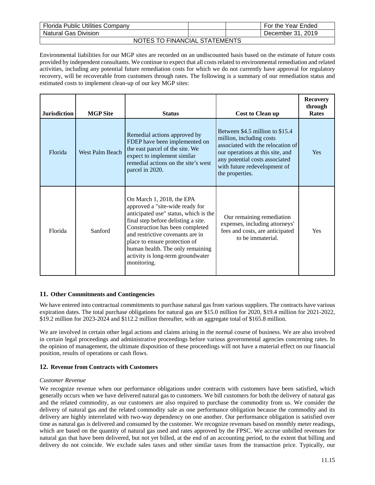| <b>Florida Public Utilities Company</b> |  |  | For the Year Ended |  |  |
|-----------------------------------------|--|--|--------------------|--|--|
| <b>Natural Gas Division</b>             |  |  | December 31, 2019  |  |  |
| NOTES TO FINANCIAL STATEMENTS           |  |  |                    |  |  |

Environmental liabilities for our MGP sites are recorded on an undiscounted basis based on the estimate of future costs provided by independent consultants. We continue to expect that all costs related to environmental remediation and related activities, including any potential future remediation costs for which we do not currently have approval for regulatory recovery, will be recoverable from customers through rates. The following is a summary of our remediation status and estimated costs to implement clean-up of our key MGP sites:

| <b>Jurisdiction</b> | <b>MGP Site</b>        | <b>Status</b>                                                                                                                                                                                                                                                                                                                                | Cost to Clean up                                                                                                                                                                                                          | <b>Recovery</b><br>through<br><b>Rates</b> |
|---------------------|------------------------|----------------------------------------------------------------------------------------------------------------------------------------------------------------------------------------------------------------------------------------------------------------------------------------------------------------------------------------------|---------------------------------------------------------------------------------------------------------------------------------------------------------------------------------------------------------------------------|--------------------------------------------|
| Florida             | <b>West Palm Beach</b> | Remedial actions approved by<br>FDEP have been implemented on<br>the east parcel of the site. We<br>expect to implement similar<br>remedial actions on the site's west<br>parcel in 2020.                                                                                                                                                    | Between \$4.5 million to \$15.4<br>million, including costs<br>associated with the relocation of<br>our operations at this site, and<br>any potential costs associated<br>with future redevelopment of<br>the properties. | Yes                                        |
| Florida             | Sanford                | On March 1, 2018, the EPA<br>approved a "site-wide ready for<br>anticipated use" status, which is the<br>final step before delisting a site.<br>Construction has been completed<br>and restrictive covenants are in<br>place to ensure protection of<br>human health. The only remaining<br>activity is long-term groundwater<br>monitoring. | Our remaining remediation<br>expenses, including attorneys'<br>fees and costs, are anticipated<br>to be immaterial.                                                                                                       | Yes                                        |

#### **11. Other Commitments and Contingencies**

We have entered into contractual commitments to purchase natural gas from various suppliers. The contracts have various expiration dates. The total purchase obligations for natural gas are \$15.0 million for 2020, \$19.4 million for 2021-2022, \$19.2 million for 2023-2024 and \$112.2 million thereafter, with an aggregate total of \$165.8 million.

We are involved in certain other legal actions and claims arising in the normal course of business. We are also involved in certain legal proceedings and administrative proceedings before various governmental agencies concerning rates. In the opinion of management, the ultimate disposition of these proceedings will not have a material effect on our financial position, results of operations or cash flows.

#### **12. Revenue from Contracts with Customers**

#### *Customer Revenue*

We recognize revenue when our performance obligations under contracts with customers have been satisfied, which generally occurs when we have delivered natural gas to customers. We bill customers for both the delivery of natural gas and the related commodity, as our customers are also required to purchase the commodity from us. We consider the delivery of natural gas and the related commodity sale as one performance obligation because the commodity and its delivery are highly interrelated with two-way dependency on one another. Our performance obligation is satisfied over time as natural gas is delivered and consumed by the customer. We recognize revenues based on monthly meter readings, which are based on the quantity of natural gas used and rates approved by the FPSC. We accrue unbilled revenues for natural gas that have been delivered, but not yet billed, at the end of an accounting period, to the extent that billing and delivery do not coincide. We exclude sales taxes and other similar taxes from the transaction price. Typically, our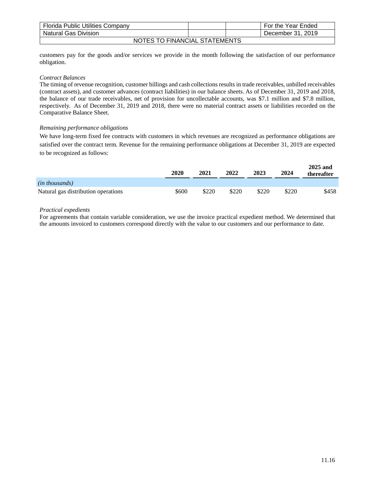| <b>Florida Public Utilities Company</b> |  |  | For the Year Ended |  |
|-----------------------------------------|--|--|--------------------|--|
| Natural Gas Division                    |  |  | December 31, 2019  |  |
| NOTES TO FINANCIAL STATEMENTS           |  |  |                    |  |

customers pay for the goods and/or services we provide in the month following the satisfaction of our performance obligation.

#### *Contract Balances*

The timing of revenue recognition, customer billings and cash collections results in trade receivables, unbilled receivables (contract assets), and customer advances (contract liabilities) in our balance sheets. As of December 31, 2019 and 2018, the balance of our trade receivables, net of provision for uncollectable accounts, was \$7.1 million and \$7.8 million, respectively. As of December 31, 2019 and 2018, there were no material contract assets or liabilities recorded on the Comparative Balance Sheet.

#### *Remaining performance obligations*

We have long-term fixed fee contracts with customers in which revenues are recognized as performance obligations are satisfied over the contract term. Revenue for the remaining performance obligations at December 31, 2019 are expected to be recognized as follows:

|                                     | 2020  | 2021  | 2022  | 2023  | 2024  | 2025 and<br>thereafter |
|-------------------------------------|-------|-------|-------|-------|-------|------------------------|
| ( <i>in thousands</i> )             |       |       |       |       |       |                        |
| Natural gas distribution operations | \$600 | \$220 | \$220 | \$220 | \$220 | \$458                  |

#### *Practical expedients*

For agreements that contain variable consideration, we use the invoice practical expedient method. We determined that the amounts invoiced to customers correspond directly with the value to our customers and our performance to date.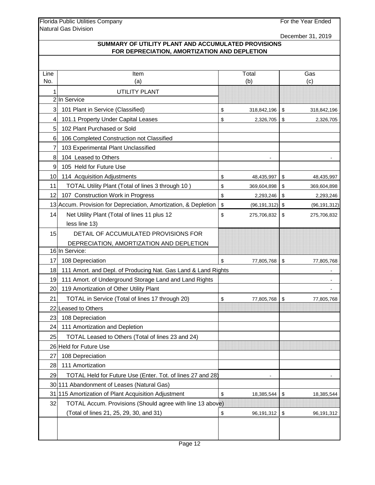Florida Public Utilities Company **For the Year Ended** For the Year Ended Natural Gas Division

December 31, 2019

### **SUMMARY OF UTILITY PLANT AND ACCUMULATED PROVISIONS FOR DEPRECIATION, AMORTIZATION AND DEPLETION**

| Line            | Item                                                            | Total                     | Gas                                       |
|-----------------|-----------------------------------------------------------------|---------------------------|-------------------------------------------|
| No.             | (a)                                                             | (b)                       | (c)                                       |
| 1               | <b>UTILITY PLANT</b>                                            |                           |                                           |
|                 | 2 In Service                                                    |                           |                                           |
| 3               | 101 Plant in Service (Classified)                               | \$<br>318,842,196         | $\boldsymbol{\mathsf{\$}}$<br>318,842,196 |
| $\vert 4 \vert$ | 101.1 Property Under Capital Leases                             | \$<br>2,326,705           | 2,326,705<br>\$                           |
| 5               | 102 Plant Purchased or Sold                                     |                           |                                           |
| 6               | 106 Completed Construction not Classified                       |                           |                                           |
|                 | 103 Experimental Plant Unclassified                             |                           |                                           |
| 8               | 104 Leased to Others                                            |                           |                                           |
| 9               | 105 Held for Future Use                                         |                           |                                           |
| 10 <sup>1</sup> | 114 Acquisition Adjustments                                     | \$<br>48,435,997          | \$<br>48,435,997                          |
| 11              | TOTAL Utility Plant (Total of lines 3 through 10)               | \$<br>369,604,898         | \$<br>369,604,898                         |
| 12              | 107 Construction Work in Progress                               | 2,293,246<br>\$           | 2,293,246<br>\$                           |
|                 | 13 Accum. Provision for Depreciation, Amortization, & Depletion | $(96, 191, 312)$ \$<br>\$ | (96, 191, 312)                            |
| 14              | Net Utility Plant (Total of lines 11 plus 12                    | \$<br>275,706,832         | \$<br>275,706,832                         |
|                 | less line 13)                                                   |                           |                                           |
| 15              | DETAIL OF ACCUMULATED PROVISIONS FOR                            |                           |                                           |
|                 | DEPRECIATION, AMORTIZATION AND DEPLETION                        |                           |                                           |
|                 | 16 In Service:                                                  |                           |                                           |
| 17              | 108 Depreciation                                                | \$<br>77,805,768          | 77,805,768<br>\$                          |
| 18 <sup>l</sup> | 111 Amort. and Depl. of Producing Nat. Gas Land & Land Rights   |                           |                                           |
| 19              | 111 Amort. of Underground Storage Land and Land Rights          |                           |                                           |
| 20              | 119 Amortization of Other Utility Plant                         |                           |                                           |
| 21              | TOTAL in Service (Total of lines 17 through 20)                 | \$<br>77,805,768          | 77,805,768<br>\$                          |
|                 | 22 Leased to Others                                             |                           |                                           |
| 23              | 108 Depreciation                                                |                           |                                           |
| 24              | 111 Amortization and Depletion                                  |                           |                                           |
| 25              | TOTAL Leased to Others (Total of lines 23 and 24)               |                           |                                           |
|                 | 26 Held for Future Use                                          |                           |                                           |
| 27              | 108 Depreciation                                                |                           |                                           |
| 28              | 111 Amortization                                                |                           |                                           |
| 29              | TOTAL Held for Future Use (Enter. Tot. of lines 27 and 28)      |                           |                                           |
|                 | 30 111 Abandonment of Leases (Natural Gas)                      |                           |                                           |
|                 | 31 115 Amortization of Plant Acquisition Adjustment             | \$<br>18,385,544          | \$<br>18,385,544                          |
| 32              | TOTAL Accum. Provisions (Should agree with line 13 above)       |                           |                                           |
|                 | (Total of lines 21, 25, 29, 30, and 31)                         | 96,191,312<br>\$          | 96,191,312<br>\$                          |
|                 |                                                                 |                           |                                           |
|                 |                                                                 |                           |                                           |
|                 |                                                                 |                           |                                           |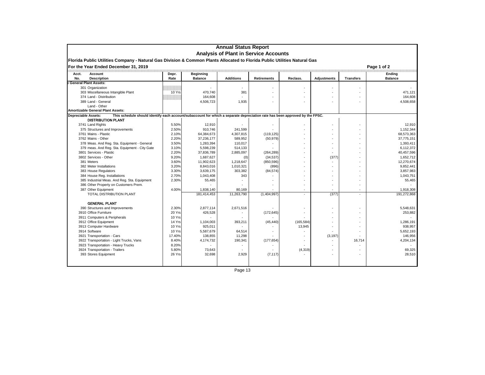|                                                                                                                                                           |        |                  | <b>Annual Status Report</b> |                                              |            |                    |                  |                |
|-----------------------------------------------------------------------------------------------------------------------------------------------------------|--------|------------------|-----------------------------|----------------------------------------------|------------|--------------------|------------------|----------------|
|                                                                                                                                                           |        |                  |                             | <b>Analysis of Plant in Service Accounts</b> |            |                    |                  |                |
|                                                                                                                                                           |        |                  |                             |                                              |            |                    |                  |                |
| Florida Public Utilities Company - Natural Gas Division & Common Plants Allocated to Florida Public Utilities Natural Gas                                 |        |                  |                             |                                              |            |                    |                  |                |
| For the Year Ended December 31, 2019                                                                                                                      |        |                  |                             |                                              |            |                    |                  | Page 1 of 2    |
| Acct.<br><b>Account</b>                                                                                                                                   | Depr.  | <b>Beginning</b> |                             |                                              |            |                    |                  | <b>Ending</b>  |
| <b>Description</b><br>No.                                                                                                                                 | Rate   | <b>Balance</b>   | <b>Additions</b>            | <b>Retirements</b>                           | Reclass.   | <b>Adjustments</b> | <b>Transfers</b> | <b>Balance</b> |
| <b>General Plant Assets:</b>                                                                                                                              |        |                  |                             |                                              |            |                    |                  |                |
| 301 Organization                                                                                                                                          |        | $\sim$           | $\sim$                      | $\sim$                                       |            |                    | $\sim$           | $\sim$         |
| 303 Miscellaneous Intangible Plant                                                                                                                        | 10 Yrs | 470,740          | 381                         | $\sim$                                       |            |                    |                  | 471,121        |
| 374 Land - Distribution                                                                                                                                   |        | 164,608          |                             | $\blacksquare$                               |            |                    | $\sim$           | 164,608        |
| 389 Land - General                                                                                                                                        |        | 4,506,723        | 1,935                       | $\sim$                                       |            |                    |                  | 4,508,658      |
| Land - Other                                                                                                                                              |        |                  |                             |                                              |            |                    |                  |                |
| <b>Amortizable General Plant Assets:</b>                                                                                                                  |        |                  |                             |                                              |            |                    |                  |                |
| This schedule should identify each account/subaccount for which a separate depreciation rate has been approved by the FPSC.<br><b>Depreciable Assets:</b> |        |                  |                             |                                              |            |                    |                  |                |
| <b>DISTRIBUTION PLANT</b>                                                                                                                                 |        |                  |                             |                                              |            |                    |                  |                |
| 3741 Land Rights                                                                                                                                          | 5.50%  | 12,910           |                             | $\sim$                                       |            |                    | $\sim$           | 12,910         |
| 375 Structures and Improvements                                                                                                                           | 2.50%  | 910,746          | 241,599                     | $\sim$                                       |            |                    | $\sim$           | 1,152,344      |
| 3761 Mains - Plastic                                                                                                                                      | 2.10%  | 64,384,673       | 4,307,815                   | (119, 125)                                   |            |                    | $\blacksquare$   | 68,573,363     |
| 3762 Mains - Other                                                                                                                                        | 2.20%  | 37,236,177       | 589,952                     | (50, 979)                                    |            |                    | $\sim$           | 37,775,151     |
| 378 Meas. And Reg. Sta. Equipment - General                                                                                                               | 3.50%  | 1,283,394        | 110,017                     | $\sim$                                       |            |                    | $\sim$           | 1,393,41'      |
| 379 meas. And Reg. Sta. Equipment - City Gate                                                                                                             | 3.10%  | 5,598,239        | 514,133                     |                                              |            |                    | $\sim$           | 6,112,372      |
| 3801 Services - Plastic                                                                                                                                   | 2.20%  | 37,836,789       | 2,885,097                   | (264, 289)                                   |            |                    | $\blacksquare$   | 40,457,596     |
| 3802 Services - Other                                                                                                                                     | 9.20%  | 1,687,627        | (0)                         | (34, 537)                                    |            | (377)              | $\blacksquare$   | 1,652,712      |
| 381 Meters                                                                                                                                                | 3.60%  | 11,902,623       | 1,218,647                   | (850, 596)                                   |            |                    | $\blacksquare$   | 12,270,674     |
| 382 Meter Installations                                                                                                                                   | 3.20%  | 8,843,016        | 1,010,321                   | (896)                                        |            |                    | $\sim$           | 9,852,441      |
| 383 House Regulators                                                                                                                                      | 3.30%  | 3,639,175        | 303,382                     | (84, 574)                                    |            |                    | $\blacksquare$   | 3,857,983      |
| 384 House Reg. Installations                                                                                                                              | 2.70%  | 1,043,408        | 343                         |                                              |            |                    | $\sim$           | 1,043,751      |
| 385 Industrial Meas. And Reg. Sta. Equipment                                                                                                              | 2.30%  | 55,465           | $\blacksquare$              | $\blacksquare$                               |            |                    | $\sim$           | 55,465         |
| 386 Other Property on Customers Prem.                                                                                                                     |        |                  |                             | $\blacksquare$                               |            |                    | $\sim$           |                |
| 387 Other Equipment                                                                                                                                       | 4.00%  | 1,838,140        | 80,169                      |                                              | $\sim$     |                    | $\overline{a}$   | 1,918,308      |
| TOTAL DISTRIBUTION PLANT                                                                                                                                  |        | 181,414,453      | 11,263,790                  | (1,404,997)                                  | $\sim$     | (377)              | $\sim$           | 191,272,868    |
|                                                                                                                                                           |        |                  |                             |                                              |            |                    |                  |                |
| <b>GENERAL PLANT</b>                                                                                                                                      |        |                  |                             |                                              |            |                    |                  |                |
| 390 Structures and Improvements                                                                                                                           | 2.30%  | 2,877,114        | 2,671,516                   |                                              |            |                    | $\blacksquare$   | 5,548,631      |
| 3910 Office Furniture                                                                                                                                     | 20 Yrs | 426,528          | $\blacksquare$              | (172, 645)                                   |            |                    | $\blacksquare$   | 253,882        |
| 3911 Computers & Peripherals                                                                                                                              | 10 Yrs | $\sim$           |                             |                                              |            |                    | $\sim$           | $\sim$         |
| 3912 Office Equipment                                                                                                                                     | 14 Yrs | 1,104,003        | 393,211                     | (45, 440)                                    | (165, 584) |                    | $\sim$           | 1,286,191      |
| 3913 Computer Hardware                                                                                                                                    | 10 Yrs | 925,011          |                             |                                              | 13,945     |                    | $\sim$           | 938,957        |
| 3914 Software                                                                                                                                             | 10 Yrs | 5,587,679        | 64,514                      | $\sim$                                       |            |                    | $\sim$           | 5,652,193      |
| 3921 Transportation - Cars                                                                                                                                | 17.40% | 138,855          | 11,298                      |                                              | $\sim$     | (3, 197)           | $\sim$           | 146,956        |
|                                                                                                                                                           | 8.40%  | 4,174,732        | 190,341                     | (177, 654)                                   |            |                    | 16,714           | 4,204,134      |
| 3922 Transportation - Light Trucks, Vans<br>3923 Transportation - Heavy Trucks                                                                            | 8.20%  | $\sim$           | $\sim$                      |                                              |            | $\sim$             | $\sim$           | $\sim$         |
|                                                                                                                                                           |        |                  |                             | $\sim$                                       |            |                    |                  | 69,325         |
| 3924 Transportation - Trailers                                                                                                                            | 5.80%  | 73,643           | $\sim$<br>2,929             | $\sim$                                       | (4, 319)   |                    | $\sim$           |                |
| 393 Stores Equipment                                                                                                                                      | 26 Yrs | 32,698           |                             | (7, 117)                                     |            |                    | $\blacksquare$   | 28,510         |
|                                                                                                                                                           |        |                  |                             |                                              |            |                    |                  |                |
|                                                                                                                                                           |        |                  |                             |                                              |            |                    |                  |                |

Page 13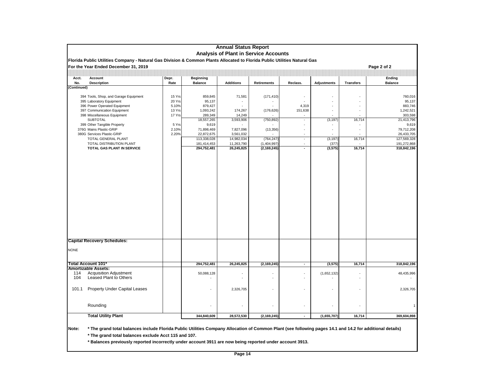|                                                                                                                                                                   |                                     |                                           | <b>Annual Status Report</b>                          |                                              |                            |                                      |                                                              |                                           |
|-------------------------------------------------------------------------------------------------------------------------------------------------------------------|-------------------------------------|-------------------------------------------|------------------------------------------------------|----------------------------------------------|----------------------------|--------------------------------------|--------------------------------------------------------------|-------------------------------------------|
|                                                                                                                                                                   |                                     |                                           |                                                      | <b>Analysis of Plant in Service Accounts</b> |                            |                                      |                                                              |                                           |
| Florida Public Utilities Company - Natural Gas Division & Common Plants Allocated to Florida Public Utilities Natural Gas<br>For the Year Ended December 31, 2019 |                                     |                                           |                                                      |                                              |                            |                                      |                                                              | Page 2 of 2                               |
| Acct.<br><b>Account</b><br><b>Description</b><br>No.                                                                                                              | Depr.<br>Rate                       | <b>Beginning</b><br><b>Balance</b>        | <b>Additions</b>                                     | <b>Retirements</b>                           | Reclass.                   | <b>Adjustments</b>                   | <b>Transfers</b>                                             | Ending<br><b>Balance</b>                  |
| (Continued)                                                                                                                                                       |                                     |                                           |                                                      |                                              |                            |                                      |                                                              |                                           |
| 394 Tools, Shop, and Garage Equipment<br>395 Laboratory Equipment<br>396 Power Operated Equipment<br>397 Communication Equipment                                  | 15 Yrs<br>20 Yrs<br>5.10%<br>13 Yrs | 859,845<br>95,137<br>879,427<br>1,093,242 | 71,581<br>$\sim$<br>$\sim$<br>174,267                | (171, 410)<br>$\sim$<br>$\sim$<br>(176, 626) | $\sim$<br>4,319<br>151,638 | $\sim$<br>$\sim$<br>$\sim$<br>$\sim$ | $\sim$<br>$\blacksquare$<br>$\blacksquare$<br>$\blacksquare$ | 760,016<br>95,137<br>883,746<br>1,242,521 |
| 398 Miscellaneous Equipment<br><b>SUBTOTAL</b><br>399 Other Tangible Property                                                                                     | 17 Yrs<br>5 Yrs                     | 289,349<br>18,557,265<br>9,619            | 14,249<br>3,593,906                                  | (750, 892)                                   | $\sim$                     | $\sim$<br>(3, 197)                   | $\sim$<br>16,714<br>$\sim$                                   | 303,598<br>21,413,796<br>9,619            |
| 376G Mains Plastic-GRIP<br>380G Services Plastic-GRIP                                                                                                             | 2.10%<br>2.20%                      | 71,898,469<br>22,872,675                  | 7,827,096<br>3,561,032                               | (13, 356)<br>$\sim$                          | $\sim$                     | $\overline{\phantom{0}}$<br>$\sim$   | $\blacksquare$<br>$\sim$                                     | 79,712,208<br>26,433,705                  |
| TOTAL GENERAL PLANT<br>TOTAL DISTRIBUTION PLANT<br>TOTAL GAS PLANT IN SERVICE                                                                                     |                                     | 113,338,028<br>181,414,453<br>294,752,481 | 14,982,034<br>11,263,790<br>26,245,825               | (764, 247)<br>(1,404,997)<br>(2, 169, 245)   | $\sim$<br>$\sim$<br>$\sim$ | (3, 197)<br>(377)<br>(3, 575)        | 16,714<br>$\sim$<br>16,714                                   | 127,569,328<br>191,272,868<br>318,842,196 |
|                                                                                                                                                                   |                                     |                                           |                                                      |                                              |                            |                                      |                                                              |                                           |
| <b>Capital Recovery Schedules:</b>                                                                                                                                |                                     |                                           |                                                      |                                              |                            |                                      |                                                              |                                           |
| <b>NONE</b>                                                                                                                                                       |                                     |                                           |                                                      |                                              |                            |                                      |                                                              |                                           |
| <b>Total Account 101*</b><br><b>Amortizable Assets:</b>                                                                                                           |                                     | 294,752,481                               | 26,245,825                                           | (2, 169, 245)                                | $\sim$                     | (3, 575)                             | 16,714                                                       | 318,842,196                               |
| <b>Acquisition Adjustment</b><br>114<br>Leased Plant to Others<br>104                                                                                             |                                     | 50,088,128                                | $\overline{\phantom{0}}$<br>$\overline{\phantom{0}}$ | ٠<br>$\sim$                                  | $\sim$<br>$\sim$           | (1,652,132)                          | $\blacksquare$<br>$\blacksquare$                             | 48,435,996                                |
| <b>Property Under Capital Leases</b><br>101.1                                                                                                                     |                                     |                                           | 2,326,705                                            | $\blacksquare$                               | $\sim$                     | $\sim$                               | $\sim$                                                       | 2,326,705                                 |
| Rounding                                                                                                                                                          |                                     |                                           | $\sim$                                               | $\blacksquare$                               | $\sim$                     | $\sim$                               | $\blacksquare$                                               |                                           |
|                                                                                                                                                                   |                                     | 344,840,609                               | 28,572,530                                           | (2, 169, 245)                                | $\sim$                     | (1,655,707)                          | 16,714                                                       | 369,604,898                               |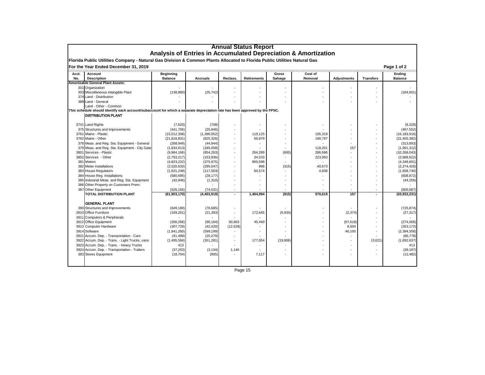| Florida Public Utilities Company - Natural Gas Division & Common Plants Allocated to Florida Public Utilities Natural Gas<br>For the Year Ended December 31, 2019 |                                    |                          |                                  |                    |                         |                    |                    |                  | Page 1 of 2                   |
|-------------------------------------------------------------------------------------------------------------------------------------------------------------------|------------------------------------|--------------------------|----------------------------------|--------------------|-------------------------|--------------------|--------------------|------------------|-------------------------------|
| <b>Account</b><br>Acct.<br><b>Description</b><br>No.                                                                                                              | <b>Beginning</b><br><b>Balance</b> | <b>Accruals</b>          | Reclass.                         | <b>Retirements</b> | <b>Gross</b><br>Salvage | Cost of<br>Removal | <b>Adjustments</b> | <b>Transfers</b> | Ending<br><b>Balance</b>      |
| <b>Amortizable General Plant Assets:</b>                                                                                                                          |                                    |                          |                                  |                    |                         |                    |                    |                  |                               |
| 301 Organization                                                                                                                                                  |                                    |                          |                                  |                    |                         |                    |                    | $\blacksquare$   |                               |
| 303 Miscellaneous Intangible Plant                                                                                                                                | (138, 860)                         | (25, 742)                |                                  |                    |                         |                    |                    |                  | (164, 601)                    |
| 374 Land - Distribution                                                                                                                                           |                                    |                          |                                  |                    |                         |                    |                    |                  |                               |
| 389 Land - General                                                                                                                                                |                                    |                          |                                  |                    |                         |                    |                    |                  |                               |
| Land - Other - Common                                                                                                                                             |                                    |                          |                                  |                    |                         |                    |                    |                  |                               |
| This schedule should identify each account/subaccount for which a separate depreciation rate has been approved by the FPSC.                                       |                                    |                          |                                  |                    |                         |                    |                    |                  |                               |
| <b>IDISTRIBUTION PLANT</b>                                                                                                                                        |                                    |                          |                                  |                    |                         |                    |                    |                  |                               |
| 3741 Land Rights                                                                                                                                                  | (7,620)                            | (708)                    |                                  |                    |                         |                    |                    |                  | (8,328)                       |
| 375 Structures and Improvements                                                                                                                                   | (441,706)                          | (25, 846)                |                                  |                    |                         |                    |                    |                  | (467, 552)                    |
| 3761 Mains - Plastic                                                                                                                                              | (15,012,308)                       | (1,396,052)              |                                  | 119,125            |                         | 105,319            |                    |                  | (16, 183, 916)                |
| 3762 Mains - Other                                                                                                                                                | (21, 816, 831)                     | (825, 326)               |                                  | 50,979             |                         | 190,797            |                    | $\blacksquare$   | (22, 400, 382)                |
| 378 Meas. and Reg. Sta. Equipment - General                                                                                                                       | (268, 949)                         | (44, 944)                |                                  |                    |                         |                    |                    |                  | (313, 893)                    |
| 379 Meas. and Reg. Sta. Equipment - City Gate                                                                                                                     | (1,834,613)                        | (185,058)                |                                  |                    |                         | 118,201            | 157                |                  | (1,901,312)                   |
| 3801<br>Services - Plastic<br>3802 Services - Other                                                                                                               | (9,964,166)                        | (854, 263)<br>(153, 936) | $\blacksquare$                   | 264,289<br>34,533  | (600)                   | 286,696<br>223,993 |                    | $\sim$           | (10, 268, 043)<br>(2,688,622) |
| 381<br><b>Meters</b>                                                                                                                                              | (2,793,217)<br>(4,823,222)         | (375, 975)               | $\blacksquare$                   | 850,596            |                         |                    |                    | $\blacksquare$   | (4,348,601)                   |
| 382 Meter Installations                                                                                                                                           | (2,020,633)                        | (295, 047)               |                                  | 896                | (315)                   | 40,673             |                    |                  | (2, 274, 426)                 |
| 383 House Regulators                                                                                                                                              | (1,631,249)                        | (117,003)                |                                  | 84,574             |                         | 4,938              |                    |                  | (1,658,740)                   |
| 384 House Reg. Installations                                                                                                                                      | (580, 695)                         | (28, 177)                |                                  |                    |                         |                    |                    |                  | (608, 872)                    |
| 385 Industrial Meas. and Reg. Sta. Equipment                                                                                                                      | (42, 946)                          | (1, 310)                 |                                  |                    |                         |                    |                    |                  | (44, 256)                     |
| 386 Other Property on Customers Prem.                                                                                                                             |                                    |                          |                                  |                    |                         |                    |                    |                  |                               |
| 387 Other Equipment                                                                                                                                               | (526, 156)                         | (74, 531)                | $\blacksquare$                   |                    |                         |                    |                    | $\blacksquare$   | (600, 687)                    |
| TOTAL DISTRIBUTION PLANT                                                                                                                                          | (61,903,170)                       | (4,403,919)              | $\blacksquare$                   | 1,404,994          | (915)                   | 970,619            | 157                | $\blacksquare$   | (63,932,231)                  |
| <b>GENERAL PLANT</b>                                                                                                                                              |                                    |                          |                                  |                    |                         |                    |                    |                  |                               |
| 390 Structures and Improvements                                                                                                                                   | (649, 189)                         | (76, 685)                |                                  |                    |                         |                    |                    |                  | (725, 874)                    |
| 3910 Office Furniture                                                                                                                                             | (169, 261)                         | (21, 393)                |                                  | 172,645            | (6,934)                 |                    | (2, 374)           |                  | (27, 317)                     |
| 3911 Computers & Peripherals                                                                                                                                      |                                    |                          |                                  |                    |                         |                    |                    |                  |                               |
| 3912 Office Equipment                                                                                                                                             | (206, 266)                         | (96, 164)                | 50,603                           | 45,440             |                         |                    | (67, 618)          |                  | (274,006)                     |
| 3913 Computer Hardware                                                                                                                                            | (307, 729)                         | (42, 420)                | (12, 528)                        |                    |                         |                    | 9,504              |                  | (353, 172)                    |
| 3914 Software                                                                                                                                                     | (1,841,260)                        | (599, 199)               |                                  |                    |                         |                    | 46,100             |                  | (2, 394, 358)                 |
| 3921 Accum. Dep. - Transportation - Cars<br>3922 Accum. Dep. - Trans. - Light Trucks, vans                                                                        | (41, 499)<br>(1,495,584)           | (25, 279)<br>(351, 281)  | $\blacksquare$<br>$\blacksquare$ | 177,654            | (19, 806)               |                    |                    | (3,621)          | (66, 778)<br>(1,692,637)      |
| 3923 Accum. Dep. - Trans. - Heavy Trucks                                                                                                                          | 413                                |                          |                                  |                    |                         |                    |                    |                  | 413                           |
| 3924 Accum. Dep. - Transportation - Trailers                                                                                                                      | (37, 203)                          | (3, 134)                 | 1,140                            |                    |                         |                    |                    |                  | (39, 197)                     |
| 393 Stores Equipment                                                                                                                                              |                                    | (895)                    |                                  | 7,117              |                         |                    |                    |                  | (12, 482)                     |
|                                                                                                                                                                   | (18, 704)                          |                          |                                  |                    |                         |                    |                    |                  |                               |

Page 15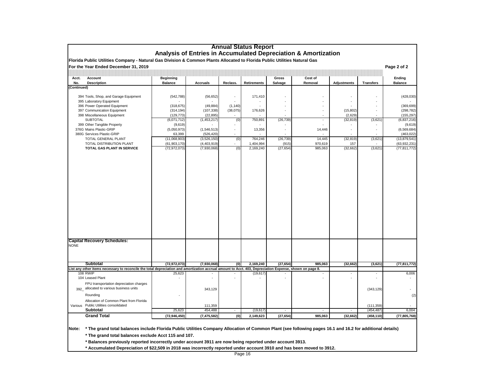|              | For the Year Ended December 31, 2019                                                                                                                                                                              |                                    |                           |                       |                    |                                |                    |                      |                   | Page 2 of 2                     |
|--------------|-------------------------------------------------------------------------------------------------------------------------------------------------------------------------------------------------------------------|------------------------------------|---------------------------|-----------------------|--------------------|--------------------------------|--------------------|----------------------|-------------------|---------------------------------|
| Acct.<br>No. | <b>Account</b><br><b>Description</b>                                                                                                                                                                              | <b>Beginning</b><br><b>Balance</b> | <b>Accruals</b>           | Reclass.              | <b>Retirements</b> | <b>Gross</b><br><b>Salvage</b> | Cost of<br>Removal | <b>Adjustments</b>   | <b>Transfers</b>  | <b>Ending</b><br><b>Balance</b> |
| (Continued)  |                                                                                                                                                                                                                   |                                    |                           |                       |                    |                                |                    |                      |                   |                                 |
|              | 394 Tools, Shop, and Garage Equipment<br>395 Laboratory Equipment                                                                                                                                                 | (542, 788)                         | (56, 652)                 |                       | 171,410            |                                |                    |                      |                   | (428,030)                       |
|              | 396 Power Operated Equipment                                                                                                                                                                                      | (318, 675)                         | (49, 884)                 | (1, 140)              |                    |                                |                    |                      |                   | (369, 699)                      |
|              | 397 Communication Equipment                                                                                                                                                                                       | (314, 194)                         | (107, 338)                | (38,075)              | 176,626            | $\blacksquare$                 |                    | (15,802)             | $\blacksquare$    | (298, 782)                      |
|              | 398 Miscellaneous Equipment<br><b>SUBTOTAL</b>                                                                                                                                                                    | (129, 773)<br>(6,071,712)          | (22, 895)<br>(1,453,217)  | (0)                   | 750,891            | (26, 739)                      | $\sim$             | (2,629)<br>(32, 819) | (3,621)           | (155, 297)<br>(6,837,216)       |
|              | 399 Other Tangible Property                                                                                                                                                                                       | (9,619)                            |                           |                       |                    |                                |                    |                      |                   | (9,619)                         |
|              | 376G Mains Plastic-GRIP                                                                                                                                                                                           | (5,050,973)                        | (1,546,513)               | $\blacksquare$        | 13,356             |                                | 14,446             |                      | $\blacksquare$    | (6, 569, 684)                   |
|              | 380G Services Plastic-GRIP<br>TOTAL GENERAL PLANT                                                                                                                                                                 | 63,399<br>(11,068,903)             | (526, 420)<br>(3,526,150) | $\blacksquare$<br>(0) | 764,246            | (26, 739)                      | 14,445             | (32, 819)            | $\sim$<br>(3,621) | (463, 022)<br>(13,879,541)      |
|              | TOTAL DISTRIBUTION PLANT                                                                                                                                                                                          | (61,903,170)                       | (4,403,919)               |                       | 1,404,994          | (915)                          | 970,619            | 157                  |                   | (63, 932, 231)                  |
|              | TOTAL GAS PLANT IN SERVICE                                                                                                                                                                                        | (72, 972, 073)                     | (7,930,068)               | (0)                   | 2,169,240          | (27, 654)                      | 985,063            | (32, 662)            | (3,621)           | (77, 811, 772)                  |
| <b>NONE</b>  | <b>Capital Recovery Schedules:</b>                                                                                                                                                                                |                                    |                           |                       |                    |                                |                    |                      |                   |                                 |
|              | <b>Subtotal</b>                                                                                                                                                                                                   |                                    |                           |                       |                    |                                |                    |                      |                   |                                 |
|              | List any other items necessary to reconcile the total depreciation and amortization accrual amount to Acct. 403, Depreciation Expense, shown on page 8.                                                           | (72, 972, 073)                     | (7,930,068)               | (0)                   | 2,169,240          | (27, 654)                      | 985,063            | (32, 662)            | (3,621)           | (77, 811, 772)                  |
|              | <b>108 RWIP</b>                                                                                                                                                                                                   | 25,623                             |                           |                       | (19,617)           |                                |                    |                      |                   | 6,006                           |
|              | 104 Leased Plant                                                                                                                                                                                                  |                                    |                           |                       |                    |                                |                    |                      |                   |                                 |
|              | FPU transportation depreciation charges<br>392_ allocated to various business units                                                                                                                               |                                    | 343,129                   |                       |                    |                                |                    |                      | (343, 129)        |                                 |
|              | Rounding                                                                                                                                                                                                          |                                    |                           |                       |                    |                                |                    |                      |                   | (2)                             |
|              | Allocation of Common Plant from Florida<br>Various Public Utilities consolidated                                                                                                                                  |                                    | 111,359                   |                       |                    |                                |                    |                      | (111, 359)        |                                 |
|              | <b>Subtotal</b>                                                                                                                                                                                                   | 25,623                             | 454,488                   |                       | (19,617)           |                                |                    |                      | (454, 487)        | $\sim$<br>6,004                 |
|              | <b>Grand Total</b>                                                                                                                                                                                                | (72, 946, 450)                     | (7, 475, 582)             | (0)                   | 2,149,623          | (27, 654)                      | 985,063            | (32, 662)            | (458, 110)        | (77, 805, 768)                  |
| <b>Note:</b> | * The grand total balances include Florida Public Utilities Company Allocation of Common Plant (see following pages 16.1 and 16.2 for additional details)<br>* The grand total balances exclude Acct 115 and 107. |                                    |                           |                       |                    |                                |                    |                      |                   |                                 |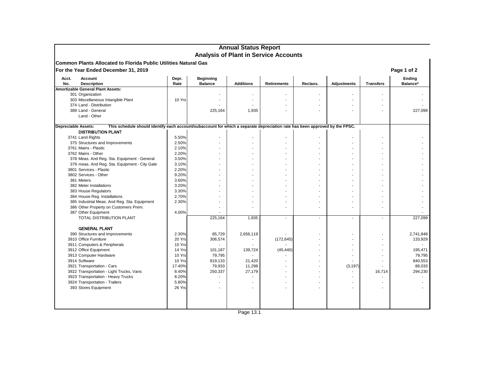|                                                                                                                                                           |                |                                              | <b>Annual Status Report</b> |                     |                  |                    |                  |             |
|-----------------------------------------------------------------------------------------------------------------------------------------------------------|----------------|----------------------------------------------|-----------------------------|---------------------|------------------|--------------------|------------------|-------------|
|                                                                                                                                                           |                | <b>Analysis of Plant in Service Accounts</b> |                             |                     |                  |                    |                  |             |
| Common Plants Allocated to Florida Public Utilities Natural Gas                                                                                           |                |                                              |                             |                     |                  |                    |                  |             |
| For the Year Ended December 31, 2019                                                                                                                      |                |                                              |                             |                     |                  |                    |                  | Page 1 of 2 |
| <b>Account</b><br>Acct.                                                                                                                                   | Depr.          | <b>Beginning</b>                             |                             |                     |                  |                    |                  | Ending      |
| <b>Description</b><br>No.                                                                                                                                 | Rate           | <b>Balance</b>                               | <b>Additions</b>            | <b>Retirements</b>  | Reclass.         | <b>Adjustments</b> | <b>Transfers</b> | Balance*    |
| <b>Amortizable General Plant Assets:</b>                                                                                                                  |                |                                              |                             |                     |                  |                    |                  |             |
| 301 Organization                                                                                                                                          |                | $\sim$                                       |                             | $\sim$              | $\sim$           | $\sim$             | $\sim$           |             |
| 303 Miscellaneous Intangible Plant                                                                                                                        | 10 Yrs         | $\sim$                                       | $\sim$                      | $\sim$              | $\sim$           | $\sim$             | $\sim$           |             |
| 374 Land - Distribution                                                                                                                                   |                |                                              |                             | $\sim$              | $\sim$           | $\sim$             | $\sim$           |             |
| 389 Land - General                                                                                                                                        |                | 225,164                                      | 1,935                       | $\sim$              | $\sim$           | $\sim$             | $\sim$           | 227,099     |
| Land - Other                                                                                                                                              |                |                                              |                             |                     |                  |                    |                  |             |
| This schedule should identify each account/subaccount for which a separate depreciation rate has been approved by the FPSC.<br><b>Depreciable Assets:</b> |                |                                              |                             |                     |                  |                    |                  |             |
| <b>DISTRIBUTION PLANT</b>                                                                                                                                 |                |                                              |                             |                     |                  |                    |                  |             |
| 3741 Land Rights                                                                                                                                          | 5.50%          | $\sim$                                       | $\sim$                      | $\sim$              | $\sim$           | $\sim$             | $\sim$           |             |
| 375 Structures and Improvements                                                                                                                           | 2.50%          | $\sim$                                       | $\sim$                      | $\sim$              | $\sim$           | $\sim$             | $\sim$           | $\sim$      |
| 3761 Mains - Plastic                                                                                                                                      | 2.10%          | $\sim$                                       | $\sim$                      | $\sim$              | $\sim$           | $\sim$             | $\sim$           | $\sim$      |
| 3762 Mains - Other                                                                                                                                        | 2.20%          |                                              |                             | $\sim$              | $\sim$           | $\sim$             | $\sim$           |             |
| 378 Meas. And Reg. Sta. Equipment - General                                                                                                               | 3.50%          |                                              |                             |                     |                  |                    |                  |             |
| 379 meas. And Reg. Sta. Equipment - City Gate                                                                                                             | 3.10%          |                                              |                             | $\sim$<br>$\sim$    | $\sim$<br>$\sim$ | $\sim$<br>$\sim$   | $\sim$<br>$\sim$ | $\sim$      |
| 3801 Services - Plastic                                                                                                                                   | 2.20%          |                                              |                             |                     | $\sim$           | $\sim$             | $\sim$           |             |
| 3802 Services - Other                                                                                                                                     | 9.20%          |                                              |                             |                     |                  | $\sim$             |                  |             |
|                                                                                                                                                           |                |                                              |                             |                     |                  |                    |                  |             |
| 381 Meters                                                                                                                                                | 3.60%<br>3.20% |                                              |                             |                     | $\sim$           | $\sim$             | $\sim$           |             |
| 382 Meter Installations                                                                                                                                   |                |                                              |                             |                     | $\sim$           | $\sim$             | $\sim$           |             |
| 383 House Regulators                                                                                                                                      | 3.30%          |                                              |                             | $\sim$              | $\sim$           | $\sim$             | $\sim$           |             |
| 384 House Reg. Installations                                                                                                                              | 2.70%          |                                              |                             | $\sim$              | $\sim$           | $\sim$             | $\sim$           |             |
| 385 Industrial Meas. And Reg. Sta. Equipment                                                                                                              | 2.30%          |                                              |                             |                     | $\sim$           | $\sim$             | $\sim$           |             |
| 386 Other Property on Customers Prem.                                                                                                                     |                |                                              |                             |                     | $\sim$           | $\sim$             | $\sim$           |             |
| 387 Other Equipment                                                                                                                                       | 4.00%          |                                              |                             |                     |                  |                    |                  |             |
| TOTAL DISTRIBUTION PLANT                                                                                                                                  |                | 225,164                                      | 1,935                       | $\sim$              | $\sim$           | $\sim$             | $\sim$           | 227,099     |
| <b>GENERAL PLANT</b>                                                                                                                                      |                |                                              |                             |                     |                  |                    |                  |             |
| 390 Structures and Improvements                                                                                                                           | 2.30%          | 85,729                                       | 2,656,119                   | $\sim$              | $\sim$           | $\sim$             | $\sim$           | 2,741,848   |
| 3910 Office Furniture                                                                                                                                     | 20 Yrs         | 306,574                                      | $\sim$                      | (172, 645)          | $\sim$ $-$       | $\sim$             | $\sim$           | 133,929     |
| 3911 Computers & Peripherals                                                                                                                              | 10 Yrs         | $\sim$                                       | $\sim$                      |                     | $\sim$           | $\sim$             | $\sim$           | $\sim$      |
| 3912 Office Equipment                                                                                                                                     | 14 Yrs         | 101,187                                      | 139,724                     | $\sim$<br>(45, 440) | $\sim$           | $\sim$             | $\sim$           | 195,471     |
|                                                                                                                                                           | 10 Yrs         |                                              |                             |                     |                  |                    |                  |             |
| 3913 Computer Hardware                                                                                                                                    |                | 79,795                                       | $\sim$                      | $\sim$              | $\sim$           | $\sim$             | $\sim$           | 79,795      |
| 3914 Software                                                                                                                                             | 10 Yrs         | 819,133                                      | 21,420                      | $\sim$              | $\sim$           |                    |                  | 840,553     |
| 3921 Transportation - Cars                                                                                                                                | 17.40%         | 79,933                                       | 11,298                      | $\sim$              | $\sim$           | (3, 197)           | $\sim 10$        | 88,033      |
| 3922 Transportation - Light Trucks, Vans                                                                                                                  | 8.40%          | 250,337                                      | 27,179                      |                     |                  |                    | 16,714           | 294,230     |
| 3923 Transportation - Heavy Trucks                                                                                                                        | 8.20%          |                                              |                             | $\sim$              | $\sim$           |                    |                  |             |
| 3924 Transportation - Trailers                                                                                                                            | 5.80%          |                                              | $\sim$                      | $\sim$              | $\sim$           | $\sim$             | $\sim$           |             |
| 393 Stores Equipment                                                                                                                                      | 26 Yrs         |                                              |                             | $\sim$              | $\sim$           | $\sim$             | $\sim$           | $\sim$      |
|                                                                                                                                                           |                |                                              |                             |                     |                  |                    |                  |             |
|                                                                                                                                                           |                |                                              |                             |                     |                  |                    |                  |             |
|                                                                                                                                                           |                |                                              |                             |                     |                  |                    |                  |             |

Page 13.1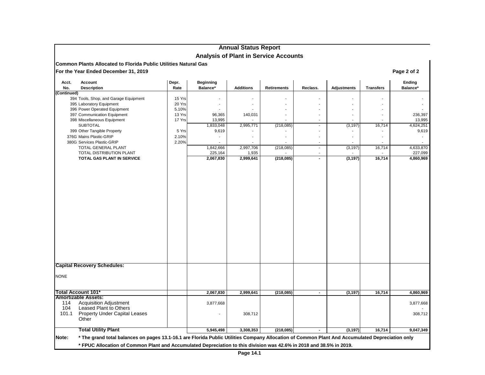| <b>Annual Status Report</b>                                                                                                                                                                           |                           |
|-------------------------------------------------------------------------------------------------------------------------------------------------------------------------------------------------------|---------------------------|
| <b>Analysis of Plant in Service Accounts</b>                                                                                                                                                          |                           |
| Common Plants Allocated to Florida Public Utilities Natural Gas                                                                                                                                       |                           |
| For the Year Ended December 31, 2019                                                                                                                                                                  | Page 2 of 2               |
| Depr.<br><b>Beginning</b><br><b>Account</b><br>Acct.<br><b>Description</b><br>Rate<br>Balance*<br><b>Additions</b><br>Reclass.<br><b>Adjustments</b><br><b>Transfers</b><br>No.<br><b>Retirements</b> | <b>Ending</b><br>Balance* |
| (Continued)                                                                                                                                                                                           |                           |
| 394 Tools, Shop, and Garage Equipment<br>15 Yrs<br>$\sim$<br>$\sim$<br>$\sim$<br>$\sim$                                                                                                               |                           |
| 395 Laboratory Equipment<br>20 Yrs<br>$\sim$<br>$\sim$<br>$\sim$                                                                                                                                      |                           |
| 396 Power Operated Equipment<br>5.10%<br>$\sim$<br>$\sim$<br>$\sim$                                                                                                                                   |                           |
| 397 Communication Equipment<br>96,365<br>140,031<br>13 Yrs<br>$\sim$<br>$\sim$<br>$\sim$                                                                                                              | 236,397                   |
| 17 Yrs<br>13,995<br>398 Miscellaneous Equipment<br>$\sim$<br>$\sim$<br>$\sim$                                                                                                                         | 13,995                    |
| SUBTOTAL<br>1,833,048<br>2,995,771<br>(218, 085)<br>(3, 197)<br>16,714<br>$\sim$ $-$                                                                                                                  | 4,624,251                 |
| 399 Other Tangible Property<br>9,619<br>5 Yrs<br>$\sim$                                                                                                                                               | 9,619                     |
| 376G Mains Plastic-GRIP<br>2.10%<br>$\sim$<br>$\sim$<br>$\sim$<br>$\sim$                                                                                                                              |                           |
| 2.20%<br>380G Services Plastic-GRIP<br>$\sim$                                                                                                                                                         |                           |
| TOTAL GENERAL PLANT<br>2,997,706<br>(218,085)<br>(3, 197)<br>16,714<br>1,842,666<br>$\sim 100$<br>1,935<br>225,164<br>TOTAL DISTRIBUTION PLANT<br>$\sim$                                              | 4,633,870<br>227,099      |
| $\sim$ $-$<br>(3, 197)<br>2,067,830<br>2,999,641<br>(218,085)<br>16,714<br>TOTAL GAS PLANT IN SERVICE<br>$\sim$                                                                                       | 4,860,969                 |
| <b>Capital Recovery Schedules:</b>                                                                                                                                                                    |                           |
|                                                                                                                                                                                                       |                           |
| <b>NONE</b>                                                                                                                                                                                           |                           |
| Total Account 101*<br>2,067,830<br>2,999,641<br>(218,085)<br>(3, 197)<br>16,714<br>$\sim$                                                                                                             | 4,860,969                 |
| <b>Amortizable Assets:</b>                                                                                                                                                                            |                           |
| <b>Acquisition Adjustment</b><br>3,877,668<br>114                                                                                                                                                     | 3,877,668                 |
| Leased Plant to Others<br>104                                                                                                                                                                         |                           |
| 101.1 Property Under Capital Leases<br>308,712<br>Other                                                                                                                                               | 308,712                   |
| <b>Total Utility Plant</b><br>3,308,353<br>16,714<br>5,945,498<br>(218,085)<br>(3, 197)<br>$\sim$ 100 $\mu$                                                                                           | 9,047,349                 |
| * The grand total balances on pages 13.1-16.1 are Florida Public Utilities Company Allocation of Common Plant And Accumulated Depreciation only<br>Note:                                              |                           |
| * FPUC Allocation of Common Plant and Accumulated Depreciation to this division was 42.6% in 2018 and 38.5% in 2019.                                                                                  |                           |

**Page 14.1**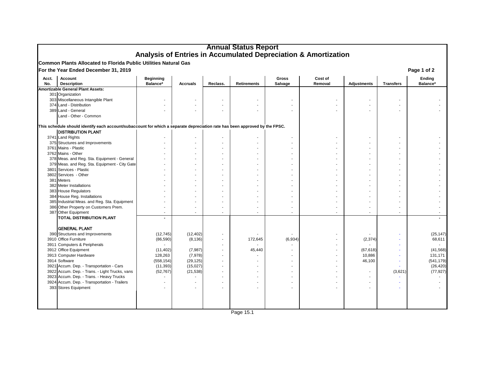|       |                                                                                                                             |                  |                 |                | <b>Annual Status Report</b> |              |                                                                |             |                  |             |
|-------|-----------------------------------------------------------------------------------------------------------------------------|------------------|-----------------|----------------|-----------------------------|--------------|----------------------------------------------------------------|-------------|------------------|-------------|
|       |                                                                                                                             |                  |                 |                |                             |              | Analysis of Entries in Accumulated Depreciation & Amortization |             |                  |             |
|       | Common Plants Allocated to Florida Public Utilities Natural Gas                                                             |                  |                 |                |                             |              |                                                                |             |                  |             |
|       |                                                                                                                             |                  |                 |                |                             |              |                                                                |             |                  |             |
|       | For the Year Ended December 31, 2019                                                                                        |                  |                 |                |                             |              |                                                                |             |                  | Page 1 of 2 |
| Acct. | <b>Account</b>                                                                                                              | <b>Beginning</b> |                 |                |                             | <b>Gross</b> | Cost of                                                        |             |                  | Ending      |
| No.   | <b>Description</b>                                                                                                          | Balance*         | <b>Accruals</b> | Reclass.       | <b>Retirements</b>          | Salvage      | Removal                                                        | Adjustments | <b>Transfers</b> | Balance*    |
|       | <b>Amortizable General Plant Assets:</b>                                                                                    |                  |                 |                |                             |              |                                                                |             |                  |             |
|       | 301 Organization                                                                                                            |                  |                 |                |                             |              |                                                                |             |                  |             |
|       | 303 Miscellaneous Intangible Plant                                                                                          |                  |                 |                |                             | $\sim$       |                                                                |             |                  |             |
|       | 374 Land - Distribution                                                                                                     |                  |                 |                |                             |              |                                                                |             |                  |             |
|       | 389 Land - General                                                                                                          |                  |                 |                |                             |              |                                                                |             |                  |             |
|       | Land - Other - Common                                                                                                       |                  |                 |                |                             |              |                                                                |             |                  |             |
|       | This schedule should identify each account/subaccount for which a separate depreciation rate has been approved by the FPSC. |                  |                 |                |                             |              |                                                                |             |                  |             |
|       | <b>DISTRIBUTION PLANT</b>                                                                                                   |                  |                 |                |                             |              |                                                                |             |                  |             |
|       | 3741 Land Rights                                                                                                            |                  |                 | $\blacksquare$ |                             | $\sim$       |                                                                |             |                  |             |
|       | 375 Structures and Improvements                                                                                             |                  |                 |                |                             |              |                                                                |             |                  |             |
|       | 3761 Mains - Plastic                                                                                                        |                  |                 |                |                             |              |                                                                |             |                  |             |
|       | 3762 Mains - Other                                                                                                          |                  |                 |                |                             |              |                                                                |             |                  |             |
|       | 378 Meas. and Reg. Sta. Equipment - General                                                                                 |                  |                 | $\blacksquare$ |                             |              |                                                                |             |                  |             |
|       | 379 Meas. and Reg. Sta. Equipment - City Gate                                                                               |                  |                 |                |                             |              |                                                                |             |                  |             |
|       | 3801 Services - Plastic                                                                                                     |                  |                 |                |                             |              |                                                                |             |                  |             |
|       | 3802 Services - Other                                                                                                       |                  |                 | $\blacksquare$ |                             |              |                                                                |             |                  |             |
|       | 381 Meters                                                                                                                  |                  |                 | $\overline{a}$ | $\sim$                      | $\sim$       |                                                                |             |                  |             |
|       | 382 Meter Installations                                                                                                     |                  | $\sim$          | $\blacksquare$ | $\sim$                      |              |                                                                |             |                  |             |
|       | 383 House Regulators                                                                                                        |                  |                 |                |                             |              |                                                                |             |                  |             |
|       | 384 House Reg. Installations                                                                                                |                  |                 |                |                             |              |                                                                |             |                  |             |
|       | 385 Industrial Meas. and Reg. Sta. Equipment                                                                                |                  |                 |                |                             |              |                                                                |             |                  |             |
|       | 386 Other Property on Customers Prem.                                                                                       |                  |                 | $\blacksquare$ | $\overline{\phantom{a}}$    |              |                                                                |             |                  |             |
|       | 387 Other Equipment                                                                                                         |                  |                 |                |                             |              |                                                                |             |                  |             |
|       | <b>TOTAL DISTRIBUTION PLANT</b>                                                                                             |                  |                 |                |                             |              |                                                                |             |                  |             |
|       |                                                                                                                             |                  |                 |                |                             |              |                                                                |             |                  |             |
|       | <b>GENERAL PLANT</b>                                                                                                        |                  |                 |                |                             |              |                                                                |             |                  |             |
|       | 390 Structures and Improvements                                                                                             | (12, 745)        | (12, 402)       | $\blacksquare$ |                             |              |                                                                |             |                  | (25, 147)   |
|       | 3910 Office Furniture                                                                                                       | (86, 590)        | (8, 136)        |                | 172,645                     | (6,934)      |                                                                | (2, 374)    |                  | 68,611      |
|       | 3911 Computers & Peripherals                                                                                                |                  |                 |                |                             |              |                                                                |             |                  |             |
|       | 3912 Office Equipment                                                                                                       | (11, 402)        | (7,987)         |                | 45,440                      |              |                                                                | (67, 618)   |                  | (41, 568)   |
|       | 3913 Computer Hardware<br>3914 Software                                                                                     | 128,263          | (7,978)         |                | $\overline{\phantom{a}}$    |              |                                                                | 10,886      |                  | 131,171     |
|       |                                                                                                                             | (558, 154)       | (29, 125)       |                |                             |              |                                                                | 46,100      |                  | (541, 179)  |
|       | 3921 Accum. Dep. - Transportation - Cars                                                                                    | (11, 393)        | (15,027)        | $\sim$         | $\blacksquare$              |              |                                                                |             |                  | (26, 420)   |
|       | 3922 Accum. Dep. - Trans. - Light Trucks, vans<br>3923 Accum. Dep. - Trans. - Heavy Trucks                                  | (52, 767)        | (21, 538)       |                |                             |              |                                                                |             | (3,621)          | (77, 927)   |
|       | 3924 Accum. Dep. - Transportation - Trailers                                                                                |                  |                 | $\blacksquare$ | $\blacksquare$              |              |                                                                |             | $\sim$           |             |
|       | 393 Stores Equipment                                                                                                        |                  |                 |                |                             |              |                                                                |             |                  |             |
|       |                                                                                                                             |                  |                 |                |                             |              |                                                                |             |                  |             |
|       |                                                                                                                             |                  |                 |                |                             |              |                                                                |             |                  |             |
|       |                                                                                                                             |                  |                 |                |                             |              |                                                                |             |                  |             |
|       |                                                                                                                             |                  |                 |                |                             |              |                                                                |             |                  |             |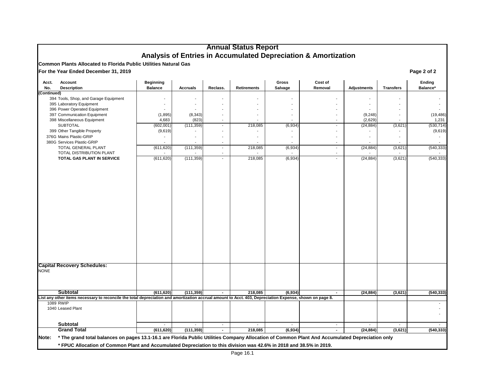| For the Year Ended December 31, 2019                                                                                                                    |                                    |                 |                |                    |                                |                    |                    |                  | Page 2 of 2               |
|---------------------------------------------------------------------------------------------------------------------------------------------------------|------------------------------------|-----------------|----------------|--------------------|--------------------------------|--------------------|--------------------|------------------|---------------------------|
| <b>Account</b><br>Acct.<br>No.<br><b>Description</b>                                                                                                    | <b>Beginning</b><br><b>Balance</b> | <b>Accruals</b> | Reclass.       | <b>Retirements</b> | <b>Gross</b><br><b>Salvage</b> | Cost of<br>Removal | <b>Adjustments</b> | <b>Transfers</b> | <b>Ending</b><br>Balance* |
| (Continued)<br>394 Tools, Shop, and Garage Equipment                                                                                                    |                                    |                 |                |                    |                                |                    |                    |                  |                           |
| 395 Laboratory Equipment                                                                                                                                |                                    | $\blacksquare$  |                |                    |                                |                    |                    |                  |                           |
| 396 Power Operated Equipment                                                                                                                            |                                    |                 |                |                    |                                |                    |                    | $\sim$           |                           |
| 397 Communication Equipment                                                                                                                             | (1, 895)                           | (8, 343)        |                |                    |                                |                    | (9, 248)           |                  | (19, 486)                 |
| 398 Miscellaneous Equipment                                                                                                                             | 4,683                              | (823)           | $\sim$         | $\sim$             | $\blacksquare$                 |                    | (2,629)            | $\sim$           | 1,231                     |
| <b>SUBTOTAL</b>                                                                                                                                         | (602,001)                          | (111, 359)      | $\blacksquare$ | 218,085            | (6,934)                        |                    | (24, 884)          | (3,621)          | (530, 714)                |
| 399 Other Tangible Property                                                                                                                             | (9,619)                            |                 |                |                    |                                |                    |                    |                  | (9,619)                   |
| 376G Mains Plastic-GRIP                                                                                                                                 |                                    | $\blacksquare$  |                | $\blacksquare$     | $\blacksquare$                 |                    |                    | $\sim$           |                           |
| 380G Services Plastic-GRIP                                                                                                                              |                                    |                 | $\sim$         |                    |                                |                    |                    |                  |                           |
| TOTAL GENERAL PLANT                                                                                                                                     | (611, 620)                         | (111, 359)      | $\sim$         | 218,085            | (6,934)                        | $\sim$             | (24, 884)          | (3,621)          | (540, 333)                |
| TOTAL DISTRIBUTION PLANT<br>TOTAL GAS PLANT IN SERVICE                                                                                                  | (611, 620)                         | (111, 359)      | $\sim$<br>٠    | 218,085            | (6, 934)                       |                    | (24, 884)          | (3,621)          | (540, 333)                |
|                                                                                                                                                         |                                    |                 |                |                    |                                |                    |                    |                  |                           |
| <b>Capital Recovery Schedules:</b><br><b>NONE</b>                                                                                                       |                                    |                 |                |                    |                                |                    |                    |                  |                           |
| <b>Subtotal</b>                                                                                                                                         | (611, 620)                         | (111, 359)      |                | 218,085            | (6, 934)                       |                    | (24, 884)          | (3,621)          | (540, 333)                |
| List any other items necessary to reconcile the total depreciation and amortization accrual amount to Acct. 403, Depreciation Expense, shown on page 8. |                                    |                 |                |                    |                                |                    |                    |                  |                           |
| <b>1089 RWIP</b><br>1040 Leased Plant                                                                                                                   |                                    |                 |                |                    |                                |                    |                    |                  |                           |
| <b>Subtotal</b>                                                                                                                                         |                                    |                 |                |                    |                                |                    |                    |                  |                           |
| <b>Grand Total</b>                                                                                                                                      | (611, 620)                         | (111, 359)      |                | 218,085            | (6, 934)                       |                    | (24, 884)          | (3,621)          | (540, 333)                |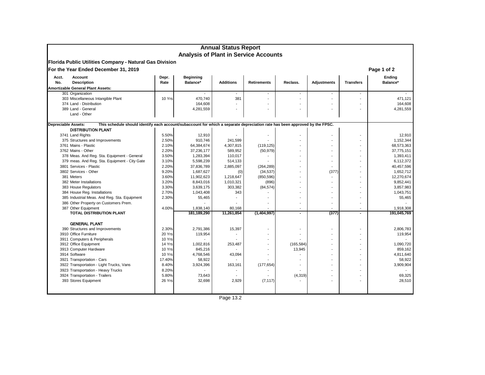| <b>Analysis of Plant in Service Accounts</b><br>Florida Public Utilities Company - Natural Gas Division<br>For the Year Ended December 31, 2019<br>Page 1 of 2<br>Depr.<br><b>Beginning</b><br><b>Ending</b><br>Acct.<br><b>Account</b><br>Rate<br>Balance*<br><b>Additions</b><br>No.<br><b>Description</b><br><b>Retirements</b><br>Reclass.<br><b>Adjustments</b><br><b>Transfers</b><br>Balance*<br><b>Amortizable General Plant Assets:</b><br>301 Organization<br>$\sim$<br>$\sim$<br>381<br>303 Miscellaneous Intangible Plant<br>10 Yrs<br>470,740<br>471,121<br>$\sim$<br>$\blacksquare$<br>164,608<br>374 Land - Distribution<br>164,608<br>4,281,559<br>389 Land - General<br>4,281,559<br>$\sim$<br>$\overline{\phantom{a}}$<br>Land - Other<br>This schedule should identify each account/subaccount for which a separate depreciation rate has been approved by the FPSC.<br><b>Depreciable Assets:</b><br><b>DISTRIBUTION PLANT</b><br>5.50%<br>3741 Land Rights<br>12,910<br>12,910<br>2.50%<br>910,746<br>1,152,344<br>375 Structures and Improvements<br>241,599<br>$\sim$<br>$\blacksquare$<br>$\sim$<br>3761 Mains - Plastic<br>2.10%<br>64,384,674<br>4,307,815<br>(119, 125)<br>68,573,363<br>$\sim$<br>$\blacksquare$<br>$\sim$<br>(50, 979)<br>3762 Mains - Other<br>2.20%<br>37,236,177<br>589,952<br>37,775,151<br>$\sim$<br>$\sim$<br>$\sim$<br>378 Meas. And Reg. Sta. Equipment - General<br>3.50%<br>1,283,394<br>110,017<br>1,393,411<br>$\blacksquare$<br>3.10%<br>5,598,239<br>6,112,372<br>379 meas. And Reg. Sta. Equipment - City Gate<br>514,133<br>$\blacksquare$<br>$\sim$<br>3801 Services - Plastic<br>2.20%<br>37,836,789<br>2,885,097<br>40,457,596<br>(264, 289)<br>$\sim$<br>$\blacksquare$<br>$\blacksquare$<br>(377)<br>9.20%<br>1,687,627<br>(0)<br>(34, 537)<br>1,652,712<br>3802 Services - Other<br>$\sim$<br>381 Meters<br>3.60%<br>11,902,623<br>1,218,647<br>(850, 596)<br>12,270,674<br>$\sim$<br>$\sim$<br>$\sim$<br>382 Meter Installations<br>3.20%<br>8,843,016<br>(896)<br>9,852,441<br>1,010,321<br>(84, 574)<br>383 House Regulators<br>3.30%<br>3,639,175<br>303,382<br>3,857,983<br>$\sim$<br>$\blacksquare$<br>343<br>384 House Reg. Installations<br>2.70%<br>1,043,408<br>1,043,751<br>$\sim$<br>$\blacksquare$<br>385 Industrial Meas. And Reg. Sta. Equipment<br>2.30%<br>55,465<br>55,465<br>$\sim$<br>$\blacksquare$<br>386 Other Property on Customers Prem.<br>$\sim$<br>$\sim$<br>$\blacksquare$<br>387 Other Equipment<br>4.00%<br>1,838,140<br>80,168<br>1,918,308<br>$\sim$<br>(377)<br><b>TOTAL DISTRIBUTION PLANT</b><br>181,189,290<br>11,261,854<br>(1,404,997)<br>$\sim$<br>$\sim$<br><b>GENERAL PLANT</b><br>2.30%<br>15,397<br>2,806,783<br>390 Structures and Improvements<br>2,791,386<br>3910 Office Furniture<br>20 Yrs<br>119,954<br>119,954<br>3911 Computers & Peripherals<br>10 Yrs<br>$\sim$<br>(165, 584)<br>3912 Office Equipment<br>14 Yrs<br>1,002,816<br>253,487<br>1,090,720<br>$\sim$<br>$\sim$<br>13,945<br>3913 Computer Hardware<br>10 Yrs<br>845,216<br>859,162<br>3914 Software<br>10 Yrs<br>4,768,546<br>43,094<br>4,811,640<br>3921 Transportation - Cars<br>17.40%<br>58,922<br>58,922<br>$\sim$<br>$\sim$<br>3922 Transportation - Light Trucks, Vans<br>8.40%<br>(177, 654)<br>3,909,904<br>3,924,396<br>163,161<br>$\sim$<br>$\sim$<br>$\sim$<br>3923 Transportation - Heavy Trucks<br>8.20%<br>$\sim$<br>$\sim$<br>$\sim$<br>$\blacksquare$<br>3924 Transportation - Trailers<br>69,325<br>5.80%<br>73,643<br>(4, 319)<br>$\sim$<br>393 Stores Equipment<br>26 Yrs<br>2,929<br>32,698<br>(7, 117)<br>28,510 |  | <b>Annual Status Report</b> |  |  |  |
|-----------------------------------------------------------------------------------------------------------------------------------------------------------------------------------------------------------------------------------------------------------------------------------------------------------------------------------------------------------------------------------------------------------------------------------------------------------------------------------------------------------------------------------------------------------------------------------------------------------------------------------------------------------------------------------------------------------------------------------------------------------------------------------------------------------------------------------------------------------------------------------------------------------------------------------------------------------------------------------------------------------------------------------------------------------------------------------------------------------------------------------------------------------------------------------------------------------------------------------------------------------------------------------------------------------------------------------------------------------------------------------------------------------------------------------------------------------------------------------------------------------------------------------------------------------------------------------------------------------------------------------------------------------------------------------------------------------------------------------------------------------------------------------------------------------------------------------------------------------------------------------------------------------------------------------------------------------------------------------------------------------------------------------------------------------------------------------------------------------------------------------------------------------------------------------------------------------------------------------------------------------------------------------------------------------------------------------------------------------------------------------------------------------------------------------------------------------------------------------------------------------------------------------------------------------------------------------------------------------------------------------------------------------------------------------------------------------------------------------------------------------------------------------------------------------------------------------------------------------------------------------------------------------------------------------------------------------------------------------------------------------------------------------------------------------------------------------------------------------------------------------------------------------------------------------------------------------------------------------------------------------------------------------------------------------------------------------------------------------------------------------------------------------------------------------------------------------------------------------------------------------------------------------------------------------------------------------------------------------------------------|--|-----------------------------|--|--|--|
|                                                                                                                                                                                                                                                                                                                                                                                                                                                                                                                                                                                                                                                                                                                                                                                                                                                                                                                                                                                                                                                                                                                                                                                                                                                                                                                                                                                                                                                                                                                                                                                                                                                                                                                                                                                                                                                                                                                                                                                                                                                                                                                                                                                                                                                                                                                                                                                                                                                                                                                                                                                                                                                                                                                                                                                                                                                                                                                                                                                                                                                                                                                                                                                                                                                                                                                                                                                                                                                                                                                                                                                                                             |  |                             |  |  |  |
|                                                                                                                                                                                                                                                                                                                                                                                                                                                                                                                                                                                                                                                                                                                                                                                                                                                                                                                                                                                                                                                                                                                                                                                                                                                                                                                                                                                                                                                                                                                                                                                                                                                                                                                                                                                                                                                                                                                                                                                                                                                                                                                                                                                                                                                                                                                                                                                                                                                                                                                                                                                                                                                                                                                                                                                                                                                                                                                                                                                                                                                                                                                                                                                                                                                                                                                                                                                                                                                                                                                                                                                                                             |  |                             |  |  |  |
|                                                                                                                                                                                                                                                                                                                                                                                                                                                                                                                                                                                                                                                                                                                                                                                                                                                                                                                                                                                                                                                                                                                                                                                                                                                                                                                                                                                                                                                                                                                                                                                                                                                                                                                                                                                                                                                                                                                                                                                                                                                                                                                                                                                                                                                                                                                                                                                                                                                                                                                                                                                                                                                                                                                                                                                                                                                                                                                                                                                                                                                                                                                                                                                                                                                                                                                                                                                                                                                                                                                                                                                                                             |  |                             |  |  |  |
|                                                                                                                                                                                                                                                                                                                                                                                                                                                                                                                                                                                                                                                                                                                                                                                                                                                                                                                                                                                                                                                                                                                                                                                                                                                                                                                                                                                                                                                                                                                                                                                                                                                                                                                                                                                                                                                                                                                                                                                                                                                                                                                                                                                                                                                                                                                                                                                                                                                                                                                                                                                                                                                                                                                                                                                                                                                                                                                                                                                                                                                                                                                                                                                                                                                                                                                                                                                                                                                                                                                                                                                                                             |  |                             |  |  |  |
|                                                                                                                                                                                                                                                                                                                                                                                                                                                                                                                                                                                                                                                                                                                                                                                                                                                                                                                                                                                                                                                                                                                                                                                                                                                                                                                                                                                                                                                                                                                                                                                                                                                                                                                                                                                                                                                                                                                                                                                                                                                                                                                                                                                                                                                                                                                                                                                                                                                                                                                                                                                                                                                                                                                                                                                                                                                                                                                                                                                                                                                                                                                                                                                                                                                                                                                                                                                                                                                                                                                                                                                                                             |  |                             |  |  |  |
|                                                                                                                                                                                                                                                                                                                                                                                                                                                                                                                                                                                                                                                                                                                                                                                                                                                                                                                                                                                                                                                                                                                                                                                                                                                                                                                                                                                                                                                                                                                                                                                                                                                                                                                                                                                                                                                                                                                                                                                                                                                                                                                                                                                                                                                                                                                                                                                                                                                                                                                                                                                                                                                                                                                                                                                                                                                                                                                                                                                                                                                                                                                                                                                                                                                                                                                                                                                                                                                                                                                                                                                                                             |  |                             |  |  |  |
|                                                                                                                                                                                                                                                                                                                                                                                                                                                                                                                                                                                                                                                                                                                                                                                                                                                                                                                                                                                                                                                                                                                                                                                                                                                                                                                                                                                                                                                                                                                                                                                                                                                                                                                                                                                                                                                                                                                                                                                                                                                                                                                                                                                                                                                                                                                                                                                                                                                                                                                                                                                                                                                                                                                                                                                                                                                                                                                                                                                                                                                                                                                                                                                                                                                                                                                                                                                                                                                                                                                                                                                                                             |  |                             |  |  |  |
|                                                                                                                                                                                                                                                                                                                                                                                                                                                                                                                                                                                                                                                                                                                                                                                                                                                                                                                                                                                                                                                                                                                                                                                                                                                                                                                                                                                                                                                                                                                                                                                                                                                                                                                                                                                                                                                                                                                                                                                                                                                                                                                                                                                                                                                                                                                                                                                                                                                                                                                                                                                                                                                                                                                                                                                                                                                                                                                                                                                                                                                                                                                                                                                                                                                                                                                                                                                                                                                                                                                                                                                                                             |  |                             |  |  |  |
|                                                                                                                                                                                                                                                                                                                                                                                                                                                                                                                                                                                                                                                                                                                                                                                                                                                                                                                                                                                                                                                                                                                                                                                                                                                                                                                                                                                                                                                                                                                                                                                                                                                                                                                                                                                                                                                                                                                                                                                                                                                                                                                                                                                                                                                                                                                                                                                                                                                                                                                                                                                                                                                                                                                                                                                                                                                                                                                                                                                                                                                                                                                                                                                                                                                                                                                                                                                                                                                                                                                                                                                                                             |  |                             |  |  |  |
| 191,045,769                                                                                                                                                                                                                                                                                                                                                                                                                                                                                                                                                                                                                                                                                                                                                                                                                                                                                                                                                                                                                                                                                                                                                                                                                                                                                                                                                                                                                                                                                                                                                                                                                                                                                                                                                                                                                                                                                                                                                                                                                                                                                                                                                                                                                                                                                                                                                                                                                                                                                                                                                                                                                                                                                                                                                                                                                                                                                                                                                                                                                                                                                                                                                                                                                                                                                                                                                                                                                                                                                                                                                                                                                 |  |                             |  |  |  |
|                                                                                                                                                                                                                                                                                                                                                                                                                                                                                                                                                                                                                                                                                                                                                                                                                                                                                                                                                                                                                                                                                                                                                                                                                                                                                                                                                                                                                                                                                                                                                                                                                                                                                                                                                                                                                                                                                                                                                                                                                                                                                                                                                                                                                                                                                                                                                                                                                                                                                                                                                                                                                                                                                                                                                                                                                                                                                                                                                                                                                                                                                                                                                                                                                                                                                                                                                                                                                                                                                                                                                                                                                             |  |                             |  |  |  |
|                                                                                                                                                                                                                                                                                                                                                                                                                                                                                                                                                                                                                                                                                                                                                                                                                                                                                                                                                                                                                                                                                                                                                                                                                                                                                                                                                                                                                                                                                                                                                                                                                                                                                                                                                                                                                                                                                                                                                                                                                                                                                                                                                                                                                                                                                                                                                                                                                                                                                                                                                                                                                                                                                                                                                                                                                                                                                                                                                                                                                                                                                                                                                                                                                                                                                                                                                                                                                                                                                                                                                                                                                             |  |                             |  |  |  |
|                                                                                                                                                                                                                                                                                                                                                                                                                                                                                                                                                                                                                                                                                                                                                                                                                                                                                                                                                                                                                                                                                                                                                                                                                                                                                                                                                                                                                                                                                                                                                                                                                                                                                                                                                                                                                                                                                                                                                                                                                                                                                                                                                                                                                                                                                                                                                                                                                                                                                                                                                                                                                                                                                                                                                                                                                                                                                                                                                                                                                                                                                                                                                                                                                                                                                                                                                                                                                                                                                                                                                                                                                             |  |                             |  |  |  |
|                                                                                                                                                                                                                                                                                                                                                                                                                                                                                                                                                                                                                                                                                                                                                                                                                                                                                                                                                                                                                                                                                                                                                                                                                                                                                                                                                                                                                                                                                                                                                                                                                                                                                                                                                                                                                                                                                                                                                                                                                                                                                                                                                                                                                                                                                                                                                                                                                                                                                                                                                                                                                                                                                                                                                                                                                                                                                                                                                                                                                                                                                                                                                                                                                                                                                                                                                                                                                                                                                                                                                                                                                             |  |                             |  |  |  |
|                                                                                                                                                                                                                                                                                                                                                                                                                                                                                                                                                                                                                                                                                                                                                                                                                                                                                                                                                                                                                                                                                                                                                                                                                                                                                                                                                                                                                                                                                                                                                                                                                                                                                                                                                                                                                                                                                                                                                                                                                                                                                                                                                                                                                                                                                                                                                                                                                                                                                                                                                                                                                                                                                                                                                                                                                                                                                                                                                                                                                                                                                                                                                                                                                                                                                                                                                                                                                                                                                                                                                                                                                             |  |                             |  |  |  |
|                                                                                                                                                                                                                                                                                                                                                                                                                                                                                                                                                                                                                                                                                                                                                                                                                                                                                                                                                                                                                                                                                                                                                                                                                                                                                                                                                                                                                                                                                                                                                                                                                                                                                                                                                                                                                                                                                                                                                                                                                                                                                                                                                                                                                                                                                                                                                                                                                                                                                                                                                                                                                                                                                                                                                                                                                                                                                                                                                                                                                                                                                                                                                                                                                                                                                                                                                                                                                                                                                                                                                                                                                             |  |                             |  |  |  |
|                                                                                                                                                                                                                                                                                                                                                                                                                                                                                                                                                                                                                                                                                                                                                                                                                                                                                                                                                                                                                                                                                                                                                                                                                                                                                                                                                                                                                                                                                                                                                                                                                                                                                                                                                                                                                                                                                                                                                                                                                                                                                                                                                                                                                                                                                                                                                                                                                                                                                                                                                                                                                                                                                                                                                                                                                                                                                                                                                                                                                                                                                                                                                                                                                                                                                                                                                                                                                                                                                                                                                                                                                             |  |                             |  |  |  |
|                                                                                                                                                                                                                                                                                                                                                                                                                                                                                                                                                                                                                                                                                                                                                                                                                                                                                                                                                                                                                                                                                                                                                                                                                                                                                                                                                                                                                                                                                                                                                                                                                                                                                                                                                                                                                                                                                                                                                                                                                                                                                                                                                                                                                                                                                                                                                                                                                                                                                                                                                                                                                                                                                                                                                                                                                                                                                                                                                                                                                                                                                                                                                                                                                                                                                                                                                                                                                                                                                                                                                                                                                             |  |                             |  |  |  |
|                                                                                                                                                                                                                                                                                                                                                                                                                                                                                                                                                                                                                                                                                                                                                                                                                                                                                                                                                                                                                                                                                                                                                                                                                                                                                                                                                                                                                                                                                                                                                                                                                                                                                                                                                                                                                                                                                                                                                                                                                                                                                                                                                                                                                                                                                                                                                                                                                                                                                                                                                                                                                                                                                                                                                                                                                                                                                                                                                                                                                                                                                                                                                                                                                                                                                                                                                                                                                                                                                                                                                                                                                             |  |                             |  |  |  |
|                                                                                                                                                                                                                                                                                                                                                                                                                                                                                                                                                                                                                                                                                                                                                                                                                                                                                                                                                                                                                                                                                                                                                                                                                                                                                                                                                                                                                                                                                                                                                                                                                                                                                                                                                                                                                                                                                                                                                                                                                                                                                                                                                                                                                                                                                                                                                                                                                                                                                                                                                                                                                                                                                                                                                                                                                                                                                                                                                                                                                                                                                                                                                                                                                                                                                                                                                                                                                                                                                                                                                                                                                             |  |                             |  |  |  |
|                                                                                                                                                                                                                                                                                                                                                                                                                                                                                                                                                                                                                                                                                                                                                                                                                                                                                                                                                                                                                                                                                                                                                                                                                                                                                                                                                                                                                                                                                                                                                                                                                                                                                                                                                                                                                                                                                                                                                                                                                                                                                                                                                                                                                                                                                                                                                                                                                                                                                                                                                                                                                                                                                                                                                                                                                                                                                                                                                                                                                                                                                                                                                                                                                                                                                                                                                                                                                                                                                                                                                                                                                             |  |                             |  |  |  |
|                                                                                                                                                                                                                                                                                                                                                                                                                                                                                                                                                                                                                                                                                                                                                                                                                                                                                                                                                                                                                                                                                                                                                                                                                                                                                                                                                                                                                                                                                                                                                                                                                                                                                                                                                                                                                                                                                                                                                                                                                                                                                                                                                                                                                                                                                                                                                                                                                                                                                                                                                                                                                                                                                                                                                                                                                                                                                                                                                                                                                                                                                                                                                                                                                                                                                                                                                                                                                                                                                                                                                                                                                             |  |                             |  |  |  |
|                                                                                                                                                                                                                                                                                                                                                                                                                                                                                                                                                                                                                                                                                                                                                                                                                                                                                                                                                                                                                                                                                                                                                                                                                                                                                                                                                                                                                                                                                                                                                                                                                                                                                                                                                                                                                                                                                                                                                                                                                                                                                                                                                                                                                                                                                                                                                                                                                                                                                                                                                                                                                                                                                                                                                                                                                                                                                                                                                                                                                                                                                                                                                                                                                                                                                                                                                                                                                                                                                                                                                                                                                             |  |                             |  |  |  |
|                                                                                                                                                                                                                                                                                                                                                                                                                                                                                                                                                                                                                                                                                                                                                                                                                                                                                                                                                                                                                                                                                                                                                                                                                                                                                                                                                                                                                                                                                                                                                                                                                                                                                                                                                                                                                                                                                                                                                                                                                                                                                                                                                                                                                                                                                                                                                                                                                                                                                                                                                                                                                                                                                                                                                                                                                                                                                                                                                                                                                                                                                                                                                                                                                                                                                                                                                                                                                                                                                                                                                                                                                             |  |                             |  |  |  |
|                                                                                                                                                                                                                                                                                                                                                                                                                                                                                                                                                                                                                                                                                                                                                                                                                                                                                                                                                                                                                                                                                                                                                                                                                                                                                                                                                                                                                                                                                                                                                                                                                                                                                                                                                                                                                                                                                                                                                                                                                                                                                                                                                                                                                                                                                                                                                                                                                                                                                                                                                                                                                                                                                                                                                                                                                                                                                                                                                                                                                                                                                                                                                                                                                                                                                                                                                                                                                                                                                                                                                                                                                             |  |                             |  |  |  |
|                                                                                                                                                                                                                                                                                                                                                                                                                                                                                                                                                                                                                                                                                                                                                                                                                                                                                                                                                                                                                                                                                                                                                                                                                                                                                                                                                                                                                                                                                                                                                                                                                                                                                                                                                                                                                                                                                                                                                                                                                                                                                                                                                                                                                                                                                                                                                                                                                                                                                                                                                                                                                                                                                                                                                                                                                                                                                                                                                                                                                                                                                                                                                                                                                                                                                                                                                                                                                                                                                                                                                                                                                             |  |                             |  |  |  |
|                                                                                                                                                                                                                                                                                                                                                                                                                                                                                                                                                                                                                                                                                                                                                                                                                                                                                                                                                                                                                                                                                                                                                                                                                                                                                                                                                                                                                                                                                                                                                                                                                                                                                                                                                                                                                                                                                                                                                                                                                                                                                                                                                                                                                                                                                                                                                                                                                                                                                                                                                                                                                                                                                                                                                                                                                                                                                                                                                                                                                                                                                                                                                                                                                                                                                                                                                                                                                                                                                                                                                                                                                             |  |                             |  |  |  |
|                                                                                                                                                                                                                                                                                                                                                                                                                                                                                                                                                                                                                                                                                                                                                                                                                                                                                                                                                                                                                                                                                                                                                                                                                                                                                                                                                                                                                                                                                                                                                                                                                                                                                                                                                                                                                                                                                                                                                                                                                                                                                                                                                                                                                                                                                                                                                                                                                                                                                                                                                                                                                                                                                                                                                                                                                                                                                                                                                                                                                                                                                                                                                                                                                                                                                                                                                                                                                                                                                                                                                                                                                             |  |                             |  |  |  |
|                                                                                                                                                                                                                                                                                                                                                                                                                                                                                                                                                                                                                                                                                                                                                                                                                                                                                                                                                                                                                                                                                                                                                                                                                                                                                                                                                                                                                                                                                                                                                                                                                                                                                                                                                                                                                                                                                                                                                                                                                                                                                                                                                                                                                                                                                                                                                                                                                                                                                                                                                                                                                                                                                                                                                                                                                                                                                                                                                                                                                                                                                                                                                                                                                                                                                                                                                                                                                                                                                                                                                                                                                             |  |                             |  |  |  |
|                                                                                                                                                                                                                                                                                                                                                                                                                                                                                                                                                                                                                                                                                                                                                                                                                                                                                                                                                                                                                                                                                                                                                                                                                                                                                                                                                                                                                                                                                                                                                                                                                                                                                                                                                                                                                                                                                                                                                                                                                                                                                                                                                                                                                                                                                                                                                                                                                                                                                                                                                                                                                                                                                                                                                                                                                                                                                                                                                                                                                                                                                                                                                                                                                                                                                                                                                                                                                                                                                                                                                                                                                             |  |                             |  |  |  |
|                                                                                                                                                                                                                                                                                                                                                                                                                                                                                                                                                                                                                                                                                                                                                                                                                                                                                                                                                                                                                                                                                                                                                                                                                                                                                                                                                                                                                                                                                                                                                                                                                                                                                                                                                                                                                                                                                                                                                                                                                                                                                                                                                                                                                                                                                                                                                                                                                                                                                                                                                                                                                                                                                                                                                                                                                                                                                                                                                                                                                                                                                                                                                                                                                                                                                                                                                                                                                                                                                                                                                                                                                             |  |                             |  |  |  |
|                                                                                                                                                                                                                                                                                                                                                                                                                                                                                                                                                                                                                                                                                                                                                                                                                                                                                                                                                                                                                                                                                                                                                                                                                                                                                                                                                                                                                                                                                                                                                                                                                                                                                                                                                                                                                                                                                                                                                                                                                                                                                                                                                                                                                                                                                                                                                                                                                                                                                                                                                                                                                                                                                                                                                                                                                                                                                                                                                                                                                                                                                                                                                                                                                                                                                                                                                                                                                                                                                                                                                                                                                             |  |                             |  |  |  |
|                                                                                                                                                                                                                                                                                                                                                                                                                                                                                                                                                                                                                                                                                                                                                                                                                                                                                                                                                                                                                                                                                                                                                                                                                                                                                                                                                                                                                                                                                                                                                                                                                                                                                                                                                                                                                                                                                                                                                                                                                                                                                                                                                                                                                                                                                                                                                                                                                                                                                                                                                                                                                                                                                                                                                                                                                                                                                                                                                                                                                                                                                                                                                                                                                                                                                                                                                                                                                                                                                                                                                                                                                             |  |                             |  |  |  |
|                                                                                                                                                                                                                                                                                                                                                                                                                                                                                                                                                                                                                                                                                                                                                                                                                                                                                                                                                                                                                                                                                                                                                                                                                                                                                                                                                                                                                                                                                                                                                                                                                                                                                                                                                                                                                                                                                                                                                                                                                                                                                                                                                                                                                                                                                                                                                                                                                                                                                                                                                                                                                                                                                                                                                                                                                                                                                                                                                                                                                                                                                                                                                                                                                                                                                                                                                                                                                                                                                                                                                                                                                             |  |                             |  |  |  |
|                                                                                                                                                                                                                                                                                                                                                                                                                                                                                                                                                                                                                                                                                                                                                                                                                                                                                                                                                                                                                                                                                                                                                                                                                                                                                                                                                                                                                                                                                                                                                                                                                                                                                                                                                                                                                                                                                                                                                                                                                                                                                                                                                                                                                                                                                                                                                                                                                                                                                                                                                                                                                                                                                                                                                                                                                                                                                                                                                                                                                                                                                                                                                                                                                                                                                                                                                                                                                                                                                                                                                                                                                             |  |                             |  |  |  |
|                                                                                                                                                                                                                                                                                                                                                                                                                                                                                                                                                                                                                                                                                                                                                                                                                                                                                                                                                                                                                                                                                                                                                                                                                                                                                                                                                                                                                                                                                                                                                                                                                                                                                                                                                                                                                                                                                                                                                                                                                                                                                                                                                                                                                                                                                                                                                                                                                                                                                                                                                                                                                                                                                                                                                                                                                                                                                                                                                                                                                                                                                                                                                                                                                                                                                                                                                                                                                                                                                                                                                                                                                             |  |                             |  |  |  |
|                                                                                                                                                                                                                                                                                                                                                                                                                                                                                                                                                                                                                                                                                                                                                                                                                                                                                                                                                                                                                                                                                                                                                                                                                                                                                                                                                                                                                                                                                                                                                                                                                                                                                                                                                                                                                                                                                                                                                                                                                                                                                                                                                                                                                                                                                                                                                                                                                                                                                                                                                                                                                                                                                                                                                                                                                                                                                                                                                                                                                                                                                                                                                                                                                                                                                                                                                                                                                                                                                                                                                                                                                             |  |                             |  |  |  |
|                                                                                                                                                                                                                                                                                                                                                                                                                                                                                                                                                                                                                                                                                                                                                                                                                                                                                                                                                                                                                                                                                                                                                                                                                                                                                                                                                                                                                                                                                                                                                                                                                                                                                                                                                                                                                                                                                                                                                                                                                                                                                                                                                                                                                                                                                                                                                                                                                                                                                                                                                                                                                                                                                                                                                                                                                                                                                                                                                                                                                                                                                                                                                                                                                                                                                                                                                                                                                                                                                                                                                                                                                             |  |                             |  |  |  |
|                                                                                                                                                                                                                                                                                                                                                                                                                                                                                                                                                                                                                                                                                                                                                                                                                                                                                                                                                                                                                                                                                                                                                                                                                                                                                                                                                                                                                                                                                                                                                                                                                                                                                                                                                                                                                                                                                                                                                                                                                                                                                                                                                                                                                                                                                                                                                                                                                                                                                                                                                                                                                                                                                                                                                                                                                                                                                                                                                                                                                                                                                                                                                                                                                                                                                                                                                                                                                                                                                                                                                                                                                             |  |                             |  |  |  |
|                                                                                                                                                                                                                                                                                                                                                                                                                                                                                                                                                                                                                                                                                                                                                                                                                                                                                                                                                                                                                                                                                                                                                                                                                                                                                                                                                                                                                                                                                                                                                                                                                                                                                                                                                                                                                                                                                                                                                                                                                                                                                                                                                                                                                                                                                                                                                                                                                                                                                                                                                                                                                                                                                                                                                                                                                                                                                                                                                                                                                                                                                                                                                                                                                                                                                                                                                                                                                                                                                                                                                                                                                             |  |                             |  |  |  |
|                                                                                                                                                                                                                                                                                                                                                                                                                                                                                                                                                                                                                                                                                                                                                                                                                                                                                                                                                                                                                                                                                                                                                                                                                                                                                                                                                                                                                                                                                                                                                                                                                                                                                                                                                                                                                                                                                                                                                                                                                                                                                                                                                                                                                                                                                                                                                                                                                                                                                                                                                                                                                                                                                                                                                                                                                                                                                                                                                                                                                                                                                                                                                                                                                                                                                                                                                                                                                                                                                                                                                                                                                             |  |                             |  |  |  |
|                                                                                                                                                                                                                                                                                                                                                                                                                                                                                                                                                                                                                                                                                                                                                                                                                                                                                                                                                                                                                                                                                                                                                                                                                                                                                                                                                                                                                                                                                                                                                                                                                                                                                                                                                                                                                                                                                                                                                                                                                                                                                                                                                                                                                                                                                                                                                                                                                                                                                                                                                                                                                                                                                                                                                                                                                                                                                                                                                                                                                                                                                                                                                                                                                                                                                                                                                                                                                                                                                                                                                                                                                             |  |                             |  |  |  |
|                                                                                                                                                                                                                                                                                                                                                                                                                                                                                                                                                                                                                                                                                                                                                                                                                                                                                                                                                                                                                                                                                                                                                                                                                                                                                                                                                                                                                                                                                                                                                                                                                                                                                                                                                                                                                                                                                                                                                                                                                                                                                                                                                                                                                                                                                                                                                                                                                                                                                                                                                                                                                                                                                                                                                                                                                                                                                                                                                                                                                                                                                                                                                                                                                                                                                                                                                                                                                                                                                                                                                                                                                             |  |                             |  |  |  |

Page 13.2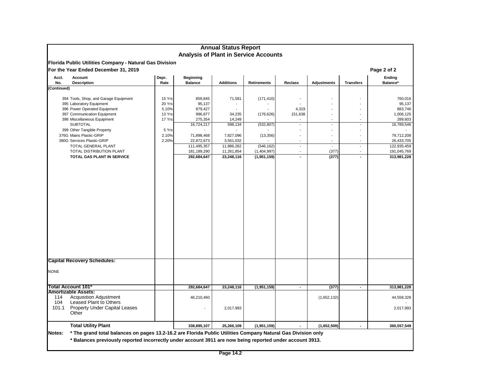|             |                                                                                                              |                 |                                              | <b>Annual Status Report</b> |                    |                          |                    |                          |                          |
|-------------|--------------------------------------------------------------------------------------------------------------|-----------------|----------------------------------------------|-----------------------------|--------------------|--------------------------|--------------------|--------------------------|--------------------------|
|             |                                                                                                              |                 | <b>Analysis of Plant in Service Accounts</b> |                             |                    |                          |                    |                          |                          |
|             | Florida Public Utilities Company - Natural Gas Division                                                      |                 |                                              |                             |                    |                          |                    |                          |                          |
|             | For the Year Ended December 31, 2019                                                                         |                 |                                              |                             |                    |                          |                    |                          | Page 2 of 2              |
| Acct.       | <b>Account</b>                                                                                               | Depr.           | <b>Beginning</b>                             |                             |                    |                          |                    |                          | <b>Ending</b>            |
| No.         | <b>Description</b>                                                                                           | Rate            | <b>Balance</b>                               | <b>Additions</b>            | <b>Retirements</b> | Reclass                  | <b>Adjustments</b> | <b>Transfers</b>         | Balance*                 |
| (Continued) |                                                                                                              |                 |                                              |                             |                    |                          |                    |                          |                          |
|             | 394 Tools, Shop, and Garage Equipment                                                                        | 15 Yrs          | 859,845                                      | 71,581                      | (171, 410)         | $\sim$                   |                    | $\sim$                   | 760,016                  |
|             | 395 Laboratory Equipment                                                                                     | 20 Yrs          | 95,137                                       | $\sim$                      |                    | $\sim$                   |                    | $\sim$                   | 95,137                   |
|             | 396 Power Operated Equipment<br>397 Communication Equipment                                                  | 5.10%<br>13 Yrs | 879,427<br>996,877                           | $\sim$<br>34,235            | (176, 626)         | 4,319<br>151,638         | $\blacksquare$     | $\sim$<br>$\blacksquare$ | 883,746<br>1,006,125     |
|             | 398 Miscellaneous Equipment                                                                                  | 17 Yrs          | 275,354                                      | 14,249                      |                    | $\sim$                   | $\blacksquare$     | $\sim$ $-$               | 289,603                  |
|             | <b>SUBTOTAL</b>                                                                                              |                 | 16,724,217                                   | 598,134                     | (532, 807)         | $\sim$                   |                    | $\sim$                   | 16,789,546               |
|             | 399 Other Tangible Property                                                                                  | 5 Yrs           | $\sim$                                       | $\sim$                      |                    | $\blacksquare$           |                    | $\sim$                   | $\sim$                   |
|             | 376G Mains Plastic-GRIP                                                                                      | 2.10%<br>2.20%  | 71,898,468<br>22,872,673                     | 7,827,096<br>3,561,032      | (13, 356)          | $\sim$                   |                    | $\sim$                   | 79,712,208<br>26,433,705 |
|             | 380G Services Plastic-GRIP<br>TOTAL GENERAL PLANT                                                            |                 | 111,495,357                                  | 11,986,262                  | (546, 162)         | $\blacksquare$<br>$\sim$ |                    | $\sim$<br>$\sim$         | 122,935,459              |
|             | TOTAL DISTRIBUTION PLANT                                                                                     |                 | 181,189,290                                  | 11,261,854                  | (1,404,997)        | $\sim$ $-$               | (377)              | $\sim$                   | 191,045,769              |
|             | TOTAL GAS PLANT IN SERVICE                                                                                   |                 | 292,684,647                                  | 23,248,116                  | (1,951,159)        | $\sim$                   | (377)              | $\sim$                   | 313,981,228              |
|             |                                                                                                              |                 |                                              |                             |                    |                          |                    |                          |                          |
|             |                                                                                                              |                 |                                              |                             |                    |                          |                    |                          |                          |
|             |                                                                                                              |                 |                                              |                             |                    |                          |                    |                          |                          |
|             |                                                                                                              |                 |                                              |                             |                    |                          |                    |                          |                          |
|             |                                                                                                              |                 |                                              |                             |                    |                          |                    |                          |                          |
|             |                                                                                                              |                 |                                              |                             |                    |                          |                    |                          |                          |
|             |                                                                                                              |                 |                                              |                             |                    |                          |                    |                          |                          |
|             |                                                                                                              |                 |                                              |                             |                    |                          |                    |                          |                          |
|             |                                                                                                              |                 |                                              |                             |                    |                          |                    |                          |                          |
|             |                                                                                                              |                 |                                              |                             |                    |                          |                    |                          |                          |
|             |                                                                                                              |                 |                                              |                             |                    |                          |                    |                          |                          |
|             |                                                                                                              |                 |                                              |                             |                    |                          |                    |                          |                          |
|             |                                                                                                              |                 |                                              |                             |                    |                          |                    |                          |                          |
|             |                                                                                                              |                 |                                              |                             |                    |                          |                    |                          |                          |
|             |                                                                                                              |                 |                                              |                             |                    |                          |                    |                          |                          |
|             | <b>Capital Recovery Schedules:</b>                                                                           |                 |                                              |                             |                    |                          |                    |                          |                          |
| <b>NONE</b> |                                                                                                              |                 |                                              |                             |                    |                          |                    |                          |                          |
|             |                                                                                                              |                 |                                              |                             |                    |                          |                    |                          |                          |
|             |                                                                                                              |                 |                                              |                             |                    |                          |                    |                          |                          |
|             | <b>Total Account 101*</b><br><b>Amortizable Assets:</b>                                                      |                 | 292,684,647                                  | 23,248,116                  | (1,951,159)        | $\sim$                   | (377)              | $\sim$                   | 313,981,228              |
| 114         | <b>Acquisition Adjustment</b>                                                                                |                 | 46,210,460                                   |                             |                    |                          | (1,652,132)        |                          | 44,558,328               |
| 104         | Leased Plant to Others                                                                                       |                 |                                              |                             |                    |                          |                    |                          |                          |
|             | 101.1 Property Under Capital Leases                                                                          |                 | $\sim$                                       | 2,017,993                   |                    |                          |                    |                          | 2,017,993                |
|             | Other                                                                                                        |                 |                                              |                             |                    |                          |                    |                          |                          |
|             | <b>Total Utility Plant</b>                                                                                   |                 | 338,895,107                                  | 25,266,109                  | (1,951,159)        |                          | (1,652,509)        | $\sim$                   | 360,557,549              |
|             |                                                                                                              |                 |                                              |                             |                    |                          |                    |                          |                          |
| Notes:      | * The grand total balances on pages 13.2-16.2 are Florida Public Utilities Company Natural Gas Division only |                 |                                              |                             |                    |                          |                    |                          |                          |
|             | * Balances previously reported incorrectly under account 3911 are now being reported under account 3913.     |                 |                                              |                             |                    |                          |                    |                          |                          |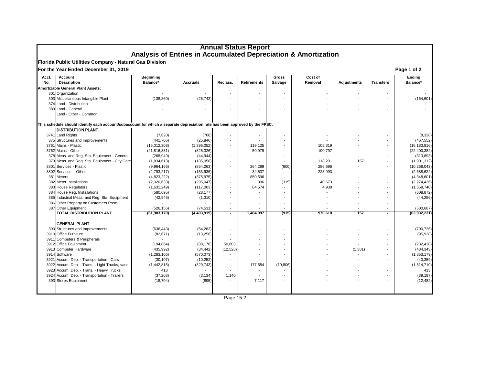|       |                                                                                                                             |                        |                    |                          | <b>Annual Status Report</b> |                          | Analysis of Entries in Accumulated Depreciation & Amortization |                    |                          |                        |
|-------|-----------------------------------------------------------------------------------------------------------------------------|------------------------|--------------------|--------------------------|-----------------------------|--------------------------|----------------------------------------------------------------|--------------------|--------------------------|------------------------|
|       | Florida Public Utilities Company - Natural Gas Division                                                                     |                        |                    |                          |                             |                          |                                                                |                    |                          |                        |
|       | For the Year Ended December 31, 2019                                                                                        |                        |                    |                          |                             |                          |                                                                |                    |                          | Page 1 of 2            |
| Acct. | Account                                                                                                                     | <b>Beginning</b>       |                    |                          |                             | <b>Gross</b>             | Cost of                                                        |                    |                          | <b>Ending</b>          |
| No.   | <b>Description</b>                                                                                                          | Balance*               | <b>Accruals</b>    | Reclass.                 | <b>Retirements</b>          | Salvage                  | Removal                                                        | <b>Adjustments</b> | <b>Transfers</b>         | Balance*               |
|       | <b>Amortizable General Plant Assets:</b><br>301 Organization                                                                |                        |                    |                          |                             |                          |                                                                |                    | $\sim$                   |                        |
|       | 303 Miscellaneous Intangible Plant                                                                                          | (138, 860)             | (25, 742)          |                          |                             |                          |                                                                |                    |                          | (164, 601)             |
|       | 374 Land - Distribution                                                                                                     |                        |                    | $\blacksquare$           | $\blacksquare$              |                          |                                                                |                    |                          |                        |
|       | 389 Land - General                                                                                                          |                        |                    |                          |                             |                          |                                                                |                    |                          |                        |
|       | Land - Other - Common                                                                                                       |                        |                    |                          |                             |                          |                                                                |                    |                          |                        |
|       | This schedule should identify each account/subaccount for which a separate depreciation rate has been approved by the FPSC. |                        |                    |                          |                             |                          |                                                                |                    |                          |                        |
|       | <b>DISTRIBUTION PLANT</b>                                                                                                   |                        |                    |                          |                             |                          |                                                                |                    |                          |                        |
|       | 3741 Land Rights<br>375 Structures and Improvements                                                                         | (7,620)<br>(441,706)   | (708)<br>(25, 846) | $\overline{\phantom{a}}$ |                             |                          |                                                                |                    |                          | (8,328)<br>(467, 552)  |
|       | 3761 Mains - Plastic                                                                                                        | (15,012,308)           | (1,396,052)        | $\overline{\phantom{a}}$ | 119,125                     |                          | 105,319                                                        |                    |                          | (16, 183, 916)         |
|       | 3762 Mains - Other                                                                                                          | (21, 816, 831)         | (825, 326)         | $\sim$                   | 50,979                      |                          | 190,797                                                        |                    | $\sim$                   | (22, 400, 382)         |
|       | 378 Meas. and Reg. Sta. Equipment - General                                                                                 | (268, 949)             | (44, 944)          |                          |                             |                          |                                                                |                    |                          | (313, 893)             |
|       | 379 Meas. and Reg. Sta. Equipment - City Gate                                                                               | (1,834,613)            | (185,058)          | $\sim$                   |                             |                          | 118,201                                                        | 157                |                          | (1,901,312)            |
| 3801  | Services - Plastic                                                                                                          | (9,964,166)            | (854, 263)         | $\blacksquare$           | 264,289                     | (600)                    | 286,696                                                        |                    | $\sim$                   | (10, 268, 043)         |
|       | 3802 Services - Other                                                                                                       | (2,793,217)            | (153, 936)         | $\blacksquare$           | 34,537                      |                          | 223,993                                                        |                    |                          | (2,688,622)            |
| 381   | <b>Meters</b>                                                                                                               | (4,823,222)            | (375, 975)         | $\blacksquare$           | 850,596                     |                          |                                                                |                    |                          | (4,348,601)            |
|       | 382 Meter Installations                                                                                                     | (2,020,633)            | (295, 047)         |                          | 896                         | (315)                    | 40,673                                                         |                    |                          | (2,274,426)            |
|       | 383 House Regulators                                                                                                        | (1,631,249)            | (117,003)          | $\overline{\phantom{a}}$ | 84,574                      |                          | 4,938                                                          |                    | $\sim$                   | (1,658,740)            |
|       | 384 House Reg. Installations                                                                                                | (580, 695)             | (28, 177)          |                          |                             |                          |                                                                |                    |                          | (608, 872)             |
|       | 385 Industrial Meas. and Reg. Sta. Equipment                                                                                | (42, 946)              | (1, 310)           | $\blacksquare$           |                             |                          |                                                                |                    |                          | (44, 256)              |
|       | 386 Other Property on Customers Prem.                                                                                       |                        |                    |                          |                             |                          |                                                                |                    |                          |                        |
|       | 387 Other Equipment                                                                                                         | (526, 156)             | (74, 531)          | $\blacksquare$           |                             |                          |                                                                |                    | $\blacksquare$           | (600, 687)             |
|       | TOTAL DISTRIBUTION PLANT                                                                                                    | (61, 903, 170)         | (4,403,919)        | $\overline{\phantom{a}}$ | 1,404,997                   | (915)                    | 970,618                                                        | 157                | $\overline{\phantom{0}}$ | (63, 932, 231)         |
|       | <b>GENERAL PLANT</b>                                                                                                        |                        |                    |                          |                             |                          |                                                                |                    |                          |                        |
|       | 390 Structures and Improvements                                                                                             | (636, 443)             | (64, 283)          | $\blacksquare$           |                             |                          |                                                                |                    | $\blacksquare$           | (700, 726)             |
|       | 3910 Office Furniture                                                                                                       | (82, 671)              | (13, 256)          | $\blacksquare$           |                             |                          |                                                                |                    |                          | (95, 928)              |
|       | 3911 Computers & Peripherals                                                                                                |                        |                    |                          |                             |                          |                                                                |                    |                          |                        |
|       | 3912 Office Equipment                                                                                                       | (194, 864)             | (88, 178)          | 50,603                   |                             |                          |                                                                |                    |                          | (232, 438)             |
|       | 3913 Computer Hardware                                                                                                      | (435, 992)             | (34, 442)          | (12, 528)                |                             |                          |                                                                | (1, 381)           |                          | (484, 343)             |
|       | 3914 Software                                                                                                               | (1, 283, 106)          | (570, 073)         | $\blacksquare$           | $\overline{\phantom{a}}$    | $\overline{\phantom{a}}$ |                                                                |                    | $\sim$                   | (1,853,179)            |
|       | 3921 Accum. Dep. - Transportation - Cars                                                                                    | (30, 107)              | (10, 252)          |                          |                             |                          |                                                                |                    |                          | (40, 359)              |
|       | 3922 Accum. Dep. - Trans. - Light Trucks, vans                                                                              | (1,442,815)            | (329, 743)         | $\blacksquare$           | 177,654                     | (19,806)                 |                                                                |                    |                          | (1,614,710)            |
|       | 3923 Accum. Dep. - Trans. - Heavy Trucks<br>3924 Accum. Dep. - Transportation - Trailers                                    | 413                    |                    |                          | $\overline{\phantom{a}}$    |                          |                                                                |                    |                          | 413                    |
|       | 393 Stores Equipment                                                                                                        | (37, 203)<br>(18, 704) | (3, 134)<br>(895)  | 1,140<br>$\blacksquare$  | 7,117                       |                          |                                                                |                    | $\blacksquare$           | (39, 197)<br>(12, 482) |
|       |                                                                                                                             |                        |                    |                          |                             |                          |                                                                |                    |                          |                        |
|       |                                                                                                                             |                        |                    |                          |                             |                          |                                                                |                    |                          |                        |

Page 15.2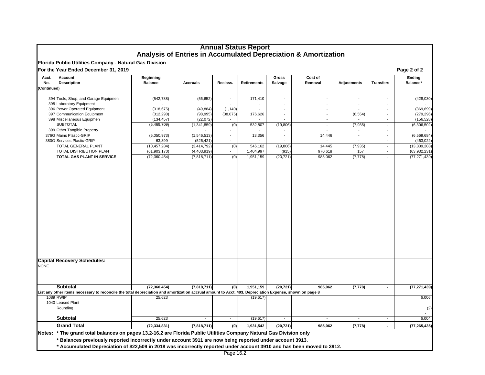|                                                                                                                                                                           |                                                                                                                                                                                                                                                      |                 |          |                    |                         | Analysis of Entries in Accumulated Depreciation & Amortization |                    |                          |                    |
|---------------------------------------------------------------------------------------------------------------------------------------------------------------------------|------------------------------------------------------------------------------------------------------------------------------------------------------------------------------------------------------------------------------------------------------|-----------------|----------|--------------------|-------------------------|----------------------------------------------------------------|--------------------|--------------------------|--------------------|
| <b>Florida Public Utilities Company - Natural Gas Division</b>                                                                                                            |                                                                                                                                                                                                                                                      |                 |          |                    |                         |                                                                |                    |                          |                    |
| For the Year Ended December 31, 2019                                                                                                                                      |                                                                                                                                                                                                                                                      |                 |          |                    |                         |                                                                |                    |                          | Page 2 of 2        |
| Account<br>Acct.<br><b>Description</b><br>No.                                                                                                                             | <b>Beginning</b><br><b>Balance</b>                                                                                                                                                                                                                   | <b>Accruals</b> | Reclass. | <b>Retirements</b> | <b>Gross</b><br>Salvage | Cost of<br>Removal                                             | <b>Adjustments</b> | <b>Transfers</b>         | Ending<br>Balance* |
| (Continued)                                                                                                                                                               |                                                                                                                                                                                                                                                      |                 |          |                    |                         |                                                                |                    |                          |                    |
| 394 Tools, Shop, and Garage Equipment<br>395 Laboratory Equipment                                                                                                         | (542, 788)                                                                                                                                                                                                                                           | (56, 652)       | L.       | 171,410            |                         |                                                                |                    |                          | (428, 030)         |
| 396 Power Operated Equipment                                                                                                                                              | (318, 675)                                                                                                                                                                                                                                           | (49, 884)       | (1, 140) |                    |                         |                                                                |                    |                          | (369, 699)         |
| 397 Communication Equipment                                                                                                                                               | (312, 298)                                                                                                                                                                                                                                           | (98, 995)       | (38,075) | 176,626            |                         |                                                                | (6, 554)           |                          | (279, 296)         |
| 398 Miscellaneous Equipment                                                                                                                                               | (134, 457)                                                                                                                                                                                                                                           | (22,072)        |          |                    |                         |                                                                |                    | $\blacksquare$           | (156, 528)         |
| <b>SUBTOTAL</b>                                                                                                                                                           | (5,469,709)                                                                                                                                                                                                                                          | (1, 341, 859)   | (0)      | 532,807            | (19, 806)               | $\sim$                                                         | (7, 935)           | $\overline{a}$           | (6,306,502)        |
| 399 Other Tangible Property                                                                                                                                               |                                                                                                                                                                                                                                                      |                 |          |                    |                         |                                                                |                    | $\blacksquare$           |                    |
| 376G Mains Plastic-GRIP                                                                                                                                                   | (5,050,973)                                                                                                                                                                                                                                          | (1,546,513)     |          | 13,356             |                         | 14,446                                                         |                    | ٠                        | (6, 569, 684)      |
| 380G Services Plastic-GRIP                                                                                                                                                | 63,399                                                                                                                                                                                                                                               | (526, 421)      |          |                    |                         |                                                                |                    | ÷.                       | (463, 022)         |
| TOTAL GENERAL PLANT                                                                                                                                                       | (10, 457, 284)                                                                                                                                                                                                                                       | (3, 414, 792)   | (0)      | 546,162            | (19, 806)               | 14,445                                                         | (7, 935)           | $\overline{\phantom{a}}$ | (13, 339, 208)     |
| TOTAL DISTRIBUTION PLANT                                                                                                                                                  | (61,903,170)                                                                                                                                                                                                                                         | (4, 403, 919)   |          | 1,404,997          | (915)                   | 970,618                                                        | 157                | $\overline{\phantom{a}}$ | (63,932,231)       |
| TOTAL GAS PLANT IN SERVICE                                                                                                                                                | (72, 360, 454)                                                                                                                                                                                                                                       | (7, 818, 711)   | (0)      | 1,951,159          | (20, 721)               | 985,062                                                        | (7, 778)           | $\sim$                   | (77, 271, 439)     |
| <b>Capital Recovery Schedules:</b><br><b>NONE</b>                                                                                                                         |                                                                                                                                                                                                                                                      |                 |          |                    |                         |                                                                |                    |                          |                    |
|                                                                                                                                                                           |                                                                                                                                                                                                                                                      |                 |          |                    |                         |                                                                |                    |                          |                    |
| <b>Subtotal</b><br>List any other items necessary to reconcile the total depreciation and amortization accrual amount to Acct. 403, Depreciation Expense, shown on page 8 | (72, 360, 454)                                                                                                                                                                                                                                       | (7,818,711)     | (0)      | 1,951,159          | (20, 721)               | 985,062                                                        | (7, 778)           | $\blacksquare$           | (77, 271, 439)     |
| 1089 RWIP                                                                                                                                                                 | 25,623                                                                                                                                                                                                                                               |                 |          | (19, 617)          |                         |                                                                |                    |                          | 6,006              |
| 1040 Leased Plant<br>Rounding                                                                                                                                             |                                                                                                                                                                                                                                                      |                 |          |                    |                         |                                                                |                    |                          | (2)                |
| Subtotal                                                                                                                                                                  | 25,623                                                                                                                                                                                                                                               |                 | $\sim$   | (19, 617)          |                         | $\overline{\phantom{a}}$                                       | $\blacksquare$     | $\bullet$                | 6,004              |
|                                                                                                                                                                           |                                                                                                                                                                                                                                                      |                 |          |                    |                         |                                                                |                    | $\mathbf{r}$             | (77, 265, 435)     |
|                                                                                                                                                                           |                                                                                                                                                                                                                                                      |                 |          |                    |                         |                                                                |                    |                          |                    |
| <b>Grand Total</b><br>Notes: * The grand total balances on pages 13.2-16.2 are Florida Public Utilities Company Natural Gas Division only                                 | (72, 334, 831)<br>* Balances previously reported incorrectly under account 3911 are now being reported under account 3913.<br>* Accumulated Depreciation of \$22,509 in 2018 was incorrectly reported under account 3910 and has been moved to 3912. | (7,818,711)     | (0)      | 1,931,542          | (20, 721)               | 985,062                                                        | (7, 778)           |                          |                    |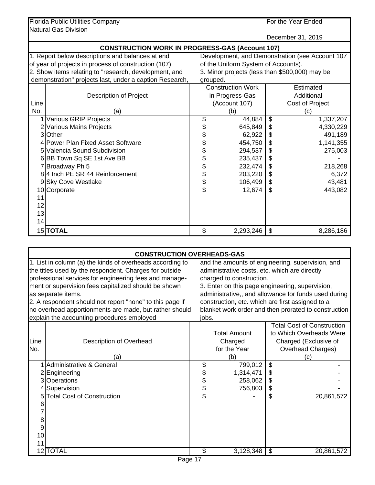Florida Public Utilities Company **For the Year Ended** For the Year Ended Natural Gas Division

December 31, 2019

#### **CONSTRUCTION WORK IN PROGRESS-GAS (Account 107)**

1. Report below descriptions and balances at end Development, and Demonstration (see Account 107 of year of projects in process of construction (107). of the Uniform System of Accounts). 2. Show items relating to "research, development, and 3. Minor projects (less than \$500,000) may be demonstration" projects last, under a caption Research, grouped.

|      | defiloristiation projects last, under a caption Research, | gioupeu. |                          |                  |
|------|-----------------------------------------------------------|----------|--------------------------|------------------|
|      |                                                           |          | <b>Construction Work</b> | <b>Estimated</b> |
|      | <b>Description of Project</b>                             |          | in Progress-Gas          | Additional       |
| Line |                                                           |          | (Account 107)            | Cost of Project  |
| No.  | (a)                                                       |          | (b)                      | (c)              |
|      | 1 Various GRIP Projects                                   | \$       | 44,884                   | \$<br>1,337,207  |
|      | 2 Various Mains Projects                                  | S        | 645,849                  | \$<br>4,330,229  |
|      | 3 Other                                                   | \$       | 62,922                   | \$<br>491,189    |
|      | 4 Power Plan Fixed Asset Software                         | \$       | 454,750                  | \$<br>1,141,355  |
|      | 5 Valencia Sound Subdivision                              | \$       | 294,537                  | \$<br>275,003    |
|      | 6 BB Town Sq SE 1st Ave BB                                | \$       | 235,437                  | \$               |
|      | 7 Broadway Ph 5                                           | \$       | 232,474                  | \$<br>218,268    |
|      | 84 Inch PE SR 44 Reinforcement                            | \$       | 203,220                  | \$<br>6,372      |
|      | 9 Sky Cove Westlake                                       | \$       | 106,499                  | \$<br>43,481     |
|      | 10 Corporate                                              | \$       | 12,674                   | \$<br>443,082    |
| 11   |                                                           |          |                          |                  |
| 12   |                                                           |          |                          |                  |
| 13   |                                                           |          |                          |                  |
| 14   |                                                           |          |                          |                  |
|      | 15TOTAL                                                   | \$       | 2,293,246                | \$<br>8,286,186  |

#### **CONSTRUCTION OVERHEADS-GAS**

1. List in column (a) the kinds of overheads according to and the amounts of engineering, supervision, and the titles used by the respondent. Charges for outside administrative costs, etc. which are directly professional services for engineering fees and manage- charged to construction. ment or supervision fees capitalized should be shown 3. Enter on this page engineering, supervision, as separate items. administrative,, and allowance for funds used during

2. A respondent should not report "none" to this page if construction, etc. which are first assigned to a no overhead apportionments are made, but rather should blanket work order and then prorated to construction explain the accounting procedures employed in the scounting procedures employed

|      |                              |                     |    | <b>Total Cost of Construction</b> |
|------|------------------------------|---------------------|----|-----------------------------------|
|      |                              | <b>Total Amount</b> |    | to Which Overheads Were           |
| Line | Description of Overhead      | Charged             |    | Charged (Exclusive of             |
| No.  |                              | for the Year        |    | Overhead Charges)                 |
|      | (a)                          | (b)                 |    | (C)                               |
|      | 1 Administrative & General   | \$<br>799,012       | \$ |                                   |
|      | 2 Engineering                | \$<br>1,314,471     | S  |                                   |
|      | 3 Operations                 | \$<br>258,062       | \$ |                                   |
|      | 4 Supervision                | \$<br>756,803       | \$ |                                   |
|      | 5 Total Cost of Construction | \$                  | \$ | 20,861,572                        |
| 6    |                              |                     |    |                                   |
|      |                              |                     |    |                                   |
| 8    |                              |                     |    |                                   |
| 9    |                              |                     |    |                                   |
| 10   |                              |                     |    |                                   |
| 11   |                              |                     |    |                                   |
|      | 12 TOTAL                     | 3,128,348           | \$ | 20,861,572                        |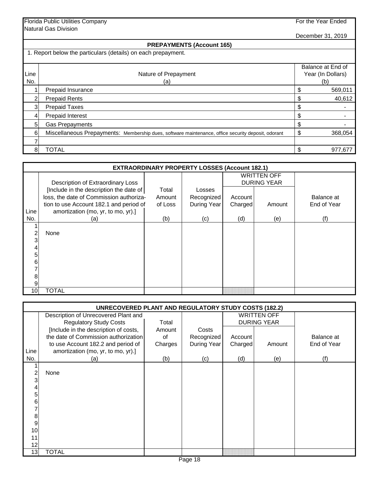| <b>Florida Public Utilities Company</b> |
|-----------------------------------------|
| <b>Natural Gas Division</b>             |

December 31, 2019

### **PREPAYMENTS (Account 165)**

1. Report below the particulars (details) on each prepayment.

|                |                                                                                                    | Balance at End of |
|----------------|----------------------------------------------------------------------------------------------------|-------------------|
| Line           | Nature of Prepayment                                                                               | Year (In Dollars) |
| No.            | (a)                                                                                                | (b)               |
|                | <b>Prepaid Insurance</b>                                                                           | 569,011           |
| $\overline{2}$ | <b>Prepaid Rents</b>                                                                               | \$<br>40,612      |
| 3 <sup>l</sup> | <b>Prepaid Taxes</b>                                                                               | \$                |
| 4              | <b>Prepaid Interest</b>                                                                            | \$                |
| 5              | <b>Gas Prepayments</b>                                                                             | \$                |
| 6              | Miscellaneous Prepayments: Membership dues, software maintenance, office security deposit, odorant | \$<br>368,054     |
|                |                                                                                                    |                   |
| 81             | <b>TOTAL</b>                                                                                       | \$<br>977,677     |

|                | <b>EXTRAORDINARY PROPERTY LOSSES (Account 182.1)</b> |                                          |                    |         |        |             |  |  |  |  |
|----------------|------------------------------------------------------|------------------------------------------|--------------------|---------|--------|-------------|--|--|--|--|
|                | Description of Extraordinary Loss                    | <b>WRITTEN OFF</b><br><b>DURING YEAR</b> |                    |         |        |             |  |  |  |  |
|                | [Include in the description the date of              | Total                                    | Losses             |         |        |             |  |  |  |  |
|                | loss, the date of Commission authoriza-              | Amount                                   | Recognized         | Account |        | Balance at  |  |  |  |  |
|                | tion to use Account 182.1 and period of              | of Loss                                  | <b>During Year</b> | Charged | Amount | End of Year |  |  |  |  |
| Line           | amortization (mo, yr, to mo, yr).]                   |                                          |                    |         |        |             |  |  |  |  |
| No.            | (a)                                                  | (b)                                      | (c)                | (d)     | (e)    | (f)         |  |  |  |  |
|                |                                                      |                                          |                    |         |        |             |  |  |  |  |
| $\overline{2}$ | None                                                 |                                          |                    |         |        |             |  |  |  |  |
| 3              |                                                      |                                          |                    |         |        |             |  |  |  |  |
| 4              |                                                      |                                          |                    |         |        |             |  |  |  |  |
| 5              |                                                      |                                          |                    |         |        |             |  |  |  |  |
| 6              |                                                      |                                          |                    |         |        |             |  |  |  |  |
| 7              |                                                      |                                          |                    |         |        |             |  |  |  |  |
| 8              |                                                      |                                          |                    |         |        |             |  |  |  |  |
| 9              |                                                      |                                          |                    |         |        |             |  |  |  |  |
| 10             | <b>TOTAL</b>                                         |                                          |                    |         |        |             |  |  |  |  |

|                 | UNRECOVERED PLANT AND REGULATORY STUDY COSTS (182.2) |           |                    |         |                    |                   |  |  |  |  |  |
|-----------------|------------------------------------------------------|-----------|--------------------|---------|--------------------|-------------------|--|--|--|--|--|
|                 | Description of Unrecovered Plant and                 |           |                    |         | <b>WRITTEN OFF</b> |                   |  |  |  |  |  |
|                 | <b>Regulatory Study Costs</b>                        | Total     |                    |         | <b>DURING YEAR</b> |                   |  |  |  |  |  |
|                 | [Include in the description of costs,                | Amount    | Costs              |         |                    |                   |  |  |  |  |  |
|                 | the date of Commission authorization                 | <b>of</b> | Recognized         | Account |                    | <b>Balance</b> at |  |  |  |  |  |
|                 | to use Account 182.2 and period of                   | Charges   | <b>During Year</b> | Charged | Amount             | End of Year       |  |  |  |  |  |
| Line            | amortization (mo, yr, to mo, yr).]                   |           |                    |         |                    |                   |  |  |  |  |  |
| No.             | (a)                                                  | (b)       | (c)                | (d)     | (e)                | (f)               |  |  |  |  |  |
|                 |                                                      |           |                    |         |                    |                   |  |  |  |  |  |
| $\overline{2}$  | None                                                 |           |                    |         |                    |                   |  |  |  |  |  |
| 3               |                                                      |           |                    |         |                    |                   |  |  |  |  |  |
| 4               |                                                      |           |                    |         |                    |                   |  |  |  |  |  |
| 5               |                                                      |           |                    |         |                    |                   |  |  |  |  |  |
| 6               |                                                      |           |                    |         |                    |                   |  |  |  |  |  |
| 7               |                                                      |           |                    |         |                    |                   |  |  |  |  |  |
| 8               |                                                      |           |                    |         |                    |                   |  |  |  |  |  |
| 9               |                                                      |           |                    |         |                    |                   |  |  |  |  |  |
| 10              |                                                      |           |                    |         |                    |                   |  |  |  |  |  |
| 11              |                                                      |           |                    |         |                    |                   |  |  |  |  |  |
| 12              |                                                      |           |                    |         |                    |                   |  |  |  |  |  |
| 13 <sub>l</sub> | <b>TOTAL</b>                                         |           |                    |         |                    |                   |  |  |  |  |  |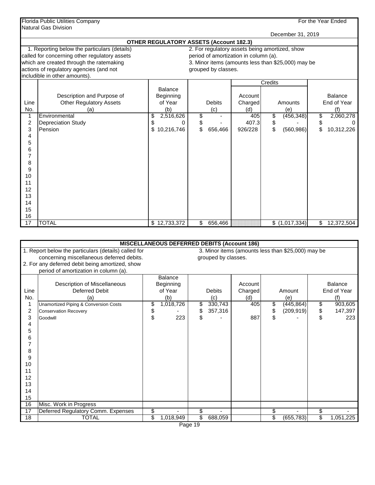Florida Public Utilities Company **For the Year Ended** Florida Public Utilities Company Natural Gas Division

December 31, 2019

# **OTHER REGULATORY ASSETS (Account 182.3)**<br>1. Reporting below the particulars (details) 2. For regulatory assets be

called for concerning other regulatory assets <br>which are created through the ratemaking by the period of amortization in column (a). actions of regulatory agencies (and not groupled by classes. includible in other amounts).

2. For regulatory assets being amortized, show 3. Minor items (amounts less than \$25,000) may be

|                | Theorem other amounts).        |                  |               |         |                  |                     |
|----------------|--------------------------------|------------------|---------------|---------|------------------|---------------------|
|                |                                |                  |               |         | <b>Credits</b>   |                     |
|                |                                | <b>Balance</b>   |               |         |                  |                     |
|                | Description and Purpose of     | <b>Beginning</b> |               | Account |                  | <b>Balance</b>      |
| Line           | <b>Other Regulatory Assets</b> | of Year          | <b>Debits</b> | Charged | Amounts          | End of Year         |
| No.            | (a)                            | (b)              | (c)           | (d)     | (e)              | (f)                 |
| 1              | Environmental                  | \$<br>2,516,626  | \$            | 405     | \$<br>(456, 348) | \$<br>2,060,278     |
| $\overline{2}$ | <b>Depreciation Study</b>      | \$<br>0          | \$            | 407.3   | \$               | \$                  |
| 3              | Pension                        | 10,216,746<br>\$ | \$<br>656,466 | 926/228 | \$<br>(560, 986) | \$<br>10,312,226    |
| 4              |                                |                  |               |         |                  |                     |
| 5              |                                |                  |               |         |                  |                     |
| 6              |                                |                  |               |         |                  |                     |
| 7              |                                |                  |               |         |                  |                     |
| 8              |                                |                  |               |         |                  |                     |
| 9              |                                |                  |               |         |                  |                     |
| 10             |                                |                  |               |         |                  |                     |
| 11             |                                |                  |               |         |                  |                     |
| 12             |                                |                  |               |         |                  |                     |
| 13             |                                |                  |               |         |                  |                     |
| 14             |                                |                  |               |         |                  |                     |
| 15             |                                |                  |               |         |                  |                     |
| 16             |                                |                  |               |         |                  |                     |
| 17             | <b>TOTAL</b>                   | \$12,733,372     | \$<br>656,466 |         | \$(1,017,334)    | $\$\$<br>12,372,504 |

|                | <b>MISCELLANEOUS DEFERRED DEBITS (Account 186)</b>   |    |                  |    |                     |         |             |                                                    |                                 |                |
|----------------|------------------------------------------------------|----|------------------|----|---------------------|---------|-------------|----------------------------------------------------|---------------------------------|----------------|
|                | 1. Report below the particulars (details) called for |    |                  |    |                     |         |             | 3. Minor items (amounts less than \$25,000) may be |                                 |                |
|                | concerning miscellaneous deferred debits.            |    |                  |    | grouped by classes. |         |             |                                                    |                                 |                |
|                | 2. For any deferred debit being amortized, show      |    |                  |    |                     |         |             |                                                    |                                 |                |
|                | period of amortization in column (a).                |    |                  |    |                     |         |             |                                                    |                                 |                |
|                |                                                      |    | <b>Balance</b>   |    |                     |         |             |                                                    |                                 |                |
|                | <b>Description of Miscellaneous</b>                  |    | <b>Beginning</b> |    |                     | Account |             |                                                    |                                 | <b>Balance</b> |
| Line           | <b>Deferred Debit</b>                                |    | of Year          |    | <b>Debits</b>       | Charged |             | Amount                                             |                                 | End of Year    |
| No.            | (a)                                                  |    | (b)              |    | (c)                 | (d)     |             | (e)                                                |                                 | (f)            |
| 1              | Unamortized Piping & Conversion Costs                | \$ | 1,018,726        | \$ | 330,743             | 405     | \$          | (445, 864)                                         | \$                              | 903,605        |
| $\overline{2}$ | <b>Conservation Recovery</b>                         | \$ |                  | \$ | 357,316             |         | \$          | (209, 919)                                         | \$                              | 147,397        |
| 3              | Goodwill                                             | \$ | 223              | \$ |                     | 887     |             |                                                    | \$                              | 223            |
| 4              |                                                      |    |                  |    |                     |         |             |                                                    |                                 |                |
| 5              |                                                      |    |                  |    |                     |         |             |                                                    |                                 |                |
| 6              |                                                      |    |                  |    |                     |         |             |                                                    |                                 |                |
| 7              |                                                      |    |                  |    |                     |         |             |                                                    |                                 |                |
| 8              |                                                      |    |                  |    |                     |         |             |                                                    |                                 |                |
| 9              |                                                      |    |                  |    |                     |         |             |                                                    |                                 |                |
| 10             |                                                      |    |                  |    |                     |         |             |                                                    |                                 |                |
| 11             |                                                      |    |                  |    |                     |         |             |                                                    |                                 |                |
| 12             |                                                      |    |                  |    |                     |         |             |                                                    |                                 |                |
| 13             |                                                      |    |                  |    |                     |         |             |                                                    |                                 |                |
| 14<br>15       |                                                      |    |                  |    |                     |         |             |                                                    |                                 |                |
|                |                                                      |    |                  |    |                     |         |             |                                                    |                                 |                |
| 16<br>17       | Misc. Work in Progress                               | \$ |                  | \$ | $\overline{a}$      |         | \$          |                                                    |                                 |                |
| 18             | Deferred Regulatory Comm. Expenses<br>TOTAL          | S) | 1,018,949        | \$ | 688,059             |         | $\mathbb S$ | (655, 783)                                         | \$<br>$\overline{\mathfrak{s}}$ | 1,051,225      |
|                |                                                      |    |                  |    |                     |         |             |                                                    |                                 |                |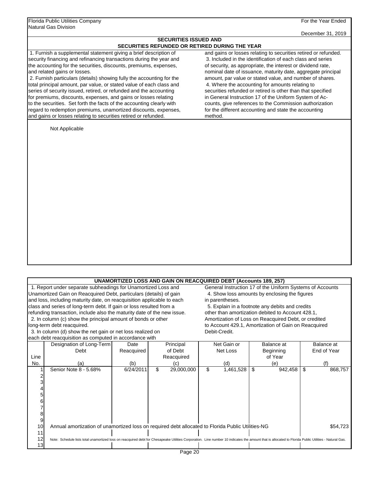December 31, 2019

#### **SECURITIES ISSUED AND SECURITIES REFUNDED OR RETIRED DURING THE YEAR**

| 1. Furnish a supplemental statement giving a brief description of     | and gains or losses relating to securities retired or refunded. |
|-----------------------------------------------------------------------|-----------------------------------------------------------------|
| security financing and refinancing transactions during the year and   | 3. Included in the identification of each class and series      |
| the accounting for the securities, discounts, premiums, expenses,     | of security, as appropriate, the interest or dividend rate,     |
| and related gains or losses.                                          | nominal date of issuance, maturity date, aggregate principal    |
| 2. Furnish particulars (details) showing fully the accounting for the | amount, par value or stated value, and number of shares.        |
| total principal amount, par value, or stated value of each class and  | 4. Where the accounting for amounts relating to                 |
| series of security issued, retired, or refunded and the accounting    | securities refunded or retired is other than that specified     |
| for premiums, discounts, expenses, and gains or losses relating       | in General Instruction 17 of the Uniform System of Ac-          |
| to the securities. Set forth the facts of the accounting clearly with | counts, give references to the Commission authorization         |
| regard to redemption premiums, unamortized discounts, expenses,       | for the different accounting and state the accounting           |
| and gains or losses relating to securities retired or refunded.       | method.                                                         |
|                                                                       |                                                                 |

Not Applicable

### **UNAMORTIZED LOSS AND GAIN ON REACQUIRED DEBT (Accounts 189, 257)**

1. Report under separate subheadings for Unamortized Loss and General Instruction 17 of the Uniform Systems of Accounts Unamortized Gain on Reacquired Debt, particulars (details) of gain 4. Show loss amounts by enclosing the figures and loss, including maturity date, on reacquisition applicable to each in parentheses. class and series of long-term debt. If gain or loss resulted from a 5. Explain in a footnote any debits and credits refunding transaction, include also the maturity date of the new issue. other than amortization debited to Account 428.1, 2. In column (c) show the principal amount of bonds or other Amortization of Loss on Reacquired Debt, or credited

long-term debt reacquired. to Account 429.1, Amortization of Gain on Reacquired

 3. In column (d) show the net gain or net loss realized on Debit-Credit. each debt reacquisition as computed in accordance with

 $\mathbf{I}$ 

|      | Designation of Long-Term | Date       | Principal  | Net Gain or     | <b>Balance</b> at | Balance at  |
|------|--------------------------|------------|------------|-----------------|-------------------|-------------|
|      | Debt                     | Reacquired | of Debt    | <b>Net Loss</b> | <b>Beginning</b>  | End of Year |
| Line |                          |            | Reacquired |                 | of Year           |             |
| No.  | (a`                      | (b)        |            | (d)             | e                 |             |
|      | Senior Note 8 - 5.68%    | 6/24/2011  | 29,000,000 | \$<br>1,461,528 | 942,458           | 868,757     |
|      |                          |            |            |                 |                   |             |
| っ    |                          |            |            |                 |                   |             |
|      |                          |            |            |                 |                   |             |

| 10 <sub>l</sub> | Annual amortization of unamortized loss on required debt allocated to Florida Public Utilities-NG                                                                                                     |         |  | \$54,723 |
|-----------------|-------------------------------------------------------------------------------------------------------------------------------------------------------------------------------------------------------|---------|--|----------|
|                 |                                                                                                                                                                                                       |         |  |          |
| 12              | Note: Schedule lists total unamortized loss on reacquired debt for Chesapeake Utilities Corporation. Line number 10 indicates the amount that is allocated to Florida Public Utilities - Natural Gas. |         |  |          |
|                 |                                                                                                                                                                                                       |         |  |          |
|                 |                                                                                                                                                                                                       | Page 20 |  |          |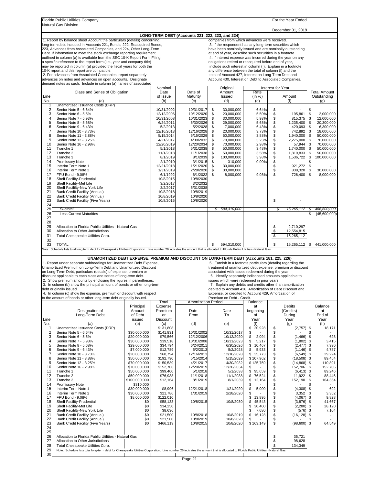|                                                                                                                                                                                                                                                                                                                                                                                                                                                                                                                                                                                                                                                                                                                                                                                | <b>Florida Public Utilities Company</b><br><b>Natural Gas Division</b>                                                                                                                                                                                                                                                                                                                                                                                                                                                                                                                                |                                                                                                                                                                                                                                                                              |                                                                                                                                                                                                                                                                               |                                                                                                                                                                                                                                                                                                                                                                                                                                                                                                                                                                                                 |                                                                                                                                                                                                                          |                                                                                                                            |                             | For the Year Ended                                                                                                                                                      |                                    |                                                                                                                                                                                  |
|--------------------------------------------------------------------------------------------------------------------------------------------------------------------------------------------------------------------------------------------------------------------------------------------------------------------------------------------------------------------------------------------------------------------------------------------------------------------------------------------------------------------------------------------------------------------------------------------------------------------------------------------------------------------------------------------------------------------------------------------------------------------------------|-------------------------------------------------------------------------------------------------------------------------------------------------------------------------------------------------------------------------------------------------------------------------------------------------------------------------------------------------------------------------------------------------------------------------------------------------------------------------------------------------------------------------------------------------------------------------------------------------------|------------------------------------------------------------------------------------------------------------------------------------------------------------------------------------------------------------------------------------------------------------------------------|-------------------------------------------------------------------------------------------------------------------------------------------------------------------------------------------------------------------------------------------------------------------------------|-------------------------------------------------------------------------------------------------------------------------------------------------------------------------------------------------------------------------------------------------------------------------------------------------------------------------------------------------------------------------------------------------------------------------------------------------------------------------------------------------------------------------------------------------------------------------------------------------|--------------------------------------------------------------------------------------------------------------------------------------------------------------------------------------------------------------------------|----------------------------------------------------------------------------------------------------------------------------|-----------------------------|-------------------------------------------------------------------------------------------------------------------------------------------------------------------------|------------------------------------|----------------------------------------------------------------------------------------------------------------------------------------------------------------------------------|
|                                                                                                                                                                                                                                                                                                                                                                                                                                                                                                                                                                                                                                                                                                                                                                                |                                                                                                                                                                                                                                                                                                                                                                                                                                                                                                                                                                                                       |                                                                                                                                                                                                                                                                              |                                                                                                                                                                                                                                                                               |                                                                                                                                                                                                                                                                                                                                                                                                                                                                                                                                                                                                 |                                                                                                                                                                                                                          |                                                                                                                            |                             | December 31, 2019                                                                                                                                                       |                                    |                                                                                                                                                                                  |
|                                                                                                                                                                                                                                                                                                                                                                                                                                                                                                                                                                                                                                                                                                                                                                                |                                                                                                                                                                                                                                                                                                                                                                                                                                                                                                                                                                                                       |                                                                                                                                                                                                                                                                              | LONG-TERM DEBT (Accounts 221, 222, 223, and 224)                                                                                                                                                                                                                              |                                                                                                                                                                                                                                                                                                                                                                                                                                                                                                                                                                                                 |                                                                                                                                                                                                                          |                                                                                                                            |                             |                                                                                                                                                                         |                                    |                                                                                                                                                                                  |
| 1. Report by balance sheet Account the particulars (details) concerning<br>long-term debt included in Accounts 221, Bonds, 222, Reacquired Bonds,<br>223, Advances from Associated Companies, and 224, Other Long-Term<br>Debt. If information to meet the stock exchange reporting requirement<br>outlined in column (a) is available from the SEC 10-K Report Form Filing,<br>a specific reference to the report form (i.e., year and company title)<br>may be reported in column (a) provided the fiscal years for both the<br>10-K report and this report are compatible.<br>2. For advances from Associated Companies, report separately<br>advances on notes and advances on open accounts. Designate<br>demand notes as such. Include in column (a) names of associated |                                                                                                                                                                                                                                                                                                                                                                                                                                                                                                                                                                                                       |                                                                                                                                                                                                                                                                              |                                                                                                                                                                                                                                                                               | companies from which advances were received.<br>3. If the respondent has any long-term securities which<br>have been nominally issued and are nominally outstanding<br>at end of year, describe such securities in a footnote.<br>4. If interest expense was incurred during the year on any<br>obligations retired or reacquired before end of year,<br>include such interest in column (f). Explain in a footnote<br>any difference between the total of column (f) and the<br>total of Account 427, Interest on Long-Term Debt and<br>Account 430, Interest on Debt to Associated Companies. |                                                                                                                                                                                                                          |                                                                                                                            |                             |                                                                                                                                                                         |                                    |                                                                                                                                                                                  |
|                                                                                                                                                                                                                                                                                                                                                                                                                                                                                                                                                                                                                                                                                                                                                                                |                                                                                                                                                                                                                                                                                                                                                                                                                                                                                                                                                                                                       | Nominal                                                                                                                                                                                                                                                                      |                                                                                                                                                                                                                                                                               |                                                                                                                                                                                                                                                                                                                                                                                                                                                                                                                                                                                                 | Original                                                                                                                                                                                                                 |                                                                                                                            | <b>Interest for Year</b>    |                                                                                                                                                                         |                                    |                                                                                                                                                                                  |
| Line                                                                                                                                                                                                                                                                                                                                                                                                                                                                                                                                                                                                                                                                                                                                                                           | Class and Series of Obligation                                                                                                                                                                                                                                                                                                                                                                                                                                                                                                                                                                        | Date<br>of Issue                                                                                                                                                                                                                                                             | Date of<br><b>Maturity</b>                                                                                                                                                                                                                                                    |                                                                                                                                                                                                                                                                                                                                                                                                                                                                                                                                                                                                 | Amount<br><b>Issued</b>                                                                                                                                                                                                  | Rate<br>(in %)                                                                                                             |                             | Amount                                                                                                                                                                  |                                    | <b>Total Amount</b><br>Outstanding                                                                                                                                               |
| No.                                                                                                                                                                                                                                                                                                                                                                                                                                                                                                                                                                                                                                                                                                                                                                            | (a)                                                                                                                                                                                                                                                                                                                                                                                                                                                                                                                                                                                                   | (b)                                                                                                                                                                                                                                                                          | (c)                                                                                                                                                                                                                                                                           |                                                                                                                                                                                                                                                                                                                                                                                                                                                                                                                                                                                                 | (d)                                                                                                                                                                                                                      | (e)                                                                                                                        |                             | (f)                                                                                                                                                                     |                                    | (g)                                                                                                                                                                              |
| 6<br>9<br>10<br>11<br>12<br>13<br>14<br>15<br>16<br>17<br>18<br>19<br>20<br>21<br>22                                                                                                                                                                                                                                                                                                                                                                                                                                                                                                                                                                                                                                                                                           | <b>Unamortized Issuance Costs (DRP)</b><br>Senior Note 5 - 6.64%<br>Senior Note 6 - 5.5%<br>Senior Note 7 - 5.93%<br>Senior Note 8 - 5.68%<br>Senior Note 9 - 6.43%<br>Senior Note 10 - 3.73%<br>Senior Note 11 - 3.88%<br>Senior Note 12 - 3.25%<br>Senior Note 16 - 2.98%<br>Tranche 1<br>Tranche 2<br>Tranche 3<br><b>Promissory Note</b><br>Interim Term Note 1<br>Interim Term Note 2<br>FPU Bond - 9.08%<br><b>Shelf Facility-Prudential</b><br><b>Shelf Facility-Met Life</b><br>Shelf Facililty-New York Life<br><b>Bank Credit Facility (Annual)</b><br><b>Bank Credit Facility (Annual)</b> | 10/31/2002<br>12/12/2006<br>10/31/2008<br>6/24/2011<br>5/2/2013<br>12/16/2013<br>5/15/2014<br>4/21/2017<br>12/20/2019<br>5/1/2018<br>11/1/2018<br>8/1/2019<br>2/1/2010<br>12/21/2018<br>1/31/2019<br>6/1/1992<br>10/8/2015<br>3/2/2017<br>3/2/2017<br>10/8/2018<br>10/8/2019 | 10/31/2017<br>10/12/2020<br>10/31/2023<br>6/30/2026<br>5/2/2028<br>12/16/2028<br>5/15/2029<br>4/30/2032<br>12/20/2034<br>5/31/2038<br>11/1/2038<br>8/1/2039<br>3/1/2015<br>1/21/2020<br>2/28/2020<br>6/1/2022<br>10/8/2030<br>3/2/2032<br>5/31/2038<br>10/8/2019<br>10/8/2020 | \$<br>\$                                                                                                                                                                                                                                                                                                                                                                                                                                                                                                                                                                                        | 30,000,000<br>20,000,000<br>30,000,000<br>29,000,000<br>7,000,000<br>20,000,000<br>50,000,000<br>70,000,000<br>70,000,000<br>50,000,000<br>50,000,000<br>100,000,000<br>310,000<br>30,000,000<br>30,000,000<br>8,000,000 | 6.64%<br>5.50%<br>5.93%<br>5.68%<br>6.43%<br>3.73%<br>3.88%<br>3.25%<br>2.98%<br>3.48%<br>3.58%<br>3.98%<br>0.00%<br>9.08% | \$<br>\$<br>\$<br>\$<br>\$  | 195,861<br>815,375<br>1,235,400<br>420,093<br>742,892<br>1,940,000<br>$2,275,000$   \$<br>57,944<br>1,740,000<br>1,819,833<br>1,536,722<br>$921,272$ \$<br>726,400   \$ | \$<br>-\$<br>\$<br>-\$<br>\$<br>\$ | 2,000,000<br>12,000,000<br>20,300,000<br>6,300,000<br>18,000,000<br>50,000,000<br>70,000,000<br>70,000,000<br>50,000,000<br>50,000,000<br>100,000,000<br>30,000,000<br>8,000,000 |
| 23<br>24                                                                                                                                                                                                                                                                                                                                                                                                                                                                                                                                                                                                                                                                                                                                                                       | <b>Bank Credit Facility (Five Years)</b>                                                                                                                                                                                                                                                                                                                                                                                                                                                                                                                                                              | 10/8/2015                                                                                                                                                                                                                                                                    | 10/8/2020                                                                                                                                                                                                                                                                     |                                                                                                                                                                                                                                                                                                                                                                                                                                                                                                                                                                                                 |                                                                                                                                                                                                                          |                                                                                                                            | \$                          |                                                                                                                                                                         |                                    |                                                                                                                                                                                  |
| 25                                                                                                                                                                                                                                                                                                                                                                                                                                                                                                                                                                                                                                                                                                                                                                             | <b>Subtotal</b>                                                                                                                                                                                                                                                                                                                                                                                                                                                                                                                                                                                       |                                                                                                                                                                                                                                                                              |                                                                                                                                                                                                                                                                               |                                                                                                                                                                                                                                                                                                                                                                                                                                                                                                                                                                                                 | 594,310,000                                                                                                                                                                                                              |                                                                                                                            | $\mathcal{S}$               | 15,265,112                                                                                                                                                              |                                    | 486,600,000                                                                                                                                                                      |
| 26<br>27<br>28<br>29<br>30<br>31<br>32                                                                                                                                                                                                                                                                                                                                                                                                                                                                                                                                                                                                                                                                                                                                         | <b>Less Current Maturities</b><br>Allocation to Florida Public Utilities - Natural Gas<br>Allocation to Other Jurisdictions<br>Total Chesapeake Utilities Corp.                                                                                                                                                                                                                                                                                                                                                                                                                                       |                                                                                                                                                                                                                                                                              |                                                                                                                                                                                                                                                                               |                                                                                                                                                                                                                                                                                                                                                                                                                                                                                                                                                                                                 |                                                                                                                                                                                                                          |                                                                                                                            | \$<br>\$<br>$\overline{\$}$ | 2,710,297<br>12,554,815<br>15,265,112                                                                                                                                   |                                    | (45,600,000)                                                                                                                                                                     |
| 33                                                                                                                                                                                                                                                                                                                                                                                                                                                                                                                                                                                                                                                                                                                                                                             | <b>TOTAL</b>                                                                                                                                                                                                                                                                                                                                                                                                                                                                                                                                                                                          |                                                                                                                                                                                                                                                                              |                                                                                                                                                                                                                                                                               | S.                                                                                                                                                                                                                                                                                                                                                                                                                                                                                                                                                                                              | 594,310,000                                                                                                                                                                                                              |                                                                                                                            | \$.                         |                                                                                                                                                                         |                                    | 441,000,000                                                                                                                                                                      |
|                                                                                                                                                                                                                                                                                                                                                                                                                                                                                                                                                                                                                                                                                                                                                                                | Note: Schedule lists total long term debt for Chesapeake Utilities Corporation. Line number 29 indicates the amount that is allocated to Florida Public Utilities - Natural Gas.<br>UNAMORTIZED DEBT EXPENSE, PREMIUM AND DISCOUNT ON LONG-TERM DEBT (Accounts 181, 225, 226)                                                                                                                                                                                                                                                                                                                         |                                                                                                                                                                                                                                                                              |                                                                                                                                                                                                                                                                               |                                                                                                                                                                                                                                                                                                                                                                                                                                                                                                                                                                                                 |                                                                                                                                                                                                                          |                                                                                                                            |                             |                                                                                                                                                                         |                                    |                                                                                                                                                                                  |
|                                                                                                                                                                                                                                                                                                                                                                                                                                                                                                                                                                                                                                                                                                                                                                                | 1. Report under separate subheadings for Unamortized Debt Expense,                                                                                                                                                                                                                                                                                                                                                                                                                                                                                                                                    |                                                                                                                                                                                                                                                                              |                                                                                                                                                                                                                                                                               |                                                                                                                                                                                                                                                                                                                                                                                                                                                                                                                                                                                                 | 5. Furnish in a footnote particulars (details) regarding the                                                                                                                                                             |                                                                                                                            |                             |                                                                                                                                                                         |                                    |                                                                                                                                                                                  |
|                                                                                                                                                                                                                                                                                                                                                                                                                                                                                                                                                                                                                                                                                                                                                                                | Unamortized Premium on Long-Term Debt and Unamortized Discount<br>on Long-Term Debt, particulars (details) of expense, premium or<br>discount applicable to each class and series of long-term debt.                                                                                                                                                                                                                                                                                                                                                                                                  |                                                                                                                                                                                                                                                                              |                                                                                                                                                                                                                                                                               |                                                                                                                                                                                                                                                                                                                                                                                                                                                                                                                                                                                                 | treatment of unamortized debt expense, premium or discount<br>associated with issues redeemed during the year.<br>6. Identify separately indisposed amounts applicable to                                                |                                                                                                                            |                             |                                                                                                                                                                         |                                    |                                                                                                                                                                                  |

2. Show premium amounts by enclosing the figures in parentheses. in the state of the system issues which were redeemed in prior years.

3. In column (b) show the principal amount of bonds or other long-term <br>debt originally issued.<br>debt originally issued.<br>debt originally issued.

4. In column (c) show the expense, premium or discount with respect Expense, or credited to Account 42, Amortization of bonder and the expense, or credited to Account 42, Amortization of bonder that are debt existently inc

debited to Account 428, Amortization of Debt Discount and Expense, or credited to Account 429, Amortization of

|                                   | to the amount of bonds or other long-term debt originally issued.                                                                                                                |               | Premium on Debt - Credit. |                            |            |                                     |                           |                |                           |                |  |  |  |
|-----------------------------------|----------------------------------------------------------------------------------------------------------------------------------------------------------------------------------|---------------|---------------------------|----------------------------|------------|-------------------------------------|---------------------------|----------------|---------------------------|----------------|--|--|--|
|                                   |                                                                                                                                                                                  |               | Total                     | <b>Amortization Period</b> |            | <b>Balance</b>                      |                           |                |                           |                |  |  |  |
|                                   |                                                                                                                                                                                  | Principal     | Expense                   |                            |            | at                                  |                           | <b>Debits</b>  |                           | <b>Balance</b> |  |  |  |
|                                   | Designation of                                                                                                                                                                   | Amount        | Premium                   | Date                       | Date       | beginning                           |                           | (Credits)      |                           | at             |  |  |  |
|                                   | Long-Term Debt                                                                                                                                                                   | of Debt       | or                        | From                       | To         | οf                                  |                           | During         |                           | End of         |  |  |  |
| Line                              |                                                                                                                                                                                  | issued        | <b>Discount</b>           |                            |            | Year                                |                           | Year           |                           | Year           |  |  |  |
| No.                               | (a)                                                                                                                                                                              | (b)           | (c)                       | (d)                        | (e)        | (f)                                 |                           | (g)            |                           | (h)            |  |  |  |
|                                   | <b>Unamortized Issuance Costs (DRP)</b>                                                                                                                                          |               | \$131,808                 |                            |            | 20,928<br>$\overline{\mathcal{G}}$  | \$                        | $(2,757)$ \$   |                           | 18,171         |  |  |  |
| $\frac{2}{3}$                     | Senior Note 5 - 6.64%                                                                                                                                                            | \$30,000,000  | \$141,831                 | 10/31/2002                 | 10/31/2017 | \$                                  | \$                        |                |                           |                |  |  |  |
|                                   | Senior Note 6 - 5.5%                                                                                                                                                             | \$20,000,000  | \$79,566                  | 12/12/2006                 | 10/12/2020 | 2,094<br>$\mathcal{S}$              | $\mathbb{S}$              | $(1,466)$ \$   |                           | 628            |  |  |  |
| $\overline{4}$                    | Senior Note 7 - 5.93%                                                                                                                                                            | \$30,000,000  | \$39,518                  | 10/31/2008                 | 10/31/2023 | 5,217<br>\$                         | $\mathfrak{L}$            | $(1,802)$ \$   |                           | 3,415          |  |  |  |
| 5                                 | Senior Note 8 - 5.68%                                                                                                                                                            | \$29,000,000  | \$34,794                  | 6/24/2011                  | 6/30/2026  | 10,467<br>$\mathfrak{L}$            | $\mathbb{S}$              | $(2,477)$ \$   |                           | 7,990          |  |  |  |
| 6                                 | Senior Note 9 - 6.43%                                                                                                                                                            | \$7,000,000   | \$12,789                  | 5/2/2013                   | 5/2/2028   | 5,933                               | $\mathfrak{S}$            | $(1, 146)$ \$  |                           | 4,787          |  |  |  |
| $\overline{7}$                    | Senior Note 10 - 3.73%                                                                                                                                                           | \$20,000,000  | \$68,794                  | 12/16/2013                 | 12/16/2028 | 35,773<br>\$                        | $\mathfrak{L}$            | $(6,549)$ \$   |                           | 29,224         |  |  |  |
| 8                                 | Senior Note 11 - 3.88%                                                                                                                                                           | \$50,000,000  | \$192,790                 | 5/15/2014                  | 5/15/2029  | \$107,962                           | \$                        | $(18,508)$ \$  |                           | 89,454         |  |  |  |
| 9                                 | Senior Note 12 - 3.25%                                                                                                                                                           | \$70,000,000  | \$150,539                 | 4/21/2017                  | 4/30/2032  | \$125,759                           | \$                        | $(14,868)$ \$  |                           | 110,891        |  |  |  |
| 10                                | Senior Note 16 - 2.98%                                                                                                                                                           | \$70,000,000  | \$152,706                 | 12/20/2019                 | 12/20/2034 |                                     | \$                        | 152,706        | \$                        | 152,706        |  |  |  |
| 11                                | Tranche 1                                                                                                                                                                        | \$50,000,000  | \$99,400                  | 5/1/2018                   | 5/1/2038   | 95,659<br>\$                        |                           | $(6, 413)$ \$  |                           | 89,246         |  |  |  |
| 12                                | Tranche 2                                                                                                                                                                        | \$50,000,000  | \$76,938                  | 11/1/2018                  | 11/1/2038  | 76,524<br>\$                        | $\boldsymbol{\mathsf{S}}$ | 11,922         | $\boldsymbol{\mathsf{S}}$ | 88,446         |  |  |  |
| 13                                | Tranche 3                                                                                                                                                                        | \$100,000,000 | \$12,164                  | 8/1/2019                   | 8/1/2039   | $\boldsymbol{\mathsf{S}}$<br>12,164 | $\boldsymbol{\mathsf{S}}$ | 152,190        | $\mathcal{S}$             | 164,354        |  |  |  |
| 14                                | <b>Promissory Note</b>                                                                                                                                                           | \$310,000     |                           |                            |            |                                     |                           |                |                           |                |  |  |  |
| 15                                | Interim Term Note 1                                                                                                                                                              | \$30,000,000  | \$8,996                   | 12/21/2018                 | 1/21/2020  | $\boldsymbol{\mathsf{S}}$<br>5,000  |                           | $(4,308)$ \$   |                           | 692            |  |  |  |
| 16                                | Interim Term Note 2                                                                                                                                                              | \$30,000,000  | \$21,786                  | 1/31/2019                  | 2/28/2020  |                                     |                           | 3,352          | \$                        | 3,352          |  |  |  |
| 17                                | FPU Bond - 9.08%                                                                                                                                                                 | \$8,000,000   | \$122,010                 |                            |            | 13,895<br>\$                        |                           | $(4,067)$ \$   |                           | 9,828          |  |  |  |
| 18                                | <b>Shelf Facility-Prudential</b>                                                                                                                                                 | \$0           | \$58,133                  | 10/8/2015                  | 10/8/2030  | 45,543<br>\$                        | \$                        | $(3,876)$ \$   |                           | 41,667         |  |  |  |
| 19                                | <b>Shelf Facility-Met Life</b>                                                                                                                                                   | \$0           | \$34,250                  |                            |            | 30,400<br>\$                        | \$                        | $(2,280)$ \$   |                           | 28,120         |  |  |  |
| 20                                | Shelf Facililty-New York Life                                                                                                                                                    | \$0           | \$8,636                   |                            |            | 7,680<br>\$                         | $\mathfrak{L}$            | $(576)$ \$     |                           | 7,104          |  |  |  |
| 21                                | <b>Bank Credit Facility (Annual)</b>                                                                                                                                             | \$0           | \$21,500                  | 10/8/2018                  | 10/8/2019  | 16,128<br>\$                        | $\mathcal{L}$             | $(16, 128)$ \$ |                           |                |  |  |  |
| 22                                | <b>Bank Credit Facility (Annual)</b>                                                                                                                                             | \$0           | \$21,500                  | 10/8/2019                  | 10/8/2020  | \$                                  | \$                        |                | S                         |                |  |  |  |
| $\frac{1}{23}$<br>$\frac{23}{25}$ | <b>Bank Credit Facility (Five Years)</b>                                                                                                                                         | \$0           | \$466,119                 | 10/8/2015                  | 10/8/2020  | \$163,149                           | $\mathbf{\$}$             | $(98,600)$ \$  |                           | 64,549         |  |  |  |
|                                   |                                                                                                                                                                                  |               |                           |                            |            |                                     |                           |                |                           |                |  |  |  |
|                                   |                                                                                                                                                                                  |               |                           |                            |            |                                     |                           |                |                           |                |  |  |  |
| 26                                | Allocation to Florida Public Utilities - Natural Gas                                                                                                                             |               |                           |                            |            |                                     | \$                        | 35,721         |                           |                |  |  |  |
| 27                                | Allocation to Other Jurisdictions                                                                                                                                                |               |                           |                            |            |                                     | \$                        | 98,628         |                           |                |  |  |  |
| 28                                | Total Chesapeake Utilities Corp.                                                                                                                                                 |               |                           |                            |            |                                     | $\overline{\mathcal{S}}$  | 134,349        |                           |                |  |  |  |
| 29<br>30                          | Note: Schedule lists total long-term debt for Chesapeake Utilities Corporation. Line number 26 indicates the amount that is allocated to Florida Public Utilities - Natural Gas. |               |                           |                            |            |                                     |                           |                |                           |                |  |  |  |
|                                   |                                                                                                                                                                                  |               |                           |                            |            |                                     |                           |                |                           |                |  |  |  |
|                                   |                                                                                                                                                                                  |               |                           | Page 21                    |            |                                     |                           |                |                           |                |  |  |  |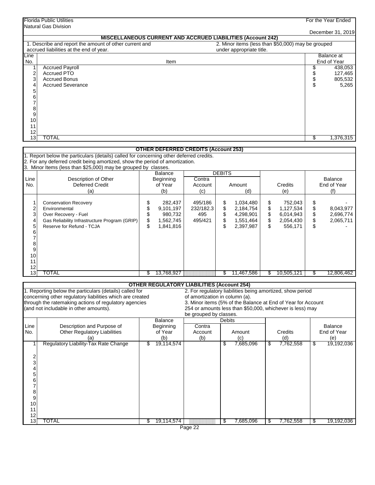### Florida Public Utilities **For the Year Ended** Natural Gas Division December 31, 2019 **MISCELLANEOUS CURRENT AND ACCRUED LIABILITIES (Account 242)**<br>int of other current and **the authority of the authority** 2. Minor items (less than \$50,000) may be grouped 1. Describe and report the amount of other current and <br>accrued liabilities at the end of year. <br>accrued liabilities at the end of year. accrued liabilities at the end of year.<br>Line Line Balance at No. So a set of Year in the set of Year in the Manuscript of Tendor Year in the End of Year in the End of Year 1 Accrued Payroll \$ 438,053 2 Accrued PTO \$ 127,465 3 Accrued Bonus \$ 805,532 438,053<br>
4 Accrued PTO<br>
4 Accrued Bonus<br>
4 Accrued Severance<br>
4 Accrued Severance<br>
5,265<br>
5,265<br>
5,265 5 6 7 8 9 10 11  $\begin{array}{c} 12 \\ 13 \end{array}$ 13 TOTAL \$ 1,376,315

| <b>OTHER REGULATORY LIABILITIES (Account 254)</b>                                                                     |                                                           |                  |                                                            |               |           |    |           |             |                |  |  |  |  |  |
|-----------------------------------------------------------------------------------------------------------------------|-----------------------------------------------------------|------------------|------------------------------------------------------------|---------------|-----------|----|-----------|-------------|----------------|--|--|--|--|--|
|                                                                                                                       | 1. Reporting below the particulars (details) called for   |                  | 2. For regulatory liabilities being amortized, show period |               |           |    |           |             |                |  |  |  |  |  |
|                                                                                                                       | concerning other regulatory liabilities which are created |                  | of amortization in column (a).                             |               |           |    |           |             |                |  |  |  |  |  |
| through the ratemaking actions of regulatory agencies<br>3. Minor items (5% of the Balance at End of Year for Account |                                                           |                  |                                                            |               |           |    |           |             |                |  |  |  |  |  |
| (and not includable in other amounts).<br>254 or amounts less than \$50,000, whichever is less) may                   |                                                           |                  |                                                            |               |           |    |           |             |                |  |  |  |  |  |
|                                                                                                                       | be grouped by classes.                                    |                  |                                                            |               |           |    |           |             |                |  |  |  |  |  |
|                                                                                                                       |                                                           | <b>Balance</b>   |                                                            | <b>Debits</b> |           |    |           |             |                |  |  |  |  |  |
| Line                                                                                                                  | Description and Purpose of                                | <b>Beginning</b> | Contra                                                     |               |           |    |           |             | <b>Balance</b> |  |  |  |  |  |
| No.                                                                                                                   | <b>Other Regulatory Liabilities</b>                       | of Year          | Account                                                    |               | Amount    |    | Credits   | End of Year |                |  |  |  |  |  |
|                                                                                                                       | a                                                         | (b)              | (b)                                                        |               | (c)       |    | (d)       |             | (e)            |  |  |  |  |  |
|                                                                                                                       | Regulatory Liability-Tax Rate Change                      | \$<br>19,114,574 |                                                            | \$            | 7,685,096 | \$ | 7,762,558 | \$          | 19,192,036     |  |  |  |  |  |
|                                                                                                                       |                                                           |                  |                                                            |               |           |    |           |             |                |  |  |  |  |  |
|                                                                                                                       |                                                           |                  |                                                            |               |           |    |           |             |                |  |  |  |  |  |
|                                                                                                                       |                                                           |                  |                                                            |               |           |    |           |             |                |  |  |  |  |  |
|                                                                                                                       |                                                           |                  |                                                            |               |           |    |           |             |                |  |  |  |  |  |
|                                                                                                                       |                                                           |                  |                                                            |               |           |    |           |             |                |  |  |  |  |  |
|                                                                                                                       |                                                           |                  |                                                            |               |           |    |           |             |                |  |  |  |  |  |
|                                                                                                                       |                                                           |                  |                                                            |               |           |    |           |             |                |  |  |  |  |  |

|        | <b>OTHER DEFERRED CREDITS (Account 253)</b>                                             |    |                |                |               |            |    |            |                       |             |  |  |
|--------|-----------------------------------------------------------------------------------------|----|----------------|----------------|---------------|------------|----|------------|-----------------------|-------------|--|--|
|        | 1. Report below the particulars (details) called for concerning other deferred credits. |    |                |                |               |            |    |            |                       |             |  |  |
|        | 2. For any deferred credit being amortized, show the period of amortization.            |    |                |                |               |            |    |            |                       |             |  |  |
|        | 3. Minor Items (less than \$25,000) may be grouped by classes.                          |    |                |                |               |            |    |            |                       |             |  |  |
|        |                                                                                         |    | <b>Balance</b> |                | <b>DEBITS</b> |            |    |            |                       |             |  |  |
| Line   | Description of Other                                                                    |    |                | <b>Balance</b> |               |            |    |            |                       |             |  |  |
| No.    | <b>Deferred Credit</b>                                                                  |    | of Year        | Account        |               | Amount     |    | Credits    |                       | End of Year |  |  |
|        | (a)                                                                                     |    | (b)            | (c)            |               | (d)        |    | (e)        |                       | (f)         |  |  |
|        | <b>Conservation Recovery</b>                                                            |    | 282,437        | 495/186        | \$            | 1,034,480  | \$ | 752,043    | $\boldsymbol{\theta}$ |             |  |  |
|        | Environmental                                                                           |    | 9,101,197      | 232/182.3      |               | 2,184,754  | \$ | 1,127,534  | \$                    | 8,043,977   |  |  |
|        | Over Recovery - Fuel                                                                    |    | 980,732        | 495            |               | 4,298,901  | \$ | 6,014,943  | \$                    | 2,696,774   |  |  |
|        | Gas Reliability Infrastructure Program (GRIP)                                           | \$ | 1,562,745      | 495/421        | \$            | 1,551,464  | \$ | 2,054,430  | \$                    | 2,065,711   |  |  |
|        | Reserve for Refund - TCJA                                                               | \$ | 1,841,816      |                |               | 2,397,987  | \$ | 556,171    | \$                    |             |  |  |
|        |                                                                                         |    |                |                |               |            |    |            |                       |             |  |  |
|        |                                                                                         |    |                |                |               |            |    |            |                       |             |  |  |
|        |                                                                                         |    |                |                |               |            |    |            |                       |             |  |  |
| 8<br>9 |                                                                                         |    |                |                |               |            |    |            |                       |             |  |  |
| 10     |                                                                                         |    |                |                |               |            |    |            |                       |             |  |  |
| 11     |                                                                                         |    |                |                |               |            |    |            |                       |             |  |  |
| 12     |                                                                                         |    |                |                |               |            |    |            |                       |             |  |  |
| 13     | TOTAL                                                                                   | æ. | 13,768,927     |                | æ.            | 11,467,586 | æ. | 10,505,121 | æ.                    | 12,806,462  |  |  |

| -<br>o                |       |            |         |           |   |           |    |            |
|-----------------------|-------|------------|---------|-----------|---|-----------|----|------------|
| 9                     |       |            |         |           |   |           |    |            |
| 10<br>11              |       |            |         |           |   |           |    |            |
| 12<br>13 <sub>l</sub> | TOTAL | 19,114,574 |         | 7,685,096 | D | 7,762,558 | ۰U | 19,192,036 |
|                       |       |            | Page 22 |           |   |           |    |            |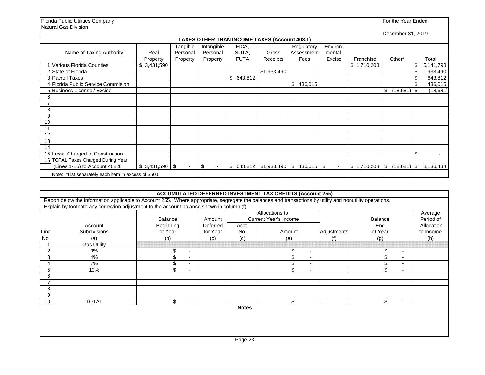| For the Year Ended |                           |           |
|--------------------|---------------------------|-----------|
| December 31, 2019  |                           |           |
|                    |                           |           |
|                    |                           |           |
|                    |                           |           |
| Other*             |                           | Total     |
|                    | $\overline{\mathfrak{g}}$ | 5,141,798 |
|                    | $\frac{1}{2}$             | 1,933,490 |
|                    | \$                        | 643,812   |
|                    | $\overline{\mathcal{L}}$  | 436,015   |
| \$<br>(18, 681)    | $\overline{\$}$           | (18, 681) |
|                    |                           |           |
|                    |                           |           |
|                    |                           |           |
|                    |                           |           |
|                    |                           |           |
|                    |                           |           |
|                    |                           |           |
|                    |                           |           |
|                    |                           |           |
|                    | \$                        |           |
|                    |                           |           |
| \$(18,681)         | \$                        | 8,136,434 |
|                    |                           |           |

|    | <b>Florida Public Utilities Company</b>              |             |          |            |             |                                                      |                            |               |                                     | For the Year Ended         |                       |
|----|------------------------------------------------------|-------------|----------|------------|-------------|------------------------------------------------------|----------------------------|---------------|-------------------------------------|----------------------------|-----------------------|
|    | <b>Natural Gas Division</b>                          |             |          |            |             |                                                      |                            |               |                                     | December 31, 2019          |                       |
|    |                                                      |             |          |            |             | <b>TAXES OTHER THAN INCOME TAXES (Account 408.1)</b> |                            |               |                                     |                            |                       |
|    |                                                      |             | Tangible | Intangible | FICA,       |                                                      | Regulatory                 | Environ-      |                                     |                            |                       |
|    | Name of Taxing Authority                             | Real        | Personal | Personal   | SUTA,       | Gross                                                | Assessment                 | mental,       |                                     |                            |                       |
|    |                                                      | Property    | Property | Property   | <b>FUTA</b> | Receipts                                             | Fees                       | <b>Excise</b> | Franchise                           | Other*                     | Total                 |
|    | 1 Various Florida Counties                           | \$3,431,590 |          |            |             |                                                      |                            |               | \$1,710,208                         |                            | 5,141,798             |
|    | 2 State of Florida                                   |             |          |            |             | \$1,933,490                                          |                            |               |                                     |                            | 1,933,490             |
|    | 3 Payroll Taxes                                      |             |          |            | \$643,812   |                                                      |                            |               |                                     |                            | \$<br>643,812         |
|    | 4 Florida Public Service Commision                   |             |          |            |             |                                                      | 436,015<br>$\mathfrak{S}$  |               |                                     |                            | \$<br>436,015         |
|    | 5 Business License / Excise                          |             |          |            |             |                                                      |                            |               |                                     | $\mathfrak{S}$<br>(18,681) | \$<br>(18, 681)       |
| 6  |                                                      |             |          |            |             |                                                      |                            |               |                                     |                            |                       |
|    |                                                      |             |          |            |             |                                                      |                            |               |                                     |                            |                       |
| 8  |                                                      |             |          |            |             |                                                      |                            |               |                                     |                            |                       |
| 9  |                                                      |             |          |            |             |                                                      |                            |               |                                     |                            |                       |
| 10 |                                                      |             |          |            |             |                                                      |                            |               |                                     |                            |                       |
| 11 |                                                      |             |          |            |             |                                                      |                            |               |                                     |                            |                       |
| 12 |                                                      |             |          |            |             |                                                      |                            |               |                                     |                            |                       |
| 13 |                                                      |             |          |            |             |                                                      |                            |               |                                     |                            |                       |
| 14 |                                                      |             |          |            |             |                                                      |                            |               |                                     |                            |                       |
|    | 15 Less: Charged to Construction                     |             |          |            |             |                                                      |                            |               |                                     |                            | \$<br><b>Contract</b> |
|    | 16 TOTAL Taxes Charged During Year                   |             |          |            |             |                                                      |                            |               |                                     |                            |                       |
|    | (Lines 1-15) to Account 408.1                        |             | $\sim$   | \$         |             | $$643,812 \mid $1,933,490$                           | $\frac{1}{8}$ 436,015   \$ |               | $$1,710,208 \mid $ (18,681) \mid $$ |                            | 8,136,434             |
|    | Note: *List separately each item in excess of \$500. |             |          |            |             |                                                      |                            |               |                                     |                            |                       |

| <b>ACCUMULATED DEFERRED INVESTMENT TAX CREDITS (Account 255)</b> |                                                                                                                                                          |                  |          |       |                              |                |                |            |  |  |  |  |  |  |
|------------------------------------------------------------------|----------------------------------------------------------------------------------------------------------------------------------------------------------|------------------|----------|-------|------------------------------|----------------|----------------|------------|--|--|--|--|--|--|
|                                                                  | Report below the information applicable to Account 255. Where appropriate, segregate the balances and transactions by utility and nonutility operations. |                  |          |       |                              |                |                |            |  |  |  |  |  |  |
|                                                                  | Explain by footnote any correction adjustment to the account balance shown in column (f).                                                                |                  |          |       |                              |                |                |            |  |  |  |  |  |  |
|                                                                  |                                                                                                                                                          |                  |          |       | Allocations to               |                |                | Average    |  |  |  |  |  |  |
|                                                                  |                                                                                                                                                          | <b>Balance</b>   | Amount   |       | <b>Current Year's Income</b> |                | <b>Balance</b> | Period of  |  |  |  |  |  |  |
|                                                                  | Account                                                                                                                                                  | <b>Beginning</b> | Deferred | Acct. |                              |                | End            | Allocation |  |  |  |  |  |  |
| Line                                                             | <b>Subdivisions</b>                                                                                                                                      | of Year          | for Year | No.   | Amount                       | Adjustments    | of Year        | to Income  |  |  |  |  |  |  |
| No.                                                              | (a)                                                                                                                                                      | (b)              | (c)      | (d)   | (e)                          | (f)            | (g)            | (h)        |  |  |  |  |  |  |
|                                                                  | <b>Gas Utility</b>                                                                                                                                       |                  |          |       |                              |                |                |            |  |  |  |  |  |  |
| ⌒                                                                | 3%                                                                                                                                                       |                  |          |       |                              | $\blacksquare$ | $\blacksquare$ |            |  |  |  |  |  |  |
|                                                                  | 4%                                                                                                                                                       |                  |          |       |                              | $\blacksquare$ | $\blacksquare$ |            |  |  |  |  |  |  |
|                                                                  | 7%                                                                                                                                                       |                  |          |       |                              | $\blacksquare$ | $\blacksquare$ |            |  |  |  |  |  |  |
|                                                                  | 10%                                                                                                                                                      |                  |          |       |                              | $\blacksquare$ | $\blacksquare$ |            |  |  |  |  |  |  |
| 6                                                                |                                                                                                                                                          |                  |          |       |                              |                |                |            |  |  |  |  |  |  |
|                                                                  |                                                                                                                                                          |                  |          |       |                              |                |                |            |  |  |  |  |  |  |
| 8                                                                |                                                                                                                                                          |                  |          |       |                              |                |                |            |  |  |  |  |  |  |
| 9                                                                |                                                                                                                                                          |                  |          |       |                              |                |                |            |  |  |  |  |  |  |
| 10                                                               | <b>TOTAL</b>                                                                                                                                             | $\blacksquare$   |          |       | \$                           | $\blacksquare$ | $\blacksquare$ |            |  |  |  |  |  |  |
|                                                                  | <b>Notes</b>                                                                                                                                             |                  |          |       |                              |                |                |            |  |  |  |  |  |  |
|                                                                  |                                                                                                                                                          |                  |          |       |                              |                |                |            |  |  |  |  |  |  |
|                                                                  |                                                                                                                                                          |                  |          |       |                              |                |                |            |  |  |  |  |  |  |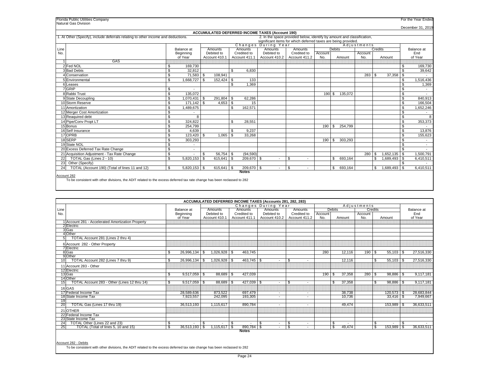|                                                                                   |                                                                                                                                                                                                                                                     |                                                                                                                                                                                                                |                                                                                     |                                                                           |                                                                              | <b>Florida Public Utilities Company</b><br><b>For the Year Ended</b>      |                                                                          |                                                                               |                                                         |                                                |                       |                                                                                      |                                                                                                                                                        |                                                                                  |                                                                                                                                                                                                                                                                        |  |  |
|-----------------------------------------------------------------------------------|-----------------------------------------------------------------------------------------------------------------------------------------------------------------------------------------------------------------------------------------------------|----------------------------------------------------------------------------------------------------------------------------------------------------------------------------------------------------------------|-------------------------------------------------------------------------------------|---------------------------------------------------------------------------|------------------------------------------------------------------------------|---------------------------------------------------------------------------|--------------------------------------------------------------------------|-------------------------------------------------------------------------------|---------------------------------------------------------|------------------------------------------------|-----------------------|--------------------------------------------------------------------------------------|--------------------------------------------------------------------------------------------------------------------------------------------------------|----------------------------------------------------------------------------------|------------------------------------------------------------------------------------------------------------------------------------------------------------------------------------------------------------------------------------------------------------------------|--|--|
|                                                                                   | Natural Gas Division                                                                                                                                                                                                                                |                                                                                                                                                                                                                |                                                                                     |                                                                           |                                                                              |                                                                           |                                                                          |                                                                               |                                                         |                                                |                       |                                                                                      |                                                                                                                                                        |                                                                                  | December 31, 2019                                                                                                                                                                                                                                                      |  |  |
| <b>ACCUMULATED DEFERRED INCOME TAXES (Account 190)</b>                            |                                                                                                                                                                                                                                                     |                                                                                                                                                                                                                |                                                                                     |                                                                           |                                                                              |                                                                           |                                                                          |                                                                               |                                                         |                                                |                       |                                                                                      |                                                                                                                                                        |                                                                                  |                                                                                                                                                                                                                                                                        |  |  |
| 1. At Other (Specify), include deferrals relating to other income and deductions. |                                                                                                                                                                                                                                                     |                                                                                                                                                                                                                |                                                                                     |                                                                           |                                                                              |                                                                           | 2. In the space provided below, identify by amount and classification,   |                                                                               |                                                         |                                                |                       |                                                                                      |                                                                                                                                                        |                                                                                  |                                                                                                                                                                                                                                                                        |  |  |
|                                                                                   |                                                                                                                                                                                                                                                     |                                                                                                                                                                                                                |                                                                                     |                                                                           |                                                                              |                                                                           |                                                                          |                                                                               |                                                         |                                                |                       |                                                                                      |                                                                                                                                                        |                                                                                  |                                                                                                                                                                                                                                                                        |  |  |
|                                                                                   |                                                                                                                                                                                                                                                     |                                                                                                                                                                                                                |                                                                                     |                                                                           |                                                                              |                                                                           |                                                                          |                                                                               |                                                         |                                                |                       |                                                                                      |                                                                                                                                                        |                                                                                  |                                                                                                                                                                                                                                                                        |  |  |
|                                                                                   |                                                                                                                                                                                                                                                     |                                                                                                                                                                                                                |                                                                                     |                                                                           |                                                                              |                                                                           |                                                                          |                                                                               |                                                         |                                                |                       |                                                                                      |                                                                                                                                                        |                                                                                  | <b>Balance</b> at<br>End                                                                                                                                                                                                                                               |  |  |
|                                                                                   |                                                                                                                                                                                                                                                     |                                                                                                                                                                                                                |                                                                                     |                                                                           |                                                                              |                                                                           |                                                                          |                                                                               |                                                         |                                                |                       |                                                                                      |                                                                                                                                                        |                                                                                  | of Year                                                                                                                                                                                                                                                                |  |  |
|                                                                                   |                                                                                                                                                                                                                                                     |                                                                                                                                                                                                                |                                                                                     |                                                                           |                                                                              |                                                                           |                                                                          |                                                                               |                                                         |                                                |                       |                                                                                      |                                                                                                                                                        |                                                                                  |                                                                                                                                                                                                                                                                        |  |  |
|                                                                                   |                                                                                                                                                                                                                                                     |                                                                                                                                                                                                                |                                                                                     |                                                                           |                                                                              |                                                                           |                                                                          |                                                                               |                                                         |                                                |                       |                                                                                      |                                                                                                                                                        |                                                                                  | 169,730                                                                                                                                                                                                                                                                |  |  |
| 3Bad Debts                                                                        | $\mathfrak{S}$                                                                                                                                                                                                                                      | 32,812                                                                                                                                                                                                         |                                                                                     |                                                                           | $\mathfrak{L}$                                                               | 6,830                                                                     |                                                                          |                                                                               |                                                         |                                                |                       |                                                                                      |                                                                                                                                                        | $\mathfrak{S}$                                                                   | 39,642                                                                                                                                                                                                                                                                 |  |  |
| 4 Conservation                                                                    | $\mathfrak{S}$                                                                                                                                                                                                                                      |                                                                                                                                                                                                                |                                                                                     |                                                                           |                                                                              |                                                                           |                                                                          |                                                                               |                                                         |                                                |                       | 283                                                                                  |                                                                                                                                                        |                                                                                  |                                                                                                                                                                                                                                                                        |  |  |
| 5 Environmental                                                                   | $\mathfrak{S}$                                                                                                                                                                                                                                      |                                                                                                                                                                                                                |                                                                                     |                                                                           |                                                                              | 133                                                                       |                                                                          |                                                                               |                                                         |                                                |                       |                                                                                      |                                                                                                                                                        | $\boldsymbol{\mathsf{S}}$                                                        | 1,516,436                                                                                                                                                                                                                                                              |  |  |
| 6Leases                                                                           |                                                                                                                                                                                                                                                     |                                                                                                                                                                                                                |                                                                                     |                                                                           | $\mathfrak{L}$                                                               | 1,369                                                                     |                                                                          |                                                                               |                                                         |                                                |                       |                                                                                      |                                                                                                                                                        | $\mathfrak{S}$                                                                   | 1,369                                                                                                                                                                                                                                                                  |  |  |
| 7GRIP                                                                             | $\boldsymbol{\mathsf{S}}$                                                                                                                                                                                                                           | $\sim$                                                                                                                                                                                                         |                                                                                     |                                                                           |                                                                              |                                                                           |                                                                          |                                                                               |                                                         |                                                |                       |                                                                                      |                                                                                                                                                        | $\boldsymbol{\mathsf{S}}$                                                        |                                                                                                                                                                                                                                                                        |  |  |
| 8 Rabbi Trust                                                                     | $\mathfrak{S}$                                                                                                                                                                                                                                      | 135,072                                                                                                                                                                                                        |                                                                                     |                                                                           |                                                                              |                                                                           |                                                                          |                                                                               |                                                         |                                                |                       |                                                                                      |                                                                                                                                                        | $\mathfrak{S}$                                                                   |                                                                                                                                                                                                                                                                        |  |  |
| 9 State Decoupling                                                                | $\overline{\mathcal{S}}$                                                                                                                                                                                                                            |                                                                                                                                                                                                                | \$                                                                                  |                                                                           |                                                                              | 62,286                                                                    |                                                                          |                                                                               |                                                         |                                                |                       |                                                                                      |                                                                                                                                                        | $\overline{\mathbf{3}}$                                                          | 840,913                                                                                                                                                                                                                                                                |  |  |
| 10 Storm Reserve                                                                  | $\boldsymbol{\mathsf{S}}$                                                                                                                                                                                                                           |                                                                                                                                                                                                                |                                                                                     |                                                                           |                                                                              | 15                                                                        |                                                                          |                                                                               |                                                         |                                                |                       |                                                                                      |                                                                                                                                                        | $\sqrt[6]{\frac{1}{2}}$                                                          | 166,504                                                                                                                                                                                                                                                                |  |  |
| 11 Amortization                                                                   | $\mathfrak{S}$                                                                                                                                                                                                                                      | 1,489,675                                                                                                                                                                                                      |                                                                                     |                                                                           | -\$                                                                          | 162,571                                                                   |                                                                          |                                                                               |                                                         |                                                |                       |                                                                                      |                                                                                                                                                        | $\mathfrak{S}$                                                                   | 1,652,246                                                                                                                                                                                                                                                              |  |  |
| 12 Merger Cost Amortization                                                       | $\mathfrak{S}$                                                                                                                                                                                                                                      |                                                                                                                                                                                                                |                                                                                     |                                                                           |                                                                              |                                                                           |                                                                          |                                                                               |                                                         |                                                |                       |                                                                                      |                                                                                                                                                        | $\overline{\mathbf{3}}$                                                          |                                                                                                                                                                                                                                                                        |  |  |
| 13 Reaquired debt                                                                 | $\mathfrak{S}$                                                                                                                                                                                                                                      | 8                                                                                                                                                                                                              |                                                                                     |                                                                           |                                                                              |                                                                           |                                                                          |                                                                               |                                                         |                                                |                       |                                                                                      |                                                                                                                                                        | $\overline{\$}$                                                                  | $\mathsf{B}$                                                                                                                                                                                                                                                           |  |  |
| 14 Pipe/Conv Propt LT                                                             | $\boldsymbol{\mathsf{S}}$                                                                                                                                                                                                                           | 324,822                                                                                                                                                                                                        |                                                                                     |                                                                           | $\mathfrak{F}$                                                               | 28,551                                                                    |                                                                          |                                                                               |                                                         |                                                |                       |                                                                                      |                                                                                                                                                        | $\boldsymbol{\mathsf{S}}$                                                        | 353,373                                                                                                                                                                                                                                                                |  |  |
|                                                                                   | $\mathfrak{S}$                                                                                                                                                                                                                                      |                                                                                                                                                                                                                |                                                                                     |                                                                           |                                                                              |                                                                           |                                                                          |                                                                               |                                                         | 190                                            |                       |                                                                                      |                                                                                                                                                        |                                                                                  |                                                                                                                                                                                                                                                                        |  |  |
|                                                                                   | $\mathfrak{S}$                                                                                                                                                                                                                                      |                                                                                                                                                                                                                |                                                                                     |                                                                           | $\mathfrak{L}$                                                               | 9,237                                                                     |                                                                          |                                                                               |                                                         |                                                |                       |                                                                                      |                                                                                                                                                        |                                                                                  | 13,876                                                                                                                                                                                                                                                                 |  |  |
|                                                                                   |                                                                                                                                                                                                                                                     |                                                                                                                                                                                                                | \$                                                                                  |                                                                           | \$                                                                           |                                                                           |                                                                          |                                                                               |                                                         |                                                |                       |                                                                                      |                                                                                                                                                        |                                                                                  | 155,623                                                                                                                                                                                                                                                                |  |  |
|                                                                                   |                                                                                                                                                                                                                                                     |                                                                                                                                                                                                                |                                                                                     |                                                                           |                                                                              |                                                                           |                                                                          |                                                                               |                                                         |                                                |                       |                                                                                      |                                                                                                                                                        |                                                                                  |                                                                                                                                                                                                                                                                        |  |  |
|                                                                                   |                                                                                                                                                                                                                                                     | $\sim$                                                                                                                                                                                                         |                                                                                     |                                                                           |                                                                              |                                                                           |                                                                          |                                                                               |                                                         |                                                |                       |                                                                                      |                                                                                                                                                        |                                                                                  | $\sim$                                                                                                                                                                                                                                                                 |  |  |
|                                                                                   |                                                                                                                                                                                                                                                     |                                                                                                                                                                                                                |                                                                                     |                                                                           |                                                                              |                                                                           |                                                                          |                                                                               |                                                         |                                                |                       |                                                                                      |                                                                                                                                                        |                                                                                  |                                                                                                                                                                                                                                                                        |  |  |
| 21 Acquisition Adjustment - Tax Rate Change                                       |                                                                                                                                                                                                                                                     |                                                                                                                                                                                                                | $\mathfrak{F}$                                                                      |                                                                           |                                                                              | (94, 590)                                                                 |                                                                          |                                                                               |                                                         |                                                |                       | 280                                                                                  |                                                                                                                                                        |                                                                                  | 1,500,791                                                                                                                                                                                                                                                              |  |  |
|                                                                                   |                                                                                                                                                                                                                                                     |                                                                                                                                                                                                                |                                                                                     |                                                                           |                                                                              |                                                                           | $\sim$                                                                   |                                                                               | $\blacksquare$                                          |                                                | $\mathfrak{L}$        |                                                                                      |                                                                                                                                                        |                                                                                  | 6,410,511                                                                                                                                                                                                                                                              |  |  |
|                                                                                   |                                                                                                                                                                                                                                                     |                                                                                                                                                                                                                |                                                                                     |                                                                           |                                                                              |                                                                           |                                                                          |                                                                               |                                                         |                                                |                       |                                                                                      |                                                                                                                                                        |                                                                                  |                                                                                                                                                                                                                                                                        |  |  |
|                                                                                   |                                                                                                                                                                                                                                                     |                                                                                                                                                                                                                |                                                                                     |                                                                           |                                                                              |                                                                           | $\sim$                                                                   |                                                                               |                                                         |                                                |                       |                                                                                      |                                                                                                                                                        |                                                                                  | 6,410,511                                                                                                                                                                                                                                                              |  |  |
|                                                                                   | <b>GAS</b><br>2 Fed NOL<br>15 Bonus<br>16 Self Insurance<br>17 OPRB<br>18SERP<br>19 State NOL<br>20 Excess Deferred Tax Rate Change<br>TOTAL Gas (Lines 2 - 10)<br>Other (Specify)<br>TOTAL (Account 190) (Total of lines 11 and 12)<br>Account 282 | $\boldsymbol{\mathsf{S}}$<br>$\boldsymbol{\mathsf{S}}$<br>$\overline{\mathcal{S}}$<br>$\boldsymbol{\mathsf{S}}$<br>$\boldsymbol{\mathsf{S}}$<br>$\boldsymbol{\mathsf{\$}}$<br>$\mathfrak{S}$<br>$\mathfrak{S}$ | <b>Balance</b> at<br>Beginning<br>of Year<br>169,730<br>254,799<br>4,639<br>303,293 | $1,668,727$ \ \ \$<br>1,070,431<br>123,420<br>$\mathfrak{F}$<br>5,820,153 | <b>Amounts</b><br>Debited to<br>Account 410.1<br>108,941<br>1,065<br>615,641 | $152,424$ \ \$<br>$291,804$ \ \$<br>$56,754$   \$<br>$615,641$ \$<br>l \$ | <b>Amounts</b><br>Credited to<br>Account 411.1<br>33,268<br><b>Notes</b> | <b>Amounts</b><br>Debited to<br>Account 410.2<br>$209,670$ \$<br>$209,670$ \$ | Changes During Year<br>$\mathfrak{S}$<br>$\mathfrak{L}$ | <b>Amounts</b><br>Credited to<br>Account 411.2 | Account<br>No.<br>190 | <b>Debits</b><br>Amount<br>$190$ \$<br>$\mathcal{S}$<br>$\sqrt{3}$<br>$\mathfrak{L}$ | significant items for which deferred taxes are being provided.<br>Adjustments<br>Account<br>No.<br>135,072<br>254,799<br>303,293<br>693,164<br>693,164 | <b>Credits</b><br>Amount<br>$\mathbb{S}$<br>$\mathfrak{L}$<br>$\mathbb S$<br>\$. | $\boldsymbol{\mathsf{S}}$<br>$37,358$ \ \\$<br>$\overline{\mathbf{3}}$<br>$\overline{\mathbf{B}}$<br>$\boldsymbol{\mathsf{S}}$<br>$\overline{\mathbf{3}}$<br>$\mathfrak{F}$<br>$\mathfrak{S}$<br>$1,689,493$   $\overline{\$}$<br>$\mathfrak{L}$<br>$1,689,493$ \ \ \$ |  |  |

### Account 282

To be consistent with other divisions, the ADIT related to the excess deferred tax rate change has been reclassed to 282

|                 |                                                   |     |                   |     |                  |            |                | <b>ACCUMULATED DEFERRED INCOME TAXES (Accounts 281, 282, 283)</b> |        |                |         |               |                |             |                |               |      |                   |
|-----------------|---------------------------------------------------|-----|-------------------|-----|------------------|------------|----------------|-------------------------------------------------------------------|--------|----------------|---------|---------------|----------------|-------------|----------------|---------------|------|-------------------|
|                 |                                                   |     |                   |     |                  |            |                | Changes During Year                                               |        |                |         |               |                | Adjustments |                |               |      |                   |
| Line            |                                                   |     | <b>Balance</b> at |     | <b>Amounts</b>   |            | Amounts        | Amounts                                                           |        | <b>Amounts</b> |         | <b>Debits</b> |                |             | <b>Credits</b> |               |      | <b>Balance</b> at |
| No.             |                                                   |     | Beginning         |     | Debited to       |            | Credited to    | Debited to                                                        |        | Credited to    | Account |               |                | Account     |                |               |      | End               |
|                 |                                                   |     | of Year           |     | Account 410.1    |            | Account 411.1  | Account 410.2                                                     |        | Account 411.2  | No.     |               | Amount         | No.         |                | Amount        |      | of Year           |
|                 | 1 Account 281 - Accelerated Amortization Property |     |                   |     |                  |            |                |                                                                   |        |                |         |               |                |             |                |               |      |                   |
|                 | 2 Electric                                        |     |                   |     |                  |            |                |                                                                   |        |                |         |               |                |             |                |               |      |                   |
|                 | 3 Gas                                             |     |                   |     |                  |            |                |                                                                   |        |                |         |               |                |             |                |               |      |                   |
|                 | 4 Other                                           |     |                   |     |                  |            |                |                                                                   |        |                |         |               |                |             |                |               |      |                   |
|                 | TOTAL Account 281 (Lines 2 thru 4)                |     |                   |     |                  |            |                |                                                                   |        |                |         |               |                |             |                |               |      |                   |
|                 | 6 Account 282 - Other Property                    |     |                   |     |                  |            |                |                                                                   |        |                |         |               |                |             |                |               |      |                   |
|                 | 7 Electric                                        |     |                   |     |                  |            |                |                                                                   |        |                |         |               |                |             |                |               |      |                   |
|                 | 8 Gas                                             | \$. | 26,996,134        | । ऊ | 1,026,928        | $\sqrt{3}$ | 463,745        |                                                                   |        |                | 280     |               | 12,116         | 190         | ან             | 55,103        | - \$ | 27,516,330        |
|                 | 9 Other                                           |     |                   |     |                  |            |                |                                                                   |        |                |         |               |                |             |                |               |      |                   |
|                 | TOTAL Account 282 (Lines 7 thru 9)                |     | $26,996,134$   \$ |     | $1,026,928$   \$ |            |                | $\overline{\phantom{0}}$                                          |        | -\$<br>$\sim$  |         |               | 12,116         |             | Ъ              | $55,103$ \ \$ |      | 27,516,330        |
|                 | 11 Account 283 - Other                            |     |                   |     |                  |            |                |                                                                   |        |                |         |               |                |             |                |               |      |                   |
|                 | 12 Electric                                       |     |                   |     |                  |            |                |                                                                   |        |                |         |               |                |             |                |               |      |                   |
|                 | 13 Gas                                            | \$  | $9,517,059$ \\$   |     | $88,689$ \$      |            | 427,039        |                                                                   |        |                | 190     |               | 37,358         | 280         | <b>S</b>       | 98,886        | - \$ | 9,117,181         |
|                 | 14 Other                                          |     |                   |     |                  |            |                |                                                                   |        |                |         |               |                |             |                |               |      |                   |
| 15              | TOTAL Account 283 - Other (Lines 12 thru 14)      | \$. | $9,517,059$   \$  |     | $88,689$ \ \$    |            | $427,039$ \$   | $\sim$                                                            |        | - \$<br>$\sim$ |         |               | 37,358         |             | Ж,             | 98,886        | l \$ | 9,117,181         |
|                 | $16$ GAS                                          |     |                   |     |                  |            |                |                                                                   |        |                |         |               |                |             |                |               |      |                   |
|                 | 17 Federal Income Tax                             |     | 28,589,636        |     | 873,522          |            | 697,479        |                                                                   | $\sim$ | $\sim$         |         |               | 38,738         |             |                | $120,573$ \$  |      | 28,683,844        |
|                 | 18 State Income Tax                               |     | 7,923,557         |     | 242,095          |            | 193,305        | $\overline{\phantom{0}}$                                          |        | $\blacksquare$ |         |               | 10,736         |             |                | $33,416$ \\$  |      | 7,949,667         |
| 19              |                                                   |     |                   |     |                  |            |                |                                                                   |        |                |         |               |                |             |                |               |      |                   |
| $\overline{20}$ | <b>TOTAL Gas (Lines 17 thru 19)</b>               |     | 36,513,193        |     | 1,115,617        |            | 890,784        |                                                                   | $\sim$ | $\sim$         |         |               | 49,474         |             |                | $153,989$ \$  |      | 36,633,511        |
|                 | 21 OTHER                                          |     |                   |     |                  |            |                |                                                                   |        |                |         |               |                |             |                |               |      |                   |
|                 | 22 Federal Income Tax                             |     |                   |     |                  |            |                |                                                                   |        |                |         |               |                |             |                |               |      |                   |
|                 | 23 State Income Tax                               |     |                   |     |                  |            |                |                                                                   |        |                |         |               |                |             |                |               |      |                   |
| 24              | TOTAL Other (Lines 22 and 23)                     |     | $\blacksquare$    |     |                  |            |                | \$                                                                | $\sim$ | -S<br>$\sim$   |         |               | $\blacksquare$ |             | Ж,             |               |      | $\sim$            |
| $\overline{25}$ | TOTAL (Total of lines 5, 10 and 15)               | \$  | 36,513,193        | 15  | $1,115,617$ \ \$ |            | $890,784$ \ \$ |                                                                   | $\sim$ | \$<br>$\sim$   |         |               | 49,474         |             | \$             | 153,989       | - \$ | 36,633,511        |
|                 |                                                   |     |                   |     |                  |            | <b>Notes</b>   |                                                                   |        |                |         |               |                |             |                |               |      |                   |

Account 282 - Debits

To be consistent with other divisions, the ADIT related to the excess deferred tax rate change has been reclassed to 282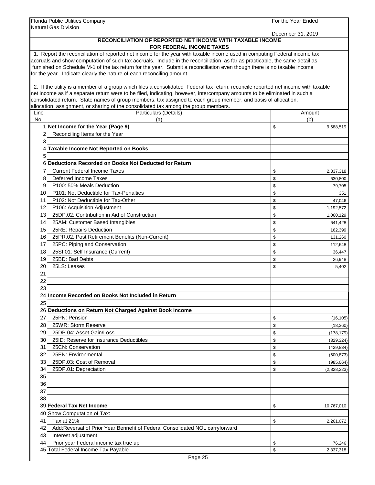### December 31, 2019

### **RECONCILIATION OF REPORTED NET INCOME WITH TAXABLE INCOME FOR FEDERAL INCOME TAXES**

 1. Report the reconciliation of reported net income for the year with taxable income used in computing Federal income tax accruals and show computation of such tax accruals. Include in the reconciliation, as far as practicable, the same detail as furnished on Schedule M-1 of the tax return for the year. Submit a reconciliation even though there is no taxable income for the year. Indicate clearly the nature of each reconciling amount.

 2. If the utility is a member of a group which files a consolidated Federal tax return, reconcile reported net income with taxable net income as if a separate return were to be filed, indicating, however, intercompany amounts to be eliminated in such a consolidated return. State names of group members, tax assigned to each group member, and basis of allocation, allocation, assignment, or sharing of the consolidated tax among the group members.

| Line | Particulars (Details)                                                        | Amount            |
|------|------------------------------------------------------------------------------|-------------------|
| No.  | (a)                                                                          | (b)               |
|      | 1 Net Income for the Year (Page 9)                                           | \$<br>9,688,519   |
|      | Reconciling Items for the Year                                               |                   |
| 3    |                                                                              |                   |
|      | <b>Taxable Income Not Reported on Books</b>                                  |                   |
| 5    |                                                                              |                   |
|      | Deductions Recorded on Books Not Deducted for Return                         |                   |
|      | <b>Current Federal Income Taxes</b>                                          | \$<br>2,337,318   |
| 8    | <b>Deferred Income Taxes</b>                                                 | \$<br>630,800     |
|      | P100: 50% Meals Deduction                                                    | \$<br>79,705      |
| 10   | P101: Not Deductible for Tax-Penalties                                       | \$<br>351         |
| 11   | P102: Not Deductible for Tax-Other                                           | \$<br>47,046      |
| 12   | P106: Acquisition Adjustment                                                 | \$<br>1,192,572   |
| 13   | 25DP.02: Contribution in Aid of Construction                                 | \$<br>1,060,129   |
| 14   | 25AM: Customer Based Intangibles                                             | \$<br>641,428     |
| 15   | 25RE: Repairs Deduction                                                      | \$<br>162,399     |
| 16   | 25PR.02: Post Retirement Benefits (Non-Current)                              | \$<br>131,260     |
| 17   | 25PC: Piping and Conservation                                                | \$<br>112,648     |
| 18   | 25SI.01: Self Insurance (Current)                                            | \$<br>36,447      |
| 19   | 25BD: Bad Debts                                                              | \$<br>26,948      |
| 20   | 25LS: Leases                                                                 | \$<br>5,402       |
| 21   |                                                                              |                   |
| 22   |                                                                              |                   |
| 23   |                                                                              |                   |
|      | 24 Income Recorded on Books Not Included in Return                           |                   |
| 25   |                                                                              |                   |
|      | 26 Deductions on Return Not Charged Against Book Income                      |                   |
| 27   | 25PN: Pension                                                                | \$<br>(16, 105)   |
| 28   | 25WR: Storm Reserve                                                          | \$<br>(18,360)    |
| 29   | 25DP.04: Asset Gain/Loss                                                     | \$<br>(178, 179)  |
| 30   | 25ID: Reserve for Insurance Deductibles                                      | \$<br>(329, 324)  |
| 31   | 25CN: Conservation                                                           | \$<br>(429, 834)  |
| 32   | 25EN: Environmental                                                          | \$<br>(600, 873)  |
| 33   | 25DP.03: Cost of Removal                                                     | \$<br>(985,064)   |
| 34   | 25DP.01: Depreciation                                                        | \$<br>(2,828,223) |
| 35   |                                                                              |                   |
| 36   |                                                                              |                   |
| 37   |                                                                              |                   |
| 38   |                                                                              |                   |
|      | 39 Federal Tax Net Income                                                    | \$<br>10,767,010  |
| 40   | <b>Show Computation of Tax:</b>                                              |                   |
| 41   | Tax at 21%                                                                   | \$<br>2,261,072   |
| 42   | Add:Reversal of Prior Year Bennefit of Federal Consolidated NOL carryforward |                   |
| 43   | Interest adjustment                                                          |                   |
| 44   | Prior year Federal income tax true up                                        | \$<br>76,246      |
|      | 45 Total Federal Income Tax Payable                                          | \$<br>2,337,318   |
|      | $D = -0.05$                                                                  |                   |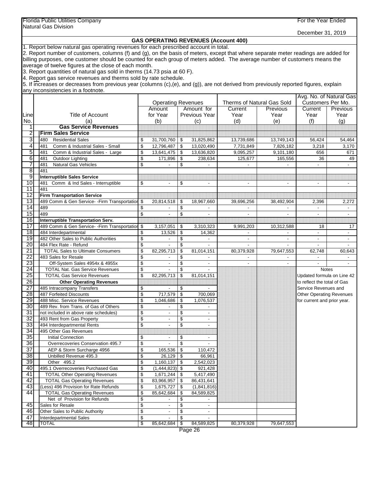### Florida Public Utilities Company **For the Year Ended** Florida Public Utilities Company

Natural Gas Division

December 31, 2019

### **GAS OPERATING REVENUES (Account 400)**

1. Report below natural gas operating revenues for each prescribed account in total.

2. Report number of customers, columns (f) and (g), on the basis of meters, except that where separate meter readings are added for billing purposes, one customer should be counted for each group of meters added. The average number of customers means the average of twelve figures at the close of each month.

3. Report quantities of natural gas sold in therms (14.73 psia at 60 F).

4. Report gas service revenues and therms sold by rate schedule.

5. If increases or decreases from previous year (columns (c),(e), and (g)), are not derived from previously reported figures, explain

any inconsistencies in a footnote.

|                       |                                                  |                           |                           |               |                      |            |                                   | Avg. No. of Natural Gas         |                 |  |  |
|-----------------------|--------------------------------------------------|---------------------------|---------------------------|---------------|----------------------|------------|-----------------------------------|---------------------------------|-----------------|--|--|
|                       |                                                  |                           | <b>Operating Revenues</b> |               |                      |            | <b>Therms of Natural Gas Sold</b> | <b>Customers Per Mo.</b>        |                 |  |  |
|                       |                                                  |                           | Amount                    |               | Amount for           | Current    | <b>Previous</b>                   | Current                         | <b>Previous</b> |  |  |
| Line                  | <b>Title of Account</b>                          |                           | for Year                  |               | <b>Previous Year</b> | Year       | Year                              | Year                            | Year            |  |  |
| No.                   | (a)                                              |                           | (b)                       |               | (c)                  | (d)        | (e)                               | (f)                             | (g)             |  |  |
| 1                     | <b>Gas Service Revenues</b>                      |                           |                           |               |                      |            |                                   |                                 |                 |  |  |
| $\overline{2}$        | <b>Firm Sales Service</b>                        |                           |                           |               |                      |            |                                   |                                 |                 |  |  |
| 3                     | <b>Residential Sales</b><br>480                  | \$                        | $31,700,760$ \$           |               | 31,825,862           | 13,739,686 | 13,749,143                        | 56,424                          | 54,464          |  |  |
| $\overline{4}$        | 481<br>Comm & Industrial Sales - Small           | \$                        | $12,796,487$ \$           |               | 13,020,490           | 7,731,849  | 7,826,182                         | 3,218                           | 3,170           |  |  |
| $\overline{5}$        | 481<br>Comm & Industrial Sales - Large           | \$                        | $13,641,475$ \$           |               | 13,636,820           | 9,095,257  | 9,101,180                         | 656                             | 671             |  |  |
| $\overline{6}$        | 481<br>Outdoor Lighting                          | \$                        | 171,896   \$              |               | 238,634              | 125,677    | 165,556                           | 36                              | 49              |  |  |
| 7                     | 481<br><b>Natural Gas Vehicles</b>               | $\boldsymbol{\mathsf{S}}$ |                           | \$            |                      |            |                                   |                                 |                 |  |  |
| $\overline{8}$        | 481                                              |                           |                           |               |                      |            |                                   |                                 |                 |  |  |
| $\overline{9}$        | <b>Interruptible Sales Service</b>               |                           |                           |               |                      |            |                                   |                                 |                 |  |  |
| 10                    | Comm & Ind Sales - Interruptible<br>481          | \$                        |                           | \$            |                      |            |                                   |                                 |                 |  |  |
| 11                    | 481                                              |                           |                           |               |                      |            |                                   |                                 |                 |  |  |
| 12                    | <b>Firm Transportation Service</b>               |                           |                           |               |                      |            |                                   |                                 |                 |  |  |
| 13                    | 489 Comm & Gen Service- - Firm Transportation \$ |                           | $20,814,518$ \\$          |               | 18,967,660           | 39,696,256 | 38,492,904                        | 2,396                           | 2,272           |  |  |
| 14                    | 489                                              | S                         |                           | \$            |                      |            |                                   |                                 |                 |  |  |
| $\overline{15}$       | 489                                              | \$                        |                           | \$            |                      |            |                                   | Ξ.                              |                 |  |  |
| 16                    | Interruptible Transportation Serv.               |                           |                           |               |                      |            |                                   |                                 |                 |  |  |
| 17                    | 489 Comm & Gen Service- - Firm Transportation    | \$                        | 3,157,051                 | \$            | 3,310,323            | 9,991,203  | 10,312,588                        | 18                              | 17              |  |  |
| 18                    | 484 Interdepartmental                            | \$                        | 13,526                    | $\sqrt[6]{3}$ | 14,362               |            |                                   |                                 |                 |  |  |
| 19                    | 482 Other Sales to Public Authorities            | \$                        |                           | S             |                      |            |                                   | $\overline{\phantom{a}}$        | $\blacksquare$  |  |  |
| 20                    | 484 Flex Rate - Refund                           | $\overline{\mathcal{S}}$  |                           | \$            |                      |            |                                   |                                 |                 |  |  |
| $\overline{21}$       | <b>TOTAL Sales to Ultimate Consumers</b>         | \$                        | 82,295,713                | \$            | 81,014,151           | 80,379,928 | 79,647,553                        | 62,748                          | 60,643          |  |  |
| 22                    | 483 Sales for Resale                             | \$                        |                           |               |                      |            |                                   |                                 |                 |  |  |
| 23                    | Off-System Sales 4954x & 4955x                   | \$                        |                           | \$            |                      |            |                                   |                                 |                 |  |  |
| 24                    | <b>TOTAL Nat. Gas Service Revenues</b>           | $\boldsymbol{\mathsf{S}}$ |                           | \$            |                      |            |                                   |                                 | <b>Notes</b>    |  |  |
| $\overline{25}$       | <b>TOTAL Gas Service Revenues</b>                | \$                        | 82,295,713                | \$            | 81,014,151           |            |                                   | Updated formula on Line 42      |                 |  |  |
| $\overline{26}$       | <b>Other Operating Revenues</b>                  |                           |                           |               |                      |            |                                   | to reflect the total of Gas     |                 |  |  |
| $\overline{27}$       | 485 Intracompany Transfers                       | \$                        |                           | \$            |                      |            |                                   | Service Revenues and            |                 |  |  |
| $\overline{28}$       | 487 Forfeited Discounts                          | \$                        | 717,579                   | \$            | 700,069              |            |                                   | <b>Other Operating Revenues</b> |                 |  |  |
| 29                    | 488 Misc. Service Revenues                       | \$                        | $1,046,686$ \$            |               | 1,076,537            |            |                                   | for current and prior year.     |                 |  |  |
| 30                    | 489 Rev. from Trans. of Gas of Others            | $\boldsymbol{\theta}$     |                           | \$            |                      |            |                                   |                                 |                 |  |  |
| $\overline{31}$       | not included in above rate schedules)            | \$                        |                           | \$            |                      |            |                                   |                                 |                 |  |  |
| $\overline{32}$       | 493 Rent from Gas Property                       | \$                        |                           | \$            |                      |            |                                   |                                 |                 |  |  |
| 33                    | 494 Interdepartmental Rents                      | \$                        |                           | \$            |                      |            |                                   |                                 |                 |  |  |
| $\overline{34}$       | 495 Other Gas Revenues                           |                           |                           |               |                      |            |                                   |                                 |                 |  |  |
| 35                    | <b>Initial Connection</b>                        | \$                        |                           | \$            |                      |            |                                   |                                 |                 |  |  |
| 36                    | Overrecoveries Conservation 495.7                | $\boldsymbol{\theta}$     |                           | \$            |                      |            |                                   |                                 |                 |  |  |
| $\overline{37}$       | AEP & Storm Surcharge 4956                       | \$                        | $165,536$ \ \$            |               | 110,472              |            |                                   |                                 |                 |  |  |
| 38                    | Unbilled Revenue 495.3                           | \$                        | $26,129$ \ \$             |               | 66,961               |            |                                   |                                 |                 |  |  |
| $\overline{39}$       | Other 495.2                                      | \$                        | $1,160,137$   \$          |               | 2,542,023            |            |                                   |                                 |                 |  |  |
| 40                    | 495.1 Overrecoveries Purchased Gas               | \$                        | $(1,444,823)$ \$          |               | 921,428              |            |                                   |                                 |                 |  |  |
| $\overline{41}$<br>42 | <b>TOTAL Other Operating Revenues</b>            | \$                        | $1,671,244$ \\$           |               | 5,417,490            |            |                                   |                                 |                 |  |  |
|                       | <b>TOTAL Gas Operating Revenues</b>              | \$                        | $83,966,957$ \\$          |               | 86,431,641           |            |                                   |                                 |                 |  |  |
| 43<br>44              | (Less) 496 Provision for Rate Refunds            | \$                        | $1,675,727$ \$            |               | (1,841,816)          |            |                                   |                                 |                 |  |  |
|                       | <b>TOTAL Gas Operating Revenues</b>              | \$                        | 85,642,684                | S             | 84,589,825           |            |                                   |                                 |                 |  |  |
|                       | Net of Provision for Refunds                     | $\boldsymbol{\mathsf{S}}$ |                           | \$            |                      |            |                                   |                                 |                 |  |  |
| 45<br>46              | Sales for Resale                                 | \$                        |                           |               |                      |            |                                   |                                 |                 |  |  |
| 47                    | Other Sales to Public Authority                  | \$                        |                           | \$            |                      |            |                                   |                                 |                 |  |  |
| 48                    | Interdepartmental Sales<br><b>TOTAL</b>          | \$<br>\$                  | 85,642,684                | \$<br>\$      | 84,589,825           | 80,379,928 | 79,647,553                        |                                 |                 |  |  |
|                       |                                                  |                           |                           |               |                      |            |                                   |                                 |                 |  |  |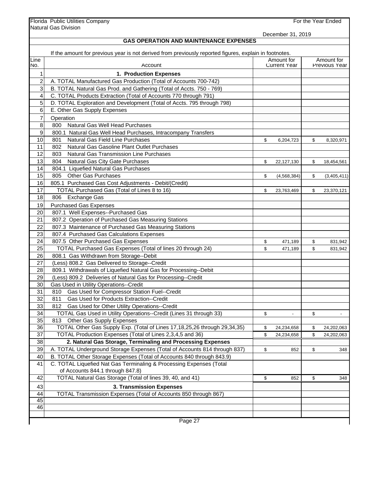December 31, 2019

#### **GAS OPERATION AND MAINTENANCE EXPENSES**

|                         | If the amount for previous year is not derived from previously reported figures, explain in footnotes. |                                   |                             |
|-------------------------|--------------------------------------------------------------------------------------------------------|-----------------------------------|-----------------------------|
| Line<br>No.             | Account                                                                                                | Amount for<br><b>Current Year</b> | Amount for<br>Previous Year |
| 1                       | 1. Production Expenses                                                                                 |                                   |                             |
| $\overline{\mathbf{c}}$ | A. TOTAL Manufactured Gas Production (Total of Accounts 700-742)                                       |                                   |                             |
| $\overline{3}$          | B. TOTAL Natural Gas Prod. and Gathering (Total of Accts. 750 - 769)                                   |                                   |                             |
| 4                       | C. TOTAL Products Extraction (Total of Accounts 770 through 791)                                       |                                   |                             |
| 5                       | D. TOTAL Exploration and Development (Total of Accts. 795 through 798)                                 |                                   |                             |
|                         |                                                                                                        |                                   |                             |
| 6                       | E. Other Gas Supply Expenses                                                                           |                                   |                             |
| $\overline{7}$          | Operation                                                                                              |                                   |                             |
| 8                       | Natural Gas Well Head Purchases<br>800                                                                 |                                   |                             |
| 9                       | 800.1 Natural Gas Well Head Purchases, Intracompany Transfers                                          |                                   |                             |
| 10                      | Natural Gas Field Line Purchases<br>801                                                                | \$<br>6,204,723                   | \$<br>8,320,971             |
| 11                      | Natural Gas Gasoline Plant Outlet Purchases<br>802                                                     |                                   |                             |
| 12                      | Natural Gas Transmission Line Purchases<br>803                                                         |                                   |                             |
| 13                      | 804 Natural Gas City Gate Purchases                                                                    | \$<br>22,127,130                  | \$<br>18,454,561            |
| 14                      | 804.1 Liquefied Natural Gas Purchases                                                                  |                                   |                             |
| 15                      | <b>Other Gas Purchases</b><br>805                                                                      | \$<br>(4, 568, 384)               | \$<br>(3,405,411)           |
| 16                      | 805.1 Purchased Gas Cost Adjustments - Debit/(Credit)                                                  |                                   |                             |
| 17                      | TOTAL Purchased Gas (Total of Lines 8 to 16)                                                           | \$<br>23,763,469                  | \$<br>23,370,121            |
| 18                      | 806 Exchange Gas                                                                                       |                                   |                             |
| 19                      | <b>Purchased Gas Expenses</b>                                                                          |                                   |                             |
| 20                      | 807.1 Well Expenses--Purchased Gas                                                                     |                                   |                             |
| 21                      | 807.2 Operation of Purchased Gas Measuring Stations                                                    |                                   |                             |
| 22                      | 807.3 Maintenance of Purchased Gas Measuring Stations                                                  |                                   |                             |
| 23                      | 807.4 Purchased Gas Calculations Expenses                                                              |                                   |                             |
| 24                      | 807.5 Other Purchased Gas Expenses                                                                     | \$<br>471,189                     | \$<br>831,942               |
| 25                      | TOTAL Purchased Gas Expenses (Total of lines 20 through 24)                                            | \$<br>471,189                     | \$<br>831,942               |
| 26                      | 808.1 Gas Withdrawn from Storage--Debit                                                                |                                   |                             |
| 27                      | (Less) 808.2 Gas Delivered to Storage--Credit                                                          |                                   |                             |
| 28                      | 809.1 Withdrawals of Liquefied Natural Gas for Processing--Debit                                       |                                   |                             |
| 29                      | (Less) 809.2 Deliveries of Natural Gas for Processing--Credit                                          |                                   |                             |
| 30                      | Gas Used in Utility Operations--Credit                                                                 |                                   |                             |
| 31                      | Gas Used for Compressor Station Fuel--Credit<br>810                                                    |                                   |                             |
| 32                      | Gas Used for Products Extraction--Credit<br>811                                                        |                                   |                             |
| 33                      | Gas Used for Other Utility Operations--Credit<br>812                                                   |                                   |                             |
| 34                      | TOTAL Gas Used in Utility Operations--Credit (Lines 31 through 33)                                     | \$<br>$\overline{\phantom{a}}$    | \$<br>$\blacksquare$        |
| 35                      | Other Gas Supply Expenses<br>813                                                                       |                                   |                             |
| 36                      | TOTAL Other Gas Supply Exp. (Total of Lines 17,18,25,26 through 29,34,35)                              | \$<br>24,234,658                  | \$<br>24,202,063            |
| 37                      | TOTAL Production Expenses (Total of Lines 2,3,4,5 and 36)                                              | \$<br>24,234,658                  | \$<br>24,202,063            |
| 38                      | 2. Natural Gas Storage, Terminaling and Processing Expenses                                            |                                   |                             |
| 39                      | A. TOTAL Underground Storage Expenses (Total of Accounts 814 through 837)                              | \$<br>852                         | \$<br>348                   |
| 40                      | B. TOTAL Other Storage Expenses (Total of Accounts 840 through 843.9)                                  |                                   |                             |
|                         | C. TOTAL Liquefied Nat Gas Terminaling & Processing Expenses (Total                                    |                                   |                             |
| 41                      | of Accounts 844.1 through 847.8)                                                                       |                                   |                             |
| 42                      |                                                                                                        |                                   |                             |
|                         | TOTAL Natural Gas Storage (Total of lines 39, 40, and 41)                                              | \$<br>852                         | \$<br>348                   |
| 43                      | 3. Transmission Expenses                                                                               |                                   |                             |
| 44                      | TOTAL Transmission Expenses (Total of Accounts 850 through 867)                                        |                                   |                             |
| 45                      |                                                                                                        |                                   |                             |
| 46                      |                                                                                                        |                                   |                             |
|                         |                                                                                                        |                                   |                             |
|                         | Page 27                                                                                                |                                   |                             |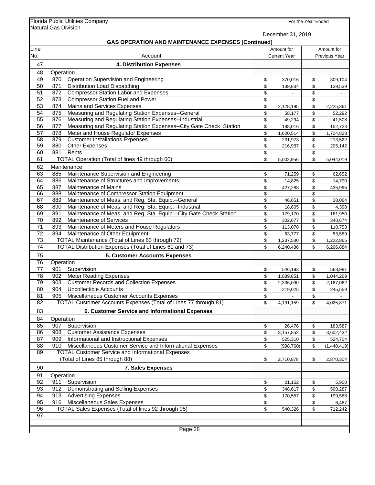December 31, 2019

|                       | <b>GAS OPERATION AND MAINTENANCE EXPENSES (Continued)</b>                                  |          |                             |                         |                    |  |  |  |
|-----------------------|--------------------------------------------------------------------------------------------|----------|-----------------------------|-------------------------|--------------------|--|--|--|
| Line                  |                                                                                            |          | Amount for                  | Amount for              |                    |  |  |  |
| No.                   | Account                                                                                    |          | <b>Current Year</b>         |                         | Previous Year      |  |  |  |
| 47                    | <b>4. Distribution Expenses</b>                                                            |          |                             |                         |                    |  |  |  |
| 48                    | Operation                                                                                  |          |                             |                         |                    |  |  |  |
| 49                    | 870<br><b>Operation Supervision and Engineering</b>                                        | \$       | 370,016                     | \$                      | 309,104            |  |  |  |
| 50                    | <b>Distribution Load Dispatching</b><br>871                                                | \$       | 139,834                     | \$                      | 139,539            |  |  |  |
| 51                    | 872<br><b>Compressor Station Labor and Expenses</b>                                        | \$       |                             | \$                      |                    |  |  |  |
| $\overline{52}$       | <b>Compressor Station Fuel and Power</b><br>873                                            | \$       | $\overline{a}$              | \$                      | $\blacksquare$     |  |  |  |
| $\overline{53}$       | Mains and Services Expenses<br>874                                                         | \$       | 2,128,195                   | \$                      | 2,225,361          |  |  |  |
| 54                    | Measuring and Regulating Station Expenses--General<br>875                                  | \$       | 58,177                      | \$                      | 52,292             |  |  |  |
| 55                    | Measuring and Regulating Station Expenses--Industrial<br>876                               | \$       | 49,294                      | \$                      | 41,508             |  |  |  |
| $\overline{56}$<br>57 | Measuring and Regulating Station Expenses--City Gate Check Station<br>877                  | \$       | 188,016                     | \$                      | 152,723            |  |  |  |
| 58                    | Meter and House Regulator Expenses<br>878<br><b>Customer Installations Expenses</b><br>879 | \$<br>\$ | 1,620,514                   | \$<br>$\sqrt{3}$        | 1,704,828          |  |  |  |
| 59                    | <b>Other Expenses</b><br>880                                                               | \$       | 231,973<br>216,937          | $\overline{\$}$         | 213,522<br>205,142 |  |  |  |
| 60                    | 881<br>Rents                                                                               | \$       | $\blacksquare$              | \$                      |                    |  |  |  |
| 61                    | TOTAL Operation (Total of lines 49 through 60)                                             | \$       | 5,002,956                   | \$                      | 5,044,019          |  |  |  |
| 62                    | Maintenance                                                                                |          |                             |                         |                    |  |  |  |
| 63                    | 885<br>Maintenance Supervision and Engineering                                             | \$       | 71,259                      | \$                      | 62,652             |  |  |  |
| 64                    | Maintenance of Structures and Improvements<br>886                                          | \$       | 14,825                      | \$                      | 14,790             |  |  |  |
| 65                    | 887<br>Maintenance of Mains                                                                | \$       | 427,288                     | \$                      | 435,995            |  |  |  |
| 66                    | Maintenance of Compressor Station Equipment<br>888                                         | \$       | $\mathcal{L}_{\mathcal{A}}$ | $\overline{\mathbf{e}}$ | $\blacksquare$     |  |  |  |
| 67                    | Maintenance of Meas. and Reg. Sta. Equip.--General<br>889                                  | \$       | 46,651                      | \$                      | 38,064             |  |  |  |
| 68                    | Maintenance of Meas. and Reg. Sta. Equip.--Industrial<br>890                               | \$       | 18,805                      | \$                      | 4,398              |  |  |  |
| 69                    | 891<br>Maintenance of Meas. and Reg. Sta. Equip.--City Gate Check Station                  | \$       | 179,170                     | \$                      | 161,950            |  |  |  |
| 70                    | Maintenance of Services<br>892                                                             | \$       | 302,677                     | \$                      | 340,674            |  |  |  |
| 71                    | 893<br>Maintenance of Meters and House Regulators                                          | \$       | 113,078                     | $\overline{\mathbf{S}}$ | 110,753            |  |  |  |
| $\overline{72}$       | Maintenance of Other Equipment<br>894                                                      | \$       | 63,777                      | \$                      | 53,589             |  |  |  |
| $\overline{73}$       | TOTAL Maintenance (Total of Lines 63 through 72)                                           | \$       | 1,237,530                   | \$                      | 1,222,865          |  |  |  |
| 74                    | TOTAL Distribution Expenses (Total of Lines 61 and 73)                                     | \$       | 6,240,486                   | \$                      | 6,266,884          |  |  |  |
| 75                    | 5. Customer Accounts Expenses                                                              |          |                             |                         |                    |  |  |  |
| 76                    | Operation                                                                                  |          |                             |                         |                    |  |  |  |
| $\overline{77}$       | Supervision<br>901                                                                         | \$       | 546,193                     | \$                      | 568,981            |  |  |  |
| 78                    | <b>Meter Reading Expenses</b><br>902                                                       | \$       | 1,089,851                   | \$                      | 1,044,269          |  |  |  |
| 79                    | <b>Customer Records and Collection Expenses</b><br>903                                     | \$       | 2,336,090                   | \$                      | 2,167,062          |  |  |  |
| 80                    | <b>Uncollectible Accounts</b><br>904                                                       | \$       | 219,025                     | \$                      | 245,559            |  |  |  |
| $\overline{81}$       | Miscellaneous Customer Accounts Expenses<br>905                                            | \$       |                             | \$                      |                    |  |  |  |
| $\overline{82}$       | TOTAL Customer Accounts Expenses (Total of Lines 77 through 81)                            | \$       | 4,191,159                   | $\overline{\mathbb{S}}$ | 4,025,871          |  |  |  |
| 83                    | 6. Customer Service and Informational Expenses                                             |          |                             |                         |                    |  |  |  |
| 84                    | Operation                                                                                  |          |                             |                         |                    |  |  |  |
| 85                    | 907<br>Supervision                                                                         | \$       | 26,476                      | \$                      | 183,587            |  |  |  |
| 86                    | <b>Customer Assistance Expenses</b><br>908                                                 | \$       | 3,157,852                   | \$                      | 3,602,432          |  |  |  |
| 87                    | 909 Informational and Instructional Expenses                                               | \$       | 525,310                     | \$                      | 524,704            |  |  |  |
| $\overline{88}$       | Miscellaneous Customer Service and Informational Expenses<br>910                           | \$       | (998, 760)                  | \$                      | (1,440,419)        |  |  |  |
| 89                    | <b>TOTAL Customer Service and Informational Expenses</b>                                   |          |                             |                         |                    |  |  |  |
|                       | (Total of Lines 85 through 88)                                                             | \$       | 2,710,878                   | \$                      | 2,870,304          |  |  |  |
| 90                    | 7. Sales Expenses                                                                          |          |                             |                         |                    |  |  |  |
| 91                    | Operation                                                                                  |          |                             |                         |                    |  |  |  |
| 92                    | Supervision<br>911                                                                         | \$       | 21,152                      | \$                      | 5,900              |  |  |  |
| 93                    | 912 Demonstrating and Selling Expenses                                                     | \$       | 348,617                     | \$                      | 500,287            |  |  |  |
| 94                    | 913 Advertising Expenses                                                                   | \$       | 170,557                     | \$                      | 199,568            |  |  |  |
| 95                    | Miscellaneous Sales Expenses<br>916                                                        | \$       |                             | \$                      | 6,487              |  |  |  |
| 96                    | TOTAL Sales Expenses (Total of lines 92 through 95)                                        | \$       | 540,326                     | \$                      | 712,242            |  |  |  |
| 97                    |                                                                                            |          |                             |                         |                    |  |  |  |
|                       | Page 28                                                                                    |          |                             |                         |                    |  |  |  |
|                       |                                                                                            |          |                             |                         |                    |  |  |  |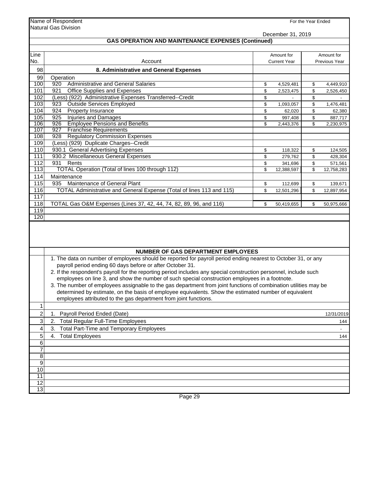#### December 31, 2019

#### **GAS OPERATION AND MAINTENANCE EXPENSES (Continued)**

|                | <u> UI EIWITIUN AND MAMITENANUE EAI ENGE</u>                                                                      |                      |            |                          |  |
|----------------|-------------------------------------------------------------------------------------------------------------------|----------------------|------------|--------------------------|--|
| Line           |                                                                                                                   | Amount for           | Amount for |                          |  |
| No.            | Account                                                                                                           | <b>Current Year</b>  |            | Previous Year            |  |
| 98             | 8. Administrative and General Expenses                                                                            |                      |            |                          |  |
| 99             | Operation                                                                                                         |                      |            |                          |  |
| 100            | 920<br><b>Administrative and General Salaries</b>                                                                 | \$<br>4,529,481      | \$         | 4,449,910                |  |
| 101            | 921<br>Office Supplies and Expenses                                                                               | \$<br>2,523,475      | \$         | 2,526,450                |  |
| 102            | (Less) (922) Administrative Expenses Transferred--Credit                                                          | \$<br>$\blacksquare$ | \$         | $\overline{\phantom{a}}$ |  |
| 103            | <b>Outside Services Employed</b><br>923                                                                           | \$<br>1,093,057      | \$         | 1,476,481                |  |
| 104            | 924<br>Property Insurance                                                                                         | \$<br>62,020         | \$         | 62,380                   |  |
| 105            | <b>Injuries and Damages</b><br>925                                                                                | \$<br>997,408        | \$         | 887.717                  |  |
| 106            | <b>Employee Pensions and Benefits</b><br>926                                                                      | \$<br>2,443,376      | \$         | 2,230,975                |  |
| 107            | <b>Franchise Requirements</b><br>927                                                                              |                      |            |                          |  |
| 108            | <b>Regulatory Commission Expenses</b><br>928                                                                      |                      |            |                          |  |
| 109            | (Less) (929) Duplicate Charges--Credit                                                                            |                      |            |                          |  |
| 110            | 930.1 General Advertising Expenses                                                                                | \$<br>118,322        | \$         | 124,505                  |  |
| 111            | 930.2 Miscellaneous General Expenses                                                                              | \$<br>279,762        | \$         | 428,304                  |  |
| 112            | 931<br>Rents                                                                                                      | \$<br>341,696        | \$         | 571,561                  |  |
| 113            | <b>TOTAL Operation (Total of lines 100 through 112)</b>                                                           | \$<br>12,388,597     | \$         | 12,758,283               |  |
| 114            | Maintenance                                                                                                       |                      |            |                          |  |
| 115            | Maintenance of General Plant<br>935                                                                               | \$<br>112,699        | \$         | 139,671                  |  |
| 116            | TOTAL Administrative and General Expense (Total of lines 113 and 115)                                             | \$<br>12,501,296     | \$         | 12,897,954               |  |
| 117            |                                                                                                                   |                      |            |                          |  |
| 118            | TOTAL Gas O&M Expenses (Lines 37, 42, 44, 74, 82, 89, 96, and 116)                                                | \$<br>50,419,655     | \$         | 50,975,666               |  |
| 119            |                                                                                                                   |                      |            |                          |  |
| 120            |                                                                                                                   |                      |            |                          |  |
|                |                                                                                                                   |                      |            |                          |  |
|                |                                                                                                                   |                      |            |                          |  |
|                |                                                                                                                   |                      |            |                          |  |
|                |                                                                                                                   |                      |            |                          |  |
|                | NUMBER OF GAS DEPARTMENT EMPLOYEES                                                                                |                      |            |                          |  |
|                | 1. The data on number of employees should be reported for payroll period ending nearest to October 31, or any     |                      |            |                          |  |
|                | payroll period ending 60 days before or after October 31.                                                         |                      |            |                          |  |
|                | 2. If the respondent's payroll for the reporting period includes any special construction personnel, include such |                      |            |                          |  |
|                | employees on line 3, and show the number of such special construction employees in a footnote.                    |                      |            |                          |  |
|                | 3. The number of employees assignable to the gas department from joint functions of combination utilities may be  |                      |            |                          |  |
|                | determined by estimate, on the basis of employee equivalents. Show the estimated number of equivalent             |                      |            |                          |  |
|                | employees attributed to the gas department from joint functions.                                                  |                      |            |                          |  |
| 1              |                                                                                                                   |                      |            |                          |  |
| $\overline{2}$ | Payroll Period Ended (Date)<br>1.                                                                                 |                      |            | 12/31/2019               |  |
| 3              | 2. Total Regular Full-Time Employees                                                                              |                      |            | 144                      |  |
|                |                                                                                                                   |                      |            |                          |  |

4 3. Total Part-Time and Temporary Employees - 5 4. Total Employees 144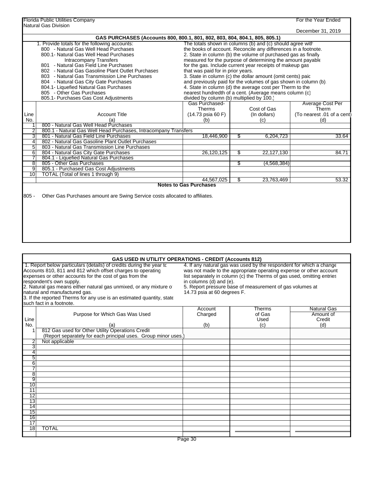|                | Florida Public Utilities Company                                                                           |                                                                 |    |               | For the Year Ended         |  |  |  |
|----------------|------------------------------------------------------------------------------------------------------------|-----------------------------------------------------------------|----|---------------|----------------------------|--|--|--|
|                | Natural Gas Division                                                                                       |                                                                 |    |               | December 31, 2019          |  |  |  |
|                | GAS PURCHASES (Accounts 800, 800.1, 801, 802, 803, 804, 804.1, 805, 805.1)                                 |                                                                 |    |               |                            |  |  |  |
|                | 1. Provide totals for the following accounts:<br>The totals shown in columns (b) and (c) should agree with |                                                                 |    |               |                            |  |  |  |
|                | 800 - Natural Gas Well Head Purchases                                                                      | the books of account. Reconcile any differences in a footnote.  |    |               |                            |  |  |  |
|                | 800.1- Natural Gas Well Head Purchases                                                                     | 2. State in column (b) the volume of purchased gas as finally   |    |               |                            |  |  |  |
|                | <b>Intracompany Transfers</b>                                                                              | measured for the purpose of determining the amount payable      |    |               |                            |  |  |  |
|                | 801 - Natural Gas Field Line Purchases                                                                     | for the gas. Include current year receipts of makeup gas        |    |               |                            |  |  |  |
|                | 802 - Natural Gas Gasoline Plant Outlet Purchases                                                          | that was paid for in prior years.                               |    |               |                            |  |  |  |
|                | 803 - Natural Gas Transmission Line Purchases                                                              | 3. State in column (c) the dollar amount (omit cents) paid      |    |               |                            |  |  |  |
|                | 804 - Natural Gas City Gate Purchases                                                                      | and previously paid for the volumes of gas shown in column (b). |    |               |                            |  |  |  |
|                | 804.1- Liquefied Natural Gas Purchases                                                                     | 4. State in column (d) the average cost per Therm to the        |    |               |                            |  |  |  |
|                | 805 - Other Gas Purchases                                                                                  | nearest hundredth of a cent. (Average means column (c)          |    |               |                            |  |  |  |
|                | 805.1- Purchases Gas Cost Adjustments                                                                      | divided by column (b) multiplied by 100.]                       |    |               |                            |  |  |  |
|                |                                                                                                            | Gas Purchased-                                                  |    |               | Average Cost Per           |  |  |  |
|                |                                                                                                            | Therms                                                          |    | Cost of Gas   | Therm                      |  |  |  |
| Line           | <b>Account Title</b>                                                                                       | (14.73 psia 60 F)                                               |    | (In dollars)  | (To nearest .01 of a cent) |  |  |  |
| No.            | (a)                                                                                                        | (b)                                                             |    | (c)           | (d)                        |  |  |  |
|                | 800 - Natural Gas Well Head Purchases                                                                      |                                                                 |    |               |                            |  |  |  |
| $\overline{2}$ | 800.1 - Natural Gas Well Head Purchases, Intracompany Transfers                                            |                                                                 |    |               |                            |  |  |  |
| З              | 801 - Natural Gas Field Line Purchases                                                                     | 18,446,900                                                      | \$ | 6,204,723     | 33.64                      |  |  |  |
| 4              | 802 - Natural Gas Gasoline Plant Outlet Purchases                                                          |                                                                 |    |               |                            |  |  |  |
| 5              | 803 - Natural Gas Transmission Line Purchases                                                              |                                                                 |    |               |                            |  |  |  |
| 6              | 804 - Natural Gas City Gate Purchases                                                                      | 26,120,125                                                      | \$ | 22,127,130    | 84.71                      |  |  |  |
|                | 804.1 - Liquefied Natural Gas Purchases                                                                    |                                                                 |    |               |                            |  |  |  |
| 8              | 805 - Other Gas Purchases                                                                                  |                                                                 | \$ | (4, 568, 384) |                            |  |  |  |
| 9              | 805.1 - Purchased Gas Cost Adjustments                                                                     |                                                                 |    |               |                            |  |  |  |
| 10             | TOTAL (Total of lines 1 through 9)                                                                         |                                                                 |    |               |                            |  |  |  |
|                |                                                                                                            | 44,567,025                                                      | S  | 23,763,469    | 53.32                      |  |  |  |
|                |                                                                                                            | <b>Notes to Gas Purchases</b>                                   |    |               |                            |  |  |  |
|                |                                                                                                            |                                                                 |    |               |                            |  |  |  |
| $805 -$        | Other Gas Purchases amount are Swing Service costs allocated to affiliates.                                |                                                                 |    |               |                            |  |  |  |
|                |                                                                                                            |                                                                 |    |               |                            |  |  |  |
|                |                                                                                                            |                                                                 |    |               |                            |  |  |  |

|                                                                                                                                                                                                                                                                                                                                                                                                                                                                                                                                                                                                                                                                                                                                                                                    | <b>GAS USED IN UTILITY OPERATIONS - CREDIT (Accounts 812)</b>                                                      |                    |                         |                                 |  |  |  |  |  |
|------------------------------------------------------------------------------------------------------------------------------------------------------------------------------------------------------------------------------------------------------------------------------------------------------------------------------------------------------------------------------------------------------------------------------------------------------------------------------------------------------------------------------------------------------------------------------------------------------------------------------------------------------------------------------------------------------------------------------------------------------------------------------------|--------------------------------------------------------------------------------------------------------------------|--------------------|-------------------------|---------------------------------|--|--|--|--|--|
| 4. If any natural gas was used by the respondent for which a change<br>1. Report below particulars (details) of credits during the year to<br>Accounts 810, 811 and 812 which offset charges to operating<br>was not made to the appropriate operating expense or other account<br>list separately in column (c) the Therms of gas used, omitting entries<br>expenses or other accounts for the cost of gas from the<br>respondent's own supply.<br>in columns (d) and (e).<br>2. Natural gas means either natural gas unmixed, or any mixture of<br>5. Report pressure base of measurement of gas volumes at<br>14.73 psia at 60 degrees F.<br>natural and manufactured gas.<br>3. If the reported Therms for any use is an estimated quantity, state<br>such fact in a footnote. |                                                                                                                    |                    |                         |                                 |  |  |  |  |  |
|                                                                                                                                                                                                                                                                                                                                                                                                                                                                                                                                                                                                                                                                                                                                                                                    | Purpose for Which Gas Was Used                                                                                     | Account<br>Charged | <b>Therms</b><br>of Gas | <b>Natural Gas</b><br>Amount of |  |  |  |  |  |
| Line                                                                                                                                                                                                                                                                                                                                                                                                                                                                                                                                                                                                                                                                                                                                                                               |                                                                                                                    |                    | Used                    | Credit                          |  |  |  |  |  |
| No.                                                                                                                                                                                                                                                                                                                                                                                                                                                                                                                                                                                                                                                                                                                                                                                | (a)                                                                                                                | (b)                | (c)                     | (d)                             |  |  |  |  |  |
|                                                                                                                                                                                                                                                                                                                                                                                                                                                                                                                                                                                                                                                                                                                                                                                    | 812 Gas used for Other Utility Operations Credit<br>(Report separately for each principal uses. Group minor uses.) |                    |                         |                                 |  |  |  |  |  |
| 2                                                                                                                                                                                                                                                                                                                                                                                                                                                                                                                                                                                                                                                                                                                                                                                  | Not applicable                                                                                                     |                    |                         |                                 |  |  |  |  |  |
| 3                                                                                                                                                                                                                                                                                                                                                                                                                                                                                                                                                                                                                                                                                                                                                                                  |                                                                                                                    |                    |                         |                                 |  |  |  |  |  |
| 4                                                                                                                                                                                                                                                                                                                                                                                                                                                                                                                                                                                                                                                                                                                                                                                  |                                                                                                                    |                    |                         |                                 |  |  |  |  |  |
| 5<br>6                                                                                                                                                                                                                                                                                                                                                                                                                                                                                                                                                                                                                                                                                                                                                                             |                                                                                                                    |                    |                         |                                 |  |  |  |  |  |
|                                                                                                                                                                                                                                                                                                                                                                                                                                                                                                                                                                                                                                                                                                                                                                                    |                                                                                                                    |                    |                         |                                 |  |  |  |  |  |
| $\overline{8}$                                                                                                                                                                                                                                                                                                                                                                                                                                                                                                                                                                                                                                                                                                                                                                     |                                                                                                                    |                    |                         |                                 |  |  |  |  |  |
| 9                                                                                                                                                                                                                                                                                                                                                                                                                                                                                                                                                                                                                                                                                                                                                                                  |                                                                                                                    |                    |                         |                                 |  |  |  |  |  |
| 10                                                                                                                                                                                                                                                                                                                                                                                                                                                                                                                                                                                                                                                                                                                                                                                 |                                                                                                                    |                    |                         |                                 |  |  |  |  |  |
| 11                                                                                                                                                                                                                                                                                                                                                                                                                                                                                                                                                                                                                                                                                                                                                                                 |                                                                                                                    |                    |                         |                                 |  |  |  |  |  |
| 12                                                                                                                                                                                                                                                                                                                                                                                                                                                                                                                                                                                                                                                                                                                                                                                 |                                                                                                                    |                    |                         |                                 |  |  |  |  |  |
| $\overline{13}$                                                                                                                                                                                                                                                                                                                                                                                                                                                                                                                                                                                                                                                                                                                                                                    |                                                                                                                    |                    |                         |                                 |  |  |  |  |  |
| 14                                                                                                                                                                                                                                                                                                                                                                                                                                                                                                                                                                                                                                                                                                                                                                                 |                                                                                                                    |                    |                         |                                 |  |  |  |  |  |
| 15<br>16                                                                                                                                                                                                                                                                                                                                                                                                                                                                                                                                                                                                                                                                                                                                                                           |                                                                                                                    |                    |                         |                                 |  |  |  |  |  |
| 17                                                                                                                                                                                                                                                                                                                                                                                                                                                                                                                                                                                                                                                                                                                                                                                 |                                                                                                                    |                    |                         |                                 |  |  |  |  |  |
| 18                                                                                                                                                                                                                                                                                                                                                                                                                                                                                                                                                                                                                                                                                                                                                                                 | <b>TOTAL</b>                                                                                                       |                    |                         |                                 |  |  |  |  |  |
|                                                                                                                                                                                                                                                                                                                                                                                                                                                                                                                                                                                                                                                                                                                                                                                    |                                                                                                                    |                    |                         |                                 |  |  |  |  |  |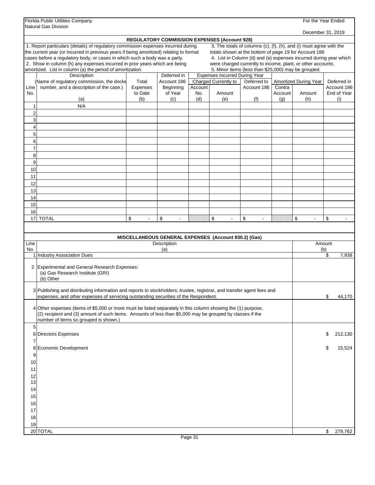| <b>Florida Public Utilities Company</b> |
|-----------------------------------------|
| <b>Natural Gas Division</b>             |

For the Year Ended

December 31, 2019

| <b>REGULATORY COMMISSION EXPENSES (Account 928)</b> |
|-----------------------------------------------------|
|-----------------------------------------------------|

1. Report particulars (details) of regulatory commission expenses incurred during 3. The totals of columns (c), (f), (h), and (i) must agree with the the current year (or incurred in previous years if being amortized) rela the current year (or incurred in previous years if being amortized) relating to formal totals shown at the bottom of page 19 for Account 186<br>cases before a regulatory body, or cases in which such a body was a party. 4. Lis cases before a regulatory body, or cases in which such a body was a party.<br>
2. Show in column (h) any expenses incurred in prior years which are being were charged currently to income, plant, or other accounts. 2. Show in column (h) any expenses incurred in prior years which are being were charged currently to income, plant, or other accounts.<br>amortized. List in column (a) the period of amortization. The state of the state of the amortized. List in column (a) the period of amortization.

|                | Description                                                                                                            |                           | Deferred in                                          | <b>Expenses Incurred During Year</b> |                                      |                      |         |                              |                       |         |
|----------------|------------------------------------------------------------------------------------------------------------------------|---------------------------|------------------------------------------------------|--------------------------------------|--------------------------------------|----------------------|---------|------------------------------|-----------------------|---------|
|                | (Name of regulatory commission, the docke                                                                              | Total                     | Account 186                                          |                                      | <b>Charged Currently to</b>          | Deferred to          |         | <b>Amortized During Year</b> | Deferred in           |         |
| Line           | number, and a description of the case.)                                                                                | <b>Expenses</b>           | Beginning                                            | Account                              |                                      | Account 186          | Contra  |                              | Account 186           |         |
| No.            |                                                                                                                        | to Date                   | of Year                                              | No.                                  | Amount                               |                      | Account | Amount                       | End of Year           |         |
|                | (a)                                                                                                                    | (b)                       | (c)                                                  | (d)                                  | (e)                                  | (f)                  | (g)     | (h)                          | (i)                   |         |
|                | N/A                                                                                                                    |                           |                                                      |                                      |                                      |                      |         |                              |                       |         |
| $\overline{2}$ |                                                                                                                        |                           |                                                      |                                      |                                      |                      |         |                              |                       |         |
| 3              |                                                                                                                        |                           |                                                      |                                      |                                      |                      |         |                              |                       |         |
| 4              |                                                                                                                        |                           |                                                      |                                      |                                      |                      |         |                              |                       |         |
| 5 <sub>l</sub> |                                                                                                                        |                           |                                                      |                                      |                                      |                      |         |                              |                       |         |
| 6              |                                                                                                                        |                           |                                                      |                                      |                                      |                      |         |                              |                       |         |
| $\overline{7}$ |                                                                                                                        |                           |                                                      |                                      |                                      |                      |         |                              |                       |         |
| 8 <sup>1</sup> |                                                                                                                        |                           |                                                      |                                      |                                      |                      |         |                              |                       |         |
| $\overline{9}$ |                                                                                                                        |                           |                                                      |                                      |                                      |                      |         |                              |                       |         |
| 10             |                                                                                                                        |                           |                                                      |                                      |                                      |                      |         |                              |                       |         |
| 11             |                                                                                                                        |                           |                                                      |                                      |                                      |                      |         |                              |                       |         |
|                |                                                                                                                        |                           |                                                      |                                      |                                      |                      |         |                              |                       |         |
| 12             |                                                                                                                        |                           |                                                      |                                      |                                      |                      |         |                              |                       |         |
| 13             |                                                                                                                        |                           |                                                      |                                      |                                      |                      |         |                              |                       |         |
| 14             |                                                                                                                        |                           |                                                      |                                      |                                      |                      |         |                              |                       |         |
| 15             |                                                                                                                        |                           |                                                      |                                      |                                      |                      |         |                              |                       |         |
| 16             |                                                                                                                        |                           |                                                      |                                      |                                      |                      |         |                              |                       |         |
|                | 17 TOTAL                                                                                                               | $\boldsymbol{\mathsf{S}}$ | $\boldsymbol{\mathsf{\$}}$                           |                                      | $\boldsymbol{\mathsf{\$}}$<br>$\sim$ | \$<br>$\blacksquare$ |         | $\boldsymbol{\theta}$        | $\boldsymbol{\theta}$ |         |
|                |                                                                                                                        |                           |                                                      |                                      |                                      |                      |         |                              |                       |         |
|                |                                                                                                                        |                           |                                                      |                                      |                                      |                      |         |                              |                       |         |
|                |                                                                                                                        |                           |                                                      |                                      |                                      |                      |         |                              |                       |         |
|                |                                                                                                                        |                           | MISCELLANEOUS GENERAL EXPENSES (Account 930.2) (Gas) |                                      |                                      |                      |         |                              |                       |         |
| Line           |                                                                                                                        |                           | <b>Description</b>                                   |                                      |                                      |                      |         |                              | Amount                |         |
| No.            |                                                                                                                        |                           | (a)                                                  |                                      |                                      |                      |         | (b)                          | \$                    |         |
|                | 1 Industry Association Dues                                                                                            |                           |                                                      |                                      |                                      |                      |         |                              |                       | 7,938   |
| $\overline{2}$ | <b>Experimental and General Research Expenses:</b>                                                                     |                           |                                                      |                                      |                                      |                      |         |                              |                       |         |
|                | (a) Gas Research Institute (GRI)                                                                                       |                           |                                                      |                                      |                                      |                      |         |                              |                       |         |
|                | (b) Other                                                                                                              |                           |                                                      |                                      |                                      |                      |         |                              |                       |         |
|                |                                                                                                                        |                           |                                                      |                                      |                                      |                      |         |                              |                       |         |
|                | 3 Publishing and distributing information and reports to stockholders; trustee, registrar, and transfer agent fees and |                           |                                                      |                                      |                                      |                      |         |                              |                       |         |
|                | expenses, and other expenses of servicing outstanding securities of the Respondent.                                    |                           |                                                      |                                      |                                      |                      |         |                              | \$                    | 44,170  |
|                | 4 Other expenses (items of \$5,000 or more must be listed separately in this column showing the (1) purpose,           |                           |                                                      |                                      |                                      |                      |         |                              |                       |         |
|                | (2) recipient and (3) amount of such items. Amounts of less than \$5,000 may be grouped by classes if the              |                           |                                                      |                                      |                                      |                      |         |                              |                       |         |
|                | number of items so grouped is shown.)                                                                                  |                           |                                                      |                                      |                                      |                      |         |                              |                       |         |
| 5 <sub>l</sub> |                                                                                                                        |                           |                                                      |                                      |                                      |                      |         |                              |                       |         |
|                | 6 Directors Expenses                                                                                                   |                           |                                                      |                                      |                                      |                      |         |                              | \$                    | 212,130 |
|                |                                                                                                                        |                           |                                                      |                                      |                                      |                      |         |                              |                       |         |
|                |                                                                                                                        |                           |                                                      |                                      |                                      |                      |         |                              | \$                    |         |
| 9              | 8 Economic Development                                                                                                 |                           |                                                      |                                      |                                      |                      |         |                              |                       | 15,524  |

|    | $\overline{R}$ $\overline{M}$ |  |           |
|----|-------------------------------|--|-----------|
|    | 20 TOTAL                      |  | \$279,762 |
| 19 |                               |  |           |
| 18 |                               |  |           |
| 17 |                               |  |           |
| 16 |                               |  |           |
| 15 |                               |  |           |
| 14 |                               |  |           |
| 13 |                               |  |           |
| 12 |                               |  |           |
| 11 |                               |  |           |
| 10 |                               |  |           |
|    |                               |  |           |

Page 31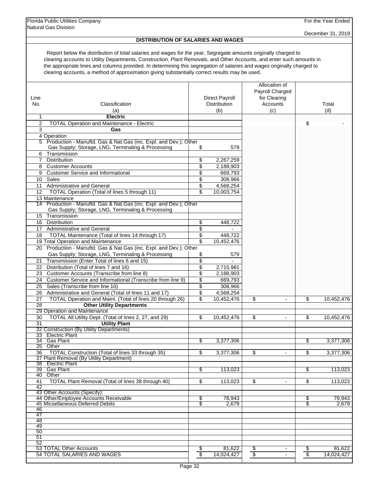December 31, 2019

#### **DISTRIBUTION OF SALARIES AND WAGES**

 Report below the distribution of total salaries and wages for the year. Segregate amounts originally charged to clearing accounts to Utility Departments, Construction, Plant Removals, and Other Accounts, and enter such amounts in the appropriate lines and columns provided. In determining this segregation of salaries and wages originally charged to clearing accounts, a method of approximation giving substantially correct results may be used.

|                 |                                                                     |                               |                       |                         | Allocation of   |                  |            |
|-----------------|---------------------------------------------------------------------|-------------------------------|-----------------------|-------------------------|-----------------|------------------|------------|
|                 |                                                                     |                               |                       |                         | Payroll Charged |                  |            |
| Line            |                                                                     |                               | <b>Direct Payroll</b> |                         | for Clearing    |                  |            |
|                 |                                                                     |                               |                       |                         |                 |                  |            |
| No.             | Classification                                                      |                               | Distribution          |                         | Accounts        |                  | Total      |
|                 | (a)                                                                 |                               | (b)                   |                         | (c)             |                  | (d)        |
| 1               | <b>Electric</b>                                                     |                               |                       |                         |                 |                  |            |
| $\overline{2}$  | <b>TOTAL Operation and Maintenance - Electric</b>                   |                               |                       |                         |                 | \$               |            |
| 3               | Gas                                                                 |                               |                       |                         |                 |                  |            |
|                 | 4 Operation                                                         |                               |                       |                         |                 |                  |            |
|                 | 5 Production - Manuftd. Gas & Nat. Gas (inc. Expl. and Dev.); Other |                               |                       |                         |                 |                  |            |
|                 | Gas Supply; Storage, LNG, Terminaling & Processing                  | \$                            | 579                   |                         |                 |                  |            |
|                 |                                                                     |                               |                       |                         |                 |                  |            |
| 6               | Transmission                                                        |                               |                       |                         |                 |                  |            |
| $\overline{7}$  | Distribution                                                        | \$                            | 2,267,259             |                         |                 |                  |            |
|                 | 8 Customer Accounts                                                 | $\overline{\$}$               | 2,188,903             |                         |                 |                  |            |
|                 | 9 Customer Service and Informational                                | \$                            | 669,793               |                         |                 |                  |            |
| 10              | Sales                                                               | \$                            | 308,966               |                         |                 |                  |            |
| 11              | <b>Administrative and General</b>                                   | \$                            | 4,568,254             |                         |                 |                  |            |
|                 |                                                                     | \$                            |                       |                         |                 |                  |            |
| 12              | TOTAL Operation (Total of lines 5 through 11)                       |                               | 10,003,754            |                         |                 |                  |            |
|                 | 13 Maintenance                                                      |                               |                       |                         |                 |                  |            |
|                 | 14 Production - Manuftd. Gas & Nat.Gas (inc. Expl. and Dev.); Other |                               |                       |                         |                 |                  |            |
|                 | Gas Supply; Storage, LNG, Terminaling & Processing                  |                               |                       |                         |                 |                  |            |
|                 | 15 Transmission                                                     |                               |                       |                         |                 |                  |            |
|                 | 16 Distribution                                                     | \$                            | 448,722               |                         |                 |                  |            |
|                 | 17 Administrative and General                                       | \$                            |                       |                         |                 |                  |            |
|                 |                                                                     |                               |                       |                         |                 |                  |            |
| 18              | TOTAL Maintenance (Total of lines 14 through 17)                    | \$                            | 448,722               |                         |                 |                  |            |
|                 | 19 Total Operation and Maintenance                                  | \$                            | 10,452,476            |                         |                 |                  |            |
|                 | 20 Production - Manuftd. Gas & Nat.Gas (inc. Expl. and Dev.); Other |                               |                       |                         |                 |                  |            |
|                 | Gas Supply; Storage, LNG, Terminaling & Processing                  | \$                            | 579                   |                         |                 |                  |            |
| 21              | Transmission (Enter Total of lines 6 and 15)                        | \$                            |                       |                         |                 |                  |            |
|                 | 22 Distribution (Total of lines 7 and 16)                           | \$                            | 2,715,981             |                         |                 |                  |            |
|                 |                                                                     |                               |                       |                         |                 |                  |            |
|                 | 23 Customer Accounts (Transcribe from line 8)                       | \$                            | 2,188,903             |                         |                 |                  |            |
| 24              | Customer Service and Informational (Transcribe from line 9)         | \$                            | 669,793               |                         |                 |                  |            |
| 25              | Sales (Transcribe from line 10)                                     | \$                            | 308,966               |                         |                 |                  |            |
| 26              | Administrative and General (Total of lines 11 and 17)               | \$                            | 4,568,254             |                         |                 |                  |            |
| 27              | TOTAL Operation and Maint. (Total of lines 20 through 26)           | \$                            | 10,452,476            | \$                      |                 | \$               | 10,452,476 |
| $\overline{28}$ | <b>Other Utility Departments</b>                                    |                               |                       |                         |                 |                  |            |
|                 | 29 Operation and Maintenance                                        |                               |                       |                         |                 |                  |            |
|                 |                                                                     |                               |                       |                         |                 |                  |            |
| 30              | TOTAL All Utility Dept. (Total of lines 2, 27, and 29)              | \$                            | 10,452,476            | \$                      |                 | \$               | 10,452,476 |
| $\overline{31}$ | <b>Utility Plant</b>                                                |                               |                       |                         |                 |                  |            |
|                 | 32 Construction (By Utility Departments)                            |                               |                       |                         |                 |                  |            |
|                 | 33 Electric Plant                                                   |                               |                       |                         |                 |                  |            |
|                 | 34 Gas Plant                                                        | \$                            | 3,377,306             |                         |                 | \$               | 3,377,306  |
|                 | 35 Other                                                            |                               |                       |                         |                 |                  |            |
|                 | 36 TOTAL Construction (Total of lines 33 through 35)                | \$                            | 3,377,306             | \$                      |                 | \$               | 3,377,306  |
|                 | 37 Plant Removal (By Utility Department)                            |                               |                       |                         |                 |                  |            |
|                 | 38 Electric Plant                                                   |                               |                       |                         |                 |                  |            |
|                 | 39 Gas Plant                                                        | \$                            | 113,023               |                         |                 | \$               | 113,023    |
| 40              | Other                                                               |                               |                       |                         |                 |                  |            |
| 41              | TOTAL Plant Removal (Total of lines 38 through 40)                  | \$                            | 113,023               | \$                      | -               | \$               | 113,023    |
| 42              |                                                                     |                               |                       |                         |                 |                  |            |
|                 | 43 Other Accounts (Specify):                                        |                               |                       |                         |                 |                  |            |
|                 | 44 Other/Employee Accounts Receivable                               | \$                            | 78,943                |                         |                 | \$               | 78,943     |
|                 | 45 Micsellaneous Deferred Debits                                    | \$                            | 2,679                 |                         |                 | S                | 2,679      |
| 46              |                                                                     |                               |                       |                         |                 |                  |            |
| 47              |                                                                     |                               |                       |                         |                 |                  |            |
| 48              |                                                                     |                               |                       |                         |                 |                  |            |
| 49              |                                                                     |                               |                       |                         |                 |                  |            |
| 50              |                                                                     |                               |                       |                         |                 |                  |            |
| 51              |                                                                     |                               |                       |                         |                 |                  |            |
| 52              |                                                                     |                               |                       |                         |                 |                  |            |
|                 | 53 TOTAL Other Accounts                                             |                               | 81,622                |                         |                 |                  | 81,622     |
|                 | 54 TOTAL SALARIES AND WAGES                                         | \$<br>$\sqrt[6]{\frac{2}{5}}$ |                       | \$                      |                 | \$<br>$\sqrt{2}$ |            |
|                 |                                                                     |                               | 14,024,427            | $\sqrt[6]{\frac{2}{5}}$ |                 |                  | 14,024,427 |
|                 |                                                                     |                               |                       |                         |                 |                  |            |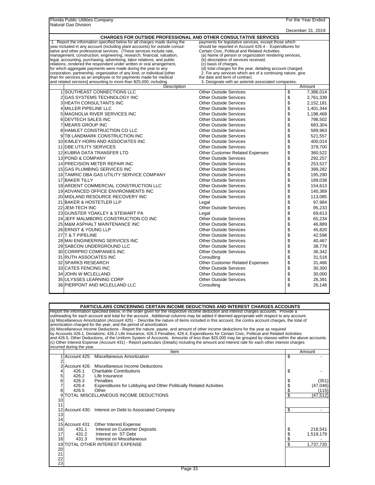| Florida Public Utilities Company                                                                                                                |                                                                                                                 | For the Year Ended |
|-------------------------------------------------------------------------------------------------------------------------------------------------|-----------------------------------------------------------------------------------------------------------------|--------------------|
| <b>Natural Gas Division</b>                                                                                                                     |                                                                                                                 |                    |
|                                                                                                                                                 |                                                                                                                 | December 31, 2019  |
|                                                                                                                                                 | <b>CHARGES FOR OUTSIDE PROFESSIONAL AND OTHER CONSULTATIVE SERVICES</b>                                         |                    |
| 1. Report the information specified below for all charges made during the                                                                       | payments for legislative services, except those which<br>should be reported in Account 426.4 - Expenditures for |                    |
| year included in any account (including plant accounts) for outside consultative and other professional services. (These services include rate, | Certain Civic, Political and Related Activities.                                                                |                    |
| management, construction, engineering, research, financial, valuation,                                                                          | (a) Name of person or organization rendering services,                                                          |                    |
| legal, accounting, purchasing, advertising, labor relations, and public                                                                         | (b) description of services received,                                                                           |                    |
| relations, rendered the respondent under written or oral arrangement,<br>for which aggregate payments were made during the year to any          | (c) basis of charges,<br>(d) total charges for the year, detailing account charged.                             |                    |
| corporation, partnership, organization of any kind, or individual fother                                                                        | 2. For any services which are of a continuing nature, give                                                      |                    |
| than for services as an employee or for payments made for medical                                                                               | the date and term of contract.                                                                                  |                    |
| and related services] amounting to more than \$25,000, including                                                                                | 3. Designate with an asterisk associated companies.                                                             |                    |
| Description                                                                                                                                     |                                                                                                                 | Amount             |
| 1 SOUTHEAST CONNECTIONS LLC                                                                                                                     | <b>Other Outside Services</b>                                                                                   | \$<br>7,386,014    |
| 2 GAS SYSTEMS TECHNOLOGY INC                                                                                                                    | <b>Other Outside Services</b>                                                                                   | \$<br>2,761,339    |
| 3 HEATH CONSULTANTS INC                                                                                                                         | <b>Other Outside Services</b>                                                                                   | \$<br>2,152,181    |
| 4 MILLER PIPELINE LLC                                                                                                                           | <b>Other Outside Services</b>                                                                                   | \$<br>1,401,344    |
| 5 MAGNOLIA RIVER SERVICES INC                                                                                                                   | <b>Other Outside Services</b>                                                                                   | \$<br>1,198,469    |
| 6 DEVTECH SALES INC                                                                                                                             | <b>Other Outside Services</b>                                                                                   | \$<br>798,502      |
| 7 MEARS GROUP INC                                                                                                                               | <b>Other Outside Services</b>                                                                                   | \$<br>683,304      |
| <b>8 HAMLET CONSTRUCTION CO LLC</b>                                                                                                             | <b>Other Outside Services</b>                                                                                   | \$<br>589,963      |
| 9 TB LANDMARK CONSTRUCTION INC                                                                                                                  | <b>Other Outside Services</b>                                                                                   | \$<br>521,557      |
| 10 KIMLEY-HORN AND ASSOCIATES INC                                                                                                               | <b>Other Outside Services</b>                                                                                   | \$<br>400,014      |
| 11 DBE UTILITY SERVICES                                                                                                                         | <b>Other Outside Services</b>                                                                                   | \$<br>379,700      |
| 12 KUBRA DATA TRANSFER LTD                                                                                                                      | Other Customer Related Expenses                                                                                 | \$<br>360,522      |
| 13 POND & COMPANY                                                                                                                               | <b>Other Outside Services</b>                                                                                   | \$<br>292,257      |
| 14 PRECISION METER REPAIR INC                                                                                                                   | <b>Other Outside Services</b>                                                                                   | \$<br>253,527      |
| 15 GAS PLUMBING SERVICES INC                                                                                                                    | <b>Other Outside Services</b>                                                                                   | \$<br>399,282      |
| 16 TAMRIC DBA GAS UTILITY SERVICE COMPANY                                                                                                       | <b>Other Outside Services</b>                                                                                   | \$<br>195,290      |
| <b>17 BAKER TILLY</b>                                                                                                                           | <b>Other Outside Services</b>                                                                                   | \$<br>189,038      |
| 18 ARDENT COMMERCIAL CONSTRUCTION LLC                                                                                                           | <b>Other Outside Services</b>                                                                                   | \$<br>154,613      |
| 19 ADVANCED OFFICE ENVIRONMENTS INC                                                                                                             | <b>Other Outside Services</b>                                                                                   | \$<br>140,369      |
| 20 MIDLAND RESOURCE RECOVERY INC                                                                                                                | <b>Other Outside Services</b>                                                                                   | \$<br>113,085      |
| 21 BAKER & HOSTETLER LLP                                                                                                                        | Legal                                                                                                           | \$<br>97.984       |
| 22 JEM-TECH INC                                                                                                                                 | <b>Other Outside Services</b>                                                                                   | \$<br>95,233       |
| 23 GUNSTER YOAKLEY & STEWART PA                                                                                                                 | Legal                                                                                                           | \$<br>69.613       |
| 24 JEFF MALMBORG CONSTRUCTION CO INC                                                                                                            | <b>Other Outside Services</b>                                                                                   | \$<br>65,234       |
| 25 M&M ASPHALT MAINTENANCE INC                                                                                                                  | <b>Other Outside Services</b>                                                                                   | \$<br>46,889       |
| 26 ERNST & YOUNG LLP                                                                                                                            | <b>Other Outside Services</b>                                                                                   | \$<br>45,820       |
| 27 T & T PIPELINE                                                                                                                               | <b>Other Outside Services</b>                                                                                   | \$<br>42,598       |
| 28 MAI ENGINEERING SERVICES INC                                                                                                                 | <b>Other Outside Services</b>                                                                                   | \$<br>40,467       |
| 29 SABCON UNDERGROUND LLC                                                                                                                       | <b>Other Outside Services</b>                                                                                   | \$<br>38.778       |
| 30 CORRPRO COMPANIES INC                                                                                                                        | <b>Other Outside Services</b>                                                                                   | \$<br>36,342       |
| 31 RUTH ASSOCIATES INC                                                                                                                          | Consulting                                                                                                      | \$<br>31,518       |
| 32 SPARKS RESEARCH                                                                                                                              | <b>Other Customer Related Expenses</b>                                                                          | \$<br>31,466       |
| 33 CATES FENCING INC                                                                                                                            | <b>Other Outside Services</b>                                                                                   | \$<br>30,300       |
| 34 JOHN W MCLELLAND                                                                                                                             | <b>Other Outside Services</b>                                                                                   | \$<br>30,000       |
| 35 ULYSSES LEARNING CORP                                                                                                                        | <b>Other Outside Services</b>                                                                                   | \$<br>26,391       |
| 36 PIERPONT AND MCLELLAND LLC                                                                                                                   | Consulting                                                                                                      | \$<br>26,148       |
|                                                                                                                                                 |                                                                                                                 |                    |

**PARTICULARS CONCERNING CERTAIN INCOME DEDUCTIONS AND INTEREST CHARGES ACCOUNTS**<br>Report the information specified below, in the order given for the respective income deduction and interest charges accounts. Provide a<br>subhe (b) Miscellaneous Income Deductions - Report the nature, payee, and amount of other income deductions for the year as required<br>by Accounts 426.1, Donations; 426.2 Life Insurance; 426.3 Penalties; 426.4, Expenditures for Ce

(c) Other Interest Expense (Account 431) - Report particulars (Details) including the amount and interest rate for each other interest charges incurred during the year.

|                 | Item                                                                        | Amount          |
|-----------------|-----------------------------------------------------------------------------|-----------------|
|                 | 1 Account 425: Miscellaneous Amortization                                   | \$              |
|                 |                                                                             |                 |
|                 | 3 Account 426: Miscellaneous Income Deductions                              |                 |
|                 | 426.1<br><b>Charitable Contributions</b>                                    | \$              |
|                 | 426.2<br>Life Insurance                                                     |                 |
| 6               | 426.3<br>Penalties                                                          | \$<br>(351)     |
|                 | Expenditures for Lobbying and Other Politically Related Activities<br>426.4 | \$<br>(47, 046) |
| 8               | 426.5<br>Other                                                              | (115)           |
| 9               | TOTAL MISCELLANEOUS INCOME DEDUCTIONS                                       | \$<br>(47, 512) |
| 10              |                                                                             |                 |
| 11              |                                                                             |                 |
|                 | 12 Account 430: Interest on Debt to Associated Company                      | \$              |
| 13<br>14        |                                                                             |                 |
|                 | 15 Account 431: Other Interest Expense                                      |                 |
| 16              | Interest on Customer Deposits<br>431.1                                      | \$<br>218,541   |
| 17              | Interest on ST Debt<br>431.2                                                | \$<br>1,519,179 |
| 18              | 431.3<br>Interest on Miscellaneous                                          |                 |
|                 | 19 TOTAL OTHER INTEREST EXPENSE                                             | \$<br>1,737,720 |
| 20              |                                                                             |                 |
| 21              |                                                                             |                 |
|                 |                                                                             |                 |
| $\frac{22}{23}$ |                                                                             |                 |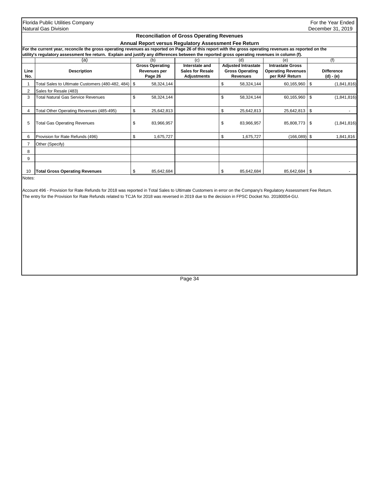Florida Public Utilities Company **For the Year Ended** Florida Public Utilities Company

Natural Gas Division December 31, 2019

## **Reconciliation of Gross Operating Revenues**

**Annual Report versus Regulatory Assessment Fee Return**

**For the current year, reconcile the gross operating revenues as reported on Page 26 of this report with the gross operating revenues as reported on the utility's regulatory assessment fee return. Explain and justify any differences between the reported gross operating revenues in column (f).**

|                | (a)                                                   |                                                   |            | (c)                                                             |    | (d)                                                                     | $5.900$ eportainig revenues in certain right<br>(e)                    | (f) |                                |
|----------------|-------------------------------------------------------|---------------------------------------------------|------------|-----------------------------------------------------------------|----|-------------------------------------------------------------------------|------------------------------------------------------------------------|-----|--------------------------------|
|                |                                                       | (b)                                               |            |                                                                 |    |                                                                         |                                                                        |     |                                |
| Line<br>No.    | <b>Description</b>                                    | <b>Gross Operating</b><br>Revenues per<br>Page 26 |            | Interstate and<br><b>Sales for Resale</b><br><b>Adjustments</b> |    | <b>Adjusted Intrastate</b><br><b>Gross Operating</b><br><b>Revenues</b> | <b>Intrastate Gross</b><br><b>Operating Revenues</b><br>per RAF Return |     | <b>Difference</b><br>(d) - (e) |
|                | Total Sales to Ultimate Customers (480-482, 484)   \$ |                                                   | 58,324,144 |                                                                 | \$ | 58,324,144                                                              | $60,165,960$ \$                                                        |     | (1,841,816)                    |
| 2              | Sales for Resale (483)                                |                                                   |            |                                                                 |    |                                                                         |                                                                        |     |                                |
| 3              | <b>Total Natural Gas Service Revenues</b>             | \$                                                | 58,324,144 |                                                                 | \$ | 58,324,144                                                              | $60,165,960$ \$                                                        |     | (1,841,816)                    |
| $\overline{4}$ | Total Other Operating Revenues (485-495)              |                                                   | 25,642,813 |                                                                 | \$ | 25,642,813                                                              | $25,642,813$ \$                                                        |     |                                |
| 5              | <b>Total Gas Operating Revenues</b>                   |                                                   | 83,966,957 |                                                                 | \$ | 83,966,957                                                              | $85,808,773$ \\$                                                       |     | (1,841,816)                    |
| 6              | Provision for Rate Refunds (496)                      |                                                   | 1,675,727  |                                                                 | \$ | 1,675,727                                                               | $(166,089)$ \$                                                         |     | 1,841,816                      |
|                | Other (Specify)                                       |                                                   |            |                                                                 |    |                                                                         |                                                                        |     |                                |
| 8              |                                                       |                                                   |            |                                                                 |    |                                                                         |                                                                        |     |                                |
| 9              |                                                       |                                                   |            |                                                                 |    |                                                                         |                                                                        |     |                                |
| 10             | <b>Total Gross Operating Revenues</b>                 |                                                   | 85,642,684 |                                                                 |    | 85,642,684                                                              | $85,642,684$ \ \ \$                                                    |     |                                |

Notes:

Account 496 - Provision for Rate Refunds for 2018 was reported in Total Sales to Ultimate Customers in error on the Company's Regulatory Assessment Fee Return. The entry for the Provision for Rate Refunds related to TCJA for 2018 was reversed in 2019 due to the decision in FPSC Docket No. 20180054-GU.

Page 34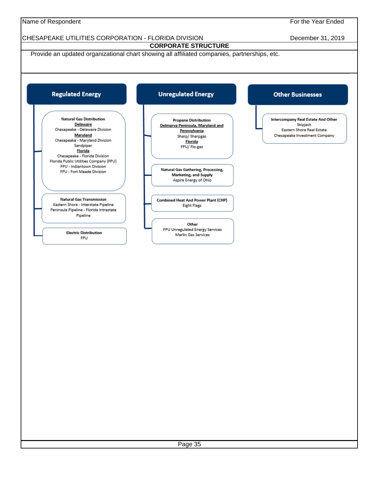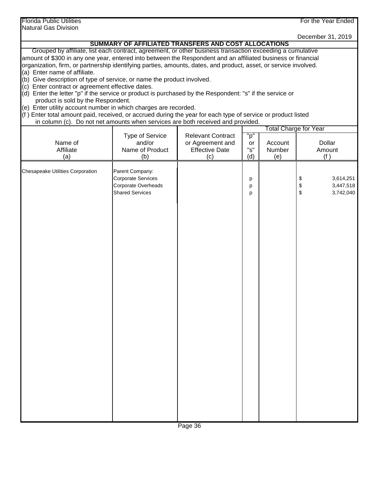# Florida Public Utilities For the Year Ended Natural Gas Division December 31, 2019 **SUMMARY OF AFFILIATED TRANSFERS AND COST ALLOCATIONS** Grouped by affiliate, list each contract, agreement, or other business transaction exceeding a cumulative amount of \$300 in any one year, entered into between the Respondent and an affiliated business or financial organization, firm, or partnership identifying parties, amounts, dates, and product, asset, or service involved. (a) Enter name of affiliate. (b) Give description of type of service, or name the product involved. (c) Enter contract or agreement effective dates. (d) Enter the letter "p" if the service or product is purchased by the Respondent: "s" if the service or product is sold by the Respondent. (e) Enter utility account number in which charges are recorded. (f ) Enter total amount paid, received, or accrued during the year for each type of service or product listed in column (c). Do not net amounts when services are both received and provided. Total Charge for Year Type of Service Relevant Contract ["p"<br>and/or cor Agreement and cor Name of **and/or** or Agreement and or Account Dollar Affiliate **by Account Amount** Amount Amount Amount Affiliate 1. Name of Product | Effective Date | "s" | Number | Amount (a)  $\qquad \qquad$  (b)  $\qquad \qquad$  (c)  $\qquad \qquad$  (d)  $\qquad \qquad$  (e)  $\qquad \qquad$  (f) Chesapeake Utilities Corporation Parent Company: Corporate Services p \$ 3,614,251 Corporate Overheads  $\begin{array}{ccc} \vert & \vert & \vert & \vert & \vert & \vert \end{array}$   $\begin{array}{ccc} \vert & \vert & \vert & \vert & \vert \end{array}$   $\begin{array}{ccc} \vert & \vert & \vert & \vert \end{array}$  3,447,518 Shared Services  $\begin{vmatrix} p & p \end{vmatrix}$   $\qquad$  3,742,040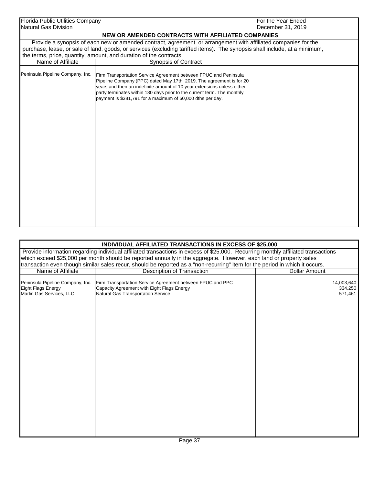| <b>Florida Public Utilities Company</b>                                                                                    | For the Year Ended                                                                                                                                                                                                                                                                                                                                           |  |  |  |  |
|----------------------------------------------------------------------------------------------------------------------------|--------------------------------------------------------------------------------------------------------------------------------------------------------------------------------------------------------------------------------------------------------------------------------------------------------------------------------------------------------------|--|--|--|--|
| <b>Natural Gas Division</b>                                                                                                | December 31, 2019                                                                                                                                                                                                                                                                                                                                            |  |  |  |  |
|                                                                                                                            |                                                                                                                                                                                                                                                                                                                                                              |  |  |  |  |
| <b>NEW OR AMENDED CONTRACTS WITH AFFILIATED COMPANIES</b>                                                                  |                                                                                                                                                                                                                                                                                                                                                              |  |  |  |  |
| Provide a synopsis of each new or amended contract, agreement, or arrangement with affiliated companies for the            |                                                                                                                                                                                                                                                                                                                                                              |  |  |  |  |
| purchase, lease, or sale of land, goods, or services (excluding tariffed items). The synopsis shall include, at a minimum, |                                                                                                                                                                                                                                                                                                                                                              |  |  |  |  |
| the terms, price, quantity, amount, and duration of the contracts.                                                         |                                                                                                                                                                                                                                                                                                                                                              |  |  |  |  |
|                                                                                                                            | <b>Synopsis of Contract</b>                                                                                                                                                                                                                                                                                                                                  |  |  |  |  |
| Peninsula Pipeline Company, Inc.                                                                                           | Firm Transportation Service Agreement between FPUC and Peninsula<br>Pipeline Company (PPC) dated May 17th, 2019. The agreement is for 20<br>years and then an indefinite amount of 10 year extensions unless either<br>party terminates within 180 days prior to the current term. The monthly<br>payment is \$381,791 for a maximum of 60,000 dths per day. |  |  |  |  |
| Name of Affiliate                                                                                                          |                                                                                                                                                                                                                                                                                                                                                              |  |  |  |  |

| <b>INDIVIDUAL AFFILIATED TRANSACTIONS IN EXCESS OF \$25,000</b>                                                                   |                                                                                                                                                       |                                  |  |  |  |  |  |
|-----------------------------------------------------------------------------------------------------------------------------------|-------------------------------------------------------------------------------------------------------------------------------------------------------|----------------------------------|--|--|--|--|--|
| Provide information regarding individual affiliated transactions in excess of \$25,000. Recurring monthly affiliated transactions |                                                                                                                                                       |                                  |  |  |  |  |  |
| which exceed \$25,000 per month should be reported annually in the aggregate. However, each land or property sales                |                                                                                                                                                       |                                  |  |  |  |  |  |
| transaction even though similar sales recur, should be reported as a "non-recurring" item for the period in which it occurs.      |                                                                                                                                                       |                                  |  |  |  |  |  |
| Name of Affiliate                                                                                                                 | <b>Description of Transaction</b>                                                                                                                     | <b>Dollar Amount</b>             |  |  |  |  |  |
| Peninsula Pipeline Company, Inc.<br><b>Eight Flags Energy</b><br>Marlin Gas Services, LLC                                         | Firm Transportation Service Agreement between FPUC and PPC<br>Capacity Agreement with Eight Flags Energy<br><b>Natural Gas Transportation Service</b> | 14,003,640<br>334,250<br>571,461 |  |  |  |  |  |
|                                                                                                                                   |                                                                                                                                                       |                                  |  |  |  |  |  |
|                                                                                                                                   |                                                                                                                                                       |                                  |  |  |  |  |  |